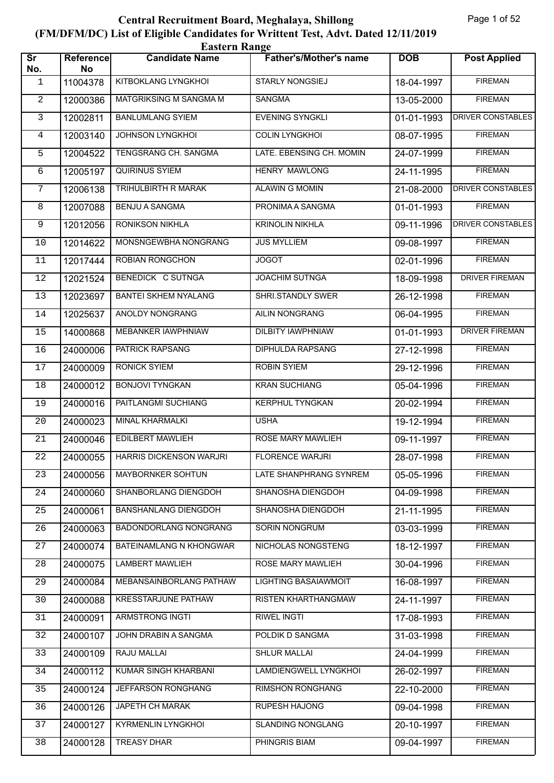|                               | <b>Eastern Range</b> |                               |                               |            |                          |  |  |
|-------------------------------|----------------------|-------------------------------|-------------------------------|------------|--------------------------|--|--|
| $\overline{\text{Sr}}$<br>No. | Reference<br>No      | <b>Candidate Name</b>         | <b>Father's/Mother's name</b> | <b>DOB</b> | <b>Post Applied</b>      |  |  |
| 1                             | 11004378             | KITBOKLANG LYNGKHOI           | <b>STARLY NONGSIEJ</b>        | 18-04-1997 | <b>FIREMAN</b>           |  |  |
| $\mathbf{2}$                  | 12000386             | <b>MATGRIKSING M SANGMA M</b> | <b>SANGMA</b>                 | 13-05-2000 | <b>FIREMAN</b>           |  |  |
| $\mathbf{3}$                  | 12002811             | <b>BANLUMLANG SYIEM</b>       | <b>EVENING SYNGKLI</b>        | 01-01-1993 | DRIVER CONSTABLES        |  |  |
| $\overline{4}$                | 12003140             | <b>JOHNSON LYNGKHOL</b>       | <b>COLIN LYNGKHOI</b>         | 08-07-1995 | <b>FIREMAN</b>           |  |  |
| 5                             | 12004522             | TENGSRANG CH. SANGMA          | LATE. EBENSING CH. MOMIN      | 24-07-1999 | <b>FIREMAN</b>           |  |  |
| 6                             | 12005197             | QUIRINUS SYIEM                | <b>HENRY MAWLONG</b>          | 24-11-1995 | <b>FIREMAN</b>           |  |  |
| $\overline{7}$                | 12006138             | <b>TRIHULBIRTH R MARAK</b>    | <b>ALAWIN G MOMIN</b>         | 21-08-2000 | <b>DRIVER CONSTABLES</b> |  |  |
| 8                             | 12007088             | <b>BENJU A SANGMA</b>         | PRONIMA A SANGMA              | 01-01-1993 | <b>FIREMAN</b>           |  |  |
| 9                             | 12012056             | RONIKSON NIKHLA               | <b>KRINOLIN NIKHLA</b>        | 09-11-1996 | <b>DRIVER CONSTABLES</b> |  |  |
| 10                            | 12014622             | MONSNGEWBHA NONGRANG          | <b>JUS MYLLIEM</b>            | 09-08-1997 | <b>FIREMAN</b>           |  |  |
| 11                            | 12017444             | <b>ROBIAN RONGCHON</b>        | <b>JOGOT</b>                  | 02-01-1996 | <b>FIREMAN</b>           |  |  |
| 12                            | 12021524             | BENEDICK C SUTNGA             | <b>JOACHIM SUTNGA</b>         | 18-09-1998 | <b>DRIVER FIREMAN</b>    |  |  |
| 13                            | 12023697             | <b>BANTEI SKHEM NYALANG</b>   | SHRI.STANDLY SWER             | 26-12-1998 | <b>FIREMAN</b>           |  |  |
| 14                            | 12025637             | ANOLDY NONGRANG               | AILIN NONGRANG                | 06-04-1995 | <b>FIREMAN</b>           |  |  |
| 15                            | 14000868             | MEBANKER IAWPHNIAW            | <b>DILBITY IAWPHNIAW</b>      | 01-01-1993 | <b>DRIVER FIREMAN</b>    |  |  |
| 16                            | 24000006             | PATRICK RAPSANG               | DIPHULDA RAPSANG              | 27-12-1998 | <b>FIREMAN</b>           |  |  |
| 17                            | 24000009             | <b>RONICK SYIEM</b>           | <b>ROBIN SYIEM</b>            | 29-12-1996 | <b>FIREMAN</b>           |  |  |
| 18                            | 24000012             | <b>BONJOVI TYNGKAN</b>        | <b>KRAN SUCHIANG</b>          | 05-04-1996 | <b>FIREMAN</b>           |  |  |
| 19                            | 24000016             | PAITLANGMI SUCHIANG           | <b>KERPHUL TYNGKAN</b>        | 20-02-1994 | <b>FIREMAN</b>           |  |  |
| 20                            | 24000023             | <b>MINAL KHARMALKI</b>        | <b>USHA</b>                   | 19-12-1994 | <b>FIREMAN</b>           |  |  |
| 21                            | 24000046             | <b>EDILBERT MAWLIEH</b>       | ROSE MARY MAWLIEH             | 09-11-1997 | <b>FIREMAN</b>           |  |  |
| 22                            | 24000055             | HARRIS DICKENSON WARJRI       | <b>FLORENCE WARJRI</b>        | 28-07-1998 | <b>FIREMAN</b>           |  |  |
| 23                            | 24000056             | <b>MAYBORNKER SOHTUN</b>      | LATE SHANPHRANG SYNREM        | 05-05-1996 | <b>FIREMAN</b>           |  |  |
| 24                            | 24000060             | SHANBORLANG DIENGDOH          | SHANOSHA DIENGDOH             | 04-09-1998 | <b>FIREMAN</b>           |  |  |
| 25                            | 24000061             | <b>BANSHANLANG DIENGDOH</b>   | SHANOSHA DIENGDOH             | 21-11-1995 | <b>FIREMAN</b>           |  |  |
| 26                            | 24000063             | BADONDORLANG NONGRANG         | <b>SORIN NONGRUM</b>          | 03-03-1999 | <b>FIREMAN</b>           |  |  |
| 27                            | 24000074             | BATEINAMLANG N KHONGWAR       | NICHOLAS NONGSTENG            | 18-12-1997 | <b>FIREMAN</b>           |  |  |
| 28                            | 24000075             | <b>LAMBERT MAWLIEH</b>        | ROSE MARY MAWLIEH             | 30-04-1996 | <b>FIREMAN</b>           |  |  |
| 29                            | 24000084             | MEBANSAINBORLANG PATHAW       | LIGHTING BASAIAWMOIT          | 16-08-1997 | <b>FIREMAN</b>           |  |  |
| 30                            | 24000088             | <b>KRESSTARJUNE PATHAW</b>    | RISTEN KHARTHANGMAW           | 24-11-1997 | <b>FIREMAN</b>           |  |  |
| 31                            | 24000091             | ARMSTRONG INGTI               | RIWEL INGTI                   | 17-08-1993 | <b>FIREMAN</b>           |  |  |
| 32                            | 24000107             | JOHN DRABIN A SANGMA          | POLDIK D SANGMA               | 31-03-1998 | <b>FIREMAN</b>           |  |  |
| 33                            | 24000109             | RAJU MALLAI                   | <b>SHLUR MALLAI</b>           | 24-04-1999 | <b>FIREMAN</b>           |  |  |
| 34                            | 24000112             | <b>KUMAR SINGH KHARBANI</b>   | LAMDIENGWELL LYNGKHOI         | 26-02-1997 | <b>FIREMAN</b>           |  |  |
| 35                            | 24000124             | JEFFARSON RONGHANG            | <b>RIMSHON RONGHANG</b>       | 22-10-2000 | <b>FIREMAN</b>           |  |  |
| 36                            | 24000126             | JAPETH CH MARAK               | <b>RUPESH HAJONG</b>          | 09-04-1998 | <b>FIREMAN</b>           |  |  |
| 37                            | 24000127             | KYRMENLIN LYNGKHOI            | <b>SLANDING NONGLANG</b>      | 20-10-1997 | <b>FIREMAN</b>           |  |  |
| 38                            | 24000128             | <b>TREASY DHAR</b>            | PHINGRIS BIAM                 | 09-04-1997 | <b>FIREMAN</b>           |  |  |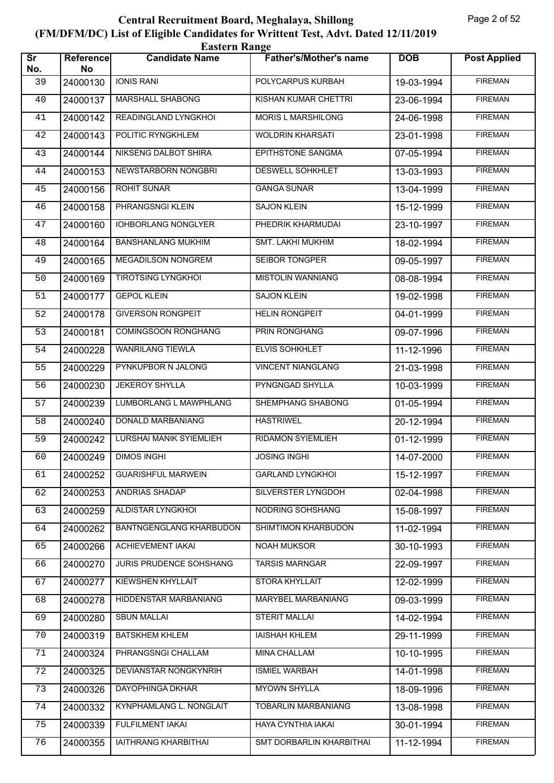| <b>Eastern Range</b>          |                        |                                |                               |            |                     |  |  |
|-------------------------------|------------------------|--------------------------------|-------------------------------|------------|---------------------|--|--|
| $\overline{\text{Sr}}$<br>No. | <b>Reference</b><br>No | <b>Candidate Name</b>          | <b>Father's/Mother's name</b> | <b>DOB</b> | <b>Post Applied</b> |  |  |
| 39                            | 24000130               | <b>IONIS RANI</b>              | POLYCARPUS KURBAH             | 19-03-1994 | <b>FIREMAN</b>      |  |  |
| 40                            | 24000137               | <b>MARSHALL SHABONG</b>        | <b>KISHAN KUMAR CHETTRI</b>   | 23-06-1994 | <b>FIREMAN</b>      |  |  |
| 41                            | 24000142               | READINGLAND LYNGKHOI           | <b>MORIS L MARSHILONG</b>     | 24-06-1998 | <b>FIREMAN</b>      |  |  |
| 42                            | 24000143               | POLITIC RYNGKHLEM              | <b>WOLDRIN KHARSATI</b>       | 23-01-1998 | <b>FIREMAN</b>      |  |  |
| 43                            | 24000144               | NIKSENG DALBOT SHIRA           | EPITHSTONE SANGMA             | 07-05-1994 | <b>FIREMAN</b>      |  |  |
| 44                            | 24000153               | NEWSTARBORN NONGBRI            | <b>DESWELL SOHKHLET</b>       | 13-03-1993 | <b>FIREMAN</b>      |  |  |
| 45                            | 24000156               | <b>ROHIT SUNAR</b>             | <b>GANGA SUNAR</b>            | 13-04-1999 | <b>FIREMAN</b>      |  |  |
| 46                            | 24000158               | PHRANGSNGI KLEIN               | <b>SAJON KLEIN</b>            | 15-12-1999 | <b>FIREMAN</b>      |  |  |
| 47                            | 24000160               | <b>IOHBORLANG NONGLYER</b>     | PHEDRIK KHARMUDAI             | 23-10-1997 | <b>FIREMAN</b>      |  |  |
| 48                            | 24000164               | <b>BANSHANLANG MUKHIM</b>      | <b>SMT. LAKHI MUKHIM</b>      | 18-02-1994 | <b>FIREMAN</b>      |  |  |
| 49                            | 24000165               | <b>MEGADILSON NONGREM</b>      | SEIBOR TONGPER                | 09-05-1997 | <b>FIREMAN</b>      |  |  |
| 50                            | 24000169               | <b>TIROTSING LYNGKHOL</b>      | <b>MISTOLIN WANNIANG</b>      | 08-08-1994 | <b>FIREMAN</b>      |  |  |
| 51                            | 24000177               | <b>GEPOL KLEIN</b>             | <b>SAJON KLEIN</b>            | 19-02-1998 | <b>FIREMAN</b>      |  |  |
| 52                            | 24000178               | <b>GIVERSON RONGPEIT</b>       | <b>HELIN RONGPEIT</b>         | 04-01-1999 | <b>FIREMAN</b>      |  |  |
| 53                            | 24000181               | <b>COMINGSOON RONGHANG</b>     | PRIN RONGHANG                 | 09-07-1996 | <b>FIREMAN</b>      |  |  |
| 54                            | 24000228               | <b>WANRILANG TIEWLA</b>        | <b>ELVIS SOHKHLET</b>         | 11-12-1996 | <b>FIREMAN</b>      |  |  |
| 55                            | 24000229               | PYNKUPBOR N JALONG             | <b>VINCENT NIANGLANG</b>      | 21-03-1998 | <b>FIREMAN</b>      |  |  |
| 56                            | 24000230               | <b>JEKEROY SHYLLA</b>          | PYNGNGAD SHYLLA               | 10-03-1999 | <b>FIREMAN</b>      |  |  |
| 57                            | 24000239               | LUMBORLANG L MAWPHLANG         | SHEMPHANG SHABONG             | 01-05-1994 | <b>FIREMAN</b>      |  |  |
| 58                            | 24000240               | DONALD MARBANIANG              | <b>HASTRIWEL</b>              | 20-12-1994 | <b>FIREMAN</b>      |  |  |
| 59                            | 24000242               | LURSHAI MANIK SYIEMLIEH        | <b>RIDAMON SYIEMLIEH</b>      | 01-12-1999 | <b>FIREMAN</b>      |  |  |
| 60                            | 24000249               | <b>DIMOS INGHI</b>             | <b>JOSING INGHI</b>           | 14-07-2000 | <b>FIREMAN</b>      |  |  |
| 61                            | 24000252               | <b>GUARISHFUL MARWEIN</b>      | <b>GARLAND LYNGKHOI</b>       | 15-12-1997 | <b>FIREMAN</b>      |  |  |
| 62                            | 24000253               | ANDRIAS SHADAP                 | SILVERSTER LYNGDOH            | 02-04-1998 | <b>FIREMAN</b>      |  |  |
| 63                            | 24000259               | ALDISTAR LYNGKHOI              | NODRING SOHSHANG              | 15-08-1997 | <b>FIREMAN</b>      |  |  |
| 64                            | 24000262               | <b>BANTNGENGLANG KHARBUDON</b> | SHIMTIMON KHARBUDON           | 11-02-1994 | <b>FIREMAN</b>      |  |  |
| 65                            | 24000266               | ACHIEVEMENT IAKAI              | NOAH MUKSOR                   | 30-10-1993 | <b>FIREMAN</b>      |  |  |
| 66                            | 24000270               | <b>JURIS PRUDENCE SOHSHANG</b> | <b>TARSIS MARNGAR</b>         | 22-09-1997 | <b>FIREMAN</b>      |  |  |
| 67                            | 24000277               | <b>KIEWSHEN KHYLLAIT</b>       | STORA KHYLLAIT                | 12-02-1999 | <b>FIREMAN</b>      |  |  |
| 68                            | 24000278               | HIDDENSTAR MARBANIANG          | MARYBEL MARBANIANG            | 09-03-1999 | <b>FIREMAN</b>      |  |  |
| 69                            | 24000280               | <b>SBUN MALLAI</b>             | <b>STERIT MALLAI</b>          | 14-02-1994 | <b>FIREMAN</b>      |  |  |
| 70                            | 24000319               | <b>BATSKHEM KHLEM</b>          | <b>IAISHAH KHLEM</b>          | 29-11-1999 | <b>FIREMAN</b>      |  |  |
| 71                            | 24000324               | PHRANGSNGI CHALLAM             | MINA CHALLAM                  | 10-10-1995 | <b>FIREMAN</b>      |  |  |
| 72                            | 24000325               | DEVIANSTAR NONGKYNRIH          | <b>ISMIEL WARBAH</b>          | 14-01-1998 | <b>FIREMAN</b>      |  |  |
| 73                            | 24000326               | DAYOPHINGA DKHAR               | <b>MYOWN SHYLLA</b>           | 18-09-1996 | <b>FIREMAN</b>      |  |  |
| 74                            | 24000332               | KYNPHAMLANG L. NONGLAIT        | TOBARLIN MARBANIANG           | 13-08-1998 | <b>FIREMAN</b>      |  |  |
| 75                            | 24000339               | FULFILMENT IAKAI               | HAYA CYNTHIA IAKAI            | 30-01-1994 | <b>FIREMAN</b>      |  |  |
| 76                            | 24000355               | IAITHRANG KHARBITHAI           | SMT DORBARLIN KHARBITHAI      | 11-12-1994 | <b>FIREMAN</b>      |  |  |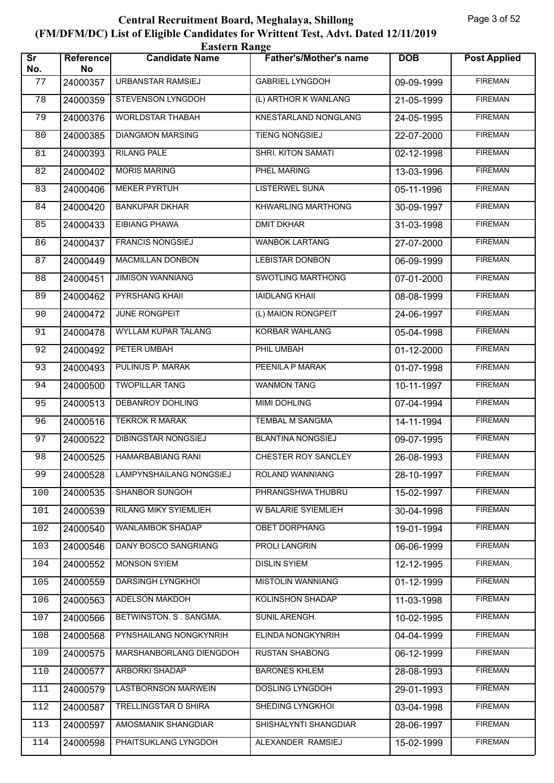| <b>Eastern Range</b>          |                 |                             |                               |            |                     |  |  |
|-------------------------------|-----------------|-----------------------------|-------------------------------|------------|---------------------|--|--|
| $\overline{\text{Sr}}$<br>No. | Reference<br>No | <b>Candidate Name</b>       | <b>Father's/Mother's name</b> | <b>DOB</b> | <b>Post Applied</b> |  |  |
| 77                            | 24000357        | URBANSTAR RAMSIEJ           | <b>GABRIEL LYNGDOH</b>        | 09-09-1999 | <b>FIREMAN</b>      |  |  |
| 78                            | 24000359        | <b>STEVENSON LYNGDOH</b>    | (L) ARTHOR K WANLANG          | 21-05-1999 | <b>FIREMAN</b>      |  |  |
| 79                            | 24000376        | <b>WORLDSTAR THABAH</b>     | KNESTARLAND NONGLANG          | 24-05-1995 | <b>FIREMAN</b>      |  |  |
| 80                            | 24000385        | <b>DIANGMON MARSING</b>     | <b>TIENG NONGSIEJ</b>         | 22-07-2000 | <b>FIREMAN</b>      |  |  |
| 81                            | 24000393        | <b>RILANG PALE</b>          | SHRI. KITON SAMATI            | 02-12-1998 | <b>FIREMAN</b>      |  |  |
| 82                            | 24000402        | <b>MORIS MARING</b>         | PHEL MARING                   | 13-03-1996 | <b>FIREMAN</b>      |  |  |
| 83                            | 24000406        | <b>MEKER PYRTUH</b>         | <b>LISTERWEL SUNA</b>         | 05-11-1996 | <b>FIREMAN</b>      |  |  |
| 84                            | 24000420        | <b>BANKUPAR DKHAR</b>       | KHWARLING MARTHONG            | 30-09-1997 | <b>FIREMAN</b>      |  |  |
| 85                            | 24000433        | <b>EIBIANG PHAWA</b>        | <b>DMIT DKHAR</b>             | 31-03-1998 | <b>FIREMAN</b>      |  |  |
| 86                            | 24000437        | <b>FRANCIS NONGSIEJ</b>     | <b>WANBOK LARTANG</b>         | 27-07-2000 | <b>FIREMAN</b>      |  |  |
| 87                            | 24000449        | <b>MACMILLAN DONBON</b>     | <b>LEBISTAR DONBON</b>        | 06-09-1999 | <b>FIREMAN</b>      |  |  |
| 88                            | 24000451        | <b>JIMISON WANNIANG</b>     | <b>SWOTLING MARTHONG</b>      | 07-01-2000 | <b>FIREMAN</b>      |  |  |
| 89                            | 24000462        | PYRSHANG KHAII              | <b>IAIDLANG KHAII</b>         | 08-08-1999 | <b>FIREMAN</b>      |  |  |
| 90                            | 24000472        | JUNE RONGPEIT               | (L) MAION RONGPEIT            | 24-06-1997 | <b>FIREMAN</b>      |  |  |
| 91                            | 24000478        | <b>WYLLAM KUPAR TALANG</b>  | <b>KORBAR WAHLANG</b>         | 05-04-1998 | <b>FIREMAN</b>      |  |  |
| 92                            | 24000492        | PETER UMBAH                 | PHIL UMBAH                    | 01-12-2000 | <b>FIREMAN</b>      |  |  |
| 93                            | 24000493        | PULINUS P. MARAK            | PEENILA P MARAK               | 01-07-1998 | <b>FIREMAN</b>      |  |  |
| 94                            | 24000500        | <b>TWOPILLAR TANG</b>       | <b>WANMON TANG</b>            | 10-11-1997 | <b>FIREMAN</b>      |  |  |
| 95                            | 24000513        | <b>DEBANROY DOHLING</b>     | <b>MIMI DOHLING</b>           | 07-04-1994 | <b>FIREMAN</b>      |  |  |
| 96                            | 24000516        | <b>TEKROK R MARAK</b>       | <b>TEMBAL M SANGMA</b>        | 14-11-1994 | <b>FIREMAN</b>      |  |  |
| 97                            | 24000522        | DIBINGSTAR NONGSIEJ         | <b>BLANTINA NONGSIEJ</b>      | 09-07-1995 | <b>FIREMAN</b>      |  |  |
| 98                            | 24000525        | <b>HAMARBABIANG RANI</b>    | CHESTER ROY SANCLEY           | 26-08-1993 | <b>FIREMAN</b>      |  |  |
| 99                            | 24000528        | LAMPYNSHAILANG NONGSIEJ     | ROLAND WANNIANG               | 28-10-1997 | <b>FIREMAN</b>      |  |  |
| 100                           | 24000535        | SHANBOR SUNGOH              | PHRANGSHWA THUBRU             | 15-02-1997 | <b>FIREMAN</b>      |  |  |
| 101                           | 24000539        | RILANG MIKY SYIEMLIEH       | W BALARIE SYIEMLIEH           | 30-04-1998 | <b>FIREMAN</b>      |  |  |
| 102                           | 24000540        | WANLAMBOK SHADAP            | <b>OBET DORPHANG</b>          | 19-01-1994 | <b>FIREMAN</b>      |  |  |
| 103                           | 24000546        | DANY BOSCO SANGRIANG        | PROLI LANGRIN                 | 06-06-1999 | <b>FIREMAN</b>      |  |  |
| 104                           | 24000552        | <b>MONSON SYIEM</b>         | <b>DISLIN SYIEM</b>           | 12-12-1995 | <b>FIREMAN</b>      |  |  |
| 105                           | 24000559        | <b>DARSINGH LYNGKHOL</b>    | <b>MISTOLIN WANNIANG</b>      | 01-12-1999 | <b>FIREMAN</b>      |  |  |
| 106                           | 24000563        | ADELSON MAKDOH              | <b>KOLINSHON SHADAP</b>       | 11-03-1998 | <b>FIREMAN</b>      |  |  |
| 107                           | 24000566        | BETWINSTON. S. SANGMA.      | SUNIL ARENGH.                 | 10-02-1995 | <b>FIREMAN</b>      |  |  |
| 108                           | 24000568        | PYNSHAILANG NONGKYNRIH      | ELINDA NONGKYNRIH             | 04-04-1999 | <b>FIREMAN</b>      |  |  |
| 109                           | 24000575        | MARSHANBORLANG DIENGDOH     | <b>RUSTAN SHABONG</b>         | 06-12-1999 | <b>FIREMAN</b>      |  |  |
| 110                           | 24000577        | <b>ARBORKI SHADAP</b>       | <b>BARONES KHLEM</b>          | 28-08-1993 | <b>FIREMAN</b>      |  |  |
| 111                           | 24000579        | <b>LASTBORNSON MARWEIN</b>  | <b>DOSLING LYNGDOH</b>        | 29-01-1993 | <b>FIREMAN</b>      |  |  |
| 112                           | 24000587        | <b>TRELLINGSTAR D SHIRA</b> | SHEDING LYNGKHOI              | 03-04-1998 | <b>FIREMAN</b>      |  |  |
| 113                           | 24000597        | AMOSMANIK SHANGDIAR         | SHISHALYNTI SHANGDIAR         | 28-06-1997 | <b>FIREMAN</b>      |  |  |
| 114                           | 24000598        | PHAITSUKLANG LYNGDOH        | ALEXANDER RAMSIEJ             | 15-02-1999 | <b>FIREMAN</b>      |  |  |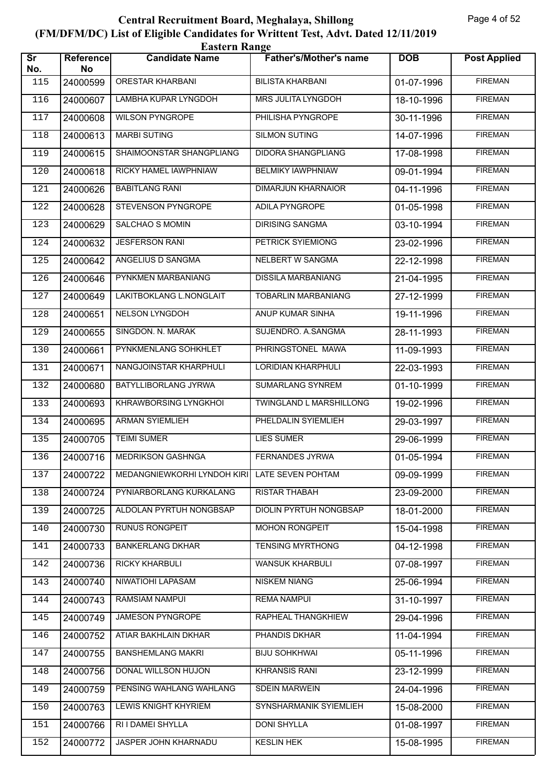|                               | <b>Eastern Range</b>   |                              |                               |            |                     |  |  |  |
|-------------------------------|------------------------|------------------------------|-------------------------------|------------|---------------------|--|--|--|
| $\overline{\text{sr}}$<br>No. | <b>Reference</b><br>No | <b>Candidate Name</b>        | <b>Father's/Mother's name</b> | <b>DOB</b> | <b>Post Applied</b> |  |  |  |
| 115                           | 24000599               | <b>ORESTAR KHARBANI</b>      | <b>BILISTA KHARBANI</b>       | 01-07-1996 | <b>FIREMAN</b>      |  |  |  |
| 116                           | 24000607               | <b>LAMBHA KUPAR LYNGDOH</b>  | <b>MRS JULITA LYNGDOH</b>     | 18-10-1996 | <b>FIREMAN</b>      |  |  |  |
| 117                           | 24000608               | <b>WILSON PYNGROPE</b>       | PHILISHA PYNGROPE             | 30-11-1996 | <b>FIREMAN</b>      |  |  |  |
| 118                           | 24000613               | <b>MARBI SUTING</b>          | <b>SILMON SUTING</b>          | 14-07-1996 | <b>FIREMAN</b>      |  |  |  |
| 119                           | 24000615               | SHAIMOONSTAR SHANGPLIANG     | DIDORA SHANGPLIANG            | 17-08-1998 | <b>FIREMAN</b>      |  |  |  |
| 120                           | 24000618               | RICKY HAMEL IAWPHNIAW        | <b>BELMIKY IAWPHNIAW</b>      | 09-01-1994 | <b>FIREMAN</b>      |  |  |  |
| 121                           | 24000626               | <b>BABITLANG RANI</b>        | <b>DIMARJUN KHARNAIOR</b>     | 04-11-1996 | <b>FIREMAN</b>      |  |  |  |
| 122                           | 24000628               | STEVENSON PYNGROPE           | ADILA PYNGROPE                | 01-05-1998 | <b>FIREMAN</b>      |  |  |  |
| 123                           | 24000629               | <b>SALCHAO S MOMIN</b>       | <b>DIRISING SANGMA</b>        | 03-10-1994 | <b>FIREMAN</b>      |  |  |  |
| 124                           | 24000632               | <b>JESFERSON RANI</b>        | PETRICK SYIEMIONG             | 23-02-1996 | <b>FIREMAN</b>      |  |  |  |
| 125                           | 24000642               | ANGELIUS D SANGMA            | NELBERT W SANGMA              | 22-12-1998 | <b>FIREMAN</b>      |  |  |  |
| 126                           | 24000646               | PYNKMEN MARBANIANG           | <b>DISSILA MARBANIANG</b>     | 21-04-1995 | <b>FIREMAN</b>      |  |  |  |
| 127                           | 24000649               | LAKITBOKLANG L.NONGLAIT      | <b>TOBARLIN MARBANIANG</b>    | 27-12-1999 | <b>FIREMAN</b>      |  |  |  |
| 128                           | 24000651               | <b>NELSON LYNGDOH</b>        | ANUP KUMAR SINHA              | 19-11-1996 | <b>FIREMAN</b>      |  |  |  |
| 129                           | 24000655               | SINGDON. N. MARAK            | SUJENDRO. A.SANGMA            | 28-11-1993 | <b>FIREMAN</b>      |  |  |  |
| 130                           | 24000661               | PYNKMENLANG SOHKHLET         | PHRINGSTONEL MAWA             | 11-09-1993 | <b>FIREMAN</b>      |  |  |  |
| 131                           | 24000671               | NANGJOINSTAR KHARPHULI       | <b>LORIDIAN KHARPHULI</b>     | 22-03-1993 | <b>FIREMAN</b>      |  |  |  |
| 132                           | 24000680               | BATYLLIBORLANG JYRWA         | SUMARLANG SYNREM              | 01-10-1999 | <b>FIREMAN</b>      |  |  |  |
| 133                           | 24000693               | KHRAWBORSING LYNGKHOI        | TWINGLAND L MARSHILLONG       | 19-02-1996 | <b>FIREMAN</b>      |  |  |  |
| 134                           | 24000695               | <b>ARMAN SYIEMLIEH</b>       | PHELDALIN SYIEMLIEH           | 29-03-1997 | <b>FIREMAN</b>      |  |  |  |
| 135                           | 24000705               | <b>TEIMI SUMER</b>           | <b>LIES SUMER</b>             | 29-06-1999 | <b>FIREMAN</b>      |  |  |  |
| 136                           |                        | 24000716   MEDRIKSON GASHNGA | <b>FERNANDES JYRWA</b>        | 01-05-1994 | <b>FIREMAN</b>      |  |  |  |
| 137                           | 24000722               | MEDANGNIEWKORHI LYNDOH KIRI  | LATE SEVEN POHTAM             | 09-09-1999 | <b>FIREMAN</b>      |  |  |  |
| 138                           | 24000724               | PYNIARBORLANG KURKALANG      | <b>RISTAR THABAH</b>          | 23-09-2000 | <b>FIREMAN</b>      |  |  |  |
| 139                           | 24000725               | ALDOLAN PYRTUH NONGBSAP      | <b>DIOLIN PYRTUH NONGBSAP</b> | 18-01-2000 | <b>FIREMAN</b>      |  |  |  |
| 140                           | 24000730               | RUNUS RONGPEIT               | <b>MOHON RONGPEIT</b>         | 15-04-1998 | <b>FIREMAN</b>      |  |  |  |
| 141                           | 24000733               | <b>BANKERLANG DKHAR</b>      | <b>TENSING MYRTHONG</b>       | 04-12-1998 | <b>FIREMAN</b>      |  |  |  |
| 142                           | 24000736               | RICKY KHARBULI               | <b>WANSUK KHARBULI</b>        | 07-08-1997 | <b>FIREMAN</b>      |  |  |  |
| 143                           | 24000740               | NIWATIOHI LAPASAM            | <b>NISKEM NIANG</b>           | 25-06-1994 | <b>FIREMAN</b>      |  |  |  |
| 144                           | 24000743               | <b>RAMSIAM NAMPUI</b>        | <b>REMA NAMPUI</b>            | 31-10-1997 | <b>FIREMAN</b>      |  |  |  |
| 145                           | 24000749               | JAMESON PYNGROPE             | RAPHEAL THANGKHIEW            | 29-04-1996 | <b>FIREMAN</b>      |  |  |  |
| 146                           | 24000752               | ATIAR BAKHLAIN DKHAR         | PHANDIS DKHAR                 | 11-04-1994 | <b>FIREMAN</b>      |  |  |  |
| 147                           | 24000755               | <b>BANSHEMLANG MAKRI</b>     | <b>BIJU SOHKHWAI</b>          | 05-11-1996 | <b>FIREMAN</b>      |  |  |  |
| 148                           | 24000756               | DONAL WILLSON HUJON          | <b>KHRANSIS RANI</b>          | 23-12-1999 | <b>FIREMAN</b>      |  |  |  |
| 149                           | 24000759               | PENSING WAHLANG WAHLANG      | <b>SDEIN MARWEIN</b>          | 24-04-1996 | <b>FIREMAN</b>      |  |  |  |
| 150                           | 24000763               | LEWIS KNIGHT KHYRIEM         | SYNSHARMANIK SYIEMLIEH        | 15-08-2000 | <b>FIREMAN</b>      |  |  |  |
| 151                           | 24000766               | RI I DAMEI SHYLLA            | <b>DONI SHYLLA</b>            | 01-08-1997 | <b>FIREMAN</b>      |  |  |  |
| 152                           | 24000772               | JASPER JOHN KHARNADU         | <b>KESLIN HEK</b>             | 15-08-1995 | <b>FIREMAN</b>      |  |  |  |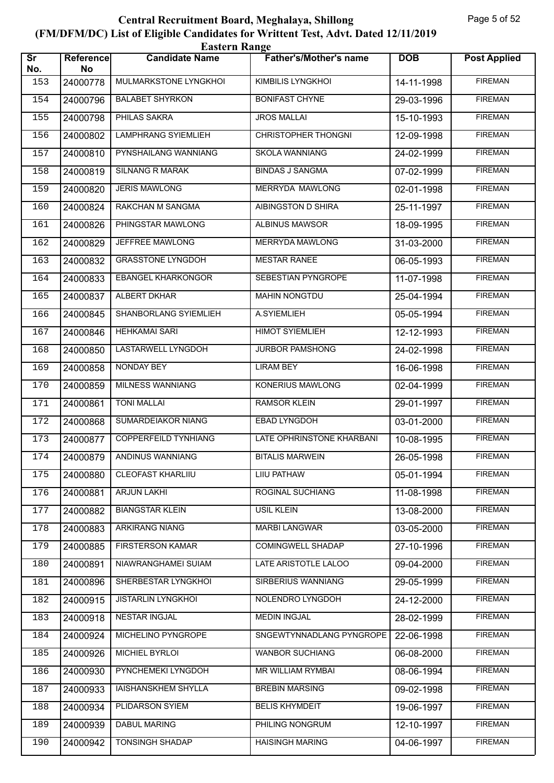| <b>Eastern Range</b>          |                 |                             |                               |            |                     |  |  |
|-------------------------------|-----------------|-----------------------------|-------------------------------|------------|---------------------|--|--|
| $\overline{\text{Sr}}$<br>No. | Reference<br>No | <b>Candidate Name</b>       | <b>Father's/Mother's name</b> | <b>DOB</b> | <b>Post Applied</b> |  |  |
| 153                           | 24000778        | MULMARKSTONE LYNGKHOI       | <b>KIMBILIS LYNGKHOI</b>      | 14-11-1998 | <b>FIREMAN</b>      |  |  |
| 154                           | 24000796        | <b>BALABET SHYRKON</b>      | <b>BONIFAST CHYNE</b>         | 29-03-1996 | <b>FIREMAN</b>      |  |  |
| 155                           | 24000798        | PHILAS SAKRA                | <b>JROS MALLAI</b>            | 15-10-1993 | <b>FIREMAN</b>      |  |  |
| 156                           | 24000802        | <b>LAMPHRANG SYIEMLIEH</b>  | <b>CHRISTOPHER THONGNI</b>    | 12-09-1998 | <b>FIREMAN</b>      |  |  |
| 157                           | 24000810        | PYNSHAILANG WANNIANG        | <b>SKOLA WANNIANG</b>         | 24-02-1999 | <b>FIREMAN</b>      |  |  |
| 158                           | 24000819        | <b>SILNANG R MARAK</b>      | <b>BINDAS J SANGMA</b>        | 07-02-1999 | <b>FIREMAN</b>      |  |  |
| 159                           | 24000820        | <b>JERIS MAWLONG</b>        | <b>MERRYDA MAWLONG</b>        | 02-01-1998 | <b>FIREMAN</b>      |  |  |
| 160                           | 24000824        | RAKCHAN M SANGMA            | AIBINGSTON D SHIRA            | 25-11-1997 | <b>FIREMAN</b>      |  |  |
| 161                           | 24000826        | PHINGSTAR MAWLONG           | <b>ALBINUS MAWSOR</b>         | 18-09-1995 | <b>FIREMAN</b>      |  |  |
| 162                           | 24000829        | JEFFREE MAWLONG             | MERRYDA MAWLONG               | 31-03-2000 | <b>FIREMAN</b>      |  |  |
| 163                           | 24000832        | <b>GRASSTONE LYNGDOH</b>    | <b>MESTAR RANEE</b>           | 06-05-1993 | <b>FIREMAN</b>      |  |  |
| 164                           | 24000833        | <b>EBANGEL KHARKONGOR</b>   | SEBESTIAN PYNGROPE            | 11-07-1998 | <b>FIREMAN</b>      |  |  |
| 165                           | 24000837        | ALBERT DKHAR                | <b>MAHIN NONGTDU</b>          | 25-04-1994 | <b>FIREMAN</b>      |  |  |
| 166                           | 24000845        | SHANBORLANG SYIEMLIEH       | A.SYIEMLIEH                   | 05-05-1994 | <b>FIREMAN</b>      |  |  |
| 167                           | 24000846        | <b>HEHKAMAI SARI</b>        | <b>HIMOT SYIEMLIEH</b>        | 12-12-1993 | <b>FIREMAN</b>      |  |  |
| 168                           | 24000850        | LASTARWELL LYNGDOH          | <b>JURBOR PAMSHONG</b>        | 24-02-1998 | <b>FIREMAN</b>      |  |  |
| 169                           | 24000858        | NONDAY BEY                  | <b>LIRAM BEY</b>              | 16-06-1998 | <b>FIREMAN</b>      |  |  |
| 170                           | 24000859        | MILNESS WANNIANG            | KONERIUS MAWLONG              | 02-04-1999 | <b>FIREMAN</b>      |  |  |
| 171                           | 24000861        | <b>TONI MALLAI</b>          | <b>RAMSOR KLEIN</b>           | 29-01-1997 | <b>FIREMAN</b>      |  |  |
| 172                           | 24000868        | SUMARDEIAKOR NIANG          | <b>EBAD LYNGDOH</b>           | 03-01-2000 | <b>FIREMAN</b>      |  |  |
| 173                           | 24000877        | <b>COPPERFEILD TYNHIANG</b> | LATE OPHRINSTONE KHARBANI     | 10-08-1995 | <b>FIREMAN</b>      |  |  |
| 174                           |                 | 24000879 ANDINUS WANNIANG   | <b>BITALIS MARWEIN</b>        | 26-05-1998 | <b>FIREMAN</b>      |  |  |
| 175                           | 24000880        | <b>CLEOFAST KHARLIIU</b>    | LIIU PATHAW                   | 05-01-1994 | <b>FIREMAN</b>      |  |  |
| 176                           | 24000881        | <b>ARJUN LAKHI</b>          | ROGINAL SUCHIANG              | 11-08-1998 | <b>FIREMAN</b>      |  |  |
| 177                           | 24000882        | <b>BIANGSTAR KLEIN</b>      | <b>USIL KLEIN</b>             | 13-08-2000 | <b>FIREMAN</b>      |  |  |
| 178                           | 24000883        | <b>ARKIRANG NIANG</b>       | <b>MARBI LANGWAR</b>          | 03-05-2000 | <b>FIREMAN</b>      |  |  |
| 179                           | 24000885        | <b>FIRSTERSON KAMAR</b>     | COMINGWELL SHADAP             | 27-10-1996 | <b>FIREMAN</b>      |  |  |
| 180                           | 24000891        | NIAWRANGHAMEI SUIAM         | LATE ARISTOTLE LALOO          | 09-04-2000 | <b>FIREMAN</b>      |  |  |
| 181                           | 24000896        | SHERBESTAR LYNGKHOI         | <b>SIRBERIUS WANNIANG</b>     | 29-05-1999 | <b>FIREMAN</b>      |  |  |
| 182                           | 24000915        | <b>JISTARLIN LYNGKHOI</b>   | NOLENDRO LYNGDOH              | 24-12-2000 | <b>FIREMAN</b>      |  |  |
| 183                           | 24000918        | NESTAR INGJAL               | <b>MEDIN INGJAL</b>           | 28-02-1999 | <b>FIREMAN</b>      |  |  |
| 184                           | 24000924        | MICHELINO PYNGROPE          | SNGEWTYNNADLANG PYNGROPE      | 22-06-1998 | <b>FIREMAN</b>      |  |  |
| 185                           | 24000926        | MICHIEL BYRLOI              | <b>WANBOR SUCHIANG</b>        | 06-08-2000 | <b>FIREMAN</b>      |  |  |
| 186                           | 24000930        | PYNCHEMEKI LYNGDOH          | <b>MR WILLIAM RYMBAI</b>      | 08-06-1994 | <b>FIREMAN</b>      |  |  |
| 187                           | 24000933        | <b>IAISHANSKHEM SHYLLA</b>  | <b>BREBIN MARSING</b>         | 09-02-1998 | <b>FIREMAN</b>      |  |  |
| 188                           | 24000934        | PLIDARSON SYIEM             | <b>BELIS KHYMDEIT</b>         | 19-06-1997 | <b>FIREMAN</b>      |  |  |
| 189                           | 24000939        | DABUL MARING                | PHILING NONGRUM               | 12-10-1997 | <b>FIREMAN</b>      |  |  |
| 190                           | 24000942        | TONSINGH SHADAP             | <b>HAISINGH MARING</b>        | 04-06-1997 | <b>FIREMAN</b>      |  |  |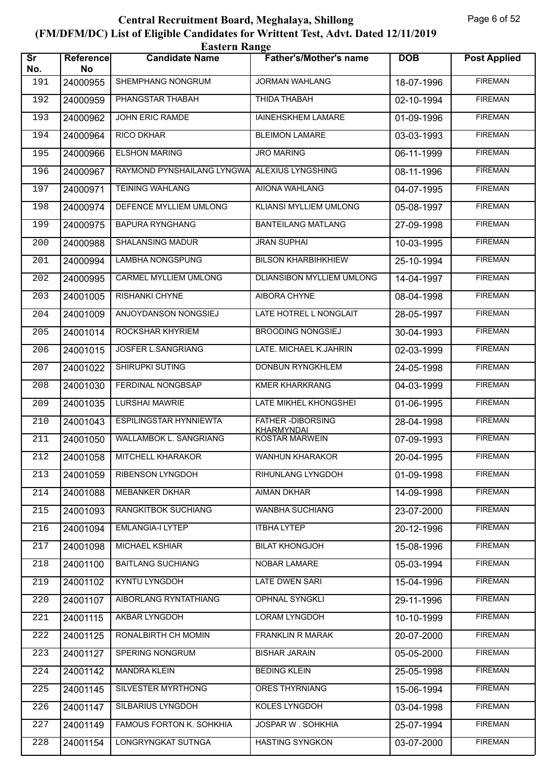| <b>Eastern Range</b>          |                 |                               |                                       |            |                     |  |  |
|-------------------------------|-----------------|-------------------------------|---------------------------------------|------------|---------------------|--|--|
| $\overline{\text{sr}}$<br>No. | Reference<br>No | <b>Candidate Name</b>         | <b>Father's/Mother's name</b>         | <b>DOB</b> | <b>Post Applied</b> |  |  |
| 191                           | 24000955        | SHEMPHANG NONGRUM             | <b>JORMAN WAHLANG</b>                 | 18-07-1996 | <b>FIREMAN</b>      |  |  |
| 192                           | 24000959        | PHANGSTAR THABAH              | THIDA THABAH                          | 02-10-1994 | <b>FIREMAN</b>      |  |  |
| 193                           | 24000962        | JOHN ERIC RAMDE               | <b>IAINEHSKHEM LAMARE</b>             | 01-09-1996 | <b>FIREMAN</b>      |  |  |
| 194                           | 24000964        | <b>RICO DKHAR</b>             | <b>BLEIMON LAMARE</b>                 | 03-03-1993 | <b>FIREMAN</b>      |  |  |
| 195                           | 24000966        | <b>ELSHON MARING</b>          | <b>JRO MARING</b>                     | 06-11-1999 | <b>FIREMAN</b>      |  |  |
| 196                           | 24000967        | RAYMOND PYNSHAILANG LYNGWA    | ALEXIUS LYNGSHING                     | 08-11-1996 | <b>FIREMAN</b>      |  |  |
| 197                           | 24000971        | <b>TEINING WAHLANG</b>        | <b>AIIONA WAHLANG</b>                 | 04-07-1995 | <b>FIREMAN</b>      |  |  |
| 198                           | 24000974        | DEFENCE MYLLIEM UMLONG        | KLIANSI MYLLIEM UMLONG                | 05-08-1997 | <b>FIREMAN</b>      |  |  |
| 199                           | 24000975        | <b>BAPURA RYNGHANG</b>        | <b>BANTEILANG MATLANG</b>             | 27-09-1998 | <b>FIREMAN</b>      |  |  |
| 200                           | 24000988        | <b>SHALANSING MADUR</b>       | <b>JRAN SUPHAI</b>                    | 10-03-1995 | <b>FIREMAN</b>      |  |  |
| 201                           | 24000994        | LAMBHA NONGSPUNG              | <b>BILSON KHARBIHKHIEW</b>            | 25-10-1994 | <b>FIREMAN</b>      |  |  |
| 202                           | 24000995        | <b>CARMEL MYLLIEM UMLONG</b>  | DLIANSIBON MYLLIEM UMLONG             | 14-04-1997 | <b>FIREMAN</b>      |  |  |
| 203                           | 24001005        | <b>RISHANKI CHYNE</b>         | AIBORA CHYNE                          | 08-04-1998 | <b>FIREMAN</b>      |  |  |
| 204                           | 24001009        | ANJOYDANSON NONGSIEJ          | LATE HOTREL L NONGLAIT                | 28-05-1997 | <b>FIREMAN</b>      |  |  |
| 205                           | 24001014        | ROCKSHAR KHYRIEM              | <b>BROODING NONGSIEJ</b>              | 30-04-1993 | <b>FIREMAN</b>      |  |  |
| 206                           | 24001015        | JOSFER L.SANGRIANG            | LATE. MICHAEL K.JAHRIN                | 02-03-1999 | <b>FIREMAN</b>      |  |  |
| 207                           | 24001022        | SHIRUPKI SUTING               | <b>DONBUN RYNGKHLEM</b>               | 24-05-1998 | <b>FIREMAN</b>      |  |  |
| 208                           | 24001030        | FERDINAL NONGBSAP             | <b>KMER KHARKRANG</b>                 | 04-03-1999 | <b>FIREMAN</b>      |  |  |
| 209                           | 24001035        | <b>LURSHAI MAWRIE</b>         | LATE MIKHEL KHONGSHEI                 | 01-06-1995 | <b>FIREMAN</b>      |  |  |
| 210                           | 24001043        | <b>ESPILINGSTAR HYNNIEWTA</b> | <b>FATHER-DIBORSING</b><br>KHARMYNDAI | 28-04-1998 | <b>FIREMAN</b>      |  |  |
| 211                           | 24001050        | WALLAMBOK L. SANGRIANG        | <b>KOSTAR MARWEIN</b>                 | 07-09-1993 | <b>FIREMAN</b>      |  |  |
| 212                           | 24001058        | <b>MITCHELL KHARAKOR</b>      | <b>WANHUN KHARAKOR</b>                | 20-04-1995 | <b>FIREMAN</b>      |  |  |
| 213                           | 24001059        | <b>RIBENSON LYNGDOH</b>       | RIHUNLANG LYNGDOH                     | 01-09-1998 | <b>FIREMAN</b>      |  |  |
| 214                           | 24001088        | <b>MEBANKER DKHAR</b>         | AIMAN DKHAR                           | 14-09-1998 | <b>FIREMAN</b>      |  |  |
| 215                           | 24001093        | RANGKITBOK SUCHIANG           | <b>WANBHA SUCHIANG</b>                | 23-07-2000 | <b>FIREMAN</b>      |  |  |
| 216                           | 24001094        | <b>EMLANGIA-I LYTEP</b>       | <b>ITBHA LYTEP</b>                    | 20-12-1996 | <b>FIREMAN</b>      |  |  |
| 217                           | 24001098        | MICHAEL KSHIAR                | <b>BILAT KHONGJOH</b>                 | 15-08-1996 | <b>FIREMAN</b>      |  |  |
| 218                           | 24001100        | <b>BAITLANG SUCHIANG</b>      | NOBAR LAMARE                          | 05-03-1994 | <b>FIREMAN</b>      |  |  |
| 219                           | 24001102        | <b>KYNTU LYNGDOH</b>          | <b>LATE DWEN SARI</b>                 | 15-04-1996 | <b>FIREMAN</b>      |  |  |
| 220                           | 24001107        | AIBORLANG RYNTATHIANG         | <b>OPHNAL SYNGKLI</b>                 | 29-11-1996 | <b>FIREMAN</b>      |  |  |
| 221                           | 24001115        | AKBAR LYNGDOH                 | LORAM LYNGDOH                         | 10-10-1999 | <b>FIREMAN</b>      |  |  |
| 222                           | 24001125        | RONALBIRTH CH MOMIN           | FRANKLIN R MARAK                      | 20-07-2000 | <b>FIREMAN</b>      |  |  |
| 223                           | 24001127        | SPERING NONGRUM               | <b>BISHAR JARAIN</b>                  | 05-05-2000 | <b>FIREMAN</b>      |  |  |
| 224                           | 24001142        | <b>MANDRA KLEIN</b>           | <b>BEDING KLEIN</b>                   | 25-05-1998 | <b>FIREMAN</b>      |  |  |
| 225                           | 24001145        | SILVESTER MYRTHONG            | <b>ORES THYRNIANG</b>                 | 15-06-1994 | <b>FIREMAN</b>      |  |  |
| 226                           | 24001147        | SILBARIUS LYNGDOH             | KOLES LYNGDOH                         | 03-04-1998 | <b>FIREMAN</b>      |  |  |
| 227                           | 24001149        | FAMOUS FORTON K. SOHKHIA      | JOSPAR W. SOHKHIA                     | 25-07-1994 | <b>FIREMAN</b>      |  |  |
| 228                           | 24001154        | LONGRYNGKAT SUTNGA            | <b>HASTING SYNGKON</b>                | 03-07-2000 | <b>FIREMAN</b>      |  |  |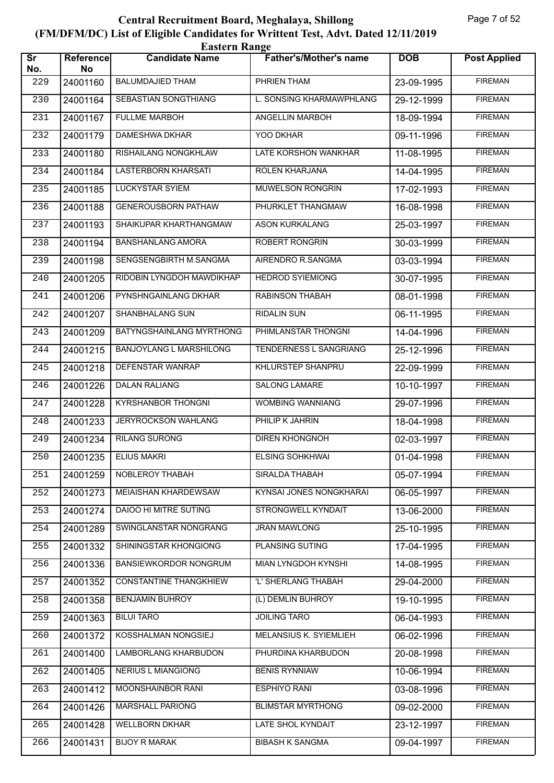| <b>Eastern Range</b>          |                        |                                |                               |            |                     |  |  |
|-------------------------------|------------------------|--------------------------------|-------------------------------|------------|---------------------|--|--|
| $\overline{\text{sr}}$<br>No. | <b>Reference</b><br>No | <b>Candidate Name</b>          | <b>Father's/Mother's name</b> | <b>DOB</b> | <b>Post Applied</b> |  |  |
| 229                           | 24001160               | <b>BALUMDAJIED THAM</b>        | PHRIEN THAM                   | 23-09-1995 | <b>FIREMAN</b>      |  |  |
| 230                           | 24001164               | <b>SEBASTIAN SONGTHIANG</b>    | L. SONSING KHARMAWPHLANG      | 29-12-1999 | <b>FIREMAN</b>      |  |  |
| 231                           | 24001167               | <b>FULLME MARBOH</b>           | ANGELLIN MARBOH               | 18-09-1994 | <b>FIREMAN</b>      |  |  |
| 232                           | 24001179               | <b>DAMESHWA DKHAR</b>          | YOO DKHAR                     | 09-11-1996 | <b>FIREMAN</b>      |  |  |
| 233                           | 24001180               | RISHAILANG NONGKHLAW           | LATE KORSHON WANKHAR          | 11-08-1995 | <b>FIREMAN</b>      |  |  |
| 234                           | 24001184               | <b>LASTERBORN KHARSATI</b>     | <b>ROLEN KHARJANA</b>         | 14-04-1995 | <b>FIREMAN</b>      |  |  |
| 235                           | 24001185               | <b>LUCKYSTAR SYIEM</b>         | <b>MUWELSON RONGRIN</b>       | 17-02-1993 | <b>FIREMAN</b>      |  |  |
| 236                           | 24001188               | <b>GENEROUSBORN PATHAW</b>     | PHURKLET THANGMAW             | 16-08-1998 | <b>FIREMAN</b>      |  |  |
| 237                           | 24001193               | SHAIKUPAR KHARTHANGMAW         | <b>ASON KURKALANG</b>         | 25-03-1997 | <b>FIREMAN</b>      |  |  |
| 238                           | 24001194               | <b>BANSHANLANG AMORA</b>       | ROBERT RONGRIN                | 30-03-1999 | <b>FIREMAN</b>      |  |  |
| 239                           | 24001198               | SENGSENGBIRTH M.SANGMA         | AIRENDRO R.SANGMA             | 03-03-1994 | <b>FIREMAN</b>      |  |  |
| 240                           | 24001205               | RIDOBIN LYNGDOH MAWDIKHAP      | <b>HEDROD SYIEMIONG</b>       | 30-07-1995 | <b>FIREMAN</b>      |  |  |
| 241                           | 24001206               | PYNSHNGAINLANG DKHAR           | <b>RABINSON THABAH</b>        | 08-01-1998 | <b>FIREMAN</b>      |  |  |
| 242                           | 24001207               | SHANBHALANG SUN                | <b>RIDALIN SUN</b>            | 06-11-1995 | <b>FIREMAN</b>      |  |  |
| 243                           | 24001209               | BATYNGSHAINLANG MYRTHONG       | PHIMLANSTAR THONGNI           | 14-04-1996 | <b>FIREMAN</b>      |  |  |
| 244                           | 24001215               | <b>BANJOYLANG L MARSHILONG</b> | TENDERNESS L SANGRIANG        | 25-12-1996 | <b>FIREMAN</b>      |  |  |
| 245                           | 24001218               | DEFENSTAR WANRAP               | KHLURSTEP SHANPRU             | 22-09-1999 | <b>FIREMAN</b>      |  |  |
| 246                           | 24001226               | <b>DALAN RALIANG</b>           | <b>SALONG LAMARE</b>          | 10-10-1997 | <b>FIREMAN</b>      |  |  |
| 247                           | 24001228               | <b>KYRSHANBOR THONGNI</b>      | WOMBING WANNIANG              | 29-07-1996 | <b>FIREMAN</b>      |  |  |
| 248                           | 24001233               | JERYROCKSON WAHLANG            | PHILIP K JAHRIN               | 18-04-1998 | <b>FIREMAN</b>      |  |  |
| 249                           | 24001234               | <b>RILANG SURONG</b>           | <b>DIREN KHONGNOH</b>         | 02-03-1997 | <b>FIREMAN</b>      |  |  |
| 250                           | 24001235               | <b>ELIUS MAKRI</b>             | <b>ELSING SOHKHWAI</b>        | 01-04-1998 | <b>FIREMAN</b>      |  |  |
| 251                           | 24001259               | NOBLEROY THABAH                | SIRALDA THABAH                | 05-07-1994 | <b>FIREMAN</b>      |  |  |
| 252                           | 24001273               | MEIAISHAN KHARDEWSAW           | KYNSAI JONES NONGKHARAI       | 06-05-1997 | <b>FIREMAN</b>      |  |  |
| 253                           | 24001274               | <b>DAIOO HI MITRE SUTING</b>   | <b>STRONGWELL KYNDAIT</b>     | 13-06-2000 | <b>FIREMAN</b>      |  |  |
| 254                           | 24001289               | SWINGLANSTAR NONGRANG          | <b>JRAN MAWLONG</b>           | 25-10-1995 | <b>FIREMAN</b>      |  |  |
| 255                           | 24001332               | SHININGSTAR KHONGIONG          | PLANSING SUTING               | 17-04-1995 | <b>FIREMAN</b>      |  |  |
| 256                           | 24001336               | <b>BANSIEWKORDOR NONGRUM</b>   | <b>MIAN LYNGDOH KYNSHI</b>    | 14-08-1995 | <b>FIREMAN</b>      |  |  |
| 257                           | 24001352               | <b>CONSTANTINE THANGKHIEW</b>  | 'L' SHERLANG THABAH           | 29-04-2000 | <b>FIREMAN</b>      |  |  |
| 258                           | 24001358               | <b>BENJAMIN BUHROY</b>         | (L) DEMLIN BUHROY             | 19-10-1995 | <b>FIREMAN</b>      |  |  |
| 259                           | 24001363               | <b>BILUI TARO</b>              | <b>JOILING TARO</b>           | 06-04-1993 | <b>FIREMAN</b>      |  |  |
| 260                           | 24001372               | KOSSHALMAN NONGSIEJ            | MELANSIUS K. SYIEMLIEH        | 06-02-1996 | <b>FIREMAN</b>      |  |  |
| 261                           | 24001400               | <b>LAMBORLANG KHARBUDON</b>    | PHURDINA KHARBUDON            | 20-08-1998 | <b>FIREMAN</b>      |  |  |
| 262                           | 24001405               | <b>NERIUS L MIANGIONG</b>      | <b>BENIS RYNNIAW</b>          | 10-06-1994 | <b>FIREMAN</b>      |  |  |
| 263                           | 24001412               | MOONSHAINBOR RANI              | <b>ESPHIYO RANI</b>           | 03-08-1996 | <b>FIREMAN</b>      |  |  |
| 264                           | 24001426               | MARSHALL PARIONG               | <b>BLIMSTAR MYRTHONG</b>      | 09-02-2000 | <b>FIREMAN</b>      |  |  |
| 265                           | 24001428               | <b>WELLBORN DKHAR</b>          | LATE SHOL KYNDAIT             | 23-12-1997 | <b>FIREMAN</b>      |  |  |
| 266                           | 24001431               | <b>BIJOY R MARAK</b>           | <b>BIBASH K SANGMA</b>        | 09-04-1997 | <b>FIREMAN</b>      |  |  |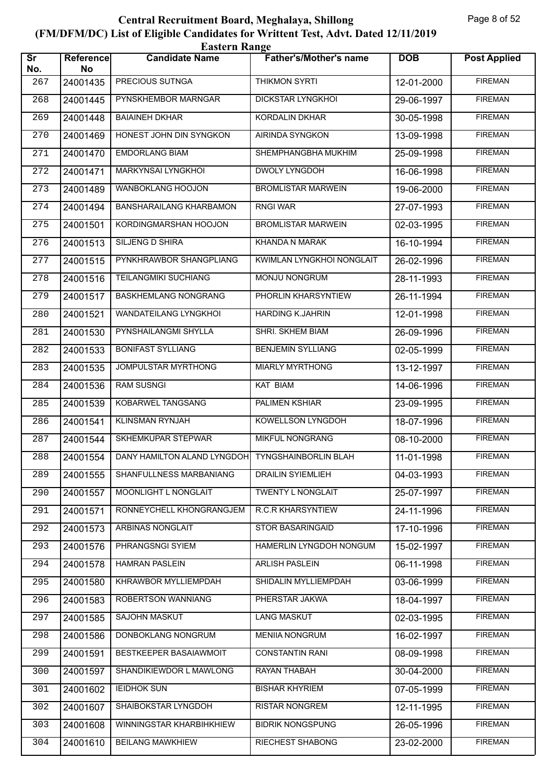| <b>Eastern Range</b>          |                        |                                                  |                               |            |                     |  |  |
|-------------------------------|------------------------|--------------------------------------------------|-------------------------------|------------|---------------------|--|--|
| $\overline{\text{sr}}$<br>No. | <b>Reference</b><br>No | <b>Candidate Name</b>                            | <b>Father's/Mother's name</b> | <b>DOB</b> | <b>Post Applied</b> |  |  |
| 267                           | 24001435               | PRECIOUS SUTNGA                                  | <b>THIKMON SYRTI</b>          | 12-01-2000 | <b>FIREMAN</b>      |  |  |
| 268                           | 24001445               | PYNSKHEMBOR MARNGAR                              | <b>DICKSTAR LYNGKHOL</b>      | 29-06-1997 | <b>FIREMAN</b>      |  |  |
| 269                           | 24001448               | <b>BAIAINEH DKHAR</b>                            | <b>KORDALIN DKHAR</b>         | 30-05-1998 | <b>FIREMAN</b>      |  |  |
| 270                           | 24001469               | HONEST JOHN DIN SYNGKON                          | AIRINDA SYNGKON               | 13-09-1998 | <b>FIREMAN</b>      |  |  |
| 271                           | 24001470               | <b>EMDORLANG BIAM</b>                            | SHEMPHANGBHA MUKHIM           | 25-09-1998 | <b>FIREMAN</b>      |  |  |
| 272                           | 24001471               | <b>MARKYNSAI LYNGKHOI</b>                        | <b>DWOLY LYNGDOH</b>          | 16-06-1998 | <b>FIREMAN</b>      |  |  |
| 273                           | 24001489               | <b>WANBOKLANG HOOJON</b>                         | <b>BROMLISTAR MARWEIN</b>     | 19-06-2000 | <b>FIREMAN</b>      |  |  |
| 274                           | 24001494               | BANSHARAILANG KHARBAMON                          | <b>RNGI WAR</b>               | 27-07-1993 | <b>FIREMAN</b>      |  |  |
| 275                           | 24001501               | KORDINGMARSHAN HOOJON                            | <b>BROMLISTAR MARWEIN</b>     | 02-03-1995 | <b>FIREMAN</b>      |  |  |
| 276                           | 24001513               | SILJENG D SHIRA                                  | KHANDA N MARAK                | 16-10-1994 | <b>FIREMAN</b>      |  |  |
| 277                           | 24001515               | PYNKHRAWBOR SHANGPLIANG                          | KWIMLAN LYNGKHOI NONGLAIT     | 26-02-1996 | <b>FIREMAN</b>      |  |  |
| 278                           | 24001516               | <b>TEILANGMIKI SUCHIANG</b>                      | <b>MONJU NONGRUM</b>          | 28-11-1993 | <b>FIREMAN</b>      |  |  |
| 279                           | 24001517               | <b>BASKHEMLANG NONGRANG</b>                      | PHORLIN KHARSYNTIEW           | 26-11-1994 | <b>FIREMAN</b>      |  |  |
| 280                           | 24001521               | WANDATEILANG LYNGKHOI                            | <b>HARDING K.JAHRIN</b>       | 12-01-1998 | <b>FIREMAN</b>      |  |  |
| 281                           | 24001530               | PYNSHAILANGMI SHYLLA                             | SHRI. SKHEM BIAM              | 26-09-1996 | <b>FIREMAN</b>      |  |  |
| 282                           | 24001533               | <b>BONIFAST SYLLIANG</b>                         | <b>BENJEMIN SYLLIANG</b>      | 02-05-1999 | <b>FIREMAN</b>      |  |  |
| 283                           | 24001535               | JOMPULSTAR MYRTHONG                              | <b>MIARLY MYRTHONG</b>        | 13-12-1997 | <b>FIREMAN</b>      |  |  |
| 284                           | 24001536               | <b>RAM SUSNGI</b>                                | <b>KAT BIAM</b>               | 14-06-1996 | <b>FIREMAN</b>      |  |  |
| 285                           | 24001539               | KOBARWEL TANGSANG                                | <b>PALIMEN KSHIAR</b>         | 23-09-1995 | <b>FIREMAN</b>      |  |  |
| 286                           | 24001541               | <b>KLINSMAN RYNJAH</b>                           | KOWELLSON LYNGDOH             | 18-07-1996 | <b>FIREMAN</b>      |  |  |
| 287                           | 24001544               | SKHEMKUPAR STEPWAR                               | MIKFUL NONGRANG               | 08-10-2000 | <b>FIREMAN</b>      |  |  |
| 288                           | 24001554               | DANY HAMILTON ALAND LYNGDOH TYNGSHAINBORLIN BLAH |                               | 11-01-1998 | <b>FIREMAN</b>      |  |  |
| 289                           | 24001555               | SHANFULLNESS MARBANIANG                          | <b>DRAILIN SYIEMLIEH</b>      | 04-03-1993 | <b>FIREMAN</b>      |  |  |
| 290                           | 24001557               | MOONLIGHT L NONGLAIT                             | TWENTY L NONGLAIT             | 25-07-1997 | <b>FIREMAN</b>      |  |  |
| 291                           | 24001571               | RONNEYCHELL KHONGRANGJEM                         | <b>R.C.R KHARSYNTIEW</b>      | 24-11-1996 | <b>FIREMAN</b>      |  |  |
| 292                           | 24001573               | ARBINAS NONGLAIT                                 | STOR BASARINGAID              | 17-10-1996 | <b>FIREMAN</b>      |  |  |
| 293                           | 24001576               | PHRANGSNGI SYIEM                                 | HAMERLIN LYNGDOH NONGUM       | 15-02-1997 | <b>FIREMAN</b>      |  |  |
| 294                           | 24001578               | <b>HAMRAN PASLEIN</b>                            | <b>ARLISH PASLEIN</b>         | 06-11-1998 | <b>FIREMAN</b>      |  |  |
| 295                           | 24001580               | KHRAWBOR MYLLIEMPDAH                             | SHIDALIN MYLLIEMPDAH          | 03-06-1999 | <b>FIREMAN</b>      |  |  |
| 296                           | 24001583               | ROBERTSON WANNIANG                               | PHERSTAR JAKWA                | 18-04-1997 | <b>FIREMAN</b>      |  |  |
| 297                           | 24001585               | SAJOHN MASKUT                                    | <b>LANG MASKUT</b>            | 02-03-1995 | <b>FIREMAN</b>      |  |  |
| 298                           | 24001586               | DONBOKLANG NONGRUM                               | <b>MENIIA NONGRUM</b>         | 16-02-1997 | <b>FIREMAN</b>      |  |  |
| 299                           | 24001591               | BESTKEEPER BASAIAWMOIT                           | <b>CONSTANTIN RANI</b>        | 08-09-1998 | <b>FIREMAN</b>      |  |  |
| 300                           | 24001597               | SHANDIKIEWDOR L MAWLONG                          | RAYAN THABAH                  | 30-04-2000 | <b>FIREMAN</b>      |  |  |
| 301                           | 24001602               | <b>IEIDHOK SUN</b>                               | <b>BISHAR KHYRIEM</b>         | 07-05-1999 | <b>FIREMAN</b>      |  |  |
| 302                           | 24001607               | SHAIBOKSTAR LYNGDOH                              | <b>RISTAR NONGREM</b>         | 12-11-1995 | <b>FIREMAN</b>      |  |  |
| 303                           | 24001608               | WINNINGSTAR KHARBIHKHIEW                         | <b>BIDRIK NONGSPUNG</b>       | 26-05-1996 | <b>FIREMAN</b>      |  |  |
| 304                           | 24001610               | <b>BEILANG MAWKHIEW</b>                          | RIECHEST SHABONG              | 23-02-2000 | <b>FIREMAN</b>      |  |  |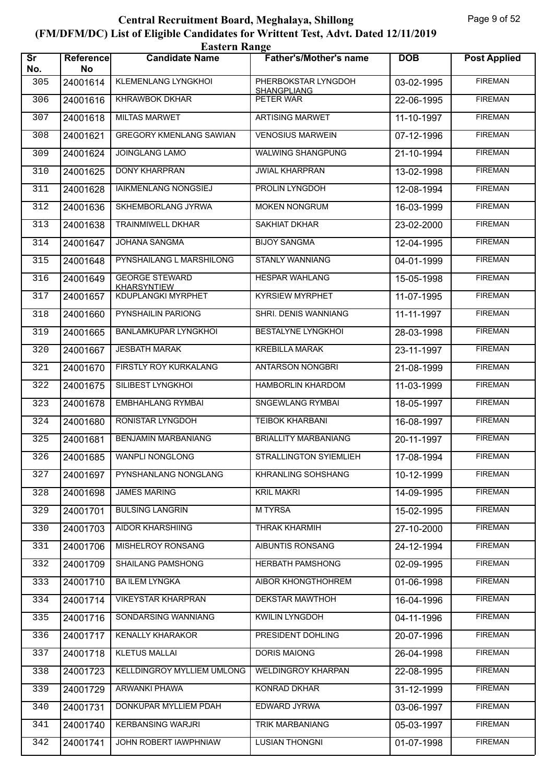|                               | <b>Eastern Range</b> |                                             |                                           |            |                     |  |  |  |
|-------------------------------|----------------------|---------------------------------------------|-------------------------------------------|------------|---------------------|--|--|--|
| $\overline{\text{sr}}$<br>No. | Reference<br>No      | <b>Candidate Name</b>                       | <b>Father's/Mother's name</b>             | <b>DOB</b> | <b>Post Applied</b> |  |  |  |
| 305                           | 24001614             | KLEMENLANG LYNGKHOI                         | PHERBOKSTAR LYNGDOH<br><b>SHANGPLIANG</b> | 03-02-1995 | <b>FIREMAN</b>      |  |  |  |
| 306                           | 24001616             | <b>KHRAWBOK DKHAR</b>                       | PETER WAR                                 | 22-06-1995 | <b>FIREMAN</b>      |  |  |  |
| 307                           | 24001618             | <b>MILTAS MARWET</b>                        | <b>ARTISING MARWET</b>                    | 11-10-1997 | <b>FIREMAN</b>      |  |  |  |
| 308                           | 24001621             | <b>GREGORY KMENLANG SAWIAN</b>              | <b>VENOSIUS MARWEIN</b>                   | 07-12-1996 | <b>FIREMAN</b>      |  |  |  |
| 309                           | 24001624             | <b>JOINGLANG LAMO</b>                       | WALWING SHANGPUNG                         | 21-10-1994 | <b>FIREMAN</b>      |  |  |  |
| 310                           | 24001625             | <b>DONY KHARPRAN</b>                        | <b>JWIAL KHARPRAN</b>                     | 13-02-1998 | <b>FIREMAN</b>      |  |  |  |
| 311                           | 24001628             | <b>IAIKMENLANG NONGSIEJ</b>                 | <b>PROLIN LYNGDOH</b>                     | 12-08-1994 | <b>FIREMAN</b>      |  |  |  |
| 312                           | 24001636             | SKHEMBORLANG JYRWA                          | <b>MOKEN NONGRUM</b>                      | 16-03-1999 | <b>FIREMAN</b>      |  |  |  |
| 313                           | 24001638             | <b>TRAINMIWELL DKHAR</b>                    | <b>SAKHIAT DKHAR</b>                      | 23-02-2000 | <b>FIREMAN</b>      |  |  |  |
| 314                           | 24001647             | JOHANA SANGMA                               | <b>BIJOY SANGMA</b>                       | 12-04-1995 | <b>FIREMAN</b>      |  |  |  |
| 315                           | 24001648             | PYNSHAILANG L MARSHILONG                    | <b>STANLY WANNIANG</b>                    | 04-01-1999 | <b>FIREMAN</b>      |  |  |  |
| 316                           | 24001649             | <b>GEORGE STEWARD</b><br><b>KHARSYNTIEW</b> | <b>HESPAR WAHLANG</b>                     | 15-05-1998 | <b>FIREMAN</b>      |  |  |  |
| 317                           | 24001657             | <b>KDUPLANGKI MYRPHET</b>                   | <b>KYRSIEW MYRPHET</b>                    | 11-07-1995 | <b>FIREMAN</b>      |  |  |  |
| 318                           | 24001660             | PYNSHAILIN PARIONG                          | SHRI. DENIS WANNIANG                      | 11-11-1997 | <b>FIREMAN</b>      |  |  |  |
| 319                           | 24001665             | <b>BANLAMKUPAR LYNGKHOI</b>                 | <b>BESTALYNE LYNGKHOL</b>                 | 28-03-1998 | <b>FIREMAN</b>      |  |  |  |
| 320                           | 24001667             | <b>JESBATH MARAK</b>                        | <b>KREBILLA MARAK</b>                     | 23-11-1997 | <b>FIREMAN</b>      |  |  |  |
| 321                           | 24001670             | FIRSTLY ROY KURKALANG                       | <b>ANTARSON NONGBRI</b>                   | 21-08-1999 | <b>FIREMAN</b>      |  |  |  |
| 322                           | 24001675             | SILIBEST LYNGKHOI                           | <b>HAMBORLIN KHARDOM</b>                  | 11-03-1999 | <b>FIREMAN</b>      |  |  |  |
| 323                           | 24001678             | <b>EMBHAHLANG RYMBAI</b>                    | SNGEWLANG RYMBAI                          | 18-05-1997 | <b>FIREMAN</b>      |  |  |  |
| 324                           | 24001680             | RONISTAR LYNGDOH                            | <b>TEIBOK KHARBANI</b>                    | 16-08-1997 | <b>FIREMAN</b>      |  |  |  |
| 325                           | 24001681             | <b>BENJAMIN MARBANIANG</b>                  | <b>BRIALLITY MARBANIANG</b>               | 20-11-1997 | <b>FIREMAN</b>      |  |  |  |
| 326                           | 24001685             | <b>WANPLI NONGLONG</b>                      | STRALLINGTON SYIEMLIEH                    | 17-08-1994 | <b>FIREMAN</b>      |  |  |  |
| 327                           | 24001697             | PYNSHANLANG NONGLANG                        | <b>KHRANLING SOHSHANG</b>                 | 10-12-1999 | <b>FIREMAN</b>      |  |  |  |
| 328                           | 24001698             | <b>JAMES MARING</b>                         | <b>KRIL MAKRI</b>                         | 14-09-1995 | <b>FIREMAN</b>      |  |  |  |
| 329                           | 24001701             | <b>BULSING LANGRIN</b>                      | <b>MTYRSA</b>                             | 15-02-1995 | <b>FIREMAN</b>      |  |  |  |
| 330                           | 24001703             | <b>AIDOR KHARSHIING</b>                     | <b>THRAK KHARMIH</b>                      | 27-10-2000 | <b>FIREMAN</b>      |  |  |  |
| 331                           | 24001706             | MISHELROY RONSANG                           | AIBUNTIS RONSANG                          | 24-12-1994 | <b>FIREMAN</b>      |  |  |  |
| 332                           | 24001709             | <b>SHAILANG PAMSHONG</b>                    | <b>HERBATH PAMSHONG</b>                   | 02-09-1995 | <b>FIREMAN</b>      |  |  |  |
| 333                           | 24001710             | <b>BAILEM LYNGKA</b>                        | <b>AIBOR KHONGTHOHREM</b>                 | 01-06-1998 | <b>FIREMAN</b>      |  |  |  |
| 334                           | 24001714             | <b>VIKEYSTAR KHARPRAN</b>                   | <b>DEKSTAR MAWTHOH</b>                    | 16-04-1996 | <b>FIREMAN</b>      |  |  |  |
| 335                           | 24001716             | SONDARSING WANNIANG                         | <b>KWILIN LYNGDOH</b>                     | 04-11-1996 | <b>FIREMAN</b>      |  |  |  |
| 336                           | 24001717             | <b>KENALLY KHARAKOR</b>                     | PRESIDENT DOHLING                         | 20-07-1996 | <b>FIREMAN</b>      |  |  |  |
| 337                           | 24001718             | <b>KLETUS MALLAI</b>                        | <b>DORIS MAIONG</b>                       | 26-04-1998 | <b>FIREMAN</b>      |  |  |  |
| 338                           | 24001723             | KELLDINGROY MYLLIEM UMLONG                  | <b>WELDINGROY KHARPAN</b>                 | 22-08-1995 | <b>FIREMAN</b>      |  |  |  |
| 339                           | 24001729             | <b>ARWANKI PHAWA</b>                        | <b>KONRAD DKHAR</b>                       | 31-12-1999 | <b>FIREMAN</b>      |  |  |  |
| 340                           | 24001731             | DONKUPAR MYLLIEM PDAH                       | EDWARD JYRWA                              | 03-06-1997 | <b>FIREMAN</b>      |  |  |  |
| 341                           | 24001740             | <b>KERBANSING WARJRI</b>                    | <b>TRIK MARBANIANG</b>                    | 05-03-1997 | <b>FIREMAN</b>      |  |  |  |
| 342                           | 24001741             | JOHN ROBERT IAWPHNIAW                       | <b>LUSIAN THONGNI</b>                     | 01-07-1998 | <b>FIREMAN</b>      |  |  |  |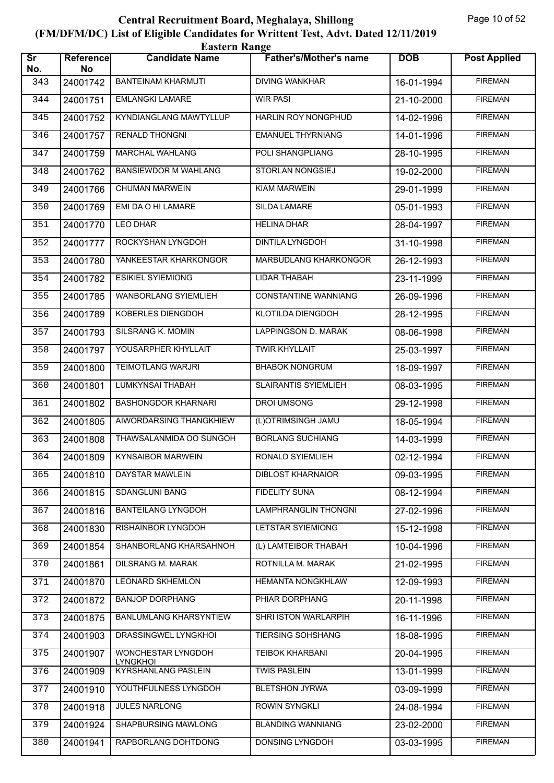|                               | <b>Eastern Range</b>   |                                              |                               |                          |                     |  |  |  |
|-------------------------------|------------------------|----------------------------------------------|-------------------------------|--------------------------|---------------------|--|--|--|
| $\overline{\text{sr}}$<br>No. | <b>Reference</b><br>No | <b>Candidate Name</b>                        | <b>Father's/Mother's name</b> | <b>DOB</b>               | <b>Post Applied</b> |  |  |  |
| 343                           | 24001742               | <b>BANTEINAM KHARMUTI</b>                    | <b>DIVING WANKHAR</b>         | 16-01-1994               | <b>FIREMAN</b>      |  |  |  |
| 344                           | 24001751               | <b>EMLANGKI LAMARE</b>                       | <b>WIR PASI</b>               | 21-10-2000               | <b>FIREMAN</b>      |  |  |  |
| 345                           | 24001752               | KYNDIANGLANG MAWTYLLUP                       | HARLIN ROY NONGPHUD           | 14-02-1996               | <b>FIREMAN</b>      |  |  |  |
| 346                           | 24001757               | <b>RENALD THONGNI</b>                        | <b>EMANUEL THYRNIANG</b>      | 14-01-1996               | <b>FIREMAN</b>      |  |  |  |
| 347                           | 24001759               | MARCHAL WAHLANG                              | POLI SHANGPLIANG              | 28-10-1995               | <b>FIREMAN</b>      |  |  |  |
| 348                           | 24001762               | <b>BANSIEWDOR M WAHLANG</b>                  | STORLAN NONGSIEJ              | 19-02-2000               | <b>FIREMAN</b>      |  |  |  |
| 349                           | 24001766               | <b>CHUMAN MARWEIN</b>                        | <b>KIAM MARWEIN</b>           | 29-01-1999               | <b>FIREMAN</b>      |  |  |  |
| 350                           | 24001769               | EMI DA O HI LAMARE                           | SILDA LAMARE                  | 05-01-1993               | <b>FIREMAN</b>      |  |  |  |
| 351                           | 24001770               | <b>LEO DHAR</b>                              | <b>HELINA DHAR</b>            | 28-04-1997               | <b>FIREMAN</b>      |  |  |  |
| 352                           | 24001777               | ROCKYSHAN LYNGDOH                            | <b>DINTILA LYNGDOH</b>        | 31-10-1998               | <b>FIREMAN</b>      |  |  |  |
| 353                           | 24001780               | YANKEESTAR KHARKONGOR                        | <b>MARBUDLANG KHARKONGOR</b>  | 26-12-1993               | <b>FIREMAN</b>      |  |  |  |
| 354                           | 24001782               | <b>ESIKIEL SYIEMIONG</b>                     | LIDAR THABAH                  | 23-11-1999               | <b>FIREMAN</b>      |  |  |  |
| 355                           | 24001785               | <b>WANBORLANG SYIEMLIEH</b>                  | <b>CONSTANTINE WANNIANG</b>   | 26-09-1996               | <b>FIREMAN</b>      |  |  |  |
| 356                           | 24001789               | <b>KOBERLES DIENGDOH</b>                     | KLOTILDA DIENGDOH             | 28-12-1995               | <b>FIREMAN</b>      |  |  |  |
| 357                           | 24001793               | SILSRANG K. MOMIN                            | LAPPINGSON D. MARAK           | 08-06-1998               | <b>FIREMAN</b>      |  |  |  |
| 358                           | 24001797               | YOUSARPHER KHYLLAIT                          | <b>TWIR KHYLLAIT</b>          | 25-03-1997               | <b>FIREMAN</b>      |  |  |  |
| 359                           | 24001800               | <b>TEIMOTLANG WARJRI</b>                     | <b>BHABOK NONGRUM</b>         | 18-09-1997               | <b>FIREMAN</b>      |  |  |  |
| 360                           | 24001801               | LUMKYNSAI THABAH                             | <b>SLAIRANTIS SYIEMLIEH</b>   | 08-03-1995               | <b>FIREMAN</b>      |  |  |  |
| 361                           | 24001802               | <b>BASHONGDOR KHARNARI</b>                   | <b>DROI UMSONG</b>            | 29-12-1998               | <b>FIREMAN</b>      |  |  |  |
| 362                           | 24001805               | AIWORDARSING THANGKHIEW                      | (L)OTRIMSINGH JAMU            | 18-05-1994               | <b>FIREMAN</b>      |  |  |  |
| 363                           | 24001808               | THAWSALANMIDA OO SUNGOH                      | <b>BORLANG SUCHIANG</b>       | 14-03-1999               | <b>FIREMAN</b>      |  |  |  |
| 364                           |                        | 24001809   KYNSAIBOR MARWEIN                 | RONALD SYIEMLIEH              | $\overline{02}$ -12-1994 | <b>FIREMAN</b>      |  |  |  |
| 365                           | 24001810               | DAYSTAR MAWLEIN                              | <b>DIBLOST KHARNAIOR</b>      | 09-03-1995               | <b>FIREMAN</b>      |  |  |  |
| 366                           | 24001815               | SDANGLUNI BANG                               | <b>FIDELITY SUNA</b>          | 08-12-1994               | <b>FIREMAN</b>      |  |  |  |
| 367                           | 24001816               | <b>BANTEILANG LYNGDOH</b>                    | LAMPHRANGLIN THONGNI          | 27-02-1996               | <b>FIREMAN</b>      |  |  |  |
| 368                           | 24001830               | RISHAINBOR LYNGDOH                           | <b>LETSTAR SYIEMIONG</b>      | 15-12-1998               | <b>FIREMAN</b>      |  |  |  |
| 369                           | 24001854               | SHANBORLANG KHARSAHNOH                       | (L) LAMTEIBOR THABAH          | 10-04-1996               | <b>FIREMAN</b>      |  |  |  |
| 370                           | 24001861               | DILSRANG M. MARAK                            | ROTNILLA M. MARAK             | 21-02-1995               | <b>FIREMAN</b>      |  |  |  |
| 371                           | 24001870               | <b>LEONARD SKHEMLON</b>                      | <b>HEMANTA NONGKHLAW</b>      | 12-09-1993               | <b>FIREMAN</b>      |  |  |  |
| 372                           | 24001872               | <b>BANJOP DORPHANG</b>                       | PHIAR DORPHANG                | 20-11-1998               | <b>FIREMAN</b>      |  |  |  |
| 373                           | 24001875               | <b>BANLUMLANG KHARSYNTIEW</b>                | SHRI ISTON WARLARPIH          | 16-11-1996               | <b>FIREMAN</b>      |  |  |  |
| 374                           | 24001903               | DRASSINGWEL LYNGKHOI                         | <b>TIERSING SOHSHANG</b>      | 18-08-1995               | <b>FIREMAN</b>      |  |  |  |
| 375                           | 24001907               | <b>WONCHESTAR LYNGDOH</b><br><b>LYNGKHOI</b> | TEIBOK KHARBANI               | 20-04-1995               | <b>FIREMAN</b>      |  |  |  |
| 376                           | 24001909               | <b>KYRSHANLANG PASLEIN</b>                   | <b>TWIS PASLEIN</b>           | 13-01-1999               | <b>FIREMAN</b>      |  |  |  |
| 377                           | 24001910               | YOUTHFULNESS LYNGDOH                         | <b>BLETSHON JYRWA</b>         | 03-09-1999               | <b>FIREMAN</b>      |  |  |  |
| 378                           | 24001918               | <b>JULES NARLONG</b>                         | <b>ROWIN SYNGKLI</b>          | 24-08-1994               | <b>FIREMAN</b>      |  |  |  |
| 379                           | 24001924               | SHAPBURSING MAWLONG                          | <b>BLANDING WANNIANG</b>      | 23-02-2000               | <b>FIREMAN</b>      |  |  |  |
| 380                           | 24001941               | RAPBORLANG DOHTDONG                          | DONSING LYNGDOH               | 03-03-1995               | <b>FIREMAN</b>      |  |  |  |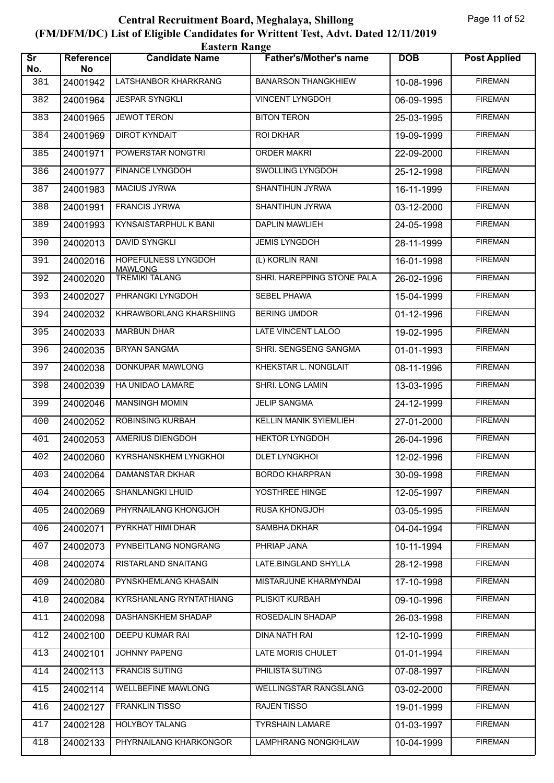|                               | <b>Eastern Range</b> |                                       |                               |            |                     |  |  |  |
|-------------------------------|----------------------|---------------------------------------|-------------------------------|------------|---------------------|--|--|--|
| $\overline{\text{sr}}$<br>No. | Reference<br>No      | <b>Candidate Name</b>                 | <b>Father's/Mother's name</b> | <b>DOB</b> | <b>Post Applied</b> |  |  |  |
| 381                           | 24001942             | LATSHANBOR KHARKRANG                  | <b>BANARSON THANGKHIEW</b>    | 10-08-1996 | <b>FIREMAN</b>      |  |  |  |
| 382                           | 24001964             | <b>JESPAR SYNGKLI</b>                 | <b>VINCENT LYNGDOH</b>        | 06-09-1995 | <b>FIREMAN</b>      |  |  |  |
| 383                           | 24001965             | <b>JEWOT TERON</b>                    | <b>BITON TERON</b>            | 25-03-1995 | <b>FIREMAN</b>      |  |  |  |
| 384                           | 24001969             | <b>DIROT KYNDAIT</b>                  | ROI DKHAR                     | 19-09-1999 | <b>FIREMAN</b>      |  |  |  |
| 385                           | 24001971             | POWERSTAR NONGTRI                     | <b>ORDER MAKRI</b>            | 22-09-2000 | <b>FIREMAN</b>      |  |  |  |
| 386                           | 24001977             | <b>FINANCE LYNGDOH</b>                | SWOLLING LYNGDOH              | 25-12-1998 | <b>FIREMAN</b>      |  |  |  |
| 387                           | 24001983             | <b>MACIUS JYRWA</b>                   | <b>SHANTIHUN JYRWA</b>        | 16-11-1999 | <b>FIREMAN</b>      |  |  |  |
| 388                           | 24001991             | <b>FRANCIS JYRWA</b>                  | SHANTIHUN JYRWA               | 03-12-2000 | <b>FIREMAN</b>      |  |  |  |
| 389                           | 24001993             | KYNSAISTARPHUL K BANI                 | <b>DAPLIN MAWLIEH</b>         | 24-05-1998 | <b>FIREMAN</b>      |  |  |  |
| 390                           | 24002013             | <b>DAVID SYNGKLI</b>                  | <b>JEMIS LYNGDOH</b>          | 28-11-1999 | <b>FIREMAN</b>      |  |  |  |
| 391                           | 24002016             | HOPEFULNESS LYNGDOH<br><b>MAWLONG</b> | (L) KORLIN RANI               | 16-01-1998 | <b>FIREMAN</b>      |  |  |  |
| 392                           | 24002020             | <b>TREMIKI TALANG</b>                 | SHRI. HAREPPING STONE PALA    | 26-02-1996 | <b>FIREMAN</b>      |  |  |  |
| 393                           | 24002027             | PHRANGKI LYNGDOH                      | SEBEL PHAWA                   | 15-04-1999 | <b>FIREMAN</b>      |  |  |  |
| 394                           | 24002032             | KHRAWBORLANG KHARSHIING               | <b>BERING UMDOR</b>           | 01-12-1996 | <b>FIREMAN</b>      |  |  |  |
| 395                           | 24002033             | <b>MARBUN DHAR</b>                    | LATE VINCENT LALOO            | 19-02-1995 | <b>FIREMAN</b>      |  |  |  |
| 396                           | 24002035             | <b>BRYAN SANGMA</b>                   | SHRI. SENGSENG SANGMA         | 01-01-1993 | <b>FIREMAN</b>      |  |  |  |
| 397                           | 24002038             | DONKUPAR MAWLONG                      | KHEKSTAR L. NONGLAIT          | 08-11-1996 | <b>FIREMAN</b>      |  |  |  |
| 398                           | 24002039             | HA UNIDAO LAMARE                      | SHRI. LONG LAMIN              | 13-03-1995 | <b>FIREMAN</b>      |  |  |  |
| 399                           | 24002046             | <b>MANSINGH MOMIN</b>                 | <b>JELIP SANGMA</b>           | 24-12-1999 | <b>FIREMAN</b>      |  |  |  |
| 400                           | 24002052             | ROBINSING KURBAH                      | KELLIN MANIK SYIEMLIEH        | 27-01-2000 | <b>FIREMAN</b>      |  |  |  |
| 401                           | 24002053             | AMERIUS DIENGDOH                      | <b>HEKTOR LYNGDOH</b>         | 26-04-1996 | <b>FIREMAN</b>      |  |  |  |
| 402                           | 24002060             | KYRSHANSKHEM LYNGKHOI                 | <b>DLET LYNGKHOI</b>          | 12-02-1996 | <b>FIREMAN</b>      |  |  |  |
| 403                           | 24002064             | DAMANSTAR DKHAR                       | <b>BORDO KHARPRAN</b>         | 30-09-1998 | <b>FIREMAN</b>      |  |  |  |
| 404                           | 24002065             | <b>SHANLANGKI LHUID</b>               | YOSTHREE HINGE                | 12-05-1997 | <b>FIREMAN</b>      |  |  |  |
| 405                           | 24002069             | PHYRNAILANG KHONGJOH                  | <b>RUSA KHONGJOH</b>          | 03-05-1995 | <b>FIREMAN</b>      |  |  |  |
| 406                           | 24002071             | PYRKHAT HIMI DHAR                     | <b>SAMBHA DKHAR</b>           | 04-04-1994 | <b>FIREMAN</b>      |  |  |  |
| 407                           | 24002073             | PYNBEITLANG NONGRANG                  | PHRIAP JANA                   | 10-11-1994 | <b>FIREMAN</b>      |  |  |  |
| 408                           | 24002074             | RISTARLAND SNAITANG                   | LATE.BINGLAND SHYLLA          | 28-12-1998 | <b>FIREMAN</b>      |  |  |  |
| 409                           | 24002080             | PYNSKHEMLANG KHASAIN                  | MISTARJUNE KHARMYNDAI         | 17-10-1998 | <b>FIREMAN</b>      |  |  |  |
| 410                           | 24002084             | KYRSHANLANG RYNTATHIANG               | PLISKIT KURBAH                | 09-10-1996 | <b>FIREMAN</b>      |  |  |  |
| 411                           | 24002098             | DASHANSKHEM SHADAP                    | ROSEDALIN SHADAP              | 26-03-1998 | <b>FIREMAN</b>      |  |  |  |
| 412                           | 24002100             | DEEPU KUMAR RAI                       | DINA NATH RAI                 | 12-10-1999 | <b>FIREMAN</b>      |  |  |  |
| 413                           | 24002101             | <b>JOHNNY PAPENG</b>                  | LATE MORIS CHULET             | 01-01-1994 | <b>FIREMAN</b>      |  |  |  |
| 414                           | 24002113             | <b>FRANCIS SUTING</b>                 | PHILISTA SUTING               | 07-08-1997 | <b>FIREMAN</b>      |  |  |  |
| 415                           | 24002114             | <b>WELLBEFINE MAWLONG</b>             | <b>WELLINGSTAR RANGSLANG</b>  | 03-02-2000 | <b>FIREMAN</b>      |  |  |  |
| 416                           | 24002127             | FRANKLIN TISSO                        | <b>RAJEN TISSO</b>            | 19-01-1999 | <b>FIREMAN</b>      |  |  |  |
| 417                           | 24002128             | <b>HOLYBOY TALANG</b>                 | <b>TYRSHAIN LAMARE</b>        | 01-03-1997 | <b>FIREMAN</b>      |  |  |  |
| 418                           | 24002133             | PHYRNAILANG KHARKONGOR                | <b>LAMPHRANG NONGKHLAW</b>    | 10-04-1999 | <b>FIREMAN</b>      |  |  |  |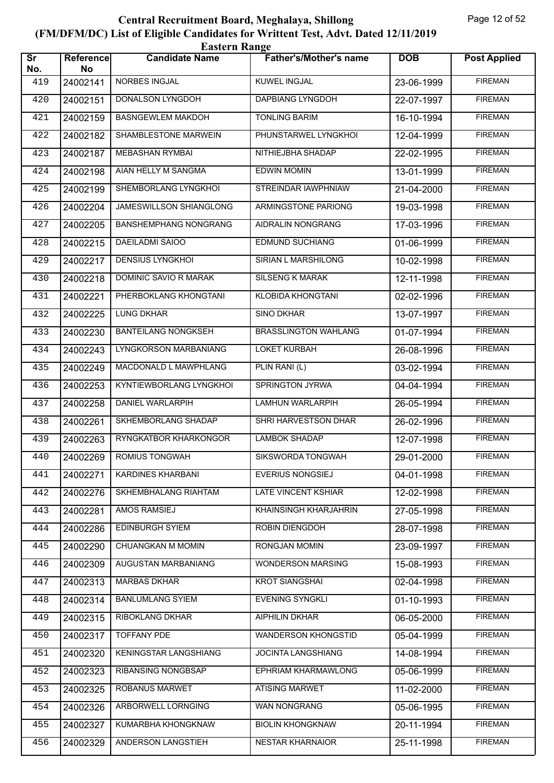| <b>Eastern Range</b>          |                        |                              |                               |            |                     |  |  |
|-------------------------------|------------------------|------------------------------|-------------------------------|------------|---------------------|--|--|
| $\overline{\text{sr}}$<br>No. | <b>Reference</b><br>No | <b>Candidate Name</b>        | <b>Father's/Mother's name</b> | <b>DOB</b> | <b>Post Applied</b> |  |  |
| 419                           | 24002141               | NORBES INGJAL                | KUWEL INGJAL                  | 23-06-1999 | <b>FIREMAN</b>      |  |  |
| 420                           | 24002151               | <b>DONALSON LYNGDOH</b>      | <b>DAPBIANG LYNGDOH</b>       | 22-07-1997 | <b>FIREMAN</b>      |  |  |
| 421                           | 24002159               | <b>BASNGEWLEM MAKDOH</b>     | <b>TONLING BARIM</b>          | 16-10-1994 | <b>FIREMAN</b>      |  |  |
| 422                           | 24002182               | SHAMBLESTONE MARWEIN         | PHUNSTARWEL LYNGKHOI          | 12-04-1999 | <b>FIREMAN</b>      |  |  |
| 423                           | 24002187               | MEBASHAN RYMBAI              | NITHIEJBHA SHADAP             | 22-02-1995 | <b>FIREMAN</b>      |  |  |
| 424                           | 24002198               | AIAN HELLY M SANGMA          | <b>EDWIN MOMIN</b>            | 13-01-1999 | <b>FIREMAN</b>      |  |  |
| 425                           | 24002199               | SHEMBORLANG LYNGKHOL         | <b>STREINDAR IAWPHNIAW</b>    | 21-04-2000 | <b>FIREMAN</b>      |  |  |
| 426                           | 24002204               | JAMESWILLSON SHIANGLONG      | ARMINGSTONE PARIONG           | 19-03-1998 | <b>FIREMAN</b>      |  |  |
| 427                           | 24002205               | <b>BANSHEMPHANG NONGRANG</b> | AIDRALIN NONGRANG             | 17-03-1996 | <b>FIREMAN</b>      |  |  |
| 428                           | 24002215               | <b>DAEILADMI SAIOO</b>       | <b>EDMUND SUCHIANG</b>        | 01-06-1999 | <b>FIREMAN</b>      |  |  |
| 429                           | 24002217               | <b>DENSIUS LYNGKHOL</b>      | SIRIAN L MARSHILONG           | 10-02-1998 | <b>FIREMAN</b>      |  |  |
| 430                           | 24002218               | DOMINIC SAVIO R MARAK        | <b>SILSENG K MARAK</b>        | 12-11-1998 | <b>FIREMAN</b>      |  |  |
| 431                           | 24002221               | PHERBOKLANG KHONGTANI        | <b>KLOBIDA KHONGTANI</b>      | 02-02-1996 | <b>FIREMAN</b>      |  |  |
| 432                           | 24002225               | <b>LUNG DKHAR</b>            | <b>SINO DKHAR</b>             | 13-07-1997 | <b>FIREMAN</b>      |  |  |
| 433                           | 24002230               | <b>BANTEILANG NONGKSEH</b>   | <b>BRASSLINGTON WAHLANG</b>   | 01-07-1994 | <b>FIREMAN</b>      |  |  |
| 434                           | 24002243               | LYNGKORSON MARBANIANG        | <b>LOKET KURBAH</b>           | 26-08-1996 | <b>FIREMAN</b>      |  |  |
| 435                           | 24002249               | MACDONALD L MAWPHLANG        | PLIN RANI (L)                 | 03-02-1994 | <b>FIREMAN</b>      |  |  |
| 436                           | 24002253               | KYNTIEWBORLANG LYNGKHOI      | SPRINGTON JYRWA               | 04-04-1994 | <b>FIREMAN</b>      |  |  |
| 437                           | 24002258               | DANIEL WARLARPIH             | <b>LAMHUN WARLARPIH</b>       | 26-05-1994 | <b>FIREMAN</b>      |  |  |
| 438                           | 24002261               | SKHEMBORLANG SHADAP          | SHRI HARVESTSON DHAR          | 26-02-1996 | <b>FIREMAN</b>      |  |  |
| 439                           | 24002263               | RYNGKATBOR KHARKONGOR        | <b>LAMBOK SHADAP</b>          | 12-07-1998 | <b>FIREMAN</b>      |  |  |
| 440                           | 24002269               | ROMIUS TONGWAH               | SIKSWORDA TONGWAH             | 29-01-2000 | <b>FIREMAN</b>      |  |  |
| 441                           | 24002271               | KARDINES KHARBANI            | <b>EVERIUS NONGSIEJ</b>       | 04-01-1998 | <b>FIREMAN</b>      |  |  |
| 442                           | 24002276               | SKHEMBHALANG RIAHTAM         | LATE VINCENT KSHIAR           | 12-02-1998 | <b>FIREMAN</b>      |  |  |
| 443                           | 24002281               | AMOS RAMSIEJ                 | KHAINSINGH KHARJAHRIN         | 27-05-1998 | <b>FIREMAN</b>      |  |  |
| 444                           | 24002286               | EDINBURGH SYIEM              | ROBIN DIENGDOH                | 28-07-1998 | <b>FIREMAN</b>      |  |  |
| 445                           | 24002290               | CHUANGKAN M MOMIN            | RONGJAN MOMIN                 | 23-09-1997 | <b>FIREMAN</b>      |  |  |
| 446                           | 24002309               | AUGUSTAN MARBANIANG          | <b>WONDERSON MARSING</b>      | 15-08-1993 | <b>FIREMAN</b>      |  |  |
| 447                           | 24002313               | <b>MARBAS DKHAR</b>          | <b>KROT SIANGSHAI</b>         | 02-04-1998 | <b>FIREMAN</b>      |  |  |
| 448                           | 24002314               | <b>BANLUMLANG SYIEM</b>      | <b>EVENING SYNGKLI</b>        | 01-10-1993 | <b>FIREMAN</b>      |  |  |
| 449                           | 24002315               | <b>RIBOKLANG DKHAR</b>       | AIPHILIN DKHAR                | 06-05-2000 | <b>FIREMAN</b>      |  |  |
| 450                           | 24002317               | <b>TOFFANY PDE</b>           | WANDERSON KHONGSTID           | 05-04-1999 | <b>FIREMAN</b>      |  |  |
| 451                           | 24002320               | KENINGSTAR LANGSHIANG        | <b>JOCINTA LANGSHIANG</b>     | 14-08-1994 | <b>FIREMAN</b>      |  |  |
| 452                           | 24002323               | RIBANSING NONGBSAP           | EPHRIAM KHARMAWLONG           | 05-06-1999 | <b>FIREMAN</b>      |  |  |
| 453                           | 24002325               | ROBANUS MARWET               | <b>ATISING MARWET</b>         | 11-02-2000 | <b>FIREMAN</b>      |  |  |
| 454                           | 24002326               | ARBORWELL LORNGING           | WAN NONGRANG                  | 05-06-1995 | <b>FIREMAN</b>      |  |  |
| 455                           | 24002327               | KUMARBHA KHONGKNAW           | <b>BIOLIN KHONGKNAW</b>       | 20-11-1994 | <b>FIREMAN</b>      |  |  |
| 456                           | 24002329               | ANDERSON LANGSTIEH           | <b>NESTAR KHARNAIOR</b>       | 25-11-1998 | <b>FIREMAN</b>      |  |  |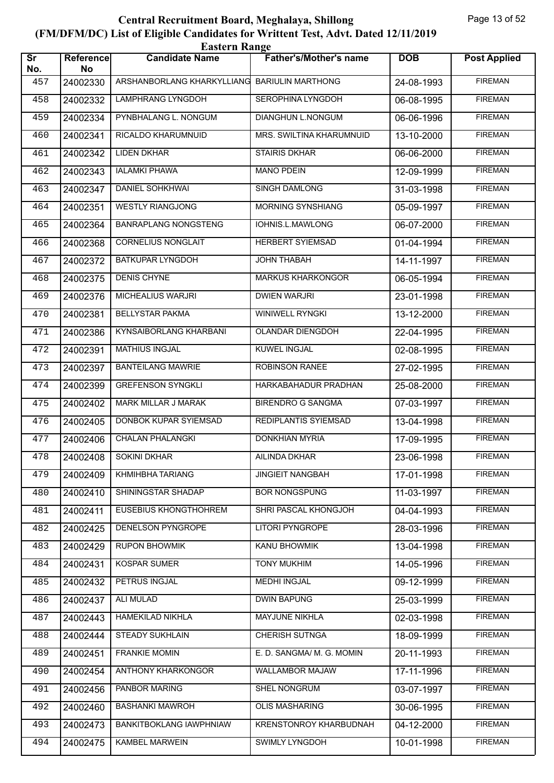| <b>Eastern Range</b>          |                        |                                |                               |            |                     |  |  |
|-------------------------------|------------------------|--------------------------------|-------------------------------|------------|---------------------|--|--|
| $\overline{\text{Sr}}$<br>No. | <b>Reference</b><br>No | <b>Candidate Name</b>          | <b>Father's/Mother's name</b> | <b>DOB</b> | <b>Post Applied</b> |  |  |
| 457                           | 24002330               | ARSHANBORLANG KHARKYLLIANG     | <b>BARIULIN MARTHONG</b>      | 24-08-1993 | <b>FIREMAN</b>      |  |  |
| 458                           | 24002332               | LAMPHRANG LYNGDOH              | <b>SEROPHINA LYNGDOH</b>      | 06-08-1995 | <b>FIREMAN</b>      |  |  |
| 459                           | 24002334               | PYNBHALANG L. NONGUM           | DIANGHUN L.NONGUM             | 06-06-1996 | <b>FIREMAN</b>      |  |  |
| 460                           | 24002341               | RICALDO KHARUMNUID             | MRS. SWILTINA KHARUMNUID      | 13-10-2000 | <b>FIREMAN</b>      |  |  |
| 461                           | 24002342               | <b>LIDEN DKHAR</b>             | <b>STAIRIS DKHAR</b>          | 06-06-2000 | <b>FIREMAN</b>      |  |  |
| 462                           | 24002343               | <b>IALAMKI PHAWA</b>           | <b>MANO PDEIN</b>             | 12-09-1999 | <b>FIREMAN</b>      |  |  |
| 463                           | 24002347               | <b>DANIEL SOHKHWAI</b>         | <b>SINGH DAMLONG</b>          | 31-03-1998 | <b>FIREMAN</b>      |  |  |
| 464                           | 24002351               | <b>WESTLY RIANGJONG</b>        | MORNING SYNSHIANG             | 05-09-1997 | <b>FIREMAN</b>      |  |  |
| 465                           | 24002364               | <b>BANRAPLANG NONGSTENG</b>    | IOHNIS.L.MAWLONG              | 06-07-2000 | <b>FIREMAN</b>      |  |  |
| 466                           | 24002368               | <b>CORNELIUS NONGLAIT</b>      | <b>HERBERT SYIEMSAD</b>       | 01-04-1994 | <b>FIREMAN</b>      |  |  |
| 467                           | 24002372               | <b>BATKUPAR LYNGDOH</b>        | <b>JOHN THABAH</b>            | 14-11-1997 | <b>FIREMAN</b>      |  |  |
| 468                           | 24002375               | <b>DENIS CHYNE</b>             | <b>MARKUS KHARKONGOR</b>      | 06-05-1994 | <b>FIREMAN</b>      |  |  |
| 469                           | 24002376               | MICHEALIUS WARJRI              | <b>DWIEN WARJRI</b>           | 23-01-1998 | <b>FIREMAN</b>      |  |  |
| 470                           | 24002381               | <b>BELLYSTAR PAKMA</b>         | WINIWELL RYNGKI               | 13-12-2000 | <b>FIREMAN</b>      |  |  |
| 471                           | 24002386               | KYNSAIBORLANG KHARBANI         | OLANDAR DIENGDOH              | 22-04-1995 | <b>FIREMAN</b>      |  |  |
| 472                           | 24002391               | <b>MATHIUS INGJAL</b>          | KUWEL INGJAL                  | 02-08-1995 | <b>FIREMAN</b>      |  |  |
| 473                           | 24002397               | <b>BANTEILANG MAWRIE</b>       | <b>ROBINSON RANEE</b>         | 27-02-1995 | <b>FIREMAN</b>      |  |  |
| 474                           | 24002399               | <b>GREFENSON SYNGKLI</b>       | HARKABAHADUR PRADHAN          | 25-08-2000 | <b>FIREMAN</b>      |  |  |
| 475                           | 24002402               | MARK MILLAR J MARAK            | <b>BIRENDRO G SANGMA</b>      | 07-03-1997 | <b>FIREMAN</b>      |  |  |
| 476                           | 24002405               | DONBOK KUPAR SYIEMSAD          | REDIPLANTIS SYIEMSAD          | 13-04-1998 | <b>FIREMAN</b>      |  |  |
| 477                           | 24002406               | <b>CHALAN PHALANGKI</b>        | <b>DONKHIAN MYRIA</b>         | 17-09-1995 | <b>FIREMAN</b>      |  |  |
| 478                           | 24002408               | <b>SOKINI DKHAR</b>            | AILINDA DKHAR                 | 23-06-1998 | <b>FIREMAN</b>      |  |  |
| 479                           | 24002409               | KHMIHBHA TARIANG               | <b>JINGIEIT NANGBAH</b>       | 17-01-1998 | <b>FIREMAN</b>      |  |  |
| 480                           | 24002410               | SHININGSTAR SHADAP             | <b>BOR NONGSPUNG</b>          | 11-03-1997 | <b>FIREMAN</b>      |  |  |
| 481                           | 24002411               | <b>EUSEBIUS KHONGTHOHREM</b>   | SHRI PASCAL KHONGJOH          | 04-04-1993 | <b>FIREMAN</b>      |  |  |
| 482                           | 24002425               | DENELSON PYNGROPE              | LITORI PYNGROPE               | 28-03-1996 | <b>FIREMAN</b>      |  |  |
| 483                           | 24002429               | <b>RUPON BHOWMIK</b>           | KANU BHOWMIK                  | 13-04-1998 | <b>FIREMAN</b>      |  |  |
| 484                           | 24002431               | KOSPAR SUMER                   | <b>TONY MUKHIM</b>            | 14-05-1996 | <b>FIREMAN</b>      |  |  |
| 485                           | 24002432               | PETRUS INGJAL                  | <b>MEDHI INGJAL</b>           | 09-12-1999 | <b>FIREMAN</b>      |  |  |
| 486                           | 24002437               | <b>ALI MULAD</b>               | <b>DWIN BAPUNG</b>            | 25-03-1999 | <b>FIREMAN</b>      |  |  |
| 487                           | 24002443               | <b>HAMEKILAD NIKHLA</b>        | MAYJUNE NIKHLA                | 02-03-1998 | <b>FIREMAN</b>      |  |  |
| 488                           | 24002444               | STEADY SUKHLAIN                | CHERISH SUTNGA                | 18-09-1999 | <b>FIREMAN</b>      |  |  |
| 489                           | 24002451               | <b>FRANKIE MOMIN</b>           | E. D. SANGMA/ M. G. MOMIN     | 20-11-1993 | <b>FIREMAN</b>      |  |  |
| 490                           | 24002454               | ANTHONY KHARKONGOR             | <b>WALLAMBOR MAJAW</b>        | 17-11-1996 | <b>FIREMAN</b>      |  |  |
| 491                           | 24002456               | PANBOR MARING                  | <b>SHEL NONGRUM</b>           | 03-07-1997 | <b>FIREMAN</b>      |  |  |
| 492                           | 24002460               | <b>BASHANKI MAWROH</b>         | <b>OLIS MASHARING</b>         | 30-06-1995 | <b>FIREMAN</b>      |  |  |
| 493                           | 24002473               | <b>BANKITBOKLANG IAWPHNIAW</b> | KRENSTONROY KHARBUDNAH        | 04-12-2000 | <b>FIREMAN</b>      |  |  |
| 494                           | 24002475               | KAMBEL MARWEIN                 | SWIMLY LYNGDOH                | 10-01-1998 | <b>FIREMAN</b>      |  |  |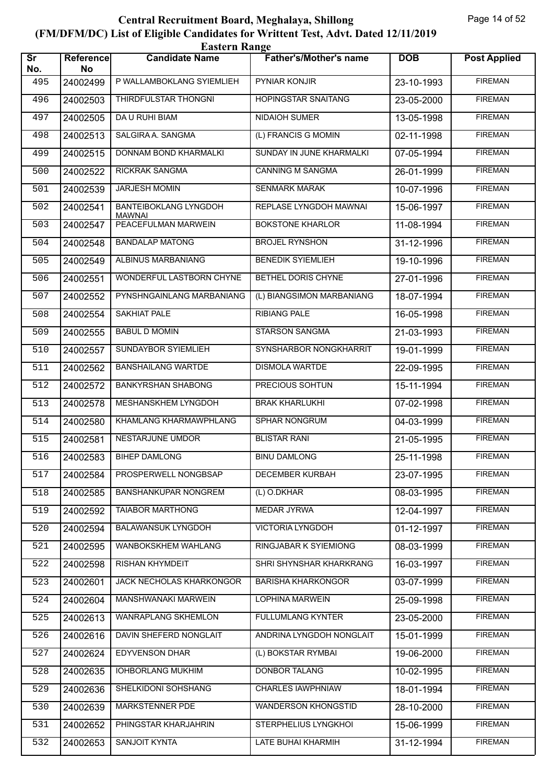|                               | <b>Eastern Range</b>   |                                               |                               |            |                     |  |  |  |
|-------------------------------|------------------------|-----------------------------------------------|-------------------------------|------------|---------------------|--|--|--|
| $\overline{\text{sr}}$<br>No. | <b>Reference</b><br>No | <b>Candidate Name</b>                         | <b>Father's/Mother's name</b> | <b>DOB</b> | <b>Post Applied</b> |  |  |  |
| 495                           | 24002499               | P WALLAMBOKLANG SYIEMLIEH                     | PYNIAR KONJIR                 | 23-10-1993 | <b>FIREMAN</b>      |  |  |  |
| 496                           | 24002503               | THIRDFULSTAR THONGNI                          | <b>HOPINGSTAR SNAITANG</b>    | 23-05-2000 | <b>FIREMAN</b>      |  |  |  |
| 497                           | 24002505               | DA U RUHI BIAM                                | <b>NIDAIOH SUMER</b>          | 13-05-1998 | <b>FIREMAN</b>      |  |  |  |
| 498                           | 24002513               | SALGIRA A. SANGMA                             | (L) FRANCIS G MOMIN           | 02-11-1998 | <b>FIREMAN</b>      |  |  |  |
| 499                           | 24002515               | DONNAM BOND KHARMALKI                         | SUNDAY IN JUNE KHARMALKI      | 07-05-1994 | <b>FIREMAN</b>      |  |  |  |
| 500                           | 24002522               | RICKRAK SANGMA                                | <b>CANNING M SANGMA</b>       | 26-01-1999 | <b>FIREMAN</b>      |  |  |  |
| 501                           | 24002539               | <b>JARJESH MOMIN</b>                          | <b>SENMARK MARAK</b>          | 10-07-1996 | <b>FIREMAN</b>      |  |  |  |
| 502                           | 24002541               | <b>BANTEIBOKLANG LYNGDOH</b><br><b>MAWNAI</b> | REPLASE LYNGDOH MAWNAI        | 15-06-1997 | <b>FIREMAN</b>      |  |  |  |
| 503                           | 24002547               | PEACEFULMAN MARWEIN                           | <b>BOKSTONE KHARLOR</b>       | 11-08-1994 | <b>FIREMAN</b>      |  |  |  |
| 504                           | 24002548               | <b>BANDALAP MATONG</b>                        | <b>BROJEL RYNSHON</b>         | 31-12-1996 | <b>FIREMAN</b>      |  |  |  |
| 505                           | 24002549               | ALBINUS MARBANIANG                            | <b>BENEDIK SYIEMLIEH</b>      | 19-10-1996 | <b>FIREMAN</b>      |  |  |  |
| 506                           | 24002551               | WONDERFUL LASTBORN CHYNE                      | <b>BETHEL DORIS CHYNE</b>     | 27-01-1996 | <b>FIREMAN</b>      |  |  |  |
| 507                           | 24002552               | PYNSHNGAINLANG MARBANIANG                     | (L) BIANGSIMON MARBANIANG     | 18-07-1994 | <b>FIREMAN</b>      |  |  |  |
| 508                           | 24002554               | <b>SAKHIAT PALE</b>                           | <b>RIBIANG PALE</b>           | 16-05-1998 | <b>FIREMAN</b>      |  |  |  |
| 509                           | 24002555               | <b>BABUL D MOMIN</b>                          | STARSON SANGMA                | 21-03-1993 | <b>FIREMAN</b>      |  |  |  |
| 510                           | 24002557               | SUNDAYBOR SYIEMLIEH                           | SYNSHARBOR NONGKHARRIT        | 19-01-1999 | <b>FIREMAN</b>      |  |  |  |
| 511                           | 24002562               | <b>BANSHAILANG WARTDE</b>                     | <b>DISMOLA WARTDE</b>         | 22-09-1995 | <b>FIREMAN</b>      |  |  |  |
| 512                           | 24002572               | <b>BANKYRSHAN SHABONG</b>                     | PRECIOUS SOHTUN               | 15-11-1994 | <b>FIREMAN</b>      |  |  |  |
| 513                           | 24002578               | MESHANSKHEM LYNGDOH                           | <b>BRAK KHARLUKHI</b>         | 07-02-1998 | <b>FIREMAN</b>      |  |  |  |
| 514                           | 24002580               | KHAMLANG KHARMAWPHLANG                        | SPHAR NONGRUM                 | 04-03-1999 | <b>FIREMAN</b>      |  |  |  |
| 515                           | 24002581               | NESTARJUNE UMDOR                              | <b>BLISTAR RANI</b>           | 21-05-1995 | <b>FIREMAN</b>      |  |  |  |
| 516                           | 24002583               | <b>BIHEP DAMLONG</b>                          | <b>BINU DAMLONG</b>           | 25-11-1998 | <b>FIREMAN</b>      |  |  |  |
| 517                           | 24002584               | PROSPERWELL NONGBSAP                          | DECEMBER KURBAH               | 23-07-1995 | <b>FIREMAN</b>      |  |  |  |
| 518                           | 24002585               | <b>BANSHANKUPAR NONGREM</b>                   | (L) O.DKHAR                   | 08-03-1995 | <b>FIREMAN</b>      |  |  |  |
| 519                           | 24002592               | <b>TAIABOR MARTHONG</b>                       | <b>MEDAR JYRWA</b>            | 12-04-1997 | <b>FIREMAN</b>      |  |  |  |
| 520                           | 24002594               | <b>BALAWANSUK LYNGDOH</b>                     | VICTORIA LYNGDOH              | 01-12-1997 | <b>FIREMAN</b>      |  |  |  |
| 521                           | 24002595               | WANBOKSKHEM WAHLANG                           | RINGJABAR K SYIEMIONG         | 08-03-1999 | <b>FIREMAN</b>      |  |  |  |
| 522                           | 24002598               | RISHAN KHYMDEIT                               | SHRI SHYNSHAR KHARKRANG       | 16-03-1997 | <b>FIREMAN</b>      |  |  |  |
| 523                           | 24002601               | JACK NECHOLAS KHARKONGOR                      | <b>BARISHA KHARKONGOR</b>     | 03-07-1999 | <b>FIREMAN</b>      |  |  |  |
| 524                           | 24002604               | MANSHWANAKI MARWEIN                           | LOPHINA MARWEIN               | 25-09-1998 | <b>FIREMAN</b>      |  |  |  |
| 525                           | 24002613               | WANRAPLANG SKHEMLON                           | <b>FULLUMLANG KYNTER</b>      | 23-05-2000 | <b>FIREMAN</b>      |  |  |  |
| 526                           | 24002616               | DAVIN SHEFERD NONGLAIT                        | ANDRINA LYNGDOH NONGLAIT      | 15-01-1999 | <b>FIREMAN</b>      |  |  |  |
| 527                           | 24002624               | <b>EDYVENSON DHAR</b>                         | (L) BOKSTAR RYMBAI            | 19-06-2000 | <b>FIREMAN</b>      |  |  |  |
| 528                           | 24002635               | <b>IOHBORLANG MUKHIM</b>                      | <b>DONBOR TALANG</b>          | 10-02-1995 | <b>FIREMAN</b>      |  |  |  |
| 529                           | 24002636               | SHELKIDONI SOHSHANG                           | <b>CHARLES IAWPHNIAW</b>      | 18-01-1994 | <b>FIREMAN</b>      |  |  |  |
| 530                           | 24002639               | MARKSTENNER PDE                               | <b>WANDERSON KHONGSTID</b>    | 28-10-2000 | <b>FIREMAN</b>      |  |  |  |
| 531                           | 24002652               | PHINGSTAR KHARJAHRIN                          | STERPHELIUS LYNGKHOI          | 15-06-1999 | <b>FIREMAN</b>      |  |  |  |
| 532                           | 24002653               | SANJOIT KYNTA                                 | LATE BUHAI KHARMIH            | 31-12-1994 | <b>FIREMAN</b>      |  |  |  |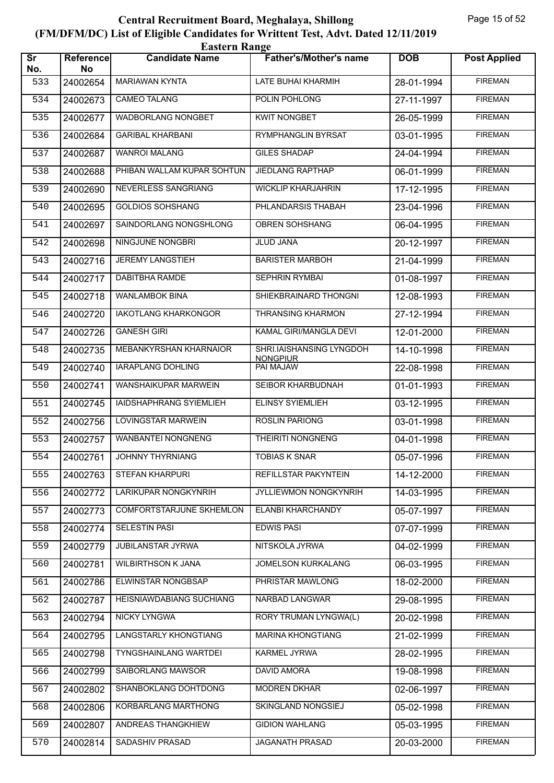|                               | <b>Eastern Range</b>   |                                 |                                             |            |                     |  |  |  |
|-------------------------------|------------------------|---------------------------------|---------------------------------------------|------------|---------------------|--|--|--|
| $\overline{\text{sr}}$<br>No. | <b>Reference</b><br>No | <b>Candidate Name</b>           | <b>Father's/Mother's name</b>               | <b>DOB</b> | <b>Post Applied</b> |  |  |  |
| 533                           | 24002654               | <b>MARIAWAN KYNTA</b>           | LATE BUHAI KHARMIH                          | 28-01-1994 | <b>FIREMAN</b>      |  |  |  |
| 534                           | 24002673               | <b>CAMEO TALANG</b>             | POLIN POHLONG                               | 27-11-1997 | <b>FIREMAN</b>      |  |  |  |
| 535                           | 24002677               | WADBORLANG NONGBET              | <b>KWIT NONGBET</b>                         | 26-05-1999 | <b>FIREMAN</b>      |  |  |  |
| 536                           | 24002684               | <b>GARIBAL KHARBANI</b>         | RYMPHANGLIN BYRSAT                          | 03-01-1995 | <b>FIREMAN</b>      |  |  |  |
| 537                           | 24002687               | <b>WANROI MALANG</b>            | <b>GILES SHADAP</b>                         | 24-04-1994 | <b>FIREMAN</b>      |  |  |  |
| 538                           | 24002688               | PHIBAN WALLAM KUPAR SOHTUN      | JIEDLANG RAPTHAP                            | 06-01-1999 | <b>FIREMAN</b>      |  |  |  |
| 539                           | 24002690               | <b>NEVERLESS SANGRIANG</b>      | <b>WICKLIP KHARJAHRIN</b>                   | 17-12-1995 | <b>FIREMAN</b>      |  |  |  |
| 540                           | 24002695               | <b>GOLDIOS SOHSHANG</b>         | PHLANDARSIS THABAH                          | 23-04-1996 | <b>FIREMAN</b>      |  |  |  |
| 541                           | 24002697               | SAINDORLANG NONGSHLONG          | OBREN SOHSHANG                              | 06-04-1995 | <b>FIREMAN</b>      |  |  |  |
| 542                           | 24002698               | NINGJUNE NONGBRI                | JLUD JANA                                   | 20-12-1997 | <b>FIREMAN</b>      |  |  |  |
| 543                           | 24002716               | <b>JEREMY LANGSTIEH</b>         | <b>BARISTER MARBOH</b>                      | 21-04-1999 | <b>FIREMAN</b>      |  |  |  |
| 544                           | 24002717               | <b>DABITBHA RAMDE</b>           | <b>SEPHRIN RYMBAI</b>                       | 01-08-1997 | <b>FIREMAN</b>      |  |  |  |
| 545                           | 24002718               | <b>WANLAMBOK BINA</b>           | SHIEKBRAINARD THONGNI                       | 12-08-1993 | <b>FIREMAN</b>      |  |  |  |
| 546                           | 24002720               | <b>IAKOTLANG KHARKONGOR</b>     | <b>THRANSING KHARMON</b>                    | 27-12-1994 | <b>FIREMAN</b>      |  |  |  |
| 547                           | 24002726               | <b>GANESH GIRI</b>              | KAMAL GIRI/MANGLA DEVI                      | 12-01-2000 | <b>FIREMAN</b>      |  |  |  |
| 548                           | 24002735               | MEBANKYRSHAN KHARNAIOR          | SHRI.IAISHANSING LYNGDOH<br><b>NONGPIUR</b> | 14-10-1998 | <b>FIREMAN</b>      |  |  |  |
| 549                           | 24002740               | <b>IARAPLANG DOHLING</b>        | PAI MAJAW                                   | 22-08-1998 | <b>FIREMAN</b>      |  |  |  |
| 550                           | 24002741               | WANSHAIKUPAR MARWEIN            | SEIBOR KHARBUDNAH                           | 01-01-1993 | <b>FIREMAN</b>      |  |  |  |
| 551                           | 24002745               | IAIDSHAPHRANG SYIEMLIEH         | <b>ELINSY SYIEMLIEH</b>                     | 03-12-1995 | <b>FIREMAN</b>      |  |  |  |
| 552                           | 24002756               | LOVINGSTAR MARWEIN              | <b>ROSLIN PARIONG</b>                       | 03-01-1998 | <b>FIREMAN</b>      |  |  |  |
| 553                           | 24002757               | <b>WANBANTEI NONGNENG</b>       | <b>THEIRITI NONGNENG</b>                    | 04-01-1998 | <b>FIREMAN</b>      |  |  |  |
| 554                           | 24002761               | JOHNNY THYRNIANG                | <b>TOBIAS K SNAR</b>                        | 05-07-1996 | <b>FIREMAN</b>      |  |  |  |
| 555                           | 24002763               | <b>STEFAN KHARPURI</b>          | REFILLSTAR PAKYNTEIN                        | 14-12-2000 | <b>FIREMAN</b>      |  |  |  |
| 556                           | 24002772               | LARIKUPAR NONGKYNRIH            | JYLLIEWMON NONGKYNRIH                       | 14-03-1995 | <b>FIREMAN</b>      |  |  |  |
| 557                           | 24002773               | <b>COMFORTSTARJUNE SKHEMLON</b> | ELANBI KHARCHANDY                           | 05-07-1997 | <b>FIREMAN</b>      |  |  |  |
| 558                           | 24002774               | <b>SELESTIN PASI</b>            | <b>EDWIS PASI</b>                           | 07-07-1999 | <b>FIREMAN</b>      |  |  |  |
| 559                           | 24002779               | <b>JUBILANSTAR JYRWA</b>        | NITSKOLA JYRWA                              | 04-02-1999 | <b>FIREMAN</b>      |  |  |  |
| 560                           | 24002781               | <b>WILBIRTHSON K JANA</b>       | JOMELSON KURKALANG                          | 06-03-1995 | <b>FIREMAN</b>      |  |  |  |
| 561                           | 24002786               | ELWINSTAR NONGBSAP              | PHRISTAR MAWLONG                            | 18-02-2000 | <b>FIREMAN</b>      |  |  |  |
| 562                           | 24002787               | <b>HEISNIAWDABIANG SUCHIANG</b> | <b>NARBAD LANGWAR</b>                       | 29-08-1995 | <b>FIREMAN</b>      |  |  |  |
| 563                           | 24002794               | NICKY LYNGWA                    | RORY TRUMAN LYNGWA(L)                       | 20-02-1998 | <b>FIREMAN</b>      |  |  |  |
| 564                           | 24002795               | LANGSTARLY KHONGTIANG           | <b>MARINA KHONGTIANG</b>                    | 21-02-1999 | <b>FIREMAN</b>      |  |  |  |
| 565                           | 24002798               | <b>TYNGSHAINLANG WARTDEI</b>    | <b>KARMEL JYRWA</b>                         | 28-02-1995 | <b>FIREMAN</b>      |  |  |  |
| 566                           | 24002799               | SAIBORLANG MAWSOR               | <b>DAVID AMORA</b>                          | 19-08-1998 | <b>FIREMAN</b>      |  |  |  |
| 567                           | 24002802               | SHANBOKLANG DOHTDONG            | <b>MODREN DKHAR</b>                         | 02-06-1997 | <b>FIREMAN</b>      |  |  |  |
| 568                           | 24002806               | KORBARLANG MARTHONG             | SKINGLAND NONGSIEJ                          | 05-02-1998 | <b>FIREMAN</b>      |  |  |  |
| 569                           | 24002807               | ANDREAS THANGKHIEW              | <b>GIDION WAHLANG</b>                       | 05-03-1995 | <b>FIREMAN</b>      |  |  |  |
| 570                           | 24002814               | SADASHIV PRASAD                 | JAGANATH PRASAD                             | 20-03-2000 | <b>FIREMAN</b>      |  |  |  |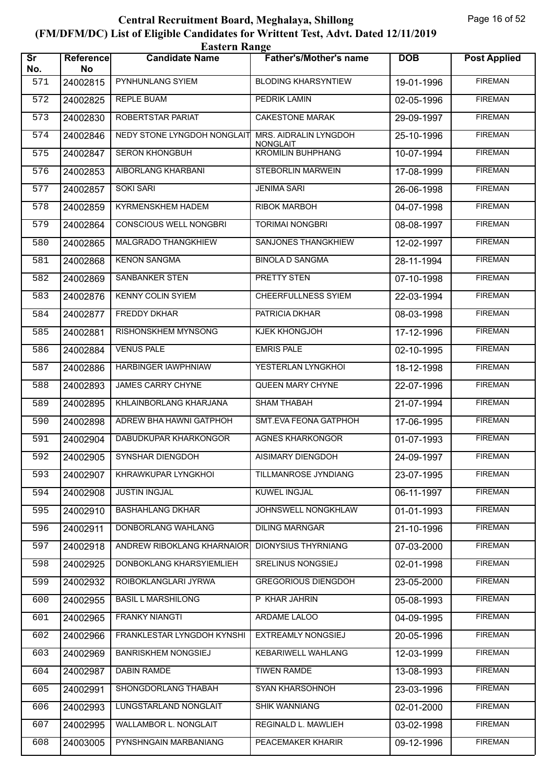|                               | <b>Eastern Range</b>   |                               |                                          |            |                     |  |  |  |
|-------------------------------|------------------------|-------------------------------|------------------------------------------|------------|---------------------|--|--|--|
| $\overline{\text{sr}}$<br>No. | <b>Reference</b><br>No | <b>Candidate Name</b>         | <b>Father's/Mother's name</b>            | <b>DOB</b> | <b>Post Applied</b> |  |  |  |
| 571                           | 24002815               | PYNHUNLANG SYIEM              | <b>BLODING KHARSYNTIEW</b>               | 19-01-1996 | <b>FIREMAN</b>      |  |  |  |
| 572                           | 24002825               | <b>REPLE BUAM</b>             | PEDRIK LAMIN                             | 02-05-1996 | <b>FIREMAN</b>      |  |  |  |
| 573                           | 24002830               | ROBERTSTAR PARIAT             | <b>CAKESTONE MARAK</b>                   | 29-09-1997 | <b>FIREMAN</b>      |  |  |  |
| 574                           | 24002846               | NEDY STONE LYNGDOH NONGLAIT   | MRS. AIDRALIN LYNGDOH<br><b>NONGLAIT</b> | 25-10-1996 | <b>FIREMAN</b>      |  |  |  |
| 575                           | 24002847               | <b>SERON KHONGBUH</b>         | <b>KROMILIN BUHPHANG</b>                 | 10-07-1994 | <b>FIREMAN</b>      |  |  |  |
| 576                           | 24002853               | AIBORLANG KHARBANI            | STEBORLIN MARWEIN                        | 17-08-1999 | <b>FIREMAN</b>      |  |  |  |
| 577                           | 24002857               | <b>SOKI SARI</b>              | <b>JENIMA SARI</b>                       | 26-06-1998 | <b>FIREMAN</b>      |  |  |  |
| 578                           | 24002859               | KYRMENSKHEM HADEM             | <b>RIBOK MARBOH</b>                      | 04-07-1998 | <b>FIREMAN</b>      |  |  |  |
| 579                           | 24002864               | <b>CONSCIOUS WELL NONGBRI</b> | <b>TORIMAI NONGBRI</b>                   | 08-08-1997 | <b>FIREMAN</b>      |  |  |  |
| 580                           | 24002865               | MALGRADO THANGKHIEW           | SANJONES THANGKHIEW                      | 12-02-1997 | <b>FIREMAN</b>      |  |  |  |
| 581                           | 24002868               | <b>KENON SANGMA</b>           | <b>BINOLA D SANGMA</b>                   | 28-11-1994 | <b>FIREMAN</b>      |  |  |  |
| 582                           | 24002869               | <b>SANBANKER STEN</b>         | <b>PRETTY STEN</b>                       | 07-10-1998 | <b>FIREMAN</b>      |  |  |  |
| 583                           | 24002876               | <b>KENNY COLIN SYIEM</b>      | <b>CHEERFULLNESS SYIEM</b>               | 22-03-1994 | <b>FIREMAN</b>      |  |  |  |
| 584                           | 24002877               | <b>FREDDY DKHAR</b>           | PATRICIA DKHAR                           | 08-03-1998 | <b>FIREMAN</b>      |  |  |  |
| 585                           | 24002881               | RISHONSKHEM MYNSONG           | KJEK KHONGJOH                            | 17-12-1996 | <b>FIREMAN</b>      |  |  |  |
| 586                           | 24002884               | <b>VENUS PALE</b>             | <b>EMRIS PALE</b>                        | 02-10-1995 | <b>FIREMAN</b>      |  |  |  |
| 587                           | 24002886               | HARBINGER IAWPHNIAW           | YESTERLAN LYNGKHOI                       | 18-12-1998 | <b>FIREMAN</b>      |  |  |  |
| 588                           | 24002893               | <b>JAMES CARRY CHYNE</b>      | QUEEN MARY CHYNE                         | 22-07-1996 | <b>FIREMAN</b>      |  |  |  |
| 589                           | 24002895               | KHLAINBORLANG KHARJANA        | <b>SHAM THABAH</b>                       | 21-07-1994 | <b>FIREMAN</b>      |  |  |  |
| 590                           | 24002898               | ADREW BHA HAWNI GATPHOH       | SMT.EVA FEONA GATPHOH                    | 17-06-1995 | <b>FIREMAN</b>      |  |  |  |
| 591                           | 24002904               | DABUDKUPAR KHARKONGOR         | <b>AGNES KHARKONGOR</b>                  | 01-07-1993 | <b>FIREMAN</b>      |  |  |  |
| 592                           | 24002905               | SYNSHAR DIENGDOH              | AISIMARY DIENGDOH                        | 24-09-1997 | <b>FIREMAN</b>      |  |  |  |
| 593                           | 24002907               | KHRAWKUPAR LYNGKHOI           | <b>TILLMANROSE JYNDIANG</b>              | 23-07-1995 | <b>FIREMAN</b>      |  |  |  |
| 594                           | 24002908               | JUSTIN INGJAL                 | KUWEL INGJAL                             | 06-11-1997 | <b>FIREMAN</b>      |  |  |  |
| 595                           | 24002910               | <b>BASHAHLANG DKHAR</b>       | JOHNSWELL NONGKHLAW                      | 01-01-1993 | <b>FIREMAN</b>      |  |  |  |
| 596                           | 24002911               | DONBORLANG WAHLANG            | <b>DILING MARNGAR</b>                    | 21-10-1996 | <b>FIREMAN</b>      |  |  |  |
| 597                           | 24002918               | ANDREW RIBOKLANG KHARNAIOR    | <b>DIONYSIUS THYRNIANG</b>               | 07-03-2000 | <b>FIREMAN</b>      |  |  |  |
| 598                           | 24002925               | DONBOKLANG KHARSYIEMLIEH      | SRELINUS NONGSIEJ                        | 02-01-1998 | <b>FIREMAN</b>      |  |  |  |
| 599                           | 24002932               | ROIBOKLANGLARI JYRWA          | <b>GREGORIOUS DIENGDOH</b>               | 23-05-2000 | <b>FIREMAN</b>      |  |  |  |
| 600                           | 24002955               | <b>BASIL L MARSHILONG</b>     | P KHAR JAHRIN                            | 05-08-1993 | <b>FIREMAN</b>      |  |  |  |
| 601                           | 24002965               | <b>FRANKY NIANGTI</b>         | ARDAME LALOO                             | 04-09-1995 | <b>FIREMAN</b>      |  |  |  |
| 602                           | 24002966               | FRANKLESTAR LYNGDOH KYNSHI    | EXTREAMLY NONGSIEJ                       | 20-05-1996 | <b>FIREMAN</b>      |  |  |  |
| 603                           | 24002969               | <b>BANRISKHEM NONGSIEJ</b>    | KEBARIWELL WAHLANG                       | 12-03-1999 | <b>FIREMAN</b>      |  |  |  |
| 604                           | 24002987               | <b>DABIN RAMDE</b>            | <b>TIWEN RAMDE</b>                       | 13-08-1993 | <b>FIREMAN</b>      |  |  |  |
| 605                           | 24002991               | SHONGDORLANG THABAH           | <b>SYAN KHARSOHNOH</b>                   | 23-03-1996 | <b>FIREMAN</b>      |  |  |  |
| 606                           | 24002993               | LUNGSTARLAND NONGLAIT         | <b>SHIK WANNIANG</b>                     | 02-01-2000 | <b>FIREMAN</b>      |  |  |  |
| 607                           | 24002995               | WALLAMBOR L. NONGLAIT         | REGINALD L. MAWLIEH                      | 03-02-1998 | <b>FIREMAN</b>      |  |  |  |
| 608                           | 24003005               | PYNSHNGAIN MARBANIANG         | PEACEMAKER KHARIR                        | 09-12-1996 | <b>FIREMAN</b>      |  |  |  |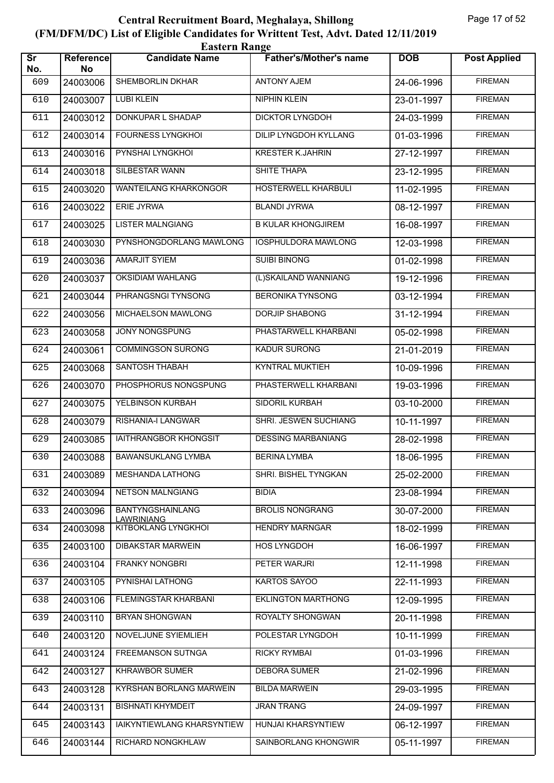| <b>Eastern Range</b>          |                 |                                              |                               |            |                     |  |  |
|-------------------------------|-----------------|----------------------------------------------|-------------------------------|------------|---------------------|--|--|
| $\overline{\text{sr}}$<br>No. | Reference<br>No | <b>Candidate Name</b>                        | <b>Father's/Mother's name</b> | <b>DOB</b> | <b>Post Applied</b> |  |  |
| 609                           | 24003006        | SHEMBORLIN DKHAR                             | <b>ANTONY AJEM</b>            | 24-06-1996 | <b>FIREMAN</b>      |  |  |
| 610                           | 24003007        | <b>LUBI KLEIN</b>                            | <b>NIPHIN KLEIN</b>           | 23-01-1997 | <b>FIREMAN</b>      |  |  |
| 611                           | 24003012        | DONKUPAR L SHADAP                            | DICKTOR LYNGDOH               | 24-03-1999 | <b>FIREMAN</b>      |  |  |
| 612                           | 24003014        | <b>FOURNESS LYNGKHOL</b>                     | <b>DILIP LYNGDOH KYLLANG</b>  | 01-03-1996 | <b>FIREMAN</b>      |  |  |
| 613                           | 24003016        | PYNSHAI LYNGKHOI                             | <b>KRESTER K.JAHRIN</b>       | 27-12-1997 | <b>FIREMAN</b>      |  |  |
| 614                           | 24003018        | <b>SILBESTAR WANN</b>                        | <b>SHITE THAPA</b>            | 23-12-1995 | <b>FIREMAN</b>      |  |  |
| 615                           | 24003020        | <b>WANTEILANG KHARKONGOR</b>                 | <b>HOSTERWELL KHARBULI</b>    | 11-02-1995 | <b>FIREMAN</b>      |  |  |
| 616                           | 24003022        | ERIE JYRWA                                   | <b>BLANDI JYRWA</b>           | 08-12-1997 | <b>FIREMAN</b>      |  |  |
| 617                           | 24003025        | <b>LISTER MALNGIANG</b>                      | <b>B KULAR KHONGJIREM</b>     | 16-08-1997 | <b>FIREMAN</b>      |  |  |
| 618                           | 24003030        | PYNSHONGDORLANG MAWLONG                      | <b>IOSPHULDORA MAWLONG</b>    | 12-03-1998 | <b>FIREMAN</b>      |  |  |
| 619                           | 24003036        | <b>AMARJIT SYIEM</b>                         | <b>SUIBI BINONG</b>           | 01-02-1998 | <b>FIREMAN</b>      |  |  |
| 620                           | 24003037        | <b>OKSIDIAM WAHLANG</b>                      | (L)SKAILAND WANNIANG          | 19-12-1996 | <b>FIREMAN</b>      |  |  |
| 621                           | 24003044        | PHRANGSNGI TYNSONG                           | <b>BERONIKA TYNSONG</b>       | 03-12-1994 | <b>FIREMAN</b>      |  |  |
| 622                           | 24003056        | MICHAELSON MAWLONG                           | <b>DORJIP SHABONG</b>         | 31-12-1994 | <b>FIREMAN</b>      |  |  |
| 623                           | 24003058        | JONY NONGSPUNG                               | PHASTARWELL KHARBANI          | 05-02-1998 | <b>FIREMAN</b>      |  |  |
| 624                           | 24003061        | <b>COMMINGSON SURONG</b>                     | <b>KADUR SURONG</b>           | 21-01-2019 | <b>FIREMAN</b>      |  |  |
| 625                           | 24003068        | <b>SANTOSH THABAH</b>                        | <b>KYNTRAL MUKTIEH</b>        | 10-09-1996 | <b>FIREMAN</b>      |  |  |
| 626                           | 24003070        | PHOSPHORUS NONGSPUNG                         | PHASTERWELL KHARBANI          | 19-03-1996 | <b>FIREMAN</b>      |  |  |
| 627                           | 24003075        | YELBINSON KURBAH                             | SIDORIL KURBAH                | 03-10-2000 | <b>FIREMAN</b>      |  |  |
| 628                           | 24003079        | <b>RISHANIA-I LANGWAR</b>                    | SHRI. JESWEN SUCHIANG         | 10-11-1997 | <b>FIREMAN</b>      |  |  |
| 629                           | 24003085        | <b>IAITHRANGBOR KHONGSIT</b>                 | <b>DESSING MARBANIANG</b>     | 28-02-1998 | <b>FIREMAN</b>      |  |  |
| 630                           | 24003088        | <b>BAWANSUKLANG LYMBA</b>                    | <b>BERINA LYMBA</b>           | 18-06-1995 | <b>FIREMAN</b>      |  |  |
| 631                           | 24003089        | <b>MESHANDA LATHONG</b>                      | SHRI. BISHEL TYNGKAN          | 25-02-2000 | <b>FIREMAN</b>      |  |  |
| 632                           | 24003094        | <b>NETSON MALNGIANG</b>                      | <b>BIDIA</b>                  | 23-08-1994 | <b>FIREMAN</b>      |  |  |
| 633                           | 24003096        | <b>BANTYNGSHAINLANG</b><br><b>LAWRINIANG</b> | <b>BROLIS NONGRANG</b>        | 30-07-2000 | <b>FIREMAN</b>      |  |  |
| 634                           | 24003098        | <b>KITBOKLANG LYNGKHOI</b>                   | <b>HENDRY MARNGAR</b>         | 18-02-1999 | <b>FIREMAN</b>      |  |  |
| 635                           | 24003100        | <b>DIBAKSTAR MARWEIN</b>                     | HOS LYNGDOH                   | 16-06-1997 | <b>FIREMAN</b>      |  |  |
| 636                           | 24003104        | <b>FRANKY NONGBRI</b>                        | PETER WARJRI                  | 12-11-1998 | <b>FIREMAN</b>      |  |  |
| 637                           | 24003105        | PYNISHAI LATHONG                             | KARTOS SAYOO                  | 22-11-1993 | <b>FIREMAN</b>      |  |  |
| 638                           | 24003106        | FLEMINGSTAR KHARBANI                         | <b>EKLINGTON MARTHONG</b>     | 12-09-1995 | <b>FIREMAN</b>      |  |  |
| 639                           | 24003110        | <b>BRYAN SHONGWAN</b>                        | ROYALTY SHONGWAN              | 20-11-1998 | <b>FIREMAN</b>      |  |  |
| 640                           | 24003120        | NOVELJUNE SYIEMLIEH                          | POLESTAR LYNGDOH              | 10-11-1999 | <b>FIREMAN</b>      |  |  |
| 641                           | 24003124        | <b>FREEMANSON SUTNGA</b>                     | <b>RICKY RYMBAI</b>           | 01-03-1996 | <b>FIREMAN</b>      |  |  |
| 642                           | 24003127        | <b>KHRAWBOR SUMER</b>                        | <b>DEBORA SUMER</b>           | 21-02-1996 | <b>FIREMAN</b>      |  |  |
| 643                           | 24003128        | <b>KYRSHAN BORLANG MARWEIN</b>               | <b>BILDA MARWEIN</b>          | 29-03-1995 | <b>FIREMAN</b>      |  |  |
| 644                           | 24003131        | <b>BISHNATI KHYMDEIT</b>                     | <b>JRAN TRANG</b>             | 24-09-1997 | <b>FIREMAN</b>      |  |  |
| 645                           | 24003143        | IAIKYNTIEWLANG KHARSYNTIEW                   | HUNJAI KHARSYNTIEW            | 06-12-1997 | <b>FIREMAN</b>      |  |  |
| 646                           | 24003144        | RICHARD NONGKHLAW                            | SAINBORLANG KHONGWIR          | 05-11-1997 | <b>FIREMAN</b>      |  |  |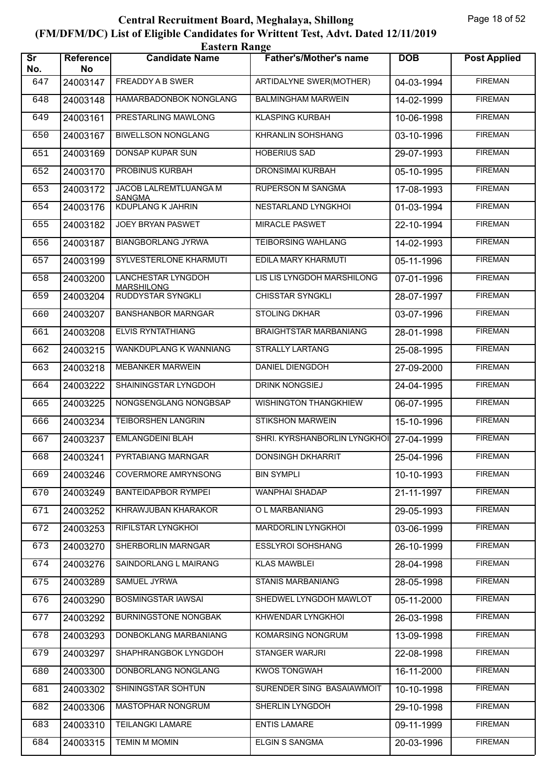|                               | <b>Eastern Range</b> |                                                |                               |            |                     |  |  |  |
|-------------------------------|----------------------|------------------------------------------------|-------------------------------|------------|---------------------|--|--|--|
| $\overline{\text{sr}}$<br>No. | Reference<br>No      | <b>Candidate Name</b>                          | <b>Father's/Mother's name</b> | <b>DOB</b> | <b>Post Applied</b> |  |  |  |
| 647                           | 24003147             | FREADDY A B SWER                               | ARTIDALYNE SWER(MOTHER)       | 04-03-1994 | <b>FIREMAN</b>      |  |  |  |
| 648                           | 24003148             | <b>HAMARBADONBOK NONGLANG</b>                  | <b>BALMINGHAM MARWEIN</b>     | 14-02-1999 | <b>FIREMAN</b>      |  |  |  |
| 649                           | 24003161             | PRESTARLING MAWLONG                            | <b>KLASPING KURBAH</b>        | 10-06-1998 | <b>FIREMAN</b>      |  |  |  |
| 650                           | 24003167             | <b>BIWELLSON NONGLANG</b>                      | <b>KHRANLIN SOHSHANG</b>      | 03-10-1996 | <b>FIREMAN</b>      |  |  |  |
| 651                           | 24003169             | DONSAP KUPAR SUN                               | <b>HOBERIUS SAD</b>           | 29-07-1993 | <b>FIREMAN</b>      |  |  |  |
| 652                           | 24003170             | PROBINUS KURBAH                                | <b>DRONSIMAI KURBAH</b>       | 05-10-1995 | <b>FIREMAN</b>      |  |  |  |
| 653                           | 24003172             | JACOB LALREMTLUANGA M<br><b>SANGMA</b>         | <b>RUPERSON M SANGMA</b>      | 17-08-1993 | <b>FIREMAN</b>      |  |  |  |
| 654                           | 24003176             | <b>KDUPLANG K JAHRIN</b>                       | NESTARLAND LYNGKHOI           | 01-03-1994 | <b>FIREMAN</b>      |  |  |  |
| 655                           | 24003182             | JOEY BRYAN PASWET                              | <b>MIRACLE PASWET</b>         | 22-10-1994 | <b>FIREMAN</b>      |  |  |  |
| 656                           | 24003187             | <b>BIANGBORLANG JYRWA</b>                      | <b>TEIBORSING WAHLANG</b>     | 14-02-1993 | <b>FIREMAN</b>      |  |  |  |
| 657                           | 24003199             | SYLVESTERLONE KHARMUTI                         | EDILA MARY KHARMUTI           | 05-11-1996 | <b>FIREMAN</b>      |  |  |  |
| 658                           | 24003200             | <b>LANCHESTAR LYNGDOH</b><br><b>MARSHILONG</b> | LIS LIS LYNGDOH MARSHILONG    | 07-01-1996 | <b>FIREMAN</b>      |  |  |  |
| 659                           | 24003204             | <b>RUDDYSTAR SYNGKLI</b>                       | <b>CHISSTAR SYNGKLI</b>       | 28-07-1997 | <b>FIREMAN</b>      |  |  |  |
| 660                           | 24003207             | <b>BANSHANBOR MARNGAR</b>                      | <b>STOLING DKHAR</b>          | 03-07-1996 | <b>FIREMAN</b>      |  |  |  |
| 661                           | 24003208             | <b>ELVIS RYNTATHIANG</b>                       | <b>BRAIGHTSTAR MARBANIANG</b> | 28-01-1998 | <b>FIREMAN</b>      |  |  |  |
| 662                           | 24003215             | WANKDUPLANG K WANNIANG                         | <b>STRALLY LARTANG</b>        | 25-08-1995 | <b>FIREMAN</b>      |  |  |  |
| 663                           | 24003218             | <b>MEBANKER MARWEIN</b>                        | <b>DANIEL DIENGDOH</b>        | 27-09-2000 | <b>FIREMAN</b>      |  |  |  |
| 664                           | 24003222             | SHAININGSTAR LYNGDOH                           | <b>DRINK NONGSIEJ</b>         | 24-04-1995 | <b>FIREMAN</b>      |  |  |  |
| 665                           | 24003225             | NONGSENGLANG NONGBSAP                          | <b>WISHINGTON THANGKHIEW</b>  | 06-07-1995 | <b>FIREMAN</b>      |  |  |  |
| 666                           | 24003234             | TEIBORSHEN LANGRIN                             | <b>STIKSHON MARWEIN</b>       | 15-10-1996 | <b>FIREMAN</b>      |  |  |  |
| 667                           | 24003237             | <b>EMLANGDEINI BLAH</b>                        | SHRI. KYRSHANBORLIN LYNGKHOI  | 27-04-1999 | <b>FIREMAN</b>      |  |  |  |
| 668                           | 24003241             | PYRTABIANG MARNGAR                             | DONSINGH DKHARRIT             | 25-04-1996 | <b>FIREMAN</b>      |  |  |  |
| 669                           | 24003246             | <b>COVERMORE AMRYNSONG</b>                     | <b>BIN SYMPLI</b>             | 10-10-1993 | <b>FIREMAN</b>      |  |  |  |
| 670                           | 24003249             | <b>BANTEIDAPBOR RYMPEI</b>                     | WANPHAI SHADAP                | 21-11-1997 | <b>FIREMAN</b>      |  |  |  |
| 671                           | 24003252             | KHRAWJUBAN KHARAKOR                            | O L MARBANIANG                | 29-05-1993 | <b>FIREMAN</b>      |  |  |  |
| 672                           | 24003253             | RIFILSTAR LYNGKHOI                             | <b>MARDORLIN LYNGKHOI</b>     | 03-06-1999 | <b>FIREMAN</b>      |  |  |  |
| 673                           | 24003270             | SHERBORLIN MARNGAR                             | ESSLYROI SOHSHANG             | 26-10-1999 | <b>FIREMAN</b>      |  |  |  |
| 674                           | 24003276             | SAINDORLANG L MAIRANG                          | <b>KLAS MAWBLEI</b>           | 28-04-1998 | <b>FIREMAN</b>      |  |  |  |
| 675                           | 24003289             | <b>SAMUEL JYRWA</b>                            | <b>STANIS MARBANIANG</b>      | 28-05-1998 | <b>FIREMAN</b>      |  |  |  |
| 676                           | 24003290             | <b>BOSMINGSTAR IAWSAI</b>                      | SHEDWEL LYNGDOH MAWLOT        | 05-11-2000 | <b>FIREMAN</b>      |  |  |  |
| 677                           | 24003292             | <b>BURNINGSTONE NONGBAK</b>                    | KHWENDAR LYNGKHOI             | 26-03-1998 | <b>FIREMAN</b>      |  |  |  |
| 678                           | 24003293             | DONBOKLANG MARBANIANG                          | KOMARSING NONGRUM             | 13-09-1998 | <b>FIREMAN</b>      |  |  |  |
| 679                           | 24003297             | SHAPHRANGBOK LYNGDOH                           | STANGER WARJRI                | 22-08-1998 | <b>FIREMAN</b>      |  |  |  |
| 680                           | 24003300             | DONBORLANG NONGLANG                            | <b>KWOS TONGWAH</b>           | 16-11-2000 | <b>FIREMAN</b>      |  |  |  |
| 681                           | 24003302             | SHININGSTAR SOHTUN                             | SURENDER SING BASAIAWMOIT     | 10-10-1998 | <b>FIREMAN</b>      |  |  |  |
| 682                           | 24003306             | <b>MASTOPHAR NONGRUM</b>                       | SHERLIN LYNGDOH               | 29-10-1998 | <b>FIREMAN</b>      |  |  |  |
| 683                           | 24003310             | <b>TEILANGKI LAMARE</b>                        | <b>ENTIS LAMARE</b>           | 09-11-1999 | <b>FIREMAN</b>      |  |  |  |
| 684                           | 24003315             | <b>TEMIN M MOMIN</b>                           | ELGIN S SANGMA                | 20-03-1996 | <b>FIREMAN</b>      |  |  |  |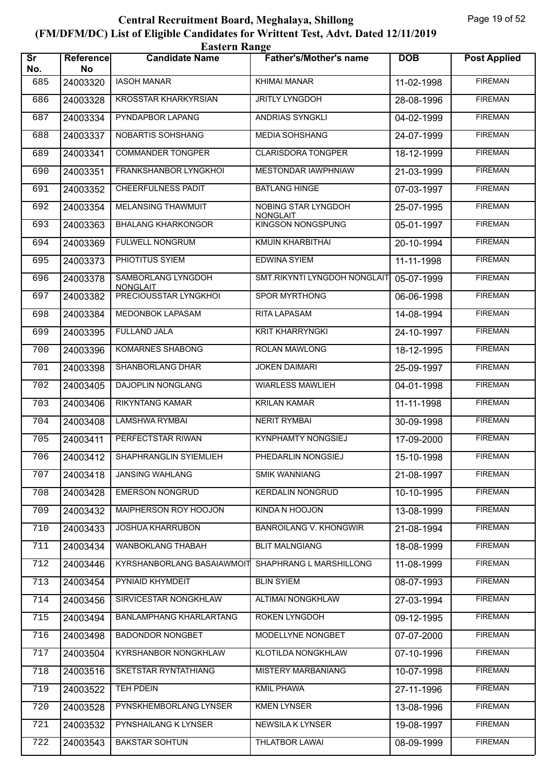|                               | <b>Eastern Range</b> |                                       |                                        |            |                     |  |  |  |
|-------------------------------|----------------------|---------------------------------------|----------------------------------------|------------|---------------------|--|--|--|
| $\overline{\text{sr}}$<br>No. | Reference<br>No      | <b>Candidate Name</b>                 | <b>Father's/Mother's name</b>          | <b>DOB</b> | <b>Post Applied</b> |  |  |  |
| 685                           | 24003320             | <b>IASOH MANAR</b>                    | KHIMAI MANAR                           | 11-02-1998 | <b>FIREMAN</b>      |  |  |  |
| 686                           | 24003328             | <b>KROSSTAR KHARKYRSIAN</b>           | <b>JRITLY LYNGDOH</b>                  | 28-08-1996 | <b>FIREMAN</b>      |  |  |  |
| 687                           | 24003334             | PYNDAPBOR LAPANG                      | ANDRIAS SYNGKLI                        | 04-02-1999 | <b>FIREMAN</b>      |  |  |  |
| 688                           | 24003337             | NOBARTIS SOHSHANG                     | <b>MEDIA SOHSHANG</b>                  | 24-07-1999 | <b>FIREMAN</b>      |  |  |  |
| 689                           | 24003341             | <b>COMMANDER TONGPER</b>              | <b>CLARISDORA TONGPER</b>              | 18-12-1999 | <b>FIREMAN</b>      |  |  |  |
| 690                           | 24003351             | FRANKSHANBOR LYNGKHOI                 | MESTONDAR IAWPHNIAW                    | 21-03-1999 | <b>FIREMAN</b>      |  |  |  |
| 691                           | 24003352             | <b>CHEERFULNESS PADIT</b>             | <b>BATLANG HINGE</b>                   | 07-03-1997 | <b>FIREMAN</b>      |  |  |  |
| 692                           | 24003354             | MELANSING THAWMUIT                    | NOBING STAR LYNGDOH<br><b>NONGLAIT</b> | 25-07-1995 | <b>FIREMAN</b>      |  |  |  |
| 693                           | 24003363             | <b>BHALANG KHARKONGOR</b>             | <b>KINGSON NONGSPUNG</b>               | 05-01-1997 | <b>FIREMAN</b>      |  |  |  |
| 694                           | 24003369             | FULWELL NONGRUM                       | KMUIN KHARBITHAI                       | 20-10-1994 | <b>FIREMAN</b>      |  |  |  |
| 695                           | 24003373             | PHIOTITUS SYIEM                       | <b>EDWINA SYIEM</b>                    | 11-11-1998 | <b>FIREMAN</b>      |  |  |  |
| 696                           | 24003378             | SAMBORLANG LYNGDOH<br><b>NONGLAIT</b> | SMT.RIKYNTI LYNGDOH NONGLAIT           | 05-07-1999 | <b>FIREMAN</b>      |  |  |  |
| 697                           | 24003382             | PRECIOUSSTAR LYNGKHOL                 | <b>SPOR MYRTHONG</b>                   | 06-06-1998 | <b>FIREMAN</b>      |  |  |  |
| 698                           | 24003384             | MEDONBOK LAPASAM                      | <b>RITA LAPASAM</b>                    | 14-08-1994 | <b>FIREMAN</b>      |  |  |  |
| 699                           | 24003395             | <b>FULLAND JALA</b>                   | <b>KRIT KHARRYNGKI</b>                 | 24-10-1997 | <b>FIREMAN</b>      |  |  |  |
| 700                           | 24003396             | KOMARNES SHABONG                      | <b>ROLAN MAWLONG</b>                   | 18-12-1995 | <b>FIREMAN</b>      |  |  |  |
| 701                           | 24003398             | SHANBORLANG DHAR                      | <b>JOKEN DAIMARI</b>                   | 25-09-1997 | <b>FIREMAN</b>      |  |  |  |
| 702                           | 24003405             | DAJOPLIN NONGLANG                     | <b>WIARLESS MAWLIEH</b>                | 04-01-1998 | <b>FIREMAN</b>      |  |  |  |
| 703                           | 24003406             | <b>RIKYNTANG KAMAR</b>                | <b>KRILAN KAMAR</b>                    | 11-11-1998 | <b>FIREMAN</b>      |  |  |  |
| 704                           | 24003408             | LAMSHWA RYMBAI                        | <b>NERIT RYMBAI</b>                    | 30-09-1998 | <b>FIREMAN</b>      |  |  |  |
| 705                           | 24003411             | PERFECTSTAR RIWAN                     | <b>KYNPHAMTY NONGSIEJ</b>              | 17-09-2000 | <b>FIREMAN</b>      |  |  |  |
| 706                           | 24003412             | SHAPHRANGLIN SYIEMLIEH                | PHEDARLIN NONGSIEJ                     | 15-10-1998 | <b>FIREMAN</b>      |  |  |  |
| 707                           | 24003418             | <b>JANSING WAHLANG</b>                | <b>SMIK WANNIANG</b>                   | 21-08-1997 | <b>FIREMAN</b>      |  |  |  |
| 708                           | 24003428             | <b>EMERSON NONGRUD</b>                | <b>KERDALIN NONGRUD</b>                | 10-10-1995 | <b>FIREMAN</b>      |  |  |  |
| 709                           | 24003432             | MAIPHERSON ROY HOOJON                 | <b>KINDA N HOOJON</b>                  | 13-08-1999 | <b>FIREMAN</b>      |  |  |  |
| 710                           | 24003433             | <b>JOSHUA KHARRUBON</b>               | <b>BANROILANG V. KHONGWIR</b>          | 21-08-1994 | <b>FIREMAN</b>      |  |  |  |
| 711                           | 24003434             | WANBOKLANG THABAH                     | <b>BLIT MALNGIANG</b>                  | 18-08-1999 | <b>FIREMAN</b>      |  |  |  |
| 712                           | 24003446             | <b>KYRSHANBORLANG BASAIAWMOIT</b>     | SHAPHRANG L MARSHILLONG                | 11-08-1999 | <b>FIREMAN</b>      |  |  |  |
| 713                           | 24003454             | PYNIAID KHYMDEIT                      | <b>BLIN SYIEM</b>                      | 08-07-1993 | <b>FIREMAN</b>      |  |  |  |
| 714                           | 24003456             | SIRVICESTAR NONGKHLAW                 | ALTIMAI NONGKHLAW                      | 27-03-1994 | <b>FIREMAN</b>      |  |  |  |
| 715                           | 24003494             | <b>BANLAMPHANG KHARLARTANG</b>        | ROKEN LYNGDOH                          | 09-12-1995 | <b>FIREMAN</b>      |  |  |  |
| 716                           | 24003498             | <b>BADONDOR NONGBET</b>               | MODELLYNE NONGBET                      | 07-07-2000 | <b>FIREMAN</b>      |  |  |  |
| 717                           | 24003504             | KYRSHANBOR NONGKHLAW                  | KLOTILDA NONGKHLAW                     | 07-10-1996 | <b>FIREMAN</b>      |  |  |  |
| 718                           | 24003516             | <b>SKETSTAR RYNTATHIANG</b>           | <b>MISTERY MARBANIANG</b>              | 10-07-1998 | <b>FIREMAN</b>      |  |  |  |
| 719                           | 24003522             | <b>TEH PDEIN</b>                      | <b>KMIL PHAWA</b>                      | 27-11-1996 | <b>FIREMAN</b>      |  |  |  |
| 720                           | 24003528             | PYNSKHEMBORLANG LYNSER                | <b>KMEN LYNSER</b>                     | 13-08-1996 | <b>FIREMAN</b>      |  |  |  |
| 721                           | 24003532             | PYNSHAILANG K LYNSER                  | NEWSILA K LYNSER                       | 19-08-1997 | <b>FIREMAN</b>      |  |  |  |
| 722                           | 24003543             | <b>BAKSTAR SOHTUN</b>                 | <b>THLATBOR LAWAI</b>                  | 08-09-1999 | <b>FIREMAN</b>      |  |  |  |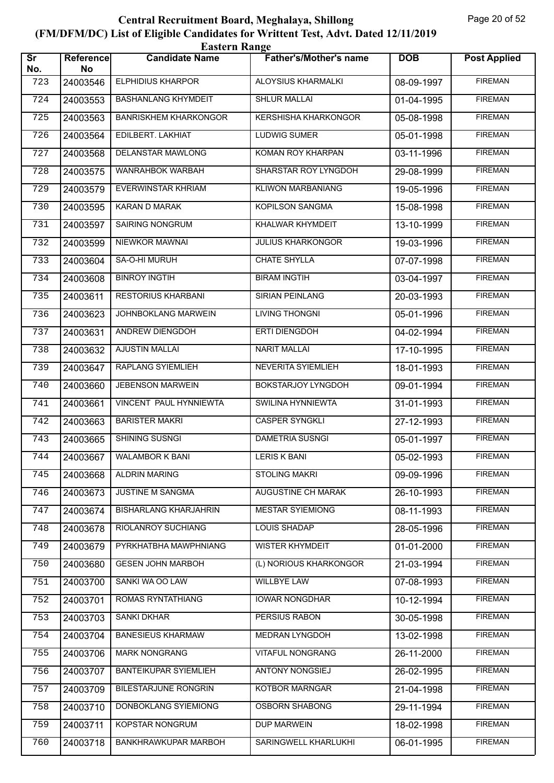| <b>Eastern Range</b>          |                        |                              |                               |            |                     |  |
|-------------------------------|------------------------|------------------------------|-------------------------------|------------|---------------------|--|
| $\overline{\text{sr}}$<br>No. | <b>Reference</b><br>No | <b>Candidate Name</b>        | <b>Father's/Mother's name</b> | <b>DOB</b> | <b>Post Applied</b> |  |
| 723                           | 24003546               | <b>ELPHIDIUS KHARPOR</b>     | ALOYSIUS KHARMALKI            | 08-09-1997 | <b>FIREMAN</b>      |  |
| 724                           | 24003553               | <b>BASHANLANG KHYMDEIT</b>   | <b>SHLUR MALLAI</b>           | 01-04-1995 | <b>FIREMAN</b>      |  |
| 725                           | 24003563               | <b>BANRISKHEM KHARKONGOR</b> | <b>KERSHISHA KHARKONGOR</b>   | 05-08-1998 | <b>FIREMAN</b>      |  |
| 726                           | 24003564               | EDILBERT. LAKHIAT            | <b>LUDWIG SUMER</b>           | 05-01-1998 | <b>FIREMAN</b>      |  |
| 727                           | 24003568               | <b>DELANSTAR MAWLONG</b>     | KOMAN ROY KHARPAN             | 03-11-1996 | <b>FIREMAN</b>      |  |
| 728                           | 24003575               | WANRAHBOK WARBAH             | SHARSTAR ROY LYNGDOH          | 29-08-1999 | <b>FIREMAN</b>      |  |
| 729                           | 24003579               | <b>EVERWINSTAR KHRIAM</b>    | <b>KLIWON MARBANIANG</b>      | 19-05-1996 | <b>FIREMAN</b>      |  |
| 730                           | 24003595               | <b>KARAN D MARAK</b>         | KOPILSON SANGMA               | 15-08-1998 | <b>FIREMAN</b>      |  |
| 731                           | 24003597               | <b>SAIRING NONGRUM</b>       | <b>KHALWAR KHYMDEIT</b>       | 13-10-1999 | <b>FIREMAN</b>      |  |
| 732                           | 24003599               | NIEWKOR MAWNAI               | <b>JULIUS KHARKONGOR</b>      | 19-03-1996 | <b>FIREMAN</b>      |  |
| 733                           | 24003604               | SA-O-HI MURUH                | <b>CHATE SHYLLA</b>           | 07-07-1998 | <b>FIREMAN</b>      |  |
| 734                           | 24003608               | <b>BINROY INGTIH</b>         | <b>BIRAM INGTIH</b>           | 03-04-1997 | <b>FIREMAN</b>      |  |
| 735                           | 24003611               | <b>RESTORIUS KHARBANI</b>    | <b>SIRIAN PEINLANG</b>        | 20-03-1993 | <b>FIREMAN</b>      |  |
| 736                           | 24003623               | JOHNBOKLANG MARWEIN          | <b>LIVING THONGNI</b>         | 05-01-1996 | <b>FIREMAN</b>      |  |
| 737                           | 24003631               | ANDREW DIENGDOH              | <b>ERTI DIENGDOH</b>          | 04-02-1994 | <b>FIREMAN</b>      |  |
| 738                           | 24003632               | <b>AJUSTIN MALLAI</b>        | <b>NARIT MALLAI</b>           | 17-10-1995 | <b>FIREMAN</b>      |  |
| 739                           | 24003647               | <b>RAPLANG SYIEMLIEH</b>     | <b>NEVERITA SYIEMLIEH</b>     | 18-01-1993 | <b>FIREMAN</b>      |  |
| 740                           | 24003660               | <b>JEBENSON MARWEIN</b>      | BOKSTARJOY LYNGDOH            | 09-01-1994 | <b>FIREMAN</b>      |  |
| 741                           | 24003661               | VINCENT PAUL HYNNIEWTA       | SWILINA HYNNIEWTA             | 31-01-1993 | <b>FIREMAN</b>      |  |
| 742                           | 24003663               | <b>BARISTER MAKRI</b>        | <b>CASPER SYNGKLI</b>         | 27-12-1993 | <b>FIREMAN</b>      |  |
| 743                           | 24003665               | SHINING SUSNGI               | <b>DAMETRIA SUSNGI</b>        | 05-01-1997 | <b>FIREMAN</b>      |  |
| 744                           | 24003667               | <b>WALAMBOR K BANI</b>       | <b>LERIS K BANI</b>           | 05-02-1993 | <b>FIREMAN</b>      |  |
| 745                           | 24003668               | <b>ALDRIN MARING</b>         | <b>STOLING MAKRI</b>          | 09-09-1996 | <b>FIREMAN</b>      |  |
| 746                           | 24003673               | JUSTINE M SANGMA             | AUGUSTINE CH MARAK            | 26-10-1993 | <b>FIREMAN</b>      |  |
| 747                           | 24003674               | <b>BISHARLANG KHARJAHRIN</b> | <b>MESTAR SYIEMIONG</b>       | 08-11-1993 | <b>FIREMAN</b>      |  |
| 748                           | 24003678               | RIOLANROY SUCHIANG           | <b>LOUIS SHADAP</b>           | 28-05-1996 | <b>FIREMAN</b>      |  |
| 749                           | 24003679               | PYRKHATBHA MAWPHNIANG        | <b>WISTER KHYMDEIT</b>        | 01-01-2000 | <b>FIREMAN</b>      |  |
| 750                           | 24003680               | <b>GESEN JOHN MARBOH</b>     | (L) NORIOUS KHARKONGOR        | 21-03-1994 | <b>FIREMAN</b>      |  |
| 751                           | 24003700               | SANKI WA OO LAW              | <b>WILLBYE LAW</b>            | 07-08-1993 | <b>FIREMAN</b>      |  |
| 752                           | 24003701               | ROMAS RYNTATHIANG            | <b>IOWAR NONGDHAR</b>         | 10-12-1994 | <b>FIREMAN</b>      |  |
| 753                           | 24003703               | <b>SANKI DKHAR</b>           | PERSIUS RABON                 | 30-05-1998 | <b>FIREMAN</b>      |  |
| 754                           | 24003704               | <b>BANESIEUS KHARMAW</b>     | MEDRAN LYNGDOH                | 13-02-1998 | <b>FIREMAN</b>      |  |
| 755                           | 24003706               | <b>MARK NONGRANG</b>         | <b>VITAFUL NONGRANG</b>       | 26-11-2000 | <b>FIREMAN</b>      |  |
| 756                           | 24003707               | <b>BANTEIKUPAR SYIEMLIEH</b> | <b>ANTONY NONGSIEJ</b>        | 26-02-1995 | <b>FIREMAN</b>      |  |
| 757                           | 24003709               | <b>BILESTARJUNE RONGRIN</b>  | <b>KOTBOR MARNGAR</b>         | 21-04-1998 | <b>FIREMAN</b>      |  |
| 758                           | 24003710               | DONBOKLANG SYIEMIONG         | <b>OSBORN SHABONG</b>         | 29-11-1994 | <b>FIREMAN</b>      |  |
| 759                           | 24003711               | KOPSTAR NONGRUM              | <b>DUP MARWEIN</b>            | 18-02-1998 | <b>FIREMAN</b>      |  |
| 760                           | 24003718               | BANKHRAWKUPAR MARBOH         | SARINGWELL KHARLUKHI          | 06-01-1995 | <b>FIREMAN</b>      |  |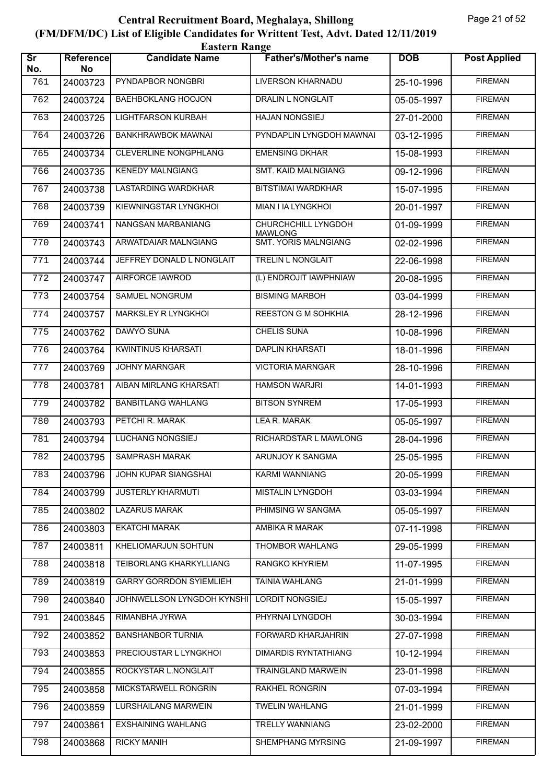| <b>Eastern Range</b>          |                 |                                |                                       |            |                     |  |  |
|-------------------------------|-----------------|--------------------------------|---------------------------------------|------------|---------------------|--|--|
| $\overline{\text{sr}}$<br>No. | Reference<br>No | <b>Candidate Name</b>          | <b>Father's/Mother's name</b>         | <b>DOB</b> | <b>Post Applied</b> |  |  |
| 761                           | 24003723        | PYNDAPBOR NONGBRI              | LIVERSON KHARNADU                     | 25-10-1996 | <b>FIREMAN</b>      |  |  |
| 762                           | 24003724        | <b>BAEHBOKLANG HOOJON</b>      | <b>DRALIN L NONGLAIT</b>              | 05-05-1997 | <b>FIREMAN</b>      |  |  |
| 763                           | 24003725        | <b>LIGHTFARSON KURBAH</b>      | <b>HAJAN NONGSIEJ</b>                 | 27-01-2000 | <b>FIREMAN</b>      |  |  |
| 764                           | 24003726        | <b>BANKHRAWBOK MAWNAI</b>      | PYNDAPLIN LYNGDOH MAWNAI              | 03-12-1995 | <b>FIREMAN</b>      |  |  |
| 765                           | 24003734        | CLEVERLINE NONGPHLANG          | <b>EMENSING DKHAR</b>                 | 15-08-1993 | <b>FIREMAN</b>      |  |  |
| 766                           | 24003735        | <b>KENEDY MALNGIANG</b>        | <b>SMT. KAID MALNGIANG</b>            | 09-12-1996 | <b>FIREMAN</b>      |  |  |
| 767                           | 24003738        | <b>LASTARDING WARDKHAR</b>     | <b>BITSTIMAI WARDKHAR</b>             | 15-07-1995 | <b>FIREMAN</b>      |  |  |
| 768                           | 24003739        | KIEWNINGSTAR LYNGKHOI          | MIAN I IA LYNGKHOI                    | 20-01-1997 | <b>FIREMAN</b>      |  |  |
| 769                           | 24003741        | NANGSAN MARBANIANG             | CHURCHCHILL LYNGDOH<br><b>MAWLONG</b> | 01-09-1999 | <b>FIREMAN</b>      |  |  |
| 770                           | 24003743        | ARWATDAIAR MALNGIANG           | <b>SMT. YORIS MALNGIANG</b>           | 02-02-1996 | <b>FIREMAN</b>      |  |  |
| 771                           | 24003744        | JEFFREY DONALD L NONGLAIT      | TRELIN L NONGLAIT                     | 22-06-1998 | <b>FIREMAN</b>      |  |  |
| 772                           | 24003747        | <b>AIRFORCE IAWROD</b>         | (L) ENDROJIT IAWPHNIAW                | 20-08-1995 | <b>FIREMAN</b>      |  |  |
| 773                           | 24003754        | SAMUEL NONGRUM                 | <b>BISMING MARBOH</b>                 | 03-04-1999 | <b>FIREMAN</b>      |  |  |
| 774                           | 24003757        | MARKSLEY R LYNGKHOI            | <b>REESTON G M SOHKHIA</b>            | 28-12-1996 | <b>FIREMAN</b>      |  |  |
| 775                           | 24003762        | <b>DAWYO SUNA</b>              | <b>CHELIS SUNA</b>                    | 10-08-1996 | <b>FIREMAN</b>      |  |  |
| 776                           | 24003764        | <b>KWINTINUS KHARSATI</b>      | <b>DAPLIN KHARSATI</b>                | 18-01-1996 | <b>FIREMAN</b>      |  |  |
| 777                           | 24003769        | <b>JOHNY MARNGAR</b>           | <b>VICTORIA MARNGAR</b>               | 28-10-1996 | <b>FIREMAN</b>      |  |  |
| 778                           | 24003781        | AIBAN MIRLANG KHARSATI         | <b>HAMSON WARJRI</b>                  | 14-01-1993 | <b>FIREMAN</b>      |  |  |
| 779                           | 24003782        | <b>BANBITLANG WAHLANG</b>      | <b>BITSON SYNREM</b>                  | 17-05-1993 | <b>FIREMAN</b>      |  |  |
| 780                           | 24003793        | PETCHI R. MARAK                | <b>LEAR. MARAK</b>                    | 05-05-1997 | <b>FIREMAN</b>      |  |  |
| 781                           | 24003794        | LUCHANG NONGSIEJ               | RICHARDSTAR L MAWLONG                 | 28-04-1996 | <b>FIREMAN</b>      |  |  |
| 782                           | 24003795        | <b>SAMPRASH MARAK</b>          | ARUNJOY K SANGMA                      | 25-05-1995 | <b>FIREMAN</b>      |  |  |
| 783                           | 24003796        | <b>JOHN KUPAR SIANGSHAI</b>    | <b>KARMI WANNIANG</b>                 | 20-05-1999 | <b>FIREMAN</b>      |  |  |
| 784                           | 24003799        | <b>JUSTERLY KHARMUTI</b>       | MISTALIN LYNGDOH                      | 03-03-1994 | <b>FIREMAN</b>      |  |  |
| 785                           | 24003802        | <b>LAZARUS MARAK</b>           | PHIMSING W SANGMA                     | 05-05-1997 | <b>FIREMAN</b>      |  |  |
| 786                           | 24003803        | <b>EKATCHI MARAK</b>           | AMBIKA R MARAK                        | 07-11-1998 | <b>FIREMAN</b>      |  |  |
| 787                           | 24003811        | KHELIOMARJUN SOHTUN            | <b>THOMBOR WAHLANG</b>                | 29-05-1999 | <b>FIREMAN</b>      |  |  |
| 788                           | 24003818        | TEIBORLANG KHARKYLLIANG        | <b>RANGKO KHYRIEM</b>                 | 11-07-1995 | <b>FIREMAN</b>      |  |  |
| 789                           | 24003819        | <b>GARRY GORRDON SYIEMLIEH</b> | <b>TAINIA WAHLANG</b>                 | 21-01-1999 | <b>FIREMAN</b>      |  |  |
| 790                           | 24003840        | JOHNWELLSON LYNGDOH KYNSHI     | LORDIT NONGSIEJ                       | 15-05-1997 | <b>FIREMAN</b>      |  |  |
| 791                           | 24003845        | RIMANBHA JYRWA                 | PHYRNAI LYNGDOH                       | 30-03-1994 | <b>FIREMAN</b>      |  |  |
| 792                           | 24003852        | <b>BANSHANBOR TURNIA</b>       | FORWARD KHARJAHRIN                    | 27-07-1998 | <b>FIREMAN</b>      |  |  |
| 793                           | 24003853        | PRECIOUSTAR L LYNGKHOI         | <b>DIMARDIS RYNTATHIANG</b>           | 10-12-1994 | <b>FIREMAN</b>      |  |  |
| 794                           | 24003855        | ROCKYSTAR L.NONGLAIT           | <b>TRAINGLAND MARWEIN</b>             | 23-01-1998 | <b>FIREMAN</b>      |  |  |
| 795                           | 24003858        | MICKSTARWELL RONGRIN           | <b>RAKHEL RONGRIN</b>                 | 07-03-1994 | <b>FIREMAN</b>      |  |  |
| 796                           | 24003859        | LURSHAILANG MARWEIN            | <b>TWELIN WAHLANG</b>                 | 21-01-1999 | <b>FIREMAN</b>      |  |  |
| 797                           | 24003861        | <b>EXSHAINING WAHLANG</b>      | <b>TRELLY WANNIANG</b>                | 23-02-2000 | <b>FIREMAN</b>      |  |  |
| 798                           | 24003868        | <b>RICKY MANIH</b>             | SHEMPHANG MYRSING                     | 21-09-1997 | <b>FIREMAN</b>      |  |  |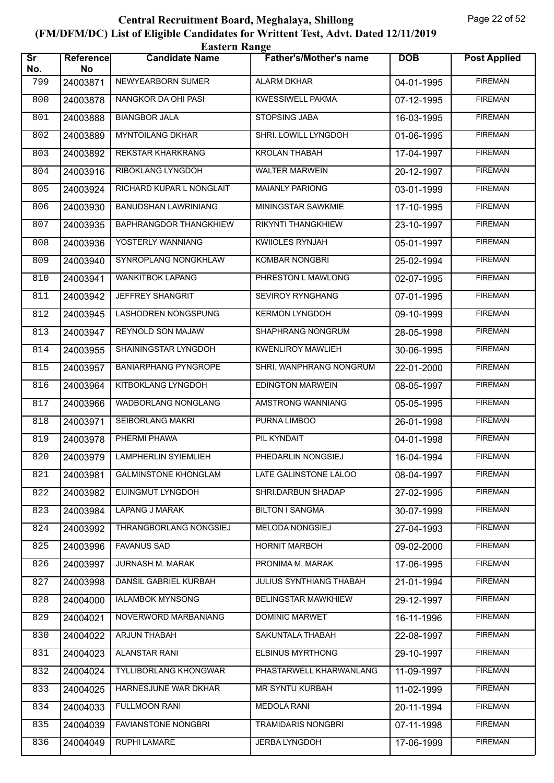| <b>Eastern Range</b>          |                        |                               |                               |            |                     |  |  |
|-------------------------------|------------------------|-------------------------------|-------------------------------|------------|---------------------|--|--|
| $\overline{\text{sr}}$<br>No. | <b>Reference</b><br>No | <b>Candidate Name</b>         | <b>Father's/Mother's name</b> | <b>DOB</b> | <b>Post Applied</b> |  |  |
| 799                           | 24003871               | NEWYEARBORN SUMER             | <b>ALARM DKHAR</b>            | 04-01-1995 | <b>FIREMAN</b>      |  |  |
| 800                           | 24003878               | NANGKOR DA OHI PASI           | <b>KWESSIWELL PAKMA</b>       | 07-12-1995 | <b>FIREMAN</b>      |  |  |
| 801                           | 24003888               | <b>BIANGBOR JALA</b>          | STOPSING JABA                 | 16-03-1995 | <b>FIREMAN</b>      |  |  |
| 802                           | 24003889               | <b>MYNTOILANG DKHAR</b>       | SHRI. LOWILL LYNGDOH          | 01-06-1995 | <b>FIREMAN</b>      |  |  |
| 803                           | 24003892               | REKSTAR KHARKRANG             | <b>KROLAN THABAH</b>          | 17-04-1997 | <b>FIREMAN</b>      |  |  |
| 804                           | 24003916               | RIBOKLANG LYNGDOH             | <b>WALTER MARWEIN</b>         | 20-12-1997 | <b>FIREMAN</b>      |  |  |
| 805                           | 24003924               | RICHARD KUPAR L NONGLAIT      | <b>MAIANLY PARIONG</b>        | 03-01-1999 | <b>FIREMAN</b>      |  |  |
| 806                           | 24003930               | <b>BANUDSHAN LAWRINIANG</b>   | MININGSTAR SAWKMIE            | 17-10-1995 | <b>FIREMAN</b>      |  |  |
| 807                           | 24003935               | <b>BAPHRANGDOR THANGKHIEW</b> | RIKYNTI THANGKHIEW            | 23-10-1997 | <b>FIREMAN</b>      |  |  |
| 808                           | 24003936               | YOSTERLY WANNIANG             | KWIIOLES RYNJAH               | 05-01-1997 | <b>FIREMAN</b>      |  |  |
| 809                           | 24003940               | SYNROPLANG NONGKHLAW          | <b>KOMBAR NONGBRI</b>         | 25-02-1994 | <b>FIREMAN</b>      |  |  |
| 810                           | 24003941               | <b>WANKITBOK LAPANG</b>       | PHRESTON L MAWLONG            | 02-07-1995 | <b>FIREMAN</b>      |  |  |
| 811                           | 24003942               | JEFFREY SHANGRIT              | SEVIROY RYNGHANG              | 07-01-1995 | <b>FIREMAN</b>      |  |  |
| 812                           | 24003945               | LASHODREN NONGSPUNG           | <b>KERMON LYNGDOH</b>         | 09-10-1999 | <b>FIREMAN</b>      |  |  |
| 813                           | 24003947               | REYNOLD SON MAJAW             | SHAPHRANG NONGRUM             | 28-05-1998 | <b>FIREMAN</b>      |  |  |
| 814                           | 24003955               | SHAININGSTAR LYNGDOH          | <b>KWENLIROY MAWLIEH</b>      | 30-06-1995 | <b>FIREMAN</b>      |  |  |
| 815                           | 24003957               | <b>BANIARPHANG PYNGROPE</b>   | SHRI. WANPHRANG NONGRUM       | 22-01-2000 | <b>FIREMAN</b>      |  |  |
| 816                           | 24003964               | KITBOKLANG LYNGDOH            | <b>EDINGTON MARWEIN</b>       | 08-05-1997 | <b>FIREMAN</b>      |  |  |
| 817                           | 24003966               | <b>WADBORLANG NONGLANG</b>    | AMSTRONG WANNIANG             | 05-05-1995 | <b>FIREMAN</b>      |  |  |
| 818                           | 24003971               | SEIBORLANG MAKRI              | PURNA LIMBOO                  | 26-01-1998 | <b>FIREMAN</b>      |  |  |
| 819                           | 24003978               | PHERMI PHAWA                  | PIL KYNDAIT                   | 04-01-1998 | <b>FIREMAN</b>      |  |  |
| 820                           | 24003979               | <b>LAMPHERLIN SYIEMLIEH</b>   | PHEDARLIN NONGSIEJ            | 16-04-1994 | <b>FIREMAN</b>      |  |  |
| 821                           | 24003981               | <b>GALMINSTONE KHONGLAM</b>   | LATE GALINSTONE LALOO         | 08-04-1997 | <b>FIREMAN</b>      |  |  |
| 822                           | 24003982               | EIJINGMUT LYNGDOH             | SHRI.DARBUN SHADAP            | 27-02-1995 | <b>FIREMAN</b>      |  |  |
| 823                           | 24003984               | LAPANG J MARAK                | <b>BILTON I SANGMA</b>        | 30-07-1999 | <b>FIREMAN</b>      |  |  |
| 824                           | 24003992               | THRANGBORLANG NONGSIEJ        | <b>MELODA NONGSIEJ</b>        | 27-04-1993 | <b>FIREMAN</b>      |  |  |
| 825                           | 24003996               | <b>FAVANUS SAD</b>            | <b>HORNIT MARBOH</b>          | 09-02-2000 | <b>FIREMAN</b>      |  |  |
| 826                           | 24003997               | JURNASH M. MARAK              | PRONIMA M. MARAK              | 17-06-1995 | <b>FIREMAN</b>      |  |  |
| 827                           | 24003998               | DANSIL GABRIEL KURBAH         | JULIUS SYNTHIANG THABAH       | 21-01-1994 | <b>FIREMAN</b>      |  |  |
| 828                           | 24004000               | <b>IALAMBOK MYNSONG</b>       | <b>BELINGSTAR MAWKHIEW</b>    | 29-12-1997 | <b>FIREMAN</b>      |  |  |
| 829                           | 24004021               | NOVERWORD MARBANIANG          | DOMINIC MARWET                | 16-11-1996 | <b>FIREMAN</b>      |  |  |
| 830                           | 24004022               | ARJUN THABAH                  | SAKUNTALA THABAH              | 22-08-1997 | <b>FIREMAN</b>      |  |  |
| 831                           | 24004023               | <b>ALANSTAR RANI</b>          | <b>ELBINUS MYRTHONG</b>       | 29-10-1997 | <b>FIREMAN</b>      |  |  |
| 832                           | 24004024               | <b>TYLLIBORLANG KHONGWAR</b>  | PHASTARWELL KHARWANLANG       | 11-09-1997 | <b>FIREMAN</b>      |  |  |
| 833                           | 24004025               | HARNESJUNE WAR DKHAR          | <b>MR SYNTU KURBAH</b>        | 11-02-1999 | <b>FIREMAN</b>      |  |  |
| 834                           | 24004033               | FULLMOON RANI                 | <b>MEDOLA RANI</b>            | 20-11-1994 | <b>FIREMAN</b>      |  |  |
| 835                           | 24004039               | FAVIANSTONE NONGBRI           | TRAMIDARIS NONGBRI            | 07-11-1998 | <b>FIREMAN</b>      |  |  |
| 836                           | 24004049               | RUPHI LAMARE                  | <b>JERBA LYNGDOH</b>          | 17-06-1999 | <b>FIREMAN</b>      |  |  |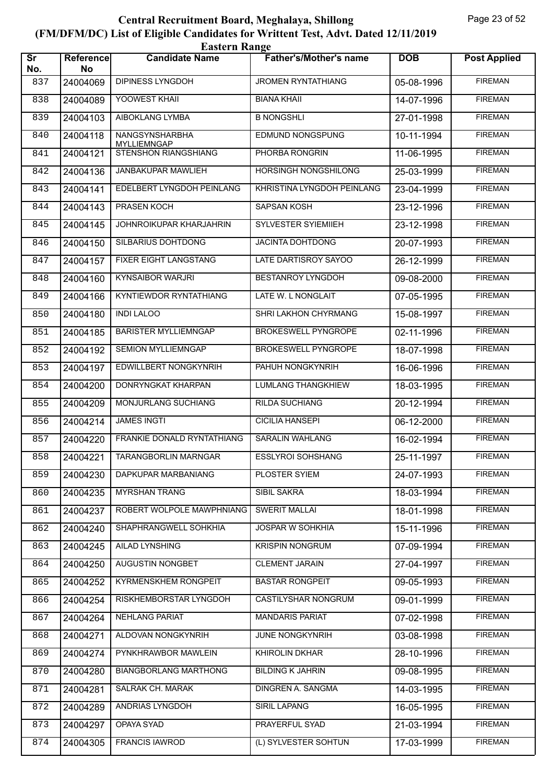| <b>Eastern Range</b>          |                 |                                      |                               |            |                     |  |  |
|-------------------------------|-----------------|--------------------------------------|-------------------------------|------------|---------------------|--|--|
| $\overline{\text{sr}}$<br>No. | Reference<br>No | <b>Candidate Name</b>                | <b>Father's/Mother's name</b> | <b>DOB</b> | <b>Post Applied</b> |  |  |
| 837                           | 24004069        | <b>DIPINESS LYNGDOH</b>              | <b>JROMEN RYNTATHIANG</b>     | 05-08-1996 | <b>FIREMAN</b>      |  |  |
| 838                           | 24004089        | YOOWEST KHAII                        | <b>BIANA KHAII</b>            | 14-07-1996 | <b>FIREMAN</b>      |  |  |
| 839                           | 24004103        | AIBOKLANG LYMBA                      | <b>B NONGSHLI</b>             | 27-01-1998 | <b>FIREMAN</b>      |  |  |
| 840                           | 24004118        | NANGSYNSHARBHA<br><b>MYLLIEMNGAP</b> | EDMUND NONGSPUNG              | 10-11-1994 | <b>FIREMAN</b>      |  |  |
| 841                           | 24004121        | <b>STENSHON RIANGSHIANG</b>          | PHORBA RONGRIN                | 11-06-1995 | <b>FIREMAN</b>      |  |  |
| 842                           | 24004136        | JANBAKUPAR MAWLIEH                   | HORSINGH NONGSHILONG          | 25-03-1999 | <b>FIREMAN</b>      |  |  |
| 843                           | 24004141        | EDELBERT LYNGDOH PEINLANG            | KHRISTINA LYNGDOH PEINLANG    | 23-04-1999 | <b>FIREMAN</b>      |  |  |
| 844                           | 24004143        | PRASEN KOCH                          | SAPSAN KOSH                   | 23-12-1996 | <b>FIREMAN</b>      |  |  |
| 845                           | 24004145        | JOHNROIKUPAR KHARJAHRIN              | SYLVESTER SYIEMIIEH           | 23-12-1998 | <b>FIREMAN</b>      |  |  |
| 846                           | 24004150        | SILBARIUS DOHTDONG                   | JACINTA DOHTDONG              | 20-07-1993 | <b>FIREMAN</b>      |  |  |
| 847                           | 24004157        | <b>FIXER EIGHT LANGSTANG</b>         | LATE DARTISROY SAYOO          | 26-12-1999 | <b>FIREMAN</b>      |  |  |
| 848                           | 24004160        | <b>KYNSAIBOR WARJRI</b>              | <b>BESTANROY LYNGDOH</b>      | 09-08-2000 | <b>FIREMAN</b>      |  |  |
| 849                           | 24004166        | KYNTIEWDOR RYNTATHIANG               | LATE W. L NONGLAIT            | 07-05-1995 | <b>FIREMAN</b>      |  |  |
| 850                           | 24004180        | <b>INDI LALOO</b>                    | SHRI LAKHON CHYRMANG          | 15-08-1997 | <b>FIREMAN</b>      |  |  |
| 851                           | 24004185        | <b>BARISTER MYLLIEMNGAP</b>          | <b>BROKESWELL PYNGROPE</b>    | 02-11-1996 | <b>FIREMAN</b>      |  |  |
| 852                           | 24004192        | <b>SEMION MYLLIEMNGAP</b>            | <b>BROKESWELL PYNGROPE</b>    | 18-07-1998 | <b>FIREMAN</b>      |  |  |
| 853                           | 24004197        | EDWILLBERT NONGKYNRIH                | PAHUH NONGKYNRIH              | 16-06-1996 | <b>FIREMAN</b>      |  |  |
| 854                           | 24004200        | DONRYNGKAT KHARPAN                   | <b>LUMLANG THANGKHIEW</b>     | 18-03-1995 | <b>FIREMAN</b>      |  |  |
| 855                           | 24004209        | MONJURLANG SUCHIANG                  | <b>RILDA SUCHIANG</b>         | 20-12-1994 | <b>FIREMAN</b>      |  |  |
| 856                           | 24004214        | <b>JAMES INGTI</b>                   | <b>CICILIA HANSEPI</b>        | 06-12-2000 | <b>FIREMAN</b>      |  |  |
| 857                           | 24004220        | FRANKIE DONALD RYNTATHIANG           | <b>SARALIN WAHLANG</b>        | 16-02-1994 | <b>FIREMAN</b>      |  |  |
| 858                           |                 | 24004221   TARANGBORLIN MARNGAR      | <b>ESSLYROI SOHSHANG</b>      | 25-11-1997 | <b>FIREMAN</b>      |  |  |
| 859                           | 24004230        | DAPKUPAR MARBANIANG                  | <b>PLOSTER SYIEM</b>          | 24-07-1993 | <b>FIREMAN</b>      |  |  |
| 860                           | 24004235        | <b>MYRSHAN TRANG</b>                 | SIBIL SAKRA                   | 18-03-1994 | <b>FIREMAN</b>      |  |  |
| 861                           | 24004237        | ROBERT WOLPOLE MAWPHNIANG            | <b>SWERIT MALLAI</b>          | 18-01-1998 | <b>FIREMAN</b>      |  |  |
| 862                           | 24004240        | SHAPHRANGWELL SOHKHIA                | <b>JOSPAR W SOHKHIA</b>       | 15-11-1996 | <b>FIREMAN</b>      |  |  |
| 863                           | 24004245        | AILAD LYNSHING                       | <b>KRISPIN NONGRUM</b>        | 07-09-1994 | <b>FIREMAN</b>      |  |  |
| 864                           | 24004250        | AUGUSTIN NONGBET                     | <b>CLEMENT JARAIN</b>         | 27-04-1997 | <b>FIREMAN</b>      |  |  |
| 865                           | 24004252        | <b>KYRMENSKHEM RONGPEIT</b>          | <b>BASTAR RONGPEIT</b>        | 09-05-1993 | <b>FIREMAN</b>      |  |  |
| 866                           | 24004254        | RISKHEMBORSTAR LYNGDOH               | <b>CASTILYSHAR NONGRUM</b>    | 09-01-1999 | <b>FIREMAN</b>      |  |  |
| 867                           | 24004264        | NEHLANG PARIAT                       | <b>MANDARIS PARIAT</b>        | 07-02-1998 | <b>FIREMAN</b>      |  |  |
| 868                           | 24004271        | ALDOVAN NONGKYNRIH                   | JUNE NONGKYNRIH               | 03-08-1998 | <b>FIREMAN</b>      |  |  |
| 869                           | 24004274        | PYNKHRAWBOR MAWLEIN                  | KHIROLIN DKHAR                | 28-10-1996 | <b>FIREMAN</b>      |  |  |
| 870                           | 24004280        | <b>BIANGBORLANG MARTHONG</b>         | <b>BILDING K JAHRIN</b>       | 09-08-1995 | <b>FIREMAN</b>      |  |  |
| 871                           | 24004281        | <b>SALRAK CH. MARAK</b>              | <b>DINGREN A. SANGMA</b>      | 14-03-1995 | <b>FIREMAN</b>      |  |  |
| 872                           | 24004289        | ANDRIAS LYNGDOH                      | SIRIL LAPANG                  | 16-05-1995 | <b>FIREMAN</b>      |  |  |
| 873                           | 24004297        | OPAYA SYAD                           | PRAYERFUL SYAD                | 21-03-1994 | <b>FIREMAN</b>      |  |  |
| 874                           | 24004305        | <b>FRANCIS IAWROD</b>                | (L) SYLVESTER SOHTUN          | 17-03-1999 | <b>FIREMAN</b>      |  |  |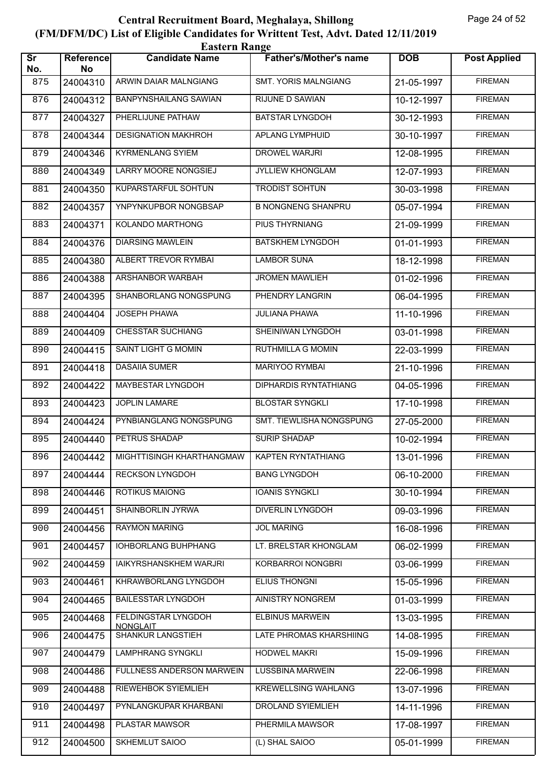| <b>Eastern Range</b>          |                 |                                        |                               |            |                     |  |  |
|-------------------------------|-----------------|----------------------------------------|-------------------------------|------------|---------------------|--|--|
| $\overline{\text{Sr}}$<br>No. | Reference<br>No | <b>Candidate Name</b>                  | <b>Father's/Mother's name</b> | <b>DOB</b> | <b>Post Applied</b> |  |  |
| 875                           | 24004310        | ARWIN DAIAR MALNGIANG                  | <b>SMT. YORIS MALNGIANG</b>   | 21-05-1997 | <b>FIREMAN</b>      |  |  |
| 876                           | 24004312        | <b>BANPYNSHAILANG SAWIAN</b>           | <b>RIJUNE D SAWIAN</b>        | 10-12-1997 | <b>FIREMAN</b>      |  |  |
| 877                           | 24004327        | PHERLIJUNE PATHAW                      | <b>BATSTAR LYNGDOH</b>        | 30-12-1993 | <b>FIREMAN</b>      |  |  |
| 878                           | 24004344        | <b>DESIGNATION MAKHROH</b>             | <b>APLANG LYMPHUID</b>        | 30-10-1997 | <b>FIREMAN</b>      |  |  |
| 879                           | 24004346        | <b>KYRMENLANG SYIEM</b>                | <b>DROWEL WARJRI</b>          | 12-08-1995 | <b>FIREMAN</b>      |  |  |
| 880                           | 24004349        | <b>LARRY MOORE NONGSIEJ</b>            | JYLLIEW KHONGLAM              | 12-07-1993 | <b>FIREMAN</b>      |  |  |
| 881                           | 24004350        | <b>KUPARSTARFUL SOHTUN</b>             | <b>TRODIST SOHTUN</b>         | 30-03-1998 | <b>FIREMAN</b>      |  |  |
| 882                           | 24004357        | YNPYNKUPBOR NONGBSAP                   | <b>B NONGNENG SHANPRU</b>     | 05-07-1994 | <b>FIREMAN</b>      |  |  |
| 883                           | 24004371        | KOLANDO MARTHONG                       | <b>PIUS THYRNIANG</b>         | 21-09-1999 | <b>FIREMAN</b>      |  |  |
| 884                           | 24004376        | <b>DIARSING MAWLEIN</b>                | <b>BATSKHEM LYNGDOH</b>       | 01-01-1993 | <b>FIREMAN</b>      |  |  |
| 885                           | 24004380        | ALBERT TREVOR RYMBAI                   | <b>LAMBOR SUNA</b>            | 18-12-1998 | <b>FIREMAN</b>      |  |  |
| 886                           | 24004388        | ARSHANBOR WARBAH                       | <b>JROMEN MAWLIEH</b>         | 01-02-1996 | <b>FIREMAN</b>      |  |  |
| 887                           | 24004395        | SHANBORLANG NONGSPUNG                  | PHENDRY LANGRIN               | 06-04-1995 | <b>FIREMAN</b>      |  |  |
| 888                           | 24004404        | <b>JOSEPH PHAWA</b>                    | <b>JULIANA PHAWA</b>          | 11-10-1996 | <b>FIREMAN</b>      |  |  |
| 889                           | 24004409        | CHESSTAR SUCHIANG                      | SHEINIWAN LYNGDOH             | 03-01-1998 | <b>FIREMAN</b>      |  |  |
| 890                           | 24004415        | SAINT LIGHT G MOMIN                    | <b>RUTHMILLA G MOMIN</b>      | 22-03-1999 | <b>FIREMAN</b>      |  |  |
| 891                           | 24004418        | <b>DASAIIA SUMER</b>                   | MARIYOO RYMBAI                | 21-10-1996 | <b>FIREMAN</b>      |  |  |
| 892                           | 24004422        | MAYBESTAR LYNGDOH                      | <b>DIPHARDIS RYNTATHIANG</b>  | 04-05-1996 | <b>FIREMAN</b>      |  |  |
| 893                           | 24004423        | <b>JOPLIN LAMARE</b>                   | <b>BLOSTAR SYNGKLI</b>        | 17-10-1998 | <b>FIREMAN</b>      |  |  |
| 894                           | 24004424        | PYNBIANGLANG NONGSPUNG                 | SMT. TIEWLISHA NONGSPUNG      | 27-05-2000 | <b>FIREMAN</b>      |  |  |
| 895                           | 24004440        | PETRUS SHADAP                          | <b>SURIP SHADAP</b>           | 10-02-1994 | <b>FIREMAN</b>      |  |  |
| 896                           | 24004442        | MIGHTTISINGH KHARTHANGMAW              | KAPTEN RYNTATHIANG            | 13-01-1996 | <b>FIREMAN</b>      |  |  |
| 897                           | 24004444        | <b>RECKSON LYNGDOH</b>                 | <b>BANG LYNGDOH</b>           | 06-10-2000 | <b>FIREMAN</b>      |  |  |
| 898                           | 24004446        | <b>ROTIKUS MAIONG</b>                  | <b>IOANIS SYNGKLI</b>         | 30-10-1994 | <b>FIREMAN</b>      |  |  |
| 899                           | 24004451        | SHAINBORLIN JYRWA                      | <b>DIVERLIN LYNGDOH</b>       | 09-03-1996 | <b>FIREMAN</b>      |  |  |
| 900                           | 24004456        | <b>RAYMON MARING</b>                   | <b>JOL MARING</b>             | 16-08-1996 | <b>FIREMAN</b>      |  |  |
| 901                           | 24004457        | IOHBORLANG BUHPHANG                    | LT. BRELSTAR KHONGLAM         | 06-02-1999 | <b>FIREMAN</b>      |  |  |
| 902                           | 24004459        | <b>IAIKYRSHANSKHEM WARJRI</b>          | <b>KORBARROI NONGBRI</b>      | 03-06-1999 | <b>FIREMAN</b>      |  |  |
| 903                           | 24004461        | KHRAWBORLANG LYNGDOH                   | ELIUS THONGNI                 | 15-05-1996 | <b>FIREMAN</b>      |  |  |
| 904                           | 24004465        | <b>BAILESSTAR LYNGDOH</b>              | AINISTRY NONGREM              | 01-03-1999 | <b>FIREMAN</b>      |  |  |
| 905                           | 24004468        | FELDINGSTAR LYNGDOH<br><b>NONGLAIT</b> | <b>ELBINUS MARWEIN</b>        | 13-03-1995 | <b>FIREMAN</b>      |  |  |
| 906                           | 24004475        | <b>SHANKUR LANGSTIEH</b>               | LATE PHROMAS KHARSHIING       | 14-08-1995 | <b>FIREMAN</b>      |  |  |
| 907                           | 24004479        | <b>LAMPHRANG SYNGKLI</b>               | <b>HODWEL MAKRI</b>           | 15-09-1996 | <b>FIREMAN</b>      |  |  |
| 908                           | 24004486        | FULLNESS ANDERSON MARWEIN              | <b>LUSSBINA MARWEIN</b>       | 22-06-1998 | <b>FIREMAN</b>      |  |  |
| 909                           | 24004488        | RIEWEHBOK SYIEMLIEH                    | <b>KREWELLSING WAHLANG</b>    | 13-07-1996 | <b>FIREMAN</b>      |  |  |
| 910                           | 24004497        | PYNLANGKUPAR KHARBANI                  | DROLAND SYIEMLIEH             | 14-11-1996 | <b>FIREMAN</b>      |  |  |
| 911                           | 24004498        | PLASTAR MAWSOR                         | PHERMILA MAWSOR               | 17-08-1997 | <b>FIREMAN</b>      |  |  |
| 912                           | 24004500        | SKHEMLUT SAIOO                         | (L) SHAL SAIOO                | 05-01-1999 | <b>FIREMAN</b>      |  |  |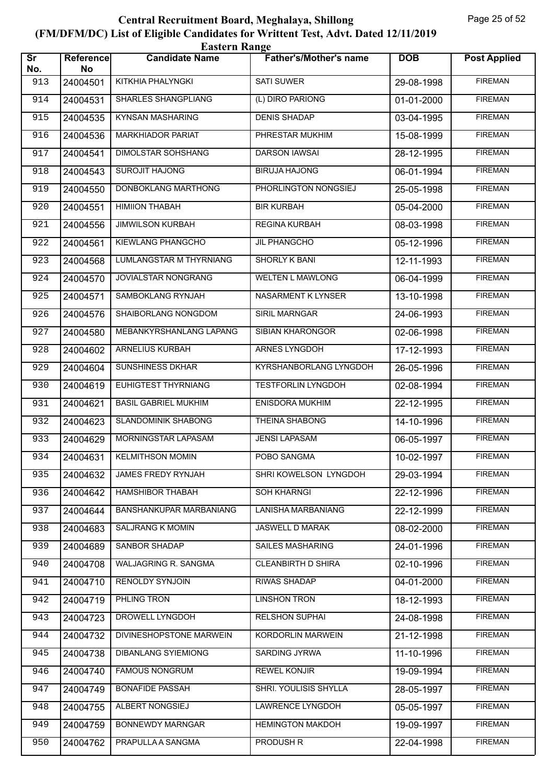| <b>Eastern Range</b>          |                 |                             |                               |            |                     |  |  |
|-------------------------------|-----------------|-----------------------------|-------------------------------|------------|---------------------|--|--|
| $\overline{\text{sr}}$<br>No. | Reference<br>No | <b>Candidate Name</b>       | <b>Father's/Mother's name</b> | <b>DOB</b> | <b>Post Applied</b> |  |  |
| 913                           | 24004501        | KITKHIA PHALYNGKI           | <b>SATI SUWER</b>             | 29-08-1998 | <b>FIREMAN</b>      |  |  |
| 914                           | 24004531        | <b>SHARLES SHANGPLIANG</b>  | (L) DIRO PARIONG              | 01-01-2000 | <b>FIREMAN</b>      |  |  |
| 915                           | 24004535        | <b>KYNSAN MASHARING</b>     | <b>DENIS SHADAP</b>           | 03-04-1995 | <b>FIREMAN</b>      |  |  |
| 916                           | 24004536        | <b>MARKHIADOR PARIAT</b>    | PHRESTAR MUKHIM               | 15-08-1999 | <b>FIREMAN</b>      |  |  |
| 917                           | 24004541        | <b>DIMOLSTAR SOHSHANG</b>   | <b>DARSON IAWSAI</b>          | 28-12-1995 | <b>FIREMAN</b>      |  |  |
| 918                           | 24004543        | <b>SUROJIT HAJONG</b>       | <b>BIRUJA HAJONG</b>          | 06-01-1994 | <b>FIREMAN</b>      |  |  |
| 919                           | 24004550        | DONBOKLANG MARTHONG         | PHORLINGTON NONGSIEJ          | 25-05-1998 | <b>FIREMAN</b>      |  |  |
| 920                           | 24004551        | <b>HIMIION THABAH</b>       | <b>BIR KURBAH</b>             | 05-04-2000 | <b>FIREMAN</b>      |  |  |
| 921                           | 24004556        | <b>JIMWILSON KURBAH</b>     | <b>REGINA KURBAH</b>          | 08-03-1998 | <b>FIREMAN</b>      |  |  |
| 922                           | 24004561        | KIEWLANG PHANGCHO           | JIL PHANGCHO                  | 05-12-1996 | <b>FIREMAN</b>      |  |  |
| 923                           | 24004568        | LUMLANGSTAR M THYRNIANG     | <b>SHORLY K BANI</b>          | 12-11-1993 | <b>FIREMAN</b>      |  |  |
| 924                           | 24004570        | <b>JOVIALSTAR NONGRANG</b>  | <b>WELTEN L MAWLONG</b>       | 06-04-1999 | <b>FIREMAN</b>      |  |  |
| 925                           | 24004571        | SAMBOKLANG RYNJAH           | NASARMENT K LYNSER            | 13-10-1998 | <b>FIREMAN</b>      |  |  |
| 926                           | 24004576        | SHAIBORLANG NONGDOM         | SIRIL MARNGAR                 | 24-06-1993 | <b>FIREMAN</b>      |  |  |
| 927                           | 24004580        | MEBANKYRSHANLANG LAPANG     | SIBIAN KHARONGOR              | 02-06-1998 | <b>FIREMAN</b>      |  |  |
| 928                           | 24004602        | ARNELIUS KURBAH             | <b>ARNES LYNGDOH</b>          | 17-12-1993 | <b>FIREMAN</b>      |  |  |
| 929                           | 24004604        | <b>SUNSHINESS DKHAR</b>     | KYRSHANBORLANG LYNGDOH        | 26-05-1996 | <b>FIREMAN</b>      |  |  |
| 930                           | 24004619        | EUHIGTEST THYRNIANG         | <b>TESTFORLIN LYNGDOH</b>     | 02-08-1994 | <b>FIREMAN</b>      |  |  |
| 931                           | 24004621        | <b>BASIL GABRIEL MUKHIM</b> | <b>ENISDORA MUKHIM</b>        | 22-12-1995 | <b>FIREMAN</b>      |  |  |
| 932                           | 24004623        | <b>SLANDOMINIK SHABONG</b>  | <b>THEINA SHABONG</b>         | 14-10-1996 | <b>FIREMAN</b>      |  |  |
| 933                           | 24004629        | MORNINGSTAR LAPASAM         | <b>JENSI LAPASAM</b>          | 06-05-1997 | <b>FIREMAN</b>      |  |  |
| 934                           | 24004631        | <b>KELMITHSON MOMIN</b>     | POBO SANGMA                   | 10-02-1997 | <b>FIREMAN</b>      |  |  |
| 935                           | 24004632        | <b>JAMES FREDY RYNJAH</b>   | SHRI KOWELSON LYNGDOH         | 29-03-1994 | <b>FIREMAN</b>      |  |  |
| 936                           | 24004642        | <b>HAMSHIBOR THABAH</b>     | <b>SOH KHARNGI</b>            | 22-12-1996 | <b>FIREMAN</b>      |  |  |
| 937                           | 24004644        | BANSHANKUPAR MARBANIANG     | LANISHA MARBANIANG            | 22-12-1999 | <b>FIREMAN</b>      |  |  |
| 938                           | 24004683        | <b>SALJRANG K MOMIN</b>     | JASWELL D MARAK               | 08-02-2000 | <b>FIREMAN</b>      |  |  |
| 939                           | 24004689        | SANBOR SHADAP               | SAILES MASHARING              | 24-01-1996 | <b>FIREMAN</b>      |  |  |
| 940                           | 24004708        | WALJAGRING R. SANGMA        | <b>CLEANBIRTH D SHIRA</b>     | 02-10-1996 | <b>FIREMAN</b>      |  |  |
| 941                           | 24004710        | RENOLDY SYNJOIN             | RIWAS SHADAP                  | 04-01-2000 | <b>FIREMAN</b>      |  |  |
| 942                           | 24004719        | PHLING TRON                 | <b>LINSHON TRON</b>           | 18-12-1993 | <b>FIREMAN</b>      |  |  |
| 943                           | 24004723        | DROWELL LYNGDOH             | <b>RELSHON SUPHAI</b>         | 24-08-1998 | <b>FIREMAN</b>      |  |  |
| 944                           | 24004732        | DIVINESHOPSTONE MARWEIN     | KORDORLIN MARWEIN             | 21-12-1998 | <b>FIREMAN</b>      |  |  |
| 945                           | 24004738        | DIBANLANG SYIEMIONG         | <b>SARDING JYRWA</b>          | 11-10-1996 | <b>FIREMAN</b>      |  |  |
| 946                           | 24004740        | <b>FAMOUS NONGRUM</b>       | <b>REWEL KONJIR</b>           | 19-09-1994 | <b>FIREMAN</b>      |  |  |
| 947                           | 24004749        | <b>BONAFIDE PASSAH</b>      | SHRI. YOULISIS SHYLLA         | 28-05-1997 | <b>FIREMAN</b>      |  |  |
| 948                           | 24004755        | ALBERT NONGSIEJ             | LAWRENCE LYNGDOH              | 05-05-1997 | <b>FIREMAN</b>      |  |  |
| 949                           | 24004759        | <b>BONNEWDY MARNGAR</b>     | <b>HEMINGTON MAKDOH</b>       | 19-09-1997 | <b>FIREMAN</b>      |  |  |
| 950                           | 24004762        | PRAPULLA A SANGMA           | PRODUSH R                     | 22-04-1998 | <b>FIREMAN</b>      |  |  |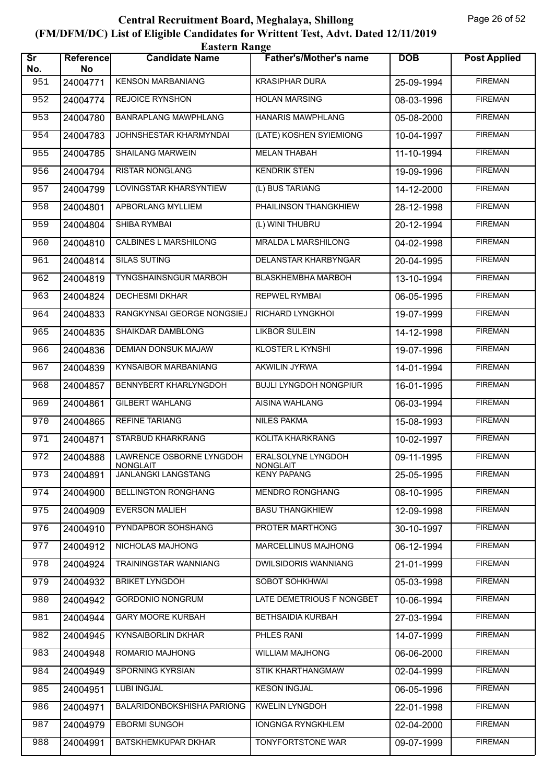|                               | <b>Eastern Range</b>   |                                                        |                                       |                  |                     |  |  |  |
|-------------------------------|------------------------|--------------------------------------------------------|---------------------------------------|------------------|---------------------|--|--|--|
| $\overline{\text{Sr}}$<br>No. | <b>Reference</b><br>No | <b>Candidate Name</b>                                  | <b>Father's/Mother's name</b>         | <b>DOB</b>       | <b>Post Applied</b> |  |  |  |
| 951                           | 24004771               | <b>KENSON MARBANIANG</b>                               | <b>KRASIPHAR DURA</b>                 | 25-09-1994       | <b>FIREMAN</b>      |  |  |  |
| 952                           | 24004774               | <b>REJOICE RYNSHON</b>                                 | <b>HOLAN MARSING</b>                  | 08-03-1996       | <b>FIREMAN</b>      |  |  |  |
| 953                           | 24004780               | <b>BANRAPLANG MAWPHLANG</b>                            | <b>HANARIS MAWPHLANG</b>              | $05 - 08 - 2000$ | <b>FIREMAN</b>      |  |  |  |
| 954                           | 24004783               | JOHNSHESTAR KHARMYNDAI                                 | (LATE) KOSHEN SYIEMIONG               | 10-04-1997       | <b>FIREMAN</b>      |  |  |  |
| 955                           | 24004785               | <b>SHAILANG MARWEIN</b>                                | <b>MELAN THABAH</b>                   | 11-10-1994       | <b>FIREMAN</b>      |  |  |  |
| 956                           | 24004794               | <b>RISTAR NONGLANG</b>                                 | <b>KENDRIK STEN</b>                   | 19-09-1996       | <b>FIREMAN</b>      |  |  |  |
| 957                           | 24004799               | <b>LOVINGSTAR KHARSYNTIEW</b>                          | (L) BUS TARIANG                       | 14-12-2000       | <b>FIREMAN</b>      |  |  |  |
| 958                           | 24004801               | APBORLANG MYLLIEM                                      | PHAILINSON THANGKHIEW                 | 28-12-1998       | <b>FIREMAN</b>      |  |  |  |
| 959                           | 24004804               | SHIBA RYMBAI                                           | (L) WINI THUBRU                       | 20-12-1994       | <b>FIREMAN</b>      |  |  |  |
| 960                           | 24004810               | CALBINES L MARSHILONG                                  | <b>MRALDA L MARSHILONG</b>            | 04-02-1998       | <b>FIREMAN</b>      |  |  |  |
| 961                           | 24004814               | <b>SILAS SUTING</b>                                    | DELANSTAR KHARBYNGAR                  | 20-04-1995       | <b>FIREMAN</b>      |  |  |  |
| 962                           | 24004819               | <b>TYNGSHAINSNGUR MARBOH</b>                           | <b>BLASKHEMBHA MARBOH</b>             | 13-10-1994       | <b>FIREMAN</b>      |  |  |  |
| 963                           | 24004824               | <b>DECHESMI DKHAR</b>                                  | <b>REPWEL RYMBAI</b>                  | 06-05-1995       | <b>FIREMAN</b>      |  |  |  |
| 964                           | 24004833               | RANGKYNSAI GEORGE NONGSIEJ                             | RICHARD LYNGKHOI                      | 19-07-1999       | <b>FIREMAN</b>      |  |  |  |
| 965                           | 24004835               | SHAIKDAR DAMBLONG                                      | <b>LIKBOR SULEIN</b>                  | 14-12-1998       | <b>FIREMAN</b>      |  |  |  |
| 966                           | 24004836               | <b>DEMIAN DONSUK MAJAW</b>                             | <b>KLOSTER L KYNSHI</b>               | 19-07-1996       | <b>FIREMAN</b>      |  |  |  |
| 967                           | 24004839               | KYNSAIBOR MARBANIANG                                   | AKWILIN JYRWA                         | 14-01-1994       | <b>FIREMAN</b>      |  |  |  |
| 968                           | 24004857               | BENNYBERT KHARLYNGDOH                                  | <b>BUJLI LYNGDOH NONGPIUR</b>         | 16-01-1995       | <b>FIREMAN</b>      |  |  |  |
| 969                           | 24004861               | <b>GILBERT WAHLANG</b>                                 | <b>AISINA WAHLANG</b>                 | 06-03-1994       | <b>FIREMAN</b>      |  |  |  |
| 970                           | 24004865               | <b>REFINE TARIANG</b>                                  | <b>NILES PAKMA</b>                    | 15-08-1993       | <b>FIREMAN</b>      |  |  |  |
| 971                           | 24004871               | STARBUD KHARKRANG                                      | KOLITA KHARKRANG                      | 10-02-1997       | <b>FIREMAN</b>      |  |  |  |
| 972                           |                        | 24004888   LAWRENCE OSBORNE LYNGDOH<br><b>NONGLAIT</b> | ERALSOLYNE LYNGDOH<br><b>NONGLAIT</b> | 09-11-1995       | <b>FIREMAN</b>      |  |  |  |
| 973                           | 24004891               | JANLANGKI LANGSTANG                                    | <b>KENY PAPANG</b>                    | 25-05-1995       | <b>FIREMAN</b>      |  |  |  |
| 974                           | 24004900               | <b>BELLINGTON RONGHANG</b>                             | <b>MENDRO RONGHANG</b>                | 08-10-1995       | <b>FIREMAN</b>      |  |  |  |
| 975                           | 24004909               | <b>EVERSON MALIEH</b>                                  | <b>BASU THANGKHIEW</b>                | 12-09-1998       | <b>FIREMAN</b>      |  |  |  |
| 976                           | 24004910               | PYNDAPBOR SOHSHANG                                     | PROTER MARTHONG                       | 30-10-1997       | <b>FIREMAN</b>      |  |  |  |
| 977                           | 24004912               | NICHOLAS MAJHONG                                       | MARCELLINUS MAJHONG                   | 06-12-1994       | <b>FIREMAN</b>      |  |  |  |
| 978                           | 24004924               | TRAININGSTAR WANNIANG                                  | <b>DWILSIDORIS WANNIANG</b>           | 21-01-1999       | <b>FIREMAN</b>      |  |  |  |
| 979                           | 24004932               | <b>BRIKET LYNGDOH</b>                                  | SOBOT SOHKHWAI                        | 05-03-1998       | <b>FIREMAN</b>      |  |  |  |
| 980                           | 24004942               | <b>GORDONIO NONGRUM</b>                                | LATE DEMETRIOUS F NONGBET             | 10-06-1994       | <b>FIREMAN</b>      |  |  |  |
| 981                           | 24004944               | <b>GARY MOORE KURBAH</b>                               | <b>BETHSAIDIA KURBAH</b>              | 27-03-1994       | <b>FIREMAN</b>      |  |  |  |
| 982                           | 24004945               | KYNSAIBORLIN DKHAR                                     | PHLES RANI                            | 14-07-1999       | <b>FIREMAN</b>      |  |  |  |
| 983                           | 24004948               | ROMARIO MAJHONG                                        | <b>WILLIAM MAJHONG</b>                | 06-06-2000       | <b>FIREMAN</b>      |  |  |  |
| 984                           | 24004949               | SPORNING KYRSIAN                                       | <b>STIK KHARTHANGMAW</b>              | 02-04-1999       | <b>FIREMAN</b>      |  |  |  |
| 985                           | 24004951               | <b>LUBI INGJAL</b>                                     | <b>KESON INGJAL</b>                   | 06-05-1996       | <b>FIREMAN</b>      |  |  |  |
| 986                           | 24004971               | <b>BALARIDONBOKSHISHA PARIONG</b>                      | <b>KWELIN LYNGDOH</b>                 | 22-01-1998       | <b>FIREMAN</b>      |  |  |  |
| 987                           | 24004979               | <b>EBORMI SUNGOH</b>                                   | <b>IONGNGA RYNGKHLEM</b>              | 02-04-2000       | <b>FIREMAN</b>      |  |  |  |
| 988                           | 24004991               | BATSKHEMKUPAR DKHAR                                    | TONYFORTSTONE WAR                     | 09-07-1999       | <b>FIREMAN</b>      |  |  |  |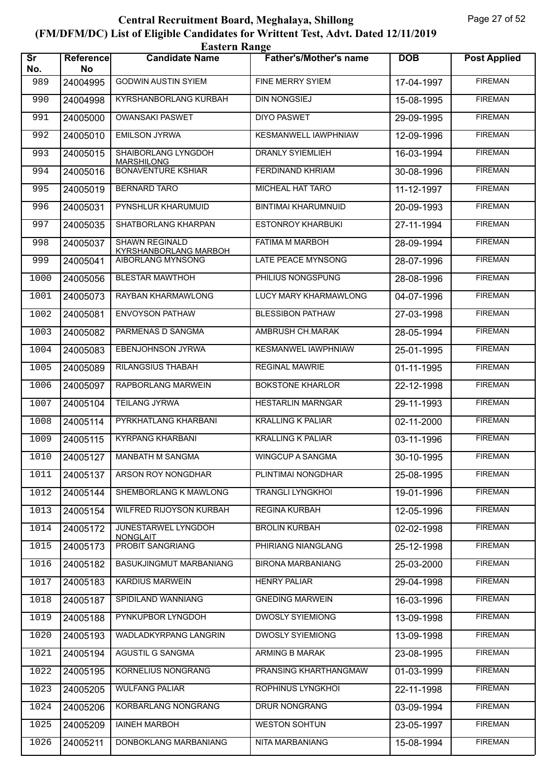|                               | <b>Eastern Range</b>   |                                                       |                               |            |                     |  |  |  |
|-------------------------------|------------------------|-------------------------------------------------------|-------------------------------|------------|---------------------|--|--|--|
| $\overline{\text{sr}}$<br>No. | <b>Reference</b><br>No | <b>Candidate Name</b>                                 | <b>Father's/Mother's name</b> | <b>DOB</b> | <b>Post Applied</b> |  |  |  |
| 989                           | 24004995               | <b>GODWIN AUSTIN SYIEM</b>                            | FINE MERRY SYIEM              | 17-04-1997 | <b>FIREMAN</b>      |  |  |  |
| 990                           | 24004998               | KYRSHANBORLANG KURBAH                                 | <b>DIN NONGSIEJ</b>           | 15-08-1995 | <b>FIREMAN</b>      |  |  |  |
| 991                           | 24005000               | <b>OWANSAKI PASWET</b>                                | <b>DIYO PASWET</b>            | 29-09-1995 | <b>FIREMAN</b>      |  |  |  |
| 992                           | 24005010               | <b>EMILSON JYRWA</b>                                  | KESMANWELL IAWPHNIAW          | 12-09-1996 | <b>FIREMAN</b>      |  |  |  |
| 993                           | 24005015               | SHAIBORLANG LYNGDOH<br><b>MARSHILONG</b>              | <b>DRANLY SYIEMLIEH</b>       | 16-03-1994 | <b>FIREMAN</b>      |  |  |  |
| 994                           | 24005016               | <b>BONAVENTURE KSHIAR</b>                             | FERDINAND KHRIAM              | 30-08-1996 | <b>FIREMAN</b>      |  |  |  |
| 995                           | 24005019               | <b>BERNARD TARO</b>                                   | <b>MICHEAL HAT TARO</b>       | 11-12-1997 | <b>FIREMAN</b>      |  |  |  |
| 996                           | 24005031               | PYNSHLUR KHARUMUID                                    | <b>BINTIMAI KHARUMNUID</b>    | 20-09-1993 | <b>FIREMAN</b>      |  |  |  |
| 997                           | 24005035               | SHATBORLANG KHARPAN                                   | <b>ESTONROY KHARBUKI</b>      | 27-11-1994 | <b>FIREMAN</b>      |  |  |  |
| 998                           | 24005037               | <b>SHAWN REGINALD</b><br><b>KYRSHANBORLANG MARBOH</b> | <b>FATIMA M MARBOH</b>        | 28-09-1994 | <b>FIREMAN</b>      |  |  |  |
| 999                           | 24005041               | <b>AIBORLANG MYNSONG</b>                              | LATE PEACE MYNSONG            | 28-07-1996 | <b>FIREMAN</b>      |  |  |  |
| 1000                          | 24005056               | <b>BLESTAR MAWTHOH</b>                                | PHILIUS NONGSPUNG             | 28-08-1996 | <b>FIREMAN</b>      |  |  |  |
| 1001                          | 24005073               | RAYBAN KHARMAWLONG                                    | <b>LUCY MARY KHARMAWLONG</b>  | 04-07-1996 | <b>FIREMAN</b>      |  |  |  |
| 1002                          | 24005081               | <b>ENVOYSON PATHAW</b>                                | <b>BLESSIBON PATHAW</b>       | 27-03-1998 | <b>FIREMAN</b>      |  |  |  |
| 1003                          | 24005082               | PARMENAS D SANGMA                                     | AMBRUSH CH.MARAK              | 28-05-1994 | <b>FIREMAN</b>      |  |  |  |
| 1004                          | 24005083               | <b>EBENJOHNSON JYRWA</b>                              | KESMANWEL IAWPHNIAW           | 25-01-1995 | <b>FIREMAN</b>      |  |  |  |
| 1005                          | 24005089               | RILANGSIUS THABAH                                     | <b>REGINAL MAWRIE</b>         | 01-11-1995 | <b>FIREMAN</b>      |  |  |  |
| 1006                          | 24005097               | RAPBORLANG MARWEIN                                    | <b>BOKSTONE KHARLOR</b>       | 22-12-1998 | <b>FIREMAN</b>      |  |  |  |
| 1007                          | 24005104               | <b>TEILANG JYRWA</b>                                  | <b>HESTARLIN MARNGAR</b>      | 29-11-1993 | <b>FIREMAN</b>      |  |  |  |
| 1008                          | 24005114               | PYRKHATLANG KHARBANI                                  | <b>KRALLING K PALIAR</b>      | 02-11-2000 | <b>FIREMAN</b>      |  |  |  |
| 1009                          | 24005115               | <b>KYRPANG KHARBANI</b>                               | <b>KRALLING K PALIAR</b>      | 03-11-1996 | <b>FIREMAN</b>      |  |  |  |
| 1010                          |                        | 24005127   MANBATH M SANGMA                           | WINGCUP A SANGMA              | 30-10-1995 | <b>FIREMAN</b>      |  |  |  |
| 1011                          | 24005137               | ARSON ROY NONGDHAR                                    | PLINTIMAI NONGDHAR            | 25-08-1995 | <b>FIREMAN</b>      |  |  |  |
| 1012                          | 24005144               | SHEMBORLANG K MAWLONG                                 | <b>TRANGLI LYNGKHOI</b>       | 19-01-1996 | <b>FIREMAN</b>      |  |  |  |
| 1013                          | 24005154               | WILFRED RIJOYSON KURBAH                               | <b>REGINA KURBAH</b>          | 12-05-1996 | <b>FIREMAN</b>      |  |  |  |
| 1014                          | 24005172               | JUNESTARWEL LYNGDOH<br>NONGLAIT                       | <b>BROLIN KURBAH</b>          | 02-02-1998 | <b>FIREMAN</b>      |  |  |  |
| 1015                          | 24005173               | <b>PROBIT SANGRIANG</b>                               | PHIRIANG NIANGLANG            | 25-12-1998 | <b>FIREMAN</b>      |  |  |  |
| 1016                          | 24005182               | BASUKJINGMUT MARBANIANG                               | <b>BIRONA MARBANIANG</b>      | 25-03-2000 | <b>FIREMAN</b>      |  |  |  |
| 1017                          | 24005183               | <b>KARDIUS MARWEIN</b>                                | <b>HENRY PALIAR</b>           | 29-04-1998 | <b>FIREMAN</b>      |  |  |  |
| 1018                          | 24005187               | SPIDILAND WANNIANG                                    | <b>GNEDING MARWEIN</b>        | 16-03-1996 | <b>FIREMAN</b>      |  |  |  |
| 1019                          | 24005188               | PYNKUPBOR LYNGDOH                                     | <b>DWOSLY SYIEMIONG</b>       | 13-09-1998 | <b>FIREMAN</b>      |  |  |  |
| 1020                          | 24005193               | WADLADKYRPANG LANGRIN                                 | <b>DWOSLY SYIEMIONG</b>       | 13-09-1998 | <b>FIREMAN</b>      |  |  |  |
| 1021                          | 24005194               | AGUSTIL G SANGMA                                      | ARMING B MARAK                | 23-08-1995 | <b>FIREMAN</b>      |  |  |  |
| 1022                          | 24005195               | <b>KORNELIUS NONGRANG</b>                             | PRANSING KHARTHANGMAW         | 01-03-1999 | <b>FIREMAN</b>      |  |  |  |
| 1023                          | 24005205               | <b>WULFANG PALIAR</b>                                 | ROPHINUS LYNGKHOI             | 22-11-1998 | <b>FIREMAN</b>      |  |  |  |
| 1024                          | 24005206               | KORBARLANG NONGRANG                                   | DRUR NONGRANG                 | 03-09-1994 | <b>FIREMAN</b>      |  |  |  |
| 1025                          | 24005209               | <b>IAINEH MARBOH</b>                                  | <b>WESTON SOHTUN</b>          | 23-05-1997 | <b>FIREMAN</b>      |  |  |  |
| 1026                          | 24005211               | DONBOKLANG MARBANIANG                                 | NITA MARBANIANG               | 15-08-1994 | <b>FIREMAN</b>      |  |  |  |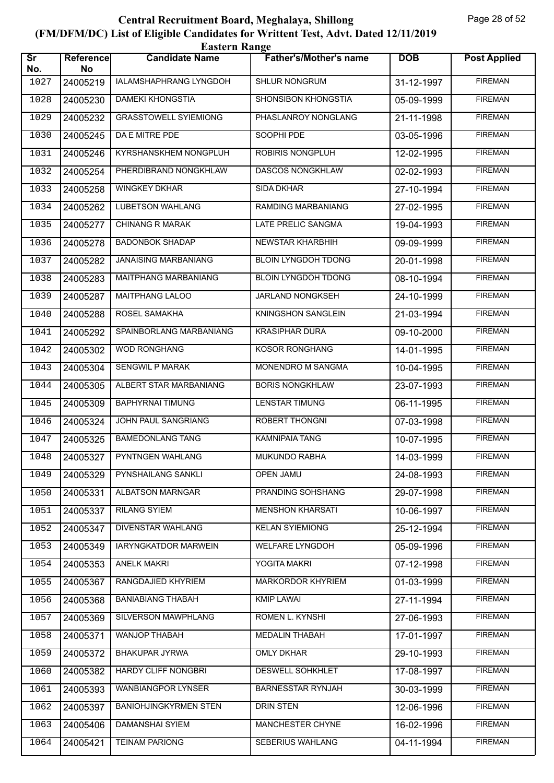|                               | <b>Eastern Range</b>   |                              |                               |            |                     |  |  |  |
|-------------------------------|------------------------|------------------------------|-------------------------------|------------|---------------------|--|--|--|
| $\overline{\text{sr}}$<br>No. | <b>Reference</b><br>No | <b>Candidate Name</b>        | <b>Father's/Mother's name</b> | <b>DOB</b> | <b>Post Applied</b> |  |  |  |
| 1027                          | 24005219               | IALAMSHAPHRANG LYNGDOH       | SHLUR NONGRUM                 | 31-12-1997 | <b>FIREMAN</b>      |  |  |  |
| 1028                          | 24005230               | <b>DAMEKI KHONGSTIA</b>      | <b>SHONSIBON KHONGSTIA</b>    | 05-09-1999 | <b>FIREMAN</b>      |  |  |  |
| 1029                          | 24005232               | <b>GRASSTOWELL SYIEMIONG</b> | PHASLANROY NONGLANG           | 21-11-1998 | <b>FIREMAN</b>      |  |  |  |
| 1030                          | 24005245               | DA E MITRE PDE               | SOOPHI PDE                    | 03-05-1996 | <b>FIREMAN</b>      |  |  |  |
| 1031                          | 24005246               | KYRSHANSKHEM NONGPLUH        | ROBIRIS NONGPLUH              | 12-02-1995 | <b>FIREMAN</b>      |  |  |  |
| 1032                          | 24005254               | PHERDIBRAND NONGKHLAW        | <b>DASCOS NONGKHLAW</b>       | 02-02-1993 | <b>FIREMAN</b>      |  |  |  |
| 1033                          | 24005258               | <b>WINGKEY DKHAR</b>         | <b>SIDA DKHAR</b>             | 27-10-1994 | <b>FIREMAN</b>      |  |  |  |
| 1034                          | 24005262               | <b>LUBETSON WAHLANG</b>      | RAMDING MARBANIANG            | 27-02-1995 | <b>FIREMAN</b>      |  |  |  |
| 1035                          | 24005277               | <b>CHINANG R MARAK</b>       | LATE PRELIC SANGMA            | 19-04-1993 | <b>FIREMAN</b>      |  |  |  |
| 1036                          | 24005278               | <b>BADONBOK SHADAP</b>       | NEWSTAR KHARBHIH              | 09-09-1999 | <b>FIREMAN</b>      |  |  |  |
| 1037                          | 24005282               | <b>JANAISING MARBANIANG</b>  | <b>BLOIN LYNGDOH TDONG</b>    | 20-01-1998 | <b>FIREMAN</b>      |  |  |  |
| 1038                          | 24005283               | <b>MAITPHANG MARBANIANG</b>  | <b>BLOIN LYNGDOH TDONG</b>    | 08-10-1994 | <b>FIREMAN</b>      |  |  |  |
| 1039                          | 24005287               | <b>MAITPHANG LALOO</b>       | JARLAND NONGKSEH              | 24-10-1999 | <b>FIREMAN</b>      |  |  |  |
| 1040                          | 24005288               | ROSEL SAMAKHA                | KNINGSHON SANGLEIN            | 21-03-1994 | <b>FIREMAN</b>      |  |  |  |
| 1041                          | 24005292               | SPAINBORLANG MARBANIANG      | <b>KRASIPHAR DURA</b>         | 09-10-2000 | <b>FIREMAN</b>      |  |  |  |
| 1042                          | 24005302               | <b>WOD RONGHANG</b>          | <b>KOSOR RONGHANG</b>         | 14-01-1995 | <b>FIREMAN</b>      |  |  |  |
| 1043                          | 24005304               | <b>SENGWIL P MARAK</b>       | MONENDRO M SANGMA             | 10-04-1995 | <b>FIREMAN</b>      |  |  |  |
| 1044                          | 24005305               | ALBERT STAR MARBANIANG       | <b>BORIS NONGKHLAW</b>        | 23-07-1993 | <b>FIREMAN</b>      |  |  |  |
| 1045                          | 24005309               | <b>BAPHYRNAI TIMUNG</b>      | <b>LENSTAR TIMUNG</b>         | 06-11-1995 | <b>FIREMAN</b>      |  |  |  |
| 1046                          | 24005324               | JOHN PAUL SANGRIANG          | ROBERT THONGNI                | 07-03-1998 | <b>FIREMAN</b>      |  |  |  |
| 1047                          | 24005325               | <b>BAMEDONLANG TANG</b>      | <b>KAMNIPAIA TANG</b>         | 10-07-1995 | <b>FIREMAN</b>      |  |  |  |
| 1048                          |                        | 24005327 PYNTNGEN WAHLANG    | <b>MUKUNDO RABHA</b>          | 14-03-1999 | <b>FIREMAN</b>      |  |  |  |
| 1049                          | 24005329               | PYNSHAILANG SANKLI           | <b>OPEN JAMU</b>              | 24-08-1993 | <b>FIREMAN</b>      |  |  |  |
| 1050                          | 24005331               | ALBATSON MARNGAR             | PRANDING SOHSHANG             | 29-07-1998 | <b>FIREMAN</b>      |  |  |  |
| 1051                          | 24005337               | <b>RILANG SYIEM</b>          | <b>MENSHON KHARSATI</b>       | 10-06-1997 | <b>FIREMAN</b>      |  |  |  |
| 1052                          | 24005347               | DIVENSTAR WAHLANG            | <b>KELAN SYIEMIONG</b>        | 25-12-1994 | <b>FIREMAN</b>      |  |  |  |
| 1053                          | 24005349               | IARYNGKATDOR MARWEIN         | WELFARE LYNGDOH               | 05-09-1996 | <b>FIREMAN</b>      |  |  |  |
| 1054                          | 24005353               | <b>ANELK MAKRI</b>           | YOGITA MAKRI                  | 07-12-1998 | <b>FIREMAN</b>      |  |  |  |
| 1055                          | 24005367               | RANGDAJIED KHYRIEM           | <b>MARKORDOR KHYRIEM</b>      | 01-03-1999 | <b>FIREMAN</b>      |  |  |  |
| 1056                          | 24005368               | <b>BANIABIANG THABAH</b>     | <b>KMIP LAWAI</b>             | 27-11-1994 | <b>FIREMAN</b>      |  |  |  |
| 1057                          | 24005369               | SILVERSON MAWPHLANG          | ROMEN L. KYNSHI               | 27-06-1993 | <b>FIREMAN</b>      |  |  |  |
| 1058                          | 24005371               | WANJOP THABAH                | MEDALIN THABAH                | 17-01-1997 | <b>FIREMAN</b>      |  |  |  |
| 1059                          | 24005372               | BHAKUPAR JYRWA               | <b>OMLY DKHAR</b>             | 29-10-1993 | <b>FIREMAN</b>      |  |  |  |
| 1060                          | 24005382               | <b>HARDY CLIFF NONGBRI</b>   | <b>DESWELL SOHKHLET</b>       | 17-08-1997 | <b>FIREMAN</b>      |  |  |  |
| 1061                          | 24005393               | <b>WANBIANGPOR LYNSER</b>    | <b>BARNESSTAR RYNJAH</b>      | 30-03-1999 | <b>FIREMAN</b>      |  |  |  |
| 1062                          | 24005397               | <b>BANIOHJINGKYRMEN STEN</b> | DRIN STEN                     | 12-06-1996 | <b>FIREMAN</b>      |  |  |  |
| 1063                          | 24005406               | DAMANSHAI SYIEM              | MANCHESTER CHYNE              | 16-02-1996 | <b>FIREMAN</b>      |  |  |  |
| 1064                          | 24005421               | <b>TEINAM PARIONG</b>        | SEBERIUS WAHLANG              | 04-11-1994 | <b>FIREMAN</b>      |  |  |  |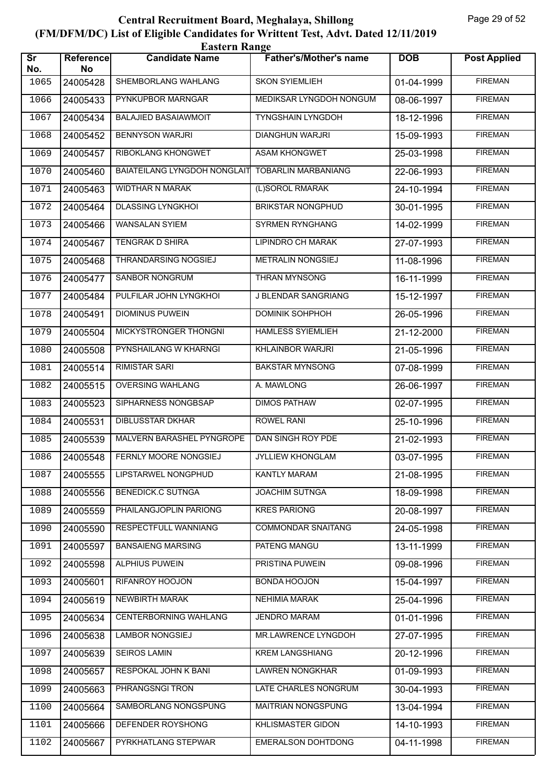| <b>Eastern Range</b>          |                        |                                     |                               |            |                     |  |  |
|-------------------------------|------------------------|-------------------------------------|-------------------------------|------------|---------------------|--|--|
| $\overline{\text{Sr}}$<br>No. | <b>Reference</b><br>No | <b>Candidate Name</b>               | <b>Father's/Mother's name</b> | <b>DOB</b> | <b>Post Applied</b> |  |  |
| 1065                          | 24005428               | SHEMBORLANG WAHLANG                 | <b>SKON SYIEMLIEH</b>         | 01-04-1999 | <b>FIREMAN</b>      |  |  |
| 1066                          | 24005433               | PYNKUPBOR MARNGAR                   | MEDIKSAR LYNGDOH NONGUM       | 08-06-1997 | <b>FIREMAN</b>      |  |  |
| 1067                          | 24005434               | <b>BALAJIED BASAIAWMOIT</b>         | <b>TYNGSHAIN LYNGDOH</b>      | 18-12-1996 | <b>FIREMAN</b>      |  |  |
| 1068                          | 24005452               | <b>BENNYSON WARJRI</b>              | <b>DIANGHUN WARJRI</b>        | 15-09-1993 | <b>FIREMAN</b>      |  |  |
| 1069                          | 24005457               | RIBOKLANG KHONGWET                  | <b>ASAM KHONGWET</b>          | 25-03-1998 | <b>FIREMAN</b>      |  |  |
| 1070                          | 24005460               | <b>BAIATEILANG LYNGDOH NONGLAIT</b> | <b>TOBARLIN MARBANIANG</b>    | 22-06-1993 | <b>FIREMAN</b>      |  |  |
| 1071                          | 24005463               | <b>WIDTHAR N MARAK</b>              | (L)SOROL RMARAK               | 24-10-1994 | <b>FIREMAN</b>      |  |  |
| 1072                          | 24005464               | <b>DLASSING LYNGKHOI</b>            | <b>BRIKSTAR NONGPHUD</b>      | 30-01-1995 | <b>FIREMAN</b>      |  |  |
| 1073                          | 24005466               | <b>WANSALAN SYIEM</b>               | <b>SYRMEN RYNGHANG</b>        | 14-02-1999 | <b>FIREMAN</b>      |  |  |
| 1074                          | 24005467               | <b>TENGRAK D SHIRA</b>              | LIPINDRO CH MARAK             | 27-07-1993 | <b>FIREMAN</b>      |  |  |
| 1075                          | 24005468               | THRANDARSING NOGSIEJ                | <b>METRALIN NONGSIEJ</b>      | 11-08-1996 | <b>FIREMAN</b>      |  |  |
| 1076                          | 24005477               | <b>SANBOR NONGRUM</b>               | <b>THRAN MYNSONG</b>          | 16-11-1999 | <b>FIREMAN</b>      |  |  |
| 1077                          | 24005484               | PULFILAR JOHN LYNGKHOI              | J BLENDAR SANGRIANG           | 15-12-1997 | <b>FIREMAN</b>      |  |  |
| 1078                          | 24005491               | <b>DIOMINUS PUWEIN</b>              | DOMINIK SOHPHOH               | 26-05-1996 | <b>FIREMAN</b>      |  |  |
| 1079                          | 24005504               | MICKYSTRONGER THONGNI               | <b>HAMLESS SYIEMLIEH</b>      | 21-12-2000 | <b>FIREMAN</b>      |  |  |
| 1080                          | 24005508               | PYNSHAILANG W KHARNGI               | <b>KHLAINBOR WARJRI</b>       | 21-05-1996 | <b>FIREMAN</b>      |  |  |
| 1081                          | 24005514               | <b>RIMISTAR SARI</b>                | <b>BAKSTAR MYNSONG</b>        | 07-08-1999 | <b>FIREMAN</b>      |  |  |
| 1082                          | 24005515               | <b>OVERSING WAHLANG</b>             | A. MAWLONG                    | 26-06-1997 | <b>FIREMAN</b>      |  |  |
| 1083                          | 24005523               | SIPHARNESS NONGBSAP                 | <b>DIMOS PATHAW</b>           | 02-07-1995 | <b>FIREMAN</b>      |  |  |
| 1084                          | 24005531               | <b>DIBLUSSTAR DKHAR</b>             | <b>ROWEL RANI</b>             | 25-10-1996 | <b>FIREMAN</b>      |  |  |
| 1085                          | 24005539               | MALVERN BARASHEL PYNGROPE           | DAN SINGH ROY PDE             | 21-02-1993 | <b>FIREMAN</b>      |  |  |
| 1086                          |                        | 24005548   FERNLY MOORE NONGSIEJ    | <b>JYLLIEW KHONGLAM</b>       | 03-07-1995 | <b>FIREMAN</b>      |  |  |
| 1087                          | 24005555               | LIPSTARWEL NONGPHUD                 | <b>KANTLY MARAM</b>           | 21-08-1995 | <b>FIREMAN</b>      |  |  |
| 1088                          | 24005556               | <b>BENEDICK.C SUTNGA</b>            | <b>JOACHIM SUTNGA</b>         | 18-09-1998 | <b>FIREMAN</b>      |  |  |
| 1089                          | 24005559               | PHAILANGJOPLIN PARIONG              | <b>KRES PARIONG</b>           | 20-08-1997 | <b>FIREMAN</b>      |  |  |
| 1090                          | 24005590               | RESPECTFULL WANNIANG                | <b>COMMONDAR SNAITANG</b>     | 24-05-1998 | <b>FIREMAN</b>      |  |  |
| 1091                          | 24005597               | <b>BANSAIENG MARSING</b>            | PATENG MANGU                  | 13-11-1999 | <b>FIREMAN</b>      |  |  |
| 1092                          | 24005598               | ALPHIUS PUWEIN                      | PRISTINA PUWEIN               | 09-08-1996 | <b>FIREMAN</b>      |  |  |
| 1093                          | 24005601               | RIFANROY HOOJON                     | <b>BONDA HOOJON</b>           | 15-04-1997 | <b>FIREMAN</b>      |  |  |
| 1094                          | 24005619               | <b>NEWBIRTH MARAK</b>               | <b>NEHIMIA MARAK</b>          | 25-04-1996 | <b>FIREMAN</b>      |  |  |
| 1095                          | 24005634               | CENTERBORNING WAHLANG               | <b>JENDRO MARAM</b>           | 01-01-1996 | <b>FIREMAN</b>      |  |  |
| 1096                          | 24005638               | LAMBOR NONGSIEJ                     | MR.LAWRENCE LYNGDOH           | 27-07-1995 | <b>FIREMAN</b>      |  |  |
| 1097                          | 24005639               | <b>SEIROS LAMIN</b>                 | <b>KREM LANGSHIANG</b>        | 20-12-1996 | <b>FIREMAN</b>      |  |  |
| 1098                          | 24005657               | RESPOKAL JOHN K BANI                | <b>LAWREN NONGKHAR</b>        | 01-09-1993 | <b>FIREMAN</b>      |  |  |
| 1099                          | 24005663               | PHRANGSNGI TRON                     | LATE CHARLES NONGRUM          | 30-04-1993 | <b>FIREMAN</b>      |  |  |
| 1100                          | 24005664               | SAMBORLANG NONGSPUNG                | MAITRIAN NONGSPUNG            | 13-04-1994 | <b>FIREMAN</b>      |  |  |
| 1101                          | 24005666               | DEFENDER ROYSHONG                   | KHLISMASTER GIDON             | 14-10-1993 | <b>FIREMAN</b>      |  |  |
| 1102                          | 24005667               | PYRKHATLANG STEPWAR                 | EMERALSON DOHTDONG            | 04-11-1998 | <b>FIREMAN</b>      |  |  |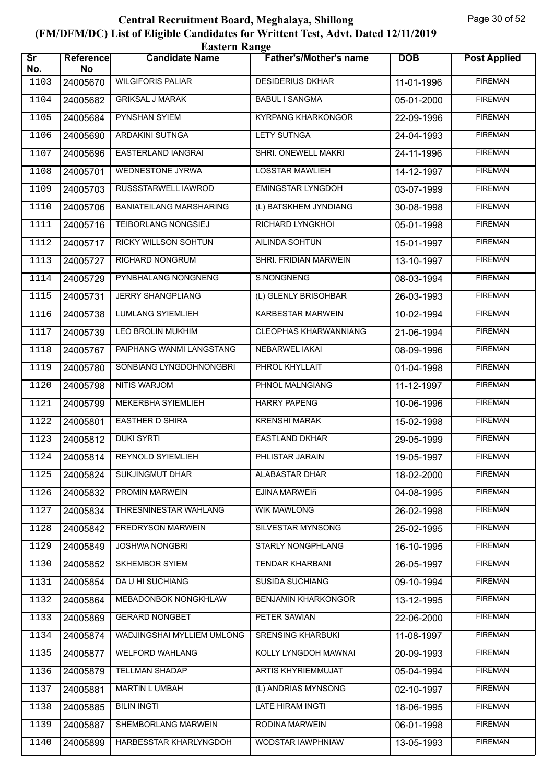| <b>Eastern Range</b>          |                        |                                |                               |              |                     |  |  |
|-------------------------------|------------------------|--------------------------------|-------------------------------|--------------|---------------------|--|--|
| $\overline{\text{sr}}$<br>No. | <b>Reference</b><br>No | <b>Candidate Name</b>          | <b>Father's/Mother's name</b> | <b>DOB</b>   | <b>Post Applied</b> |  |  |
| 1103                          | 24005670               | <b>WILGIFORIS PALIAR</b>       | <b>DESIDERIUS DKHAR</b>       | 11-01-1996   | <b>FIREMAN</b>      |  |  |
| 1104                          | 24005682               | <b>GRIKSAL J MARAK</b>         | <b>BABUL I SANGMA</b>         | $05-01-2000$ | <b>FIREMAN</b>      |  |  |
| 1105                          | 24005684               | PYNSHAN SYIEM                  | <b>KYRPANG KHARKONGOR</b>     | 22-09-1996   | <b>FIREMAN</b>      |  |  |
| 1106                          | 24005690               | <b>ARDAKINI SUTNGA</b>         | <b>LETY SUTNGA</b>            | 24-04-1993   | <b>FIREMAN</b>      |  |  |
| 1107                          | 24005696               | <b>EASTERLAND IANGRAI</b>      | SHRI. ONEWELL MAKRI           | 24-11-1996   | <b>FIREMAN</b>      |  |  |
| 1108                          | 24005701               | <b>WEDNESTONE JYRWA</b>        | <b>LOSSTAR MAWLIEH</b>        | 14-12-1997   | <b>FIREMAN</b>      |  |  |
| 1109                          | 24005703               | RUSSSTARWELL IAWROD            | <b>EMINGSTAR LYNGDOH</b>      | 03-07-1999   | <b>FIREMAN</b>      |  |  |
| 1110                          | 24005706               | <b>BANIATEILANG MARSHARING</b> | (L) BATSKHEM JYNDIANG         | 30-08-1998   | <b>FIREMAN</b>      |  |  |
| 1111                          | 24005716               | <b>TEIBORLANG NONGSIEJ</b>     | <b>RICHARD LYNGKHOL</b>       | 05-01-1998   | <b>FIREMAN</b>      |  |  |
| 1112                          | 24005717               | RICKY WILLSON SOHTUN           | AILINDA SOHTUN                | 15-01-1997   | <b>FIREMAN</b>      |  |  |
| 1113                          | 24005727               | <b>RICHARD NONGRUM</b>         | SHRI. FRIDIAN MARWEIN         | 13-10-1997   | <b>FIREMAN</b>      |  |  |
| 1114                          | 24005729               | PYNBHALANG NONGNENG            | S.NONGNENG                    | 08-03-1994   | <b>FIREMAN</b>      |  |  |
| 1115                          | 24005731               | <b>JERRY SHANGPLIANG</b>       | (L) GLENLY BRISOHBAR          | 26-03-1993   | <b>FIREMAN</b>      |  |  |
| 1116                          | 24005738               | <b>LUMLANG SYIEMLIEH</b>       | <b>KARBESTAR MARWEIN</b>      | 10-02-1994   | <b>FIREMAN</b>      |  |  |
| 1117                          | 24005739               | <b>LEO BROLIN MUKHIM</b>       | <b>CLEOPHAS KHARWANNIANG</b>  | 21-06-1994   | <b>FIREMAN</b>      |  |  |
| 1118                          | 24005767               | PAIPHANG WANMI LANGSTANG       | NEBARWEL IAKAI                | 08-09-1996   | <b>FIREMAN</b>      |  |  |
| 1119                          | 24005780               | SONBIANG LYNGDOHNONGBRI        | PHROL KHYLLAIT                | 01-04-1998   | <b>FIREMAN</b>      |  |  |
| 1120                          | 24005798               | NITIS WARJOM                   | PHNOL MALNGIANG               | 11-12-1997   | <b>FIREMAN</b>      |  |  |
| 1121                          | 24005799               | MEKERBHA SYIEMLIEH             | <b>HARRY PAPENG</b>           | 10-06-1996   | <b>FIREMAN</b>      |  |  |
| 1122                          | 24005801               | <b>EASTHER D SHIRA</b>         | <b>KRENSHI MARAK</b>          | 15-02-1998   | <b>FIREMAN</b>      |  |  |
| 1123                          | 24005812               | <b>DUKI SYRTI</b>              | <b>EASTLAND DKHAR</b>         | 29-05-1999   | <b>FIREMAN</b>      |  |  |
| 1124                          | 24005814               | <b>REYNOLD SYIEMLIEH</b>       | PHLISTAR JARAIN               | 19-05-1997   | <b>FIREMAN</b>      |  |  |
| 1125                          | 24005824               | <b>SUKJINGMUT DHAR</b>         | ALABASTAR DHAR                | 18-02-2000   | <b>FIREMAN</b>      |  |  |
| 1126                          | 24005832               | PROMIN MARWEIN                 | EJINA MARWEIñ                 | 04-08-1995   | <b>FIREMAN</b>      |  |  |
| 1127                          | 24005834               | THRESNINESTAR WAHLANG          | <b>WIK MAWLONG</b>            | 26-02-1998   | <b>FIREMAN</b>      |  |  |
| 1128                          | 24005842               | <b>FREDRYSON MARWEIN</b>       | SILVESTAR MYNSONG             | 25-02-1995   | <b>FIREMAN</b>      |  |  |
| 1129                          | 24005849               | <b>JOSHWA NONGBRI</b>          | STARLY NONGPHLANG             | 16-10-1995   | <b>FIREMAN</b>      |  |  |
| 1130                          | 24005852               | <b>SKHEMBOR SYIEM</b>          | <b>TENDAR KHARBANI</b>        | 26-05-1997   | <b>FIREMAN</b>      |  |  |
| 1131                          | 24005854               | <b>DAU HI SUCHIANG</b>         | <b>SUSIDA SUCHIANG</b>        | 09-10-1994   | <b>FIREMAN</b>      |  |  |
| 1132                          | 24005864               | MEBADONBOK NONGKHLAW           | <b>BENJAMIN KHARKONGOR</b>    | 13-12-1995   | <b>FIREMAN</b>      |  |  |
| 1133                          | 24005869               | <b>GERARD NONGBET</b>          | PETER SAWIAN                  | 22-06-2000   | <b>FIREMAN</b>      |  |  |
| 1134                          | 24005874               | WADJINGSHAI MYLLIEM UMLONG     | <b>SRENSING KHARBUKI</b>      | 11-08-1997   | <b>FIREMAN</b>      |  |  |
| 1135                          | 24005877               | WELFORD WAHLANG                | KOLLY LYNGDOH MAWNAI          | 20-09-1993   | <b>FIREMAN</b>      |  |  |
| 1136                          | 24005879               | <b>TELLMAN SHADAP</b>          | <b>ARTIS KHYRIEMMUJAT</b>     | 05-04-1994   | <b>FIREMAN</b>      |  |  |
| 1137                          | 24005881               | <b>MARTIN L UMBAH</b>          | (L) ANDRIAS MYNSONG           | 02-10-1997   | <b>FIREMAN</b>      |  |  |
| 1138                          | 24005885               | <b>BILIN INGTI</b>             | LATE HIRAM INGTI              | 18-06-1995   | <b>FIREMAN</b>      |  |  |
| 1139                          | 24005887               | SHEMBORLANG MARWEIN            | RODINA MARWEIN                | 06-01-1998   | <b>FIREMAN</b>      |  |  |
| 1140                          | 24005899               | HARBESSTAR KHARLYNGDOH         | WODSTAR IAWPHNIAW             | 13-05-1993   | <b>FIREMAN</b>      |  |  |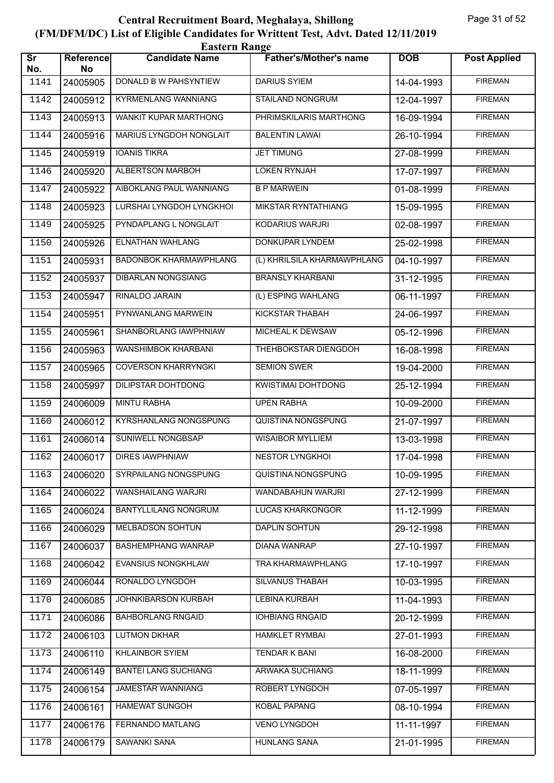| <b>Eastern Range</b>          |                 |                               |                               |            |                     |  |  |
|-------------------------------|-----------------|-------------------------------|-------------------------------|------------|---------------------|--|--|
| $\overline{\text{sr}}$<br>No. | Reference<br>No | <b>Candidate Name</b>         | <b>Father's/Mother's name</b> | <b>DOB</b> | <b>Post Applied</b> |  |  |
| 1141                          | 24005905        | DONALD B W PAHSYNTIEW         | <b>DARIUS SYIEM</b>           | 14-04-1993 | <b>FIREMAN</b>      |  |  |
| 1142                          | 24005912        | <b>KYRMENLANG WANNIANG</b>    | <b>STAILAND NONGRUM</b>       | 12-04-1997 | <b>FIREMAN</b>      |  |  |
| 1143                          | 24005913        | WANKIT KUPAR MARTHONG         | PHRIMSKILARIS MARTHONG        | 16-09-1994 | <b>FIREMAN</b>      |  |  |
| 1144                          | 24005916        | MARIUS LYNGDOH NONGLAIT       | <b>BALENTIN LAWAI</b>         | 26-10-1994 | <b>FIREMAN</b>      |  |  |
| 1145                          | 24005919        | <b>IOANIS TIKRA</b>           | <b>JET TIMUNG</b>             | 27-08-1999 | <b>FIREMAN</b>      |  |  |
| 1146                          | 24005920        | <b>ALBERTSON MARBOH</b>       | <b>LOKEN RYNJAH</b>           | 17-07-1997 | <b>FIREMAN</b>      |  |  |
| 1147                          | 24005922        | AIBOKLANG PAUL WANNIANG       | <b>B P MARWEIN</b>            | 01-08-1999 | <b>FIREMAN</b>      |  |  |
| 1148                          | 24005923        | LURSHAI LYNGDOH LYNGKHOI      | MIKSTAR RYNTATHIANG           | 15-09-1995 | <b>FIREMAN</b>      |  |  |
| 1149                          | 24005925        | PYNDAPLANG L NONGLAIT         | <b>KODARIUS WARJRI</b>        | 02-08-1997 | <b>FIREMAN</b>      |  |  |
| 1150                          | 24005926        | ELNATHAN WAHLANG              | DONKUPAR LYNDEM               | 25-02-1998 | <b>FIREMAN</b>      |  |  |
| 1151                          | 24005931        | <b>BADONBOK KHARMAWPHLANG</b> | (L) KHRILSILA KHARMAWPHLANG   | 04-10-1997 | <b>FIREMAN</b>      |  |  |
| 1152                          | 24005937        | <b>DIBARLAN NONGSIANG</b>     | <b>BRANSLY KHARBANI</b>       | 31-12-1995 | <b>FIREMAN</b>      |  |  |
| 1153                          | 24005947        | RINALDO JARAIN                | (L) ESPING WAHLANG            | 06-11-1997 | <b>FIREMAN</b>      |  |  |
| 1154                          | 24005951        | PYNWANLANG MARWEIN            | <b>KICKSTAR THABAH</b>        | 24-06-1997 | <b>FIREMAN</b>      |  |  |
| 1155                          | 24005961        | SHANBORLANG IAWPHNIAW         | MICHEAL K DEWSAW              | 05-12-1996 | <b>FIREMAN</b>      |  |  |
| 1156                          | 24005963        | WANSHIMBOK KHARBANI           | THEHBOKSTAR DIENGDOH          | 16-08-1998 | <b>FIREMAN</b>      |  |  |
| 1157                          | 24005965        | <b>COVERSON KHARRYNGKI</b>    | <b>SEMION SWER</b>            | 19-04-2000 | <b>FIREMAN</b>      |  |  |
| 1158                          | 24005997        | DILIPSTAR DOHTDONG            | KWISTIMAI DOHTDONG            | 25-12-1994 | <b>FIREMAN</b>      |  |  |
| 1159                          | 24006009        | <b>MINTU RABHA</b>            | <b>UPEN RABHA</b>             | 10-09-2000 | <b>FIREMAN</b>      |  |  |
| 1160                          | 24006012        | <b>KYRSHANLANG NONGSPUNG</b>  | QUISTINA NONGSPUNG            | 21-07-1997 | <b>FIREMAN</b>      |  |  |
| 1161                          | 24006014        | SUNIWELL NONGBSAP             | <b>WISAIBOR MYLLIEM</b>       | 13-03-1998 | <b>FIREMAN</b>      |  |  |
| 1162                          | 24006017        | <b>DIRES IAWPHNIAW</b>        | <b>NESTOR LYNGKHOL</b>        | 17-04-1998 | <b>FIREMAN</b>      |  |  |
| 1163                          | 24006020        | SYRPAILANG NONGSPUNG          | QUISTINA NONGSPUNG            | 10-09-1995 | <b>FIREMAN</b>      |  |  |
| 1164                          | 24006022        | WANSHAILANG WARJRI            | WANDABAHUN WARJRI             | 27-12-1999 | <b>FIREMAN</b>      |  |  |
| 1165                          | 24006024        | <b>BANTYLLILANG NONGRUM</b>   | <b>LUCAS KHARKONGOR</b>       | 11-12-1999 | <b>FIREMAN</b>      |  |  |
| 1166                          | 24006029        | MELBADSON SOHTUN              | <b>DAPLIN SOHTUN</b>          | 29-12-1998 | <b>FIREMAN</b>      |  |  |
| 1167                          | 24006037        | <b>BASHEMPHANG WANRAP</b>     | DIANA WANRAP                  | 27-10-1997 | <b>FIREMAN</b>      |  |  |
| 1168                          | 24006042        | EVANSIUS NONGKHLAW            | TRA KHARMAWPHLANG             | 17-10-1997 | <b>FIREMAN</b>      |  |  |
| 1169                          | 24006044        | RONALDO LYNGDOH               | SILVANUS THABAH               | 10-03-1995 | <b>FIREMAN</b>      |  |  |
| 1170                          | 24006085        | <b>JOHNKIBARSON KURBAH</b>    | <b>LEBINA KURBAH</b>          | 11-04-1993 | <b>FIREMAN</b>      |  |  |
| 1171                          | 24006086        | <b>BAHBORLANG RNGAID</b>      | <b>IOHBIANG RNGAID</b>        | 20-12-1999 | <b>FIREMAN</b>      |  |  |
| 1172                          | 24006103        | <b>LUTMON DKHAR</b>           | <b>HAMKLET RYMBAI</b>         | 27-01-1993 | <b>FIREMAN</b>      |  |  |
| 1173                          | 24006110        | <b>KHLAINBOR SYIEM</b>        | <b>TENDAR K BANI</b>          | 16-08-2000 | <b>FIREMAN</b>      |  |  |
| 1174                          | 24006149        | <b>BANTEI LANG SUCHIANG</b>   | <b>ARWAKA SUCHIANG</b>        | 18-11-1999 | <b>FIREMAN</b>      |  |  |
| 1175                          | 24006154        | <b>JAMESTAR WANNIANG</b>      | ROBERT LYNGDOH                | 07-05-1997 | <b>FIREMAN</b>      |  |  |
| 1176                          | 24006161        | HAMEWAT SUNGOH                | <b>KOBAL PAPANG</b>           | 08-10-1994 | <b>FIREMAN</b>      |  |  |
| 1177                          | 24006176        | FERNANDO MATLANG              | VENO LYNGDOH                  | 11-11-1997 | <b>FIREMAN</b>      |  |  |
| 1178                          | 24006179        | SAWANKI SANA                  | <b>HUNLANG SANA</b>           | 21-01-1995 | <b>FIREMAN</b>      |  |  |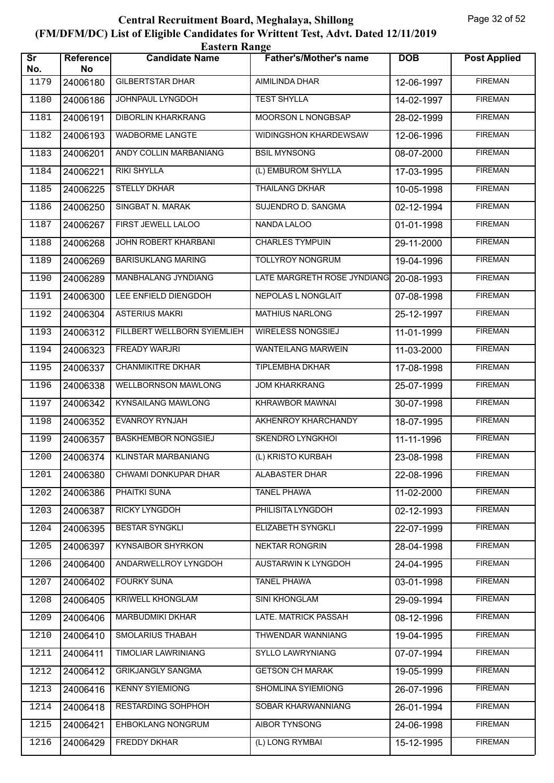| <b>Eastern Range</b>          |                        |                                |                               |            |                     |  |  |
|-------------------------------|------------------------|--------------------------------|-------------------------------|------------|---------------------|--|--|
| $\overline{\text{Sr}}$<br>No. | <b>Reference</b><br>No | <b>Candidate Name</b>          | <b>Father's/Mother's name</b> | <b>DOB</b> | <b>Post Applied</b> |  |  |
| 1179                          | 24006180               | <b>GILBERTSTAR DHAR</b>        | AIMILINDA DHAR                | 12-06-1997 | <b>FIREMAN</b>      |  |  |
| 1180                          | 24006186               | <b>JOHNPAUL LYNGDOH</b>        | <b>TEST SHYLLA</b>            | 14-02-1997 | <b>FIREMAN</b>      |  |  |
| 1181                          | 24006191               | <b>DIBORLIN KHARKRANG</b>      | MOORSON L NONGBSAP            | 28-02-1999 | <b>FIREMAN</b>      |  |  |
| 1182                          | 24006193               | <b>WADBORME LANGTE</b>         | WIDINGSHON KHARDEWSAW         | 12-06-1996 | <b>FIREMAN</b>      |  |  |
| 1183                          | 24006201               | ANDY COLLIN MARBANIANG         | <b>BSIL MYNSONG</b>           | 08-07-2000 | <b>FIREMAN</b>      |  |  |
| 1184                          | 24006221               | <b>RIKI SHYLLA</b>             | (L) EMBUROM SHYLLA            | 17-03-1995 | <b>FIREMAN</b>      |  |  |
| 1185                          | 24006225               | <b>STELLY DKHAR</b>            | <b>THAILANG DKHAR</b>         | 10-05-1998 | <b>FIREMAN</b>      |  |  |
| 1186                          | 24006250               | <b>SINGBAT N. MARAK</b>        | SUJENDRO D. SANGMA            | 02-12-1994 | <b>FIREMAN</b>      |  |  |
| 1187                          | 24006267               | FIRST JEWELL LALOO             | NANDA LALOO                   | 01-01-1998 | <b>FIREMAN</b>      |  |  |
| 1188                          | 24006268               | JOHN ROBERT KHARBANI           | <b>CHARLES TYMPUIN</b>        | 29-11-2000 | <b>FIREMAN</b>      |  |  |
| 1189                          | 24006269               | <b>BARISUKLANG MARING</b>      | <b>TOLLYROY NONGRUM</b>       | 19-04-1996 | <b>FIREMAN</b>      |  |  |
| 1190                          | 24006289               | MANBHALANG JYNDIANG            | LATE MARGRETH ROSE JYNDIANG   | 20-08-1993 | <b>FIREMAN</b>      |  |  |
| 1191                          | 24006300               | LEE ENFIELD DIENGDOH           | NEPOLAS L NONGLAIT            | 07-08-1998 | <b>FIREMAN</b>      |  |  |
| 1192                          | 24006304               | <b>ASTERIUS MAKRI</b>          | <b>MATHIUS NARLONG</b>        | 25-12-1997 | <b>FIREMAN</b>      |  |  |
| 1193                          | 24006312               | FILLBERT WELLBORN SYIEMLIEH    | <b>WIRELESS NONGSIEJ</b>      | 11-01-1999 | <b>FIREMAN</b>      |  |  |
| 1194                          | 24006323               | FREADY WARJRI                  | <b>WANTEILANG MARWEIN</b>     | 11-03-2000 | <b>FIREMAN</b>      |  |  |
| 1195                          | 24006337               | <b>CHANMIKITRE DKHAR</b>       | <b>TIPLEMBHA DKHAR</b>        | 17-08-1998 | <b>FIREMAN</b>      |  |  |
| 1196                          | 24006338               | <b>WELLBORNSON MAWLONG</b>     | <b>JOM KHARKRANG</b>          | 25-07-1999 | <b>FIREMAN</b>      |  |  |
| 1197                          | 24006342               | <b>KYNSAILANG MAWLONG</b>      | KHRAWBOR MAWNAI               | 30-07-1998 | <b>FIREMAN</b>      |  |  |
| 1198                          | 24006352               | <b>EVANROY RYNJAH</b>          | AKHENROY KHARCHANDY           | 18-07-1995 | <b>FIREMAN</b>      |  |  |
| 1199                          | 24006357               | <b>BASKHEMBOR NONGSIEJ</b>     | <b>SKENDRO LYNGKHOI</b>       | 11-11-1996 | <b>FIREMAN</b>      |  |  |
| 1200                          |                        | 24006374   KLINSTAR MARBANIANG | (L) KRISTO KURBAH             | 23-08-1998 | <b>FIREMAN</b>      |  |  |
| 1201                          | 24006380               | CHWAMI DONKUPAR DHAR           | ALABASTER DHAR                | 22-08-1996 | <b>FIREMAN</b>      |  |  |
| 1202                          | 24006386               | PHAITKI SUNA                   | <b>TANEL PHAWA</b>            | 11-02-2000 | <b>FIREMAN</b>      |  |  |
| 1203                          | 24006387               | RICKY LYNGDOH                  | PHILISITA LYNGDOH             | 02-12-1993 | <b>FIREMAN</b>      |  |  |
| 1204                          | 24006395               | <b>BESTAR SYNGKLI</b>          | ELIZABETH SYNGKLI             | 22-07-1999 | <b>FIREMAN</b>      |  |  |
| 1205                          | 24006397               | <b>KYNSAIBOR SHYRKON</b>       | <b>NEKTAR RONGRIN</b>         | 28-04-1998 | <b>FIREMAN</b>      |  |  |
| 1206                          | 24006400               | ANDARWELLROY LYNGDOH           | AUSTARWIN K LYNGDOH           | 24-04-1995 | <b>FIREMAN</b>      |  |  |
| 1207                          | 24006402               | <b>FOURKY SUNA</b>             | <b>TANEL PHAWA</b>            | 03-01-1998 | <b>FIREMAN</b>      |  |  |
| 1208                          | 24006405               | <b>KRIWELL KHONGLAM</b>        | <b>SINI KHONGLAM</b>          | 29-09-1994 | <b>FIREMAN</b>      |  |  |
| 1209                          | 24006406               | MARBUDMIKI DKHAR               | LATE. MATRICK PASSAH          | 08-12-1996 | <b>FIREMAN</b>      |  |  |
| 1210                          | 24006410               | SMOLARIUS THABAH               | THWENDAR WANNIANG             | 19-04-1995 | <b>FIREMAN</b>      |  |  |
| 1211                          | 24006411               | <b>TIMOLIAR LAWRINIANG</b>     | SYLLO LAWRYNIANG              | 07-07-1994 | <b>FIREMAN</b>      |  |  |
| 1212                          | 24006412               | <b>GRIKJANGLY SANGMA</b>       | <b>GETSON CH MARAK</b>        | 19-05-1999 | <b>FIREMAN</b>      |  |  |
| 1213                          | 24006416               | <b>KENNY SYIEMIONG</b>         | SHOMLINA SYIEMIONG            | 26-07-1996 | <b>FIREMAN</b>      |  |  |
| 1214                          | 24006418               | <b>RESTARDING SOHPHOH</b>      | SOBAR KHARWANNIANG            | 26-01-1994 | <b>FIREMAN</b>      |  |  |
| 1215                          | 24006421               | EHBOKLANG NONGRUM              | <b>AIBOR TYNSONG</b>          | 24-06-1998 | <b>FIREMAN</b>      |  |  |
| 1216                          | 24006429               | <b>FREDDY DKHAR</b>            | (L) LONG RYMBAI               | 15-12-1995 | <b>FIREMAN</b>      |  |  |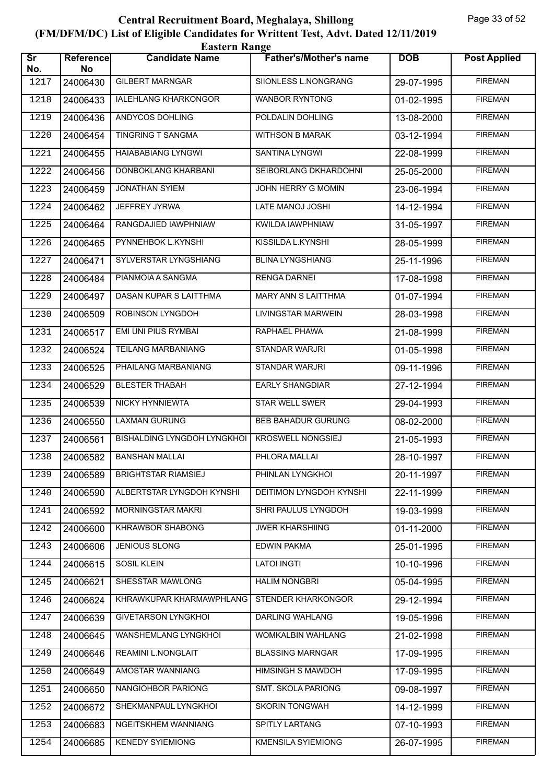| <b>Eastern Range</b>          |                 |                                    |                               |            |                     |  |  |
|-------------------------------|-----------------|------------------------------------|-------------------------------|------------|---------------------|--|--|
| $\overline{\text{sr}}$<br>No. | Reference<br>No | <b>Candidate Name</b>              | <b>Father's/Mother's name</b> | <b>DOB</b> | <b>Post Applied</b> |  |  |
| 1217                          | 24006430        | <b>GILBERT MARNGAR</b>             | SIIONLESS L.NONGRANG          | 29-07-1995 | <b>FIREMAN</b>      |  |  |
| 1218                          | 24006433        | <b>IALEHLANG KHARKONGOR</b>        | <b>WANBOR RYNTONG</b>         | 01-02-1995 | <b>FIREMAN</b>      |  |  |
| 1219                          | 24006436        | ANDYCOS DOHLING                    | POLDALIN DOHLING              | 13-08-2000 | <b>FIREMAN</b>      |  |  |
| 1220                          | 24006454        | <b>TINGRING T SANGMA</b>           | <b>WITHSON B MARAK</b>        | 03-12-1994 | <b>FIREMAN</b>      |  |  |
| 1221                          | 24006455        | <b>HAIABABIANG LYNGWI</b>          | <b>SANTINA LYNGWI</b>         | 22-08-1999 | <b>FIREMAN</b>      |  |  |
| 1222                          | 24006456        | DONBOKLANG KHARBANI                | SEIBORLANG DKHARDOHNI         | 25-05-2000 | <b>FIREMAN</b>      |  |  |
| 1223                          | 24006459        | <b>JONATHAN SYIEM</b>              | <b>JOHN HERRY G MOMIN</b>     | 23-06-1994 | <b>FIREMAN</b>      |  |  |
| 1224                          | 24006462        | JEFFREY JYRWA                      | LATE MANOJ JOSHI              | 14-12-1994 | <b>FIREMAN</b>      |  |  |
| 1225                          | 24006464        | RANGDAJIED IAWPHNIAW               | KWILDA IAWPHNIAW              | 31-05-1997 | <b>FIREMAN</b>      |  |  |
| 1226                          | 24006465        | PYNNEHBOK L.KYNSHI                 | KISSILDA L.KYNSHI             | 28-05-1999 | <b>FIREMAN</b>      |  |  |
| 1227                          | 24006471        | SYLVERSTAR LYNGSHIANG              | <b>BLINA LYNGSHIANG</b>       | 25-11-1996 | <b>FIREMAN</b>      |  |  |
| 1228                          | 24006484        | PIANMOIA A SANGMA                  | <b>RENGA DARNEI</b>           | 17-08-1998 | <b>FIREMAN</b>      |  |  |
| 1229                          | 24006497        | DASAN KUPAR S LAITTHMA             | <b>MARY ANN S LAITTHMA</b>    | 01-07-1994 | <b>FIREMAN</b>      |  |  |
| 1230                          | 24006509        | ROBINSON LYNGDOH                   | LIVINGSTAR MARWEIN            | 28-03-1998 | <b>FIREMAN</b>      |  |  |
| 1231                          | 24006517        | EMI UNI PIUS RYMBAI                | RAPHAEL PHAWA                 | 21-08-1999 | <b>FIREMAN</b>      |  |  |
| 1232                          | 24006524        | <b>TEILANG MARBANIANG</b>          | <b>STANDAR WARJRI</b>         | 01-05-1998 | <b>FIREMAN</b>      |  |  |
| 1233                          | 24006525        | PHAILANG MARBANIANG                | <b>STANDAR WARJRI</b>         | 09-11-1996 | <b>FIREMAN</b>      |  |  |
| 1234                          | 24006529        | <b>BLESTER THABAH</b>              | <b>EARLY SHANGDIAR</b>        | 27-12-1994 | <b>FIREMAN</b>      |  |  |
| 1235                          | 24006539        | NICKY HYNNIEWTA                    | <b>STAR WELL SWER</b>         | 29-04-1993 | <b>FIREMAN</b>      |  |  |
| 1236                          | 24006550        | <b>LAXMAN GURUNG</b>               | <b>BEB BAHADUR GURUNG</b>     | 08-02-2000 | <b>FIREMAN</b>      |  |  |
| 1237                          | 24006561        | <b>BISHALDING LYNGDOH LYNGKHOI</b> | <b>KROSWELL NONGSIEJ</b>      | 21-05-1993 | <b>FIREMAN</b>      |  |  |
| 1238                          | 24006582        | <b>BANSHAN MALLAI</b>              | PHLORA MALLAI                 | 28-10-1997 | <b>FIREMAN</b>      |  |  |
| 1239                          | 24006589        | <b>BRIGHTSTAR RIAMSIEJ</b>         | PHINLAN LYNGKHOI              | 20-11-1997 | <b>FIREMAN</b>      |  |  |
| 1240                          | 24006590        | ALBERTSTAR LYNGDOH KYNSHI          | DEITIMON LYNGDOH KYNSHI       | 22-11-1999 | <b>FIREMAN</b>      |  |  |
| 1241                          | 24006592        | MORNINGSTAR MAKRI                  | SHRI PAULUS LYNGDOH           | 19-03-1999 | <b>FIREMAN</b>      |  |  |
| 1242                          | 24006600        | KHRAWBOR SHABONG                   | <b>JWER KHARSHIING</b>        | 01-11-2000 | <b>FIREMAN</b>      |  |  |
| 1243                          | 24006606        | <b>JENIOUS SLONG</b>               | <b>EDWIN PAKMA</b>            | 25-01-1995 | <b>FIREMAN</b>      |  |  |
| 1244                          | 24006615        | <b>SOSIL KLEIN</b>                 | <b>LATOI INGTI</b>            | 10-10-1996 | <b>FIREMAN</b>      |  |  |
| 1245                          | 24006621        | SHESSTAR MAWLONG                   | <b>HALIM NONGBRI</b>          | 05-04-1995 | <b>FIREMAN</b>      |  |  |
| 1246                          | 24006624        | KHRAWKUPAR KHARMAWPHLANG           | STENDER KHARKONGOR            | 29-12-1994 | <b>FIREMAN</b>      |  |  |
| 1247                          | 24006639        | <b>GIVETARSON LYNGKHOI</b>         | DARLING WAHLANG               | 19-05-1996 | <b>FIREMAN</b>      |  |  |
| 1248                          | 24006645        | WANSHEMLANG LYNGKHOI               | WOMKALBIN WAHLANG             | 21-02-1998 | <b>FIREMAN</b>      |  |  |
| 1249                          | 24006646        | REAMINI L.NONGLAIT                 | <b>BLASSING MARNGAR</b>       | 17-09-1995 | <b>FIREMAN</b>      |  |  |
| 1250                          | 24006649        | AMOSTAR WANNIANG                   | <b>HIMSINGH S MAWDOH</b>      | 17-09-1995 | <b>FIREMAN</b>      |  |  |
| 1251                          | 24006650        | NANGIOHBOR PARIONG                 | SMT. SKOLA PARIONG            | 09-08-1997 | <b>FIREMAN</b>      |  |  |
| 1252                          | 24006672        | SHEKMANPAUL LYNGKHOI               | SKORIN TONGWAH                | 14-12-1999 | <b>FIREMAN</b>      |  |  |
| 1253                          | 24006683        | NGEITSKHEM WANNIANG                | SPITLY LARTANG                | 07-10-1993 | <b>FIREMAN</b>      |  |  |
| 1254                          | 24006685        | <b>KENEDY SYIEMIONG</b>            | <b>KMENSILA SYIEMIONG</b>     | 26-07-1995 | <b>FIREMAN</b>      |  |  |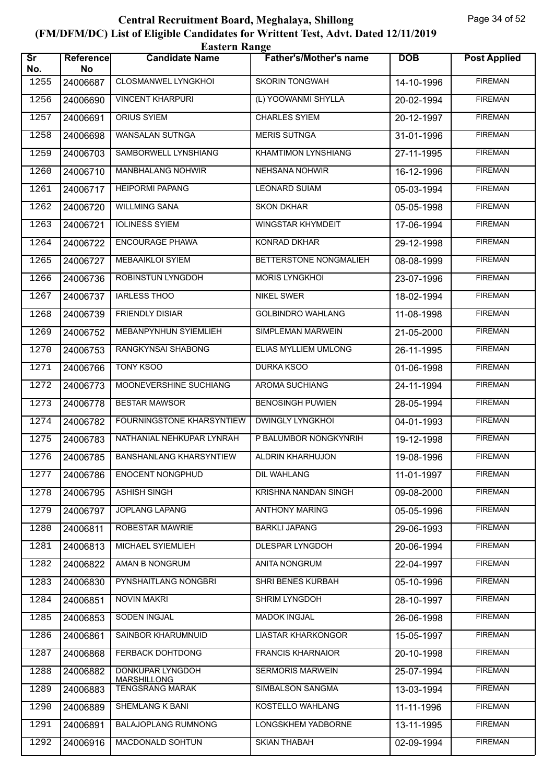|                               | <b>Eastern Range</b>   |                                        |                               |            |                     |  |  |  |
|-------------------------------|------------------------|----------------------------------------|-------------------------------|------------|---------------------|--|--|--|
| $\overline{\text{Sr}}$<br>No. | <b>Reference</b><br>No | <b>Candidate Name</b>                  | <b>Father's/Mother's name</b> | <b>DOB</b> | <b>Post Applied</b> |  |  |  |
| 1255                          | 24006687               | CLOSMANWEL LYNGKHOI                    | <b>SKORIN TONGWAH</b>         | 14-10-1996 | <b>FIREMAN</b>      |  |  |  |
| 1256                          | 24006690               | <b>VINCENT KHARPURI</b>                | (L) YOOWANMI SHYLLA           | 20-02-1994 | <b>FIREMAN</b>      |  |  |  |
| 1257                          | 24006691               | ORIUS SYIEM                            | <b>CHARLES SYIEM</b>          | 20-12-1997 | <b>FIREMAN</b>      |  |  |  |
| 1258                          | 24006698               | <b>WANSALAN SUTNGA</b>                 | <b>MERIS SUTNGA</b>           | 31-01-1996 | <b>FIREMAN</b>      |  |  |  |
| 1259                          | 24006703               | SAMBORWELL LYNSHIANG                   | KHAMTIMON LYNSHIANG           | 27-11-1995 | <b>FIREMAN</b>      |  |  |  |
| 1260                          | 24006710               | <b>MANBHALANG NOHWIR</b>               | <b>NEHSANA NOHWIR</b>         | 16-12-1996 | <b>FIREMAN</b>      |  |  |  |
| 1261                          | 24006717               | <b>HEIPORMI PAPANG</b>                 | <b>LEONARD SUIAM</b>          | 05-03-1994 | <b>FIREMAN</b>      |  |  |  |
| 1262                          | 24006720               | <b>WILLMING SANA</b>                   | <b>SKON DKHAR</b>             | 05-05-1998 | <b>FIREMAN</b>      |  |  |  |
| 1263                          | 24006721               | <b>IOLINESS SYIEM</b>                  | <b>WINGSTAR KHYMDEIT</b>      | 17-06-1994 | <b>FIREMAN</b>      |  |  |  |
| 1264                          | 24006722               | <b>ENCOURAGE PHAWA</b>                 | <b>KONRAD DKHAR</b>           | 29-12-1998 | <b>FIREMAN</b>      |  |  |  |
| 1265                          | 24006727               | <b>MEBAAIKLOI SYIEM</b>                | BETTERSTONE NONGMALIEH        | 08-08-1999 | <b>FIREMAN</b>      |  |  |  |
| 1266                          | 24006736               | <b>ROBINSTUN LYNGDOH</b>               | <b>MORIS LYNGKHOL</b>         | 23-07-1996 | <b>FIREMAN</b>      |  |  |  |
| 1267                          | 24006737               | <b>IARLESS THOO</b>                    | <b>NIKEL SWER</b>             | 18-02-1994 | <b>FIREMAN</b>      |  |  |  |
| 1268                          | 24006739               | <b>FRIENDLY DISIAR</b>                 | <b>GOLBINDRO WAHLANG</b>      | 11-08-1998 | <b>FIREMAN</b>      |  |  |  |
| 1269                          | 24006752               | MEBANPYNHUN SYIEMLIEH                  | SIMPLEMAN MARWEIN             | 21-05-2000 | <b>FIREMAN</b>      |  |  |  |
| 1270                          | 24006753               | RANGKYNSAI SHABONG                     | ELIAS MYLLIEM UMLONG          | 26-11-1995 | <b>FIREMAN</b>      |  |  |  |
| 1271                          | 24006766               | <b>TONY KSOO</b>                       | <b>DURKA KSOO</b>             | 01-06-1998 | <b>FIREMAN</b>      |  |  |  |
| 1272                          | 24006773               | MOONEVERSHINE SUCHIANG                 | AROMA SUCHIANG                | 24-11-1994 | <b>FIREMAN</b>      |  |  |  |
| 1273                          | 24006778               | <b>BESTAR MAWSOR</b>                   | <b>BENOSINGH PUWIEN</b>       | 28-05-1994 | <b>FIREMAN</b>      |  |  |  |
| 1274                          | 24006782               | FOURNINGSTONE KHARSYNTIEW              | <b>DWINGLY LYNGKHOL</b>       | 04-01-1993 | <b>FIREMAN</b>      |  |  |  |
| 1275                          | 24006783               | NATHANIAL NEHKUPAR LYNRAH              | P BALUMBOR NONGKYNRIH         | 19-12-1998 | <b>FIREMAN</b>      |  |  |  |
| 1276                          | 24006785               | <b>BANSHANLANG KHARSYNTIEW</b>         | ALDRIN KHARHUJON              | 19-08-1996 | <b>FIREMAN</b>      |  |  |  |
| 1277                          | 24006786               | <b>ENOCENT NONGPHUD</b>                | DIL WAHLANG                   | 11-01-1997 | <b>FIREMAN</b>      |  |  |  |
| 1278                          | 24006795               | ASHISH SINGH                           | KRISHNA NANDAN SINGH          | 09-08-2000 | <b>FIREMAN</b>      |  |  |  |
| 1279                          | 24006797               | <b>JOPLANG LAPANG</b>                  | <b>ANTHONY MARING</b>         | 05-05-1996 | <b>FIREMAN</b>      |  |  |  |
| 1280                          | 24006811               | ROBESTAR MAWRIE                        | <b>BARKLI JAPANG</b>          | 29-06-1993 | <b>FIREMAN</b>      |  |  |  |
| 1281                          | 24006813               | MICHAEL SYIEMLIEH                      | DLESPAR LYNGDOH               | 20-06-1994 | <b>FIREMAN</b>      |  |  |  |
| 1282                          | 24006822               | AMAN B NONGRUM                         | <b>ANITA NONGRUM</b>          | 22-04-1997 | <b>FIREMAN</b>      |  |  |  |
| 1283                          | 24006830               | PYNSHAITLANG NONGBRI                   | SHRI BENES KURBAH             | 05-10-1996 | <b>FIREMAN</b>      |  |  |  |
| 1284                          | 24006851               | <b>NOVIN MAKRI</b>                     | <b>SHRIM LYNGDOH</b>          | 28-10-1997 | <b>FIREMAN</b>      |  |  |  |
| 1285                          | 24006853               | SODEN INGJAL                           | <b>MADOK INGJAL</b>           | 26-06-1998 | <b>FIREMAN</b>      |  |  |  |
| 1286                          | 24006861               | SAINBOR KHARUMNUID                     | <b>LIASTAR KHARKONGOR</b>     | 15-05-1997 | <b>FIREMAN</b>      |  |  |  |
| 1287                          | 24006868               | FERBACK DOHTDONG                       | <b>FRANCIS KHARNAIOR</b>      | 20-10-1998 | <b>FIREMAN</b>      |  |  |  |
| 1288                          | 24006882               | DONKUPAR LYNGDOH<br><b>MARSHILLONG</b> | <b>SERMORIS MARWEIN</b>       | 25-07-1994 | <b>FIREMAN</b>      |  |  |  |
| 1289                          | 24006883               | <b>TENGSRANG MARAK</b>                 | SIMBALSON SANGMA              | 13-03-1994 | <b>FIREMAN</b>      |  |  |  |
| 1290                          | 24006889               | SHEMLANG K BANI                        | KOSTELLO WAHLANG              | 11-11-1996 | <b>FIREMAN</b>      |  |  |  |
| 1291                          | 24006891               | <b>BALAJOPLANG RUMNONG</b>             | LONGSKHEM YADBORNE            | 13-11-1995 | <b>FIREMAN</b>      |  |  |  |
| 1292                          | 24006916               | MACDONALD SOHTUN                       | <b>SKIAN THABAH</b>           | 02-09-1994 | <b>FIREMAN</b>      |  |  |  |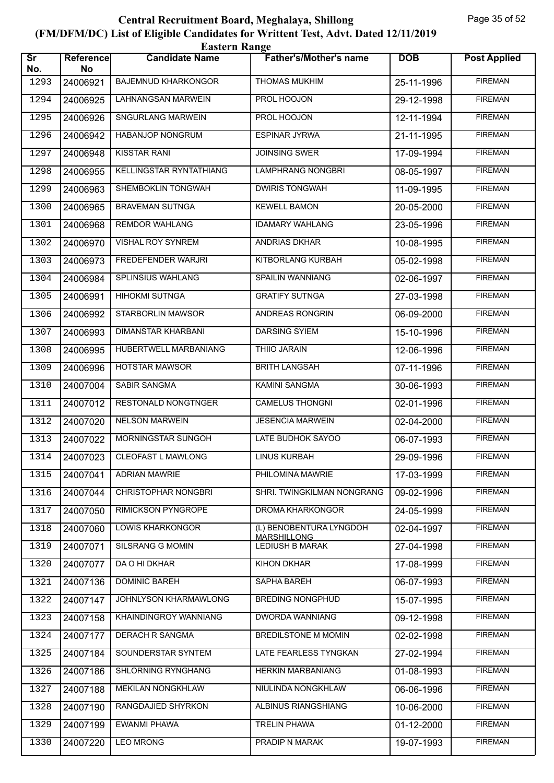|                               | <b>Eastern Range</b> |                            |                                        |            |                     |  |  |  |
|-------------------------------|----------------------|----------------------------|----------------------------------------|------------|---------------------|--|--|--|
| $\overline{\text{sr}}$<br>No. | Reference<br>No      | <b>Candidate Name</b>      | <b>Father's/Mother's name</b>          | <b>DOB</b> | <b>Post Applied</b> |  |  |  |
| 1293                          | 24006921             | <b>BAJEMNUD KHARKONGOR</b> | <b>THOMAS MUKHIM</b>                   | 25-11-1996 | <b>FIREMAN</b>      |  |  |  |
| 1294                          | 24006925             | <b>LAHNANGSAN MARWEIN</b>  | PROL HOOJON                            | 29-12-1998 | <b>FIREMAN</b>      |  |  |  |
| 1295                          | 24006926             | SNGURLANG MARWEIN          | PROL HOOJON                            | 12-11-1994 | <b>FIREMAN</b>      |  |  |  |
| 1296                          | 24006942             | HABANJOP NONGRUM           | <b>ESPINAR JYRWA</b>                   | 21-11-1995 | <b>FIREMAN</b>      |  |  |  |
| 1297                          | 24006948             | <b>KISSTAR RANI</b>        | <b>JOINSING SWER</b>                   | 17-09-1994 | <b>FIREMAN</b>      |  |  |  |
| 1298                          | 24006955             | KELLINGSTAR RYNTATHIANG    | <b>LAMPHRANG NONGBRI</b>               | 08-05-1997 | <b>FIREMAN</b>      |  |  |  |
| 1299                          | 24006963             | SHEMBOKLIN TONGWAH         | <b>DWIRIS TONGWAH</b>                  | 11-09-1995 | <b>FIREMAN</b>      |  |  |  |
| 1300                          | 24006965             | <b>BRAVEMAN SUTNGA</b>     | <b>KEWELL BAMON</b>                    | 20-05-2000 | <b>FIREMAN</b>      |  |  |  |
| 1301                          | 24006968             | <b>REMDOR WAHLANG</b>      | <b>IDAMARY WAHLANG</b>                 | 23-05-1996 | <b>FIREMAN</b>      |  |  |  |
| 1302                          | 24006970             | VISHAL ROY SYNREM          | ANDRIAS DKHAR                          | 10-08-1995 | <b>FIREMAN</b>      |  |  |  |
| 1303                          | 24006973             | <b>FREDEFENDER WARJRI</b>  | KITBORLANG KURBAH                      | 05-02-1998 | <b>FIREMAN</b>      |  |  |  |
| 1304                          | 24006984             | <b>SPLINSIUS WAHLANG</b>   | <b>SPAILIN WANNIANG</b>                | 02-06-1997 | <b>FIREMAN</b>      |  |  |  |
| 1305                          | 24006991             | <b>HIHOKMI SUTNGA</b>      | <b>GRATIFY SUTNGA</b>                  | 27-03-1998 | <b>FIREMAN</b>      |  |  |  |
| 1306                          | 24006992             | STARBORLIN MAWSOR          | ANDREAS RONGRIN                        | 06-09-2000 | <b>FIREMAN</b>      |  |  |  |
| 1307                          | 24006993             | DIMANSTAR KHARBANI         | <b>DARSING SYIEM</b>                   | 15-10-1996 | <b>FIREMAN</b>      |  |  |  |
| 1308                          | 24006995             | HUBERTWELL MARBANIANG      | THIIO JARAIN                           | 12-06-1996 | <b>FIREMAN</b>      |  |  |  |
| 1309                          | 24006996             | <b>HOTSTAR MAWSOR</b>      | <b>BRITH LANGSAH</b>                   | 07-11-1996 | <b>FIREMAN</b>      |  |  |  |
| 1310                          | 24007004             | SABIR SANGMA               | <b>KAMINI SANGMA</b>                   | 30-06-1993 | <b>FIREMAN</b>      |  |  |  |
| 1311                          | 24007012             | <b>RESTONALD NONGTNGER</b> | <b>CAMELUS THONGNI</b>                 | 02-01-1996 | <b>FIREMAN</b>      |  |  |  |
| 1312                          | 24007020             | <b>NELSON MARWEIN</b>      | <b>JESENCIA MARWEIN</b>                | 02-04-2000 | <b>FIREMAN</b>      |  |  |  |
| 1313                          | 24007022             | MORNINGSTAR SUNGOH         | LATE BUDHOK SAYOO                      | 06-07-1993 | <b>FIREMAN</b>      |  |  |  |
| 1314                          | 24007023             | <b>CLEOFAST L MAWLONG</b>  | <b>LINUS KURBAH</b>                    | 29-09-1996 | <b>FIREMAN</b>      |  |  |  |
| 1315                          | 24007041             | <b>ADRIAN MAWRIE</b>       | PHILOMINA MAWRIE                       | 17-03-1999 | <b>FIREMAN</b>      |  |  |  |
| 1316                          | 24007044             | <b>CHRISTOPHAR NONGBRI</b> | SHRI. TWINGKILMAN NONGRANG             | 09-02-1996 | <b>FIREMAN</b>      |  |  |  |
| 1317                          | 24007050             | <b>RIMICKSON PYNGROPE</b>  | DROMA KHARKONGOR                       | 24-05-1999 | <b>FIREMAN</b>      |  |  |  |
| 1318                          | 24007060             | <b>LOWIS KHARKONGOR</b>    | (L) BENOBENTURA LYNGDOH<br>MARSHILLONG | 02-04-1997 | <b>FIREMAN</b>      |  |  |  |
| 1319                          | 24007071             | SILSRANG G MOMIN           | <b>LEDIUSH B MARAK</b>                 | 27-04-1998 | <b>FIREMAN</b>      |  |  |  |
| 1320                          | 24007077             | DA O HI DKHAR              | <b>KIHON DKHAR</b>                     | 17-08-1999 | <b>FIREMAN</b>      |  |  |  |
| 1321                          | 24007136             | <b>DOMINIC BAREH</b>       | SAPHA BAREH                            | 06-07-1993 | <b>FIREMAN</b>      |  |  |  |
| 1322                          | 24007147             | JOHNLYSON KHARMAWLONG      | <b>BREDING NONGPHUD</b>                | 15-07-1995 | <b>FIREMAN</b>      |  |  |  |
| 1323                          | 24007158             | KHAINDINGROY WANNIANG      | <b>DWORDA WANNIANG</b>                 | 09-12-1998 | <b>FIREMAN</b>      |  |  |  |
| 1324                          | 24007177             | DERACH R SANGMA            | BREDILSTONE M MOMIN                    | 02-02-1998 | <b>FIREMAN</b>      |  |  |  |
| 1325                          | 24007184             | SOUNDERSTAR SYNTEM         | LATE FEARLESS TYNGKAN                  | 27-02-1994 | <b>FIREMAN</b>      |  |  |  |
| 1326                          | 24007186             | SHLORNING RYNGHANG         | <b>HERKIN MARBANIANG</b>               | 01-08-1993 | <b>FIREMAN</b>      |  |  |  |
| 1327                          | 24007188             | <b>MEKILAN NONGKHLAW</b>   | NIULINDA NONGKHLAW                     | 06-06-1996 | <b>FIREMAN</b>      |  |  |  |
| 1328                          | 24007190             | RANGDAJIED SHYRKON         | ALBINUS RIANGSHIANG                    | 10-06-2000 | <b>FIREMAN</b>      |  |  |  |
| 1329                          | 24007199             | <b>EWANMI PHAWA</b>        | <b>TRELIN PHAWA</b>                    | 01-12-2000 | <b>FIREMAN</b>      |  |  |  |
| 1330                          | 24007220             | <b>LEO MRONG</b>           | PRADIP N MARAK                         | 19-07-1993 | <b>FIREMAN</b>      |  |  |  |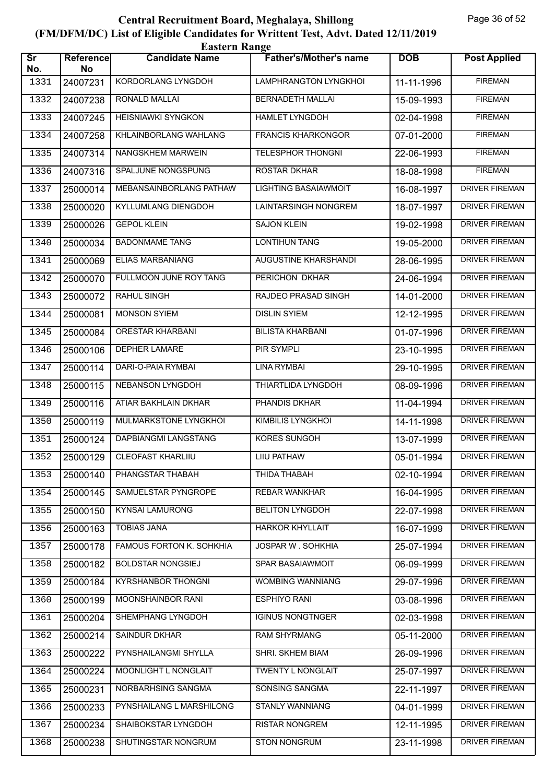|                               | <b>Eastern Range</b> |                           |                               |            |                       |  |  |  |
|-------------------------------|----------------------|---------------------------|-------------------------------|------------|-----------------------|--|--|--|
| $\overline{\text{Sr}}$<br>No. | Reference<br>No      | <b>Candidate Name</b>     | <b>Father's/Mother's name</b> | <b>DOB</b> | <b>Post Applied</b>   |  |  |  |
| 1331                          | 24007231             | KORDORLANG LYNGDOH        | LAMPHRANGTON LYNGKHOI         | 11-11-1996 | <b>FIREMAN</b>        |  |  |  |
| 1332                          | 24007238             | RONALD MALLAI             | <b>BERNADETH MALLAI</b>       | 15-09-1993 | <b>FIREMAN</b>        |  |  |  |
| 1333                          | 24007245             | <b>HEISNIAWKI SYNGKON</b> | <b>HAMLET LYNGDOH</b>         | 02-04-1998 | <b>FIREMAN</b>        |  |  |  |
| 1334                          | 24007258             | KHLAINBORLANG WAHLANG     | <b>FRANCIS KHARKONGOR</b>     | 07-01-2000 | <b>FIREMAN</b>        |  |  |  |
| 1335                          | 24007314             | NANGSKHEM MARWEIN         | <b>TELESPHOR THONGNI</b>      | 22-06-1993 | <b>FIREMAN</b>        |  |  |  |
| 1336                          | 24007316             | SPALJUNE NONGSPUNG        | <b>ROSTAR DKHAR</b>           | 18-08-1998 | <b>FIREMAN</b>        |  |  |  |
| 1337                          | 25000014             | MEBANSAINBORLANG PATHAW   | <b>LIGHTING BASAIAWMOIT</b>   | 16-08-1997 | <b>DRIVER FIREMAN</b> |  |  |  |
| 1338                          | 25000020             | KYLLUMLANG DIENGDOH       | LAINTARSINGH NONGREM          | 18-07-1997 | DRIVER FIREMAN        |  |  |  |
| 1339                          | 25000026             | <b>GEPOL KLEIN</b>        | <b>SAJON KLEIN</b>            | 19-02-1998 | <b>DRIVER FIREMAN</b> |  |  |  |
| 1340                          | 25000034             | <b>BADONMAME TANG</b>     | <b>LONTIHUN TANG</b>          | 19-05-2000 | <b>DRIVER FIREMAN</b> |  |  |  |
| 1341                          | 25000069             | ELIAS MARBANIANG          | <b>AUGUSTINE KHARSHANDI</b>   | 28-06-1995 | <b>DRIVER FIREMAN</b> |  |  |  |
| 1342                          | 25000070             | FULLMOON JUNE ROY TANG    | PERICHON DKHAR                | 24-06-1994 | <b>DRIVER FIREMAN</b> |  |  |  |
| 1343                          | 25000072             | <b>RAHUL SINGH</b>        | RAJDEO PRASAD SINGH           | 14-01-2000 | <b>DRIVER FIREMAN</b> |  |  |  |
| 1344                          | 25000081             | <b>MONSON SYIEM</b>       | <b>DISLIN SYIEM</b>           | 12-12-1995 | <b>DRIVER FIREMAN</b> |  |  |  |
| 1345                          | 25000084             | <b>ORESTAR KHARBANI</b>   | <b>BILISTA KHARBANI</b>       | 01-07-1996 | <b>DRIVER FIREMAN</b> |  |  |  |
| 1346                          | 25000106             | <b>DEPHER LAMARE</b>      | PIR SYMPLI                    | 23-10-1995 | <b>DRIVER FIREMAN</b> |  |  |  |
| 1347                          | 25000114             | DARI-O-PAIA RYMBAI        | <b>LINA RYMBAI</b>            | 29-10-1995 | <b>DRIVER FIREMAN</b> |  |  |  |
| 1348                          | 25000115             | <b>NEBANSON LYNGDOH</b>   | THIARTLIDA LYNGDOH            | 08-09-1996 | <b>DRIVER FIREMAN</b> |  |  |  |
| 1349                          | 25000116             | ATIAR BAKHLAIN DKHAR      | PHANDIS DKHAR                 | 11-04-1994 | <b>DRIVER FIREMAN</b> |  |  |  |
| 1350                          | 25000119             | MULMARKSTONE LYNGKHOI     | KIMBILIS LYNGKHOI             | 14-11-1998 | DRIVER FIREMAN        |  |  |  |
| 1351                          | 25000124             | DAPBIANGMI LANGSTANG      | KORES SUNGOH                  | 13-07-1999 | <b>DRIVER FIREMAN</b> |  |  |  |
| 1352                          | 25000129             | <b>CLEOFAST KHARLIIU</b>  | <b>LIIU PATHAW</b>            | 05-01-1994 | <b>DRIVER FIREMAN</b> |  |  |  |
| 1353                          | 25000140             | PHANGSTAR THABAH          | THIDA THABAH                  | 02-10-1994 | <b>DRIVER FIREMAN</b> |  |  |  |
| 1354                          | 25000145             | SAMUELSTAR PYNGROPE       | <b>REBAR WANKHAR</b>          | 16-04-1995 | DRIVER FIREMAN        |  |  |  |
| 1355                          | 25000150             | <b>KYNSAI LAMURONG</b>    | <b>BELITON LYNGDOH</b>        | 22-07-1998 | DRIVER FIREMAN        |  |  |  |
| 1356                          | 25000163             | <b>TOBIAS JANA</b>        | <b>HARKOR KHYLLAIT</b>        | 16-07-1999 | DRIVER FIREMAN        |  |  |  |
| 1357                          | 25000178             | FAMOUS FORTON K. SOHKHIA  | JOSPAR W. SOHKHIA             | 25-07-1994 | <b>DRIVER FIREMAN</b> |  |  |  |
| 1358                          | 25000182             | <b>BOLDSTAR NONGSIEJ</b>  | SPAR BASAIAWMOIT              | 06-09-1999 | <b>DRIVER FIREMAN</b> |  |  |  |
| 1359                          | 25000184             | <b>KYRSHANBOR THONGNI</b> | <b>WOMBING WANNIANG</b>       | 29-07-1996 | DRIVER FIREMAN        |  |  |  |
| 1360                          | 25000199             | MOONSHAINBOR RANI         | <b>ESPHIYO RANI</b>           | 03-08-1996 | DRIVER FIREMAN        |  |  |  |
| 1361                          | 25000204             | SHEMPHANG LYNGDOH         | <b>IGINUS NONGTNGER</b>       | 02-03-1998 | DRIVER FIREMAN        |  |  |  |
| 1362                          | 25000214             | SAINDUR DKHAR             | RAM SHYRMANG                  | 05-11-2000 | <b>DRIVER FIREMAN</b> |  |  |  |
| 1363                          | 25000222             | PYNSHAILANGMI SHYLLA      | SHRI. SKHEM BIAM              | 26-09-1996 | <b>DRIVER FIREMAN</b> |  |  |  |
| 1364                          | 25000224             | MOONLIGHT L NONGLAIT      | TWENTY L NONGLAIT             | 25-07-1997 | DRIVER FIREMAN        |  |  |  |
| 1365                          | 25000231             | NORBARHSING SANGMA        | SONSING SANGMA                | 22-11-1997 | DRIVER FIREMAN        |  |  |  |
| 1366                          | 25000233             | PYNSHAILANG L MARSHILONG  | STANLY WANNIANG               | 04-01-1999 | DRIVER FIREMAN        |  |  |  |
| 1367                          | 25000234             | SHAIBOKSTAR LYNGDOH       | <b>RISTAR NONGREM</b>         | 12-11-1995 | <b>DRIVER FIREMAN</b> |  |  |  |
| 1368                          | 25000238             | SHUTINGSTAR NONGRUM       | <b>STON NONGRUM</b>           | 23-11-1998 | DRIVER FIREMAN        |  |  |  |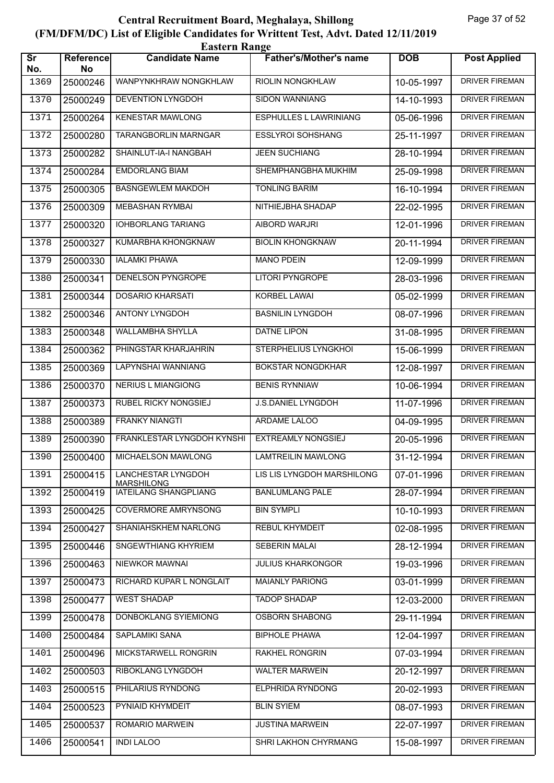| <b>Eastern Range</b>          |                        |                                         |                               |            |                       |  |  |
|-------------------------------|------------------------|-----------------------------------------|-------------------------------|------------|-----------------------|--|--|
| $\overline{\text{Sr}}$<br>No. | <b>Reference</b><br>No | <b>Candidate Name</b>                   | <b>Father's/Mother's name</b> | <b>DOB</b> | <b>Post Applied</b>   |  |  |
| 1369                          | 25000246               | WANPYNKHRAW NONGKHLAW                   | RIOLIN NONGKHLAW              | 10-05-1997 | <b>DRIVER FIREMAN</b> |  |  |
| 1370                          | 25000249               | <b>DEVENTION LYNGDOH</b>                | <b>SIDON WANNIANG</b>         | 14-10-1993 | <b>DRIVER FIREMAN</b> |  |  |
| 1371                          | 25000264               | <b>KENESTAR MAWLONG</b>                 | <b>ESPHULLES L LAWRINIANG</b> | 05-06-1996 | <b>DRIVER FIREMAN</b> |  |  |
| 1372                          | 25000280               | TARANGBORLIN MARNGAR                    | <b>ESSLYROI SOHSHANG</b>      | 25-11-1997 | <b>DRIVER FIREMAN</b> |  |  |
| 1373                          | 25000282               | SHAINLUT-IA-I NANGBAH                   | <b>JEEN SUCHIANG</b>          | 28-10-1994 | <b>DRIVER FIREMAN</b> |  |  |
| 1374                          | 25000284               | <b>EMDORLANG BIAM</b>                   | SHEMPHANGBHA MUKHIM           | 25-09-1998 | DRIVER FIREMAN        |  |  |
| 1375                          | 25000305               | <b>BASNGEWLEM MAKDOH</b>                | <b>TONLING BARIM</b>          | 16-10-1994 | <b>DRIVER FIREMAN</b> |  |  |
| 1376                          | 25000309               | <b>MEBASHAN RYMBAI</b>                  | NITHIEJBHA SHADAP             | 22-02-1995 | <b>DRIVER FIREMAN</b> |  |  |
| 1377                          | 25000320               | <b>IOHBORLANG TARIANG</b>               | AIBORD WARJRI                 | 12-01-1996 | <b>DRIVER FIREMAN</b> |  |  |
| 1378                          | 25000327               | KUMARBHA KHONGKNAW                      | <b>BIOLIN KHONGKNAW</b>       | 20-11-1994 | <b>DRIVER FIREMAN</b> |  |  |
| 1379                          | 25000330               | <b>IALAMKI PHAWA</b>                    | <b>MANO PDEIN</b>             | 12-09-1999 | <b>DRIVER FIREMAN</b> |  |  |
| 1380                          | 25000341               | DENELSON PYNGROPE                       | <b>LITORI PYNGROPE</b>        | 28-03-1996 | <b>DRIVER FIREMAN</b> |  |  |
| 1381                          | 25000344               | <b>DOSARIO KHARSATI</b>                 | KORBEL LAWAI                  | 05-02-1999 | <b>DRIVER FIREMAN</b> |  |  |
| 1382                          | 25000346               | ANTONY LYNGDOH                          | <b>BASNILIN LYNGDOH</b>       | 08-07-1996 | <b>DRIVER FIREMAN</b> |  |  |
| 1383                          | 25000348               | WALLAMBHA SHYLLA                        | DATNE LIPON                   | 31-08-1995 | <b>DRIVER FIREMAN</b> |  |  |
| 1384                          | 25000362               | PHINGSTAR KHARJAHRIN                    | STERPHELIUS LYNGKHOI          | 15-06-1999 | DRIVER FIREMAN        |  |  |
| 1385                          | 25000369               | LAPYNSHAI WANNIANG                      | <b>BOKSTAR NONGDKHAR</b>      | 12-08-1997 | <b>DRIVER FIREMAN</b> |  |  |
| 1386                          | 25000370               | <b>NERIUS L MIANGIONG</b>               | <b>BENIS RYNNIAW</b>          | 10-06-1994 | <b>DRIVER FIREMAN</b> |  |  |
| 1387                          | 25000373               | <b>RUBEL RICKY NONGSIEJ</b>             | J.S.DANIEL LYNGDOH            | 11-07-1996 | DRIVER FIREMAN        |  |  |
| 1388                          | 25000389               | <b>FRANKY NIANGTI</b>                   | ARDAME LALOO                  | 04-09-1995 | DRIVER FIREMAN        |  |  |
| 1389                          | 25000390               | FRANKLESTAR LYNGDOH KYNSHI              | <b>EXTREAMLY NONGSIEJ</b>     | 20-05-1996 | <b>DRIVER FIREMAN</b> |  |  |
| 1390                          | 25000400               | MICHAELSON MAWLONG                      | <b>LAMTREILIN MAWLONG</b>     | 31-12-1994 | <b>DRIVER FIREMAN</b> |  |  |
| 1391                          | 25000415               | LANCHESTAR LYNGDOH<br><b>MARSHILONG</b> | LIS LIS LYNGDOH MARSHILONG    | 07-01-1996 | DRIVER FIREMAN        |  |  |
| 1392                          | 25000419               | IATEILANG SHANGPLIANG                   | <b>BANLUMLANG PALE</b>        | 28-07-1994 | DRIVER FIREMAN        |  |  |
| 1393                          | 25000425               | <b>COVERMORE AMRYNSONG</b>              | <b>BIN SYMPLI</b>             | 10-10-1993 | <b>DRIVER FIREMAN</b> |  |  |
| 1394                          | 25000427               | SHANIAHSKHEM NARLONG                    | <b>REBUL KHYMDEIT</b>         | 02-08-1995 | DRIVER FIREMAN        |  |  |
| 1395                          | 25000446               | SNGEWTHIANG KHYRIEM                     | SEBERIN MALAI                 | 28-12-1994 | <b>DRIVER FIREMAN</b> |  |  |
| 1396                          | 25000463               | NIEWKOR MAWNAI                          | <b>JULIUS KHARKONGOR</b>      | 19-03-1996 | <b>DRIVER FIREMAN</b> |  |  |
| 1397                          | 25000473               | RICHARD KUPAR L NONGLAIT                | <b>MAIANLY PARIONG</b>        | 03-01-1999 | DRIVER FIREMAN        |  |  |
| 1398                          | 25000477               | <b>WEST SHADAP</b>                      | <b>TADOP SHADAP</b>           | 12-03-2000 | DRIVER FIREMAN        |  |  |
| 1399                          | 25000478               | DONBOKLANG SYIEMIONG                    | <b>OSBORN SHABONG</b>         | 29-11-1994 | DRIVER FIREMAN        |  |  |
| 1400                          | 25000484               | SAPLAMIKI SANA                          | <b>BIPHOLE PHAWA</b>          | 12-04-1997 | DRIVER FIREMAN        |  |  |
| 1401                          | 25000496               | MICKSTARWELL RONGRIN                    | <b>RAKHEL RONGRIN</b>         | 07-03-1994 | DRIVER FIREMAN        |  |  |
| 1402                          | 25000503               | RIBOKLANG LYNGDOH                       | <b>WALTER MARWEIN</b>         | 20-12-1997 | DRIVER FIREMAN        |  |  |
| 1403                          | 25000515               | PHILARIUS RYNDONG                       | <b>ELPHRIDA RYNDONG</b>       | 20-02-1993 | DRIVER FIREMAN        |  |  |
| 1404                          | 25000523               | PYNIAID KHYMDEIT                        | <b>BLIN SYIEM</b>             | 08-07-1993 | DRIVER FIREMAN        |  |  |
| 1405                          | 25000537               | ROMARIO MARWEIN                         | <b>JUSTINA MARWEIN</b>        | 22-07-1997 | DRIVER FIREMAN        |  |  |
| 1406                          | 25000541               | <b>INDI LALOO</b>                       | SHRI LAKHON CHYRMANG          | 15-08-1997 | DRIVER FIREMAN        |  |  |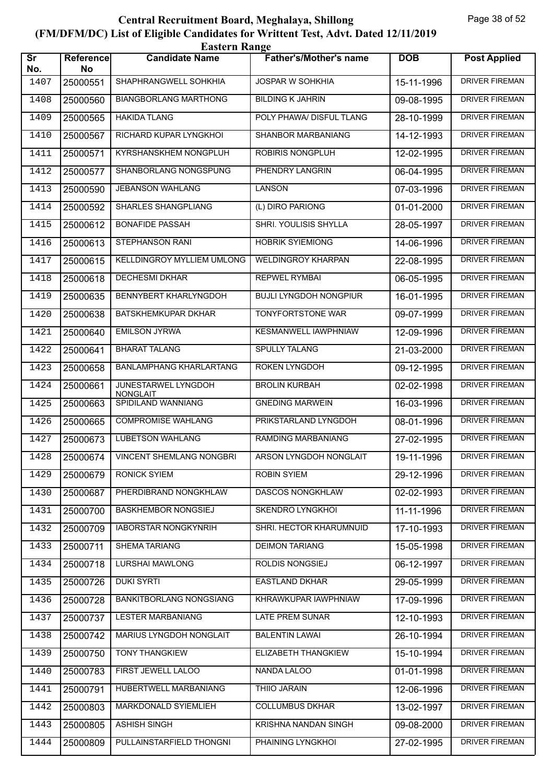| <b>Eastern Range</b>          |                 |                                        |                               |            |                       |  |  |
|-------------------------------|-----------------|----------------------------------------|-------------------------------|------------|-----------------------|--|--|
| $\overline{\text{Sr}}$<br>No. | Reference<br>No | <b>Candidate Name</b>                  | <b>Father's/Mother's name</b> | <b>DOB</b> | <b>Post Applied</b>   |  |  |
| 1407                          | 25000551        | SHAPHRANGWELL SOHKHIA                  | <b>JOSPAR W SOHKHIA</b>       | 15-11-1996 | <b>DRIVER FIREMAN</b> |  |  |
| 1408                          | 25000560        | <b>BIANGBORLANG MARTHONG</b>           | <b>BILDING K JAHRIN</b>       | 09-08-1995 | <b>DRIVER FIREMAN</b> |  |  |
| 1409                          | 25000565        | <b>HAKIDA TLANG</b>                    | POLY PHAWA/ DISFUL TLANG      | 28-10-1999 | <b>DRIVER FIREMAN</b> |  |  |
| 1410                          | 25000567        | RICHARD KUPAR LYNGKHOI                 | SHANBOR MARBANIANG            | 14-12-1993 | <b>DRIVER FIREMAN</b> |  |  |
| 1411                          | 25000571        | KYRSHANSKHEM NONGPLUH                  | <b>ROBIRIS NONGPLUH</b>       | 12-02-1995 | <b>DRIVER FIREMAN</b> |  |  |
| 1412                          | 25000577        | SHANBORLANG NONGSPUNG                  | PHENDRY LANGRIN               | 06-04-1995 | <b>DRIVER FIREMAN</b> |  |  |
| 1413                          | 25000590        | <b>JEBANSON WAHLANG</b>                | <b>LANSON</b>                 | 07-03-1996 | <b>DRIVER FIREMAN</b> |  |  |
| 1414                          | 25000592        | <b>SHARLES SHANGPLIANG</b>             | (L) DIRO PARIONG              | 01-01-2000 | <b>DRIVER FIREMAN</b> |  |  |
| 1415                          | 25000612        | <b>BONAFIDE PASSAH</b>                 | <b>SHRI. YOULISIS SHYLLA</b>  | 28-05-1997 | <b>DRIVER FIREMAN</b> |  |  |
| 1416                          | 25000613        | STEPHANSON RANI                        | <b>HOBRIK SYIEMIONG</b>       | 14-06-1996 | <b>DRIVER FIREMAN</b> |  |  |
| 1417                          | 25000615        | KELLDINGROY MYLLIEM UMLONG             | <b>WELDINGROY KHARPAN</b>     | 22-08-1995 | <b>DRIVER FIREMAN</b> |  |  |
| 1418                          | 25000618        | <b>DECHESMI DKHAR</b>                  | <b>REPWEL RYMBAI</b>          | 06-05-1995 | <b>DRIVER FIREMAN</b> |  |  |
| 1419                          | 25000635        | BENNYBERT KHARLYNGDOH                  | <b>BUJLI LYNGDOH NONGPIUR</b> | 16-01-1995 | <b>DRIVER FIREMAN</b> |  |  |
| 1420                          | 25000638        | BATSKHEMKUPAR DKHAR                    | TONYFORTSTONE WAR             | 09-07-1999 | <b>DRIVER FIREMAN</b> |  |  |
| 1421                          | 25000640        | <b>EMILSON JYRWA</b>                   | KESMANWELL IAWPHNIAW          | 12-09-1996 | <b>DRIVER FIREMAN</b> |  |  |
| 1422                          | 25000641        | <b>BHARAT TALANG</b>                   | <b>SPULLY TALANG</b>          | 21-03-2000 | <b>DRIVER FIREMAN</b> |  |  |
| 1423                          | 25000658        | <b>BANLAMPHANG KHARLARTANG</b>         | <b>ROKEN LYNGDOH</b>          | 09-12-1995 | <b>DRIVER FIREMAN</b> |  |  |
| 1424                          | 25000661        | JUNESTARWEL LYNGDOH<br><b>NONGLAIT</b> | <b>BROLIN KURBAH</b>          | 02-02-1998 | <b>DRIVER FIREMAN</b> |  |  |
| 1425                          | 25000663        | SPIDILAND WANNIANG                     | <b>GNEDING MARWEIN</b>        | 16-03-1996 | <b>DRIVER FIREMAN</b> |  |  |
| 1426                          | 25000665        | <b>COMPROMISE WAHLANG</b>              | PRIKSTARLAND LYNGDOH          | 08-01-1996 | <b>DRIVER FIREMAN</b> |  |  |
| 1427                          | 25000673        | <b>LUBETSON WAHLANG</b>                | RAMDING MARBANIANG            | 27-02-1995 | <b>DRIVER FIREMAN</b> |  |  |
| 1428                          | 25000674        | <b>VINCENT SHEMLANG NONGBRI</b>        | ARSON LYNGDOH NONGLAIT        | 19-11-1996 | <b>DRIVER FIREMAN</b> |  |  |
| 1429                          | 25000679        | <b>RONICK SYIEM</b>                    | <b>ROBIN SYIEM</b>            | 29-12-1996 | <b>DRIVER FIREMAN</b> |  |  |
| 1430                          | 25000687        | PHERDIBRAND NONGKHLAW                  | <b>DASCOS NONGKHLAW</b>       | 02-02-1993 | <b>DRIVER FIREMAN</b> |  |  |
| 1431                          | 25000700        | <b>BASKHEMBOR NONGSIEJ</b>             | <b>SKENDRO LYNGKHOI</b>       | 11-11-1996 | DRIVER FIREMAN        |  |  |
| 1432                          | 25000709        | <b>IABORSTAR NONGKYNRIH</b>            | SHRI. HECTOR KHARUMNUID       | 17-10-1993 | DRIVER FIREMAN        |  |  |
| 1433                          | 25000711        | SHEMA TARIANG                          | <b>DEIMON TARIANG</b>         | 15-05-1998 | <b>DRIVER FIREMAN</b> |  |  |
| 1434                          | 25000718        | <b>LURSHAI MAWLONG</b>                 | ROLDIS NONGSIEJ               | 06-12-1997 | <b>DRIVER FIREMAN</b> |  |  |
| 1435                          | 25000726        | <b>DUKI SYRTI</b>                      | <b>EASTLAND DKHAR</b>         | 29-05-1999 | <b>DRIVER FIREMAN</b> |  |  |
| 1436                          | 25000728        | <b>BANKITBORLANG NONGSIANG</b>         | KHRAWKUPAR IAWPHNIAW          | 17-09-1996 | DRIVER FIREMAN        |  |  |
| 1437                          | 25000737        | <b>LESTER MARBANIANG</b>               | LATE PREM SUNAR               | 12-10-1993 | <b>DRIVER FIREMAN</b> |  |  |
| 1438                          | 25000742        | MARIUS LYNGDOH NONGLAIT                | <b>BALENTIN LAWAI</b>         | 26-10-1994 | <b>DRIVER FIREMAN</b> |  |  |
| 1439                          | 25000750        | <b>TONY THANGKIEW</b>                  | <b>ELIZABETH THANGKIEW</b>    | 15-10-1994 | <b>DRIVER FIREMAN</b> |  |  |
| 1440                          | 25000783        | FIRST JEWELL LALOO                     | NANDA LALOO                   | 01-01-1998 | <b>DRIVER FIREMAN</b> |  |  |
| 1441                          | 25000791        | HUBERTWELL MARBANIANG                  | <b>THIIO JARAIN</b>           | 12-06-1996 | DRIVER FIREMAN        |  |  |
| 1442                          | 25000803        | MARKDONALD SYIEMLIEH                   | <b>COLLUMBUS DKHAR</b>        | 13-02-1997 | <b>DRIVER FIREMAN</b> |  |  |
| 1443                          | 25000805        | <b>ASHISH SINGH</b>                    | KRISHNA NANDAN SINGH          | 09-08-2000 | <b>DRIVER FIREMAN</b> |  |  |
| 1444                          | 25000809        | PULLAINSTARFIELD THONGNI               | PHAINING LYNGKHOI             | 27-02-1995 | DRIVER FIREMAN        |  |  |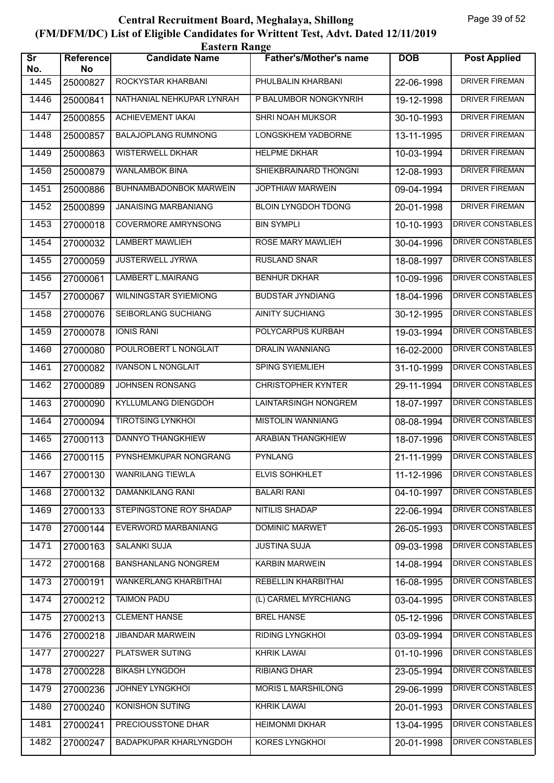| <b>Eastern Range</b>          |                 |                              |                               |            |                          |  |
|-------------------------------|-----------------|------------------------------|-------------------------------|------------|--------------------------|--|
| $\overline{\text{Sr}}$<br>No. | Reference<br>No | <b>Candidate Name</b>        | <b>Father's/Mother's name</b> | <b>DOB</b> | <b>Post Applied</b>      |  |
| 1445                          | 25000827        | ROCKYSTAR KHARBANI           | PHULBALIN KHARBANI            | 22-06-1998 | <b>DRIVER FIREMAN</b>    |  |
| 1446                          | 25000841        | NATHANIAL NEHKUPAR LYNRAH    | P BALUMBOR NONGKYNRIH         | 19-12-1998 | <b>DRIVER FIREMAN</b>    |  |
| 1447                          | 25000855        | <b>ACHIEVEMENT IAKAI</b>     | <b>SHRI NOAH MUKSOR</b>       | 30-10-1993 | <b>DRIVER FIREMAN</b>    |  |
| 1448                          | 25000857        | <b>BALAJOPLANG RUMNONG</b>   | LONGSKHEM YADBORNE            | 13-11-1995 | <b>DRIVER FIREMAN</b>    |  |
| 1449                          | 25000863        | <b>WISTERWELL DKHAR</b>      | <b>HELPME DKHAR</b>           | 10-03-1994 | <b>DRIVER FIREMAN</b>    |  |
| 1450                          | 25000879        | <b>WANLAMBOK BINA</b>        | SHIEKBRAINARD THONGNI         | 12-08-1993 | <b>DRIVER FIREMAN</b>    |  |
| 1451                          | 25000886        | BUHNAMBADONBOK MARWEIN       | <b>JOPTHIAW MARWEIN</b>       | 09-04-1994 | <b>DRIVER FIREMAN</b>    |  |
| 1452                          | 25000899        | <b>JANAISING MARBANIANG</b>  | <b>BLOIN LYNGDOH TDONG</b>    | 20-01-1998 | <b>DRIVER FIREMAN</b>    |  |
| 1453                          | 27000018        | <b>COVERMORE AMRYNSONG</b>   | <b>BIN SYMPLI</b>             | 10-10-1993 | DRIVER CONSTABLES        |  |
| 1454                          | 27000032        | <b>LAMBERT MAWLIEH</b>       | ROSE MARY MAWLIEH             | 30-04-1996 | <b>DRIVER CONSTABLES</b> |  |
| 1455                          | 27000059        | <b>JUSTERWELL JYRWA</b>      | <b>RUSLAND SNAR</b>           | 18-08-1997 | DRIVER CONSTABLES        |  |
| 1456                          | 27000061        | <b>LAMBERT L.MAIRANG</b>     | <b>BENHUR DKHAR</b>           | 10-09-1996 | DRIVER CONSTABLES        |  |
| 1457                          | 27000067        | <b>WILNINGSTAR SYIEMIONG</b> | <b>BUDSTAR JYNDIANG</b>       | 18-04-1996 | DRIVER CONSTABLES        |  |
| 1458                          | 27000076        | SEIBORLANG SUCHIANG          | <b>AINITY SUCHIANG</b>        | 30-12-1995 | DRIVER CONSTABLES        |  |
| 1459                          | 27000078        | <b>IONIS RANI</b>            | POLYCARPUS KURBAH             | 19-03-1994 | <b>DRIVER CONSTABLES</b> |  |
| 1460                          | 27000080        | POULROBERT L NONGLAIT        | <b>DRALIN WANNIANG</b>        | 16-02-2000 | DRIVER CONSTABLES        |  |
| 1461                          | 27000082        | <b>IVANSON L NONGLAIT</b>    | SPING SYIEMLIEH               | 31-10-1999 | DRIVER CONSTABLES        |  |
| 1462                          | 27000089        | JOHNSEN RONSANG              | <b>CHRISTOPHER KYNTER</b>     | 29-11-1994 | <b>DRIVER CONSTABLES</b> |  |
| 1463                          | 27000090        | KYLLUMLANG DIENGDOH          | LAINTARSINGH NONGREM          | 18-07-1997 | <b>DRIVER CONSTABLES</b> |  |
| 1464                          | 27000094        | <b>TIROTSING LYNKHOI</b>     | <b>MISTOLIN WANNIANG</b>      | 08-08-1994 | <b>DRIVER CONSTABLES</b> |  |
| 1465                          | 27000113        | <b>DANNYO THANGKHIEW</b>     | ARABIAN THANGKHIEW            | 18-07-1996 | <b>DRIVER CONSTABLES</b> |  |
| 1466                          | 27000115        | PYNSHEMKUPAR NONGRANG        | <b>PYNLANG</b>                | 21-11-1999 | DRIVER CONSTABLES        |  |
| 1467                          | 27000130        | <b>WANRILANG TIEWLA</b>      | ELVIS SOHKHLET                | 11-12-1996 | DRIVER CONSTABLES        |  |
| 1468                          | 27000132        | DAMANKILANG RANI             | <b>BALARI RANI</b>            | 04-10-1997 | DRIVER CONSTABLES        |  |
| 1469                          | 27000133        | STEPINGSTONE ROY SHADAP      | <b>NITILIS SHADAP</b>         | 22-06-1994 | <b>DRIVER CONSTABLES</b> |  |
| 1470                          | 27000144        | EVERWORD MARBANIANG          | DOMINIC MARWET                | 26-05-1993 | DRIVER CONSTABLES        |  |
| 1471                          | 27000163        | SALANKI SUJA                 | <b>JUSTINA SUJA</b>           | 09-03-1998 | DRIVER CONSTABLES        |  |
| 1472                          | 27000168        | <b>BANSHANLANG NONGREM</b>   | KARBIN MARWEIN                | 14-08-1994 | <b>DRIVER CONSTABLES</b> |  |
| 1473                          | 27000191        | <b>WANKERLANG KHARBITHAI</b> | REBELLIN KHARBITHAI           | 16-08-1995 | DRIVER CONSTABLES        |  |
| 1474                          | 27000212        | <b>TAIMON PADU</b>           | (L) CARMEL MYRCHIANG          | 03-04-1995 | DRIVER CONSTABLES        |  |
| 1475                          | 27000213        | <b>CLEMENT HANSE</b>         | <b>BREL HANSE</b>             | 05-12-1996 | DRIVER CONSTABLES        |  |
| 1476                          | 27000218        | <b>JIBANDAR MARWEIN</b>      | RIDING LYNGKHOI               | 03-09-1994 | DRIVER CONSTABLES        |  |
| 1477                          | 27000227        | PLATSWER SUTING              | <b>KHRIK LAWAI</b>            | 01-10-1996 | DRIVER CONSTABLES        |  |
| 1478                          | 27000228        | <b>BIKASH LYNGDOH</b>        | <b>RIBIANG DHAR</b>           | 23-05-1994 | DRIVER CONSTABLES        |  |
| 1479                          | 27000236        | JOHNEY LYNGKHOI              | <b>MORIS L MARSHILONG</b>     | 29-06-1999 | DRIVER CONSTABLES        |  |
| 1480                          | 27000240        | KONISHON SUTING              | <b>KHRIK LAWAI</b>            | 20-01-1993 | DRIVER CONSTABLES        |  |
| 1481                          | 27000241        | PRECIOUSSTONE DHAR           | <b>HEIMONMI DKHAR</b>         | 13-04-1995 | DRIVER CONSTABLES        |  |
| 1482                          | 27000247        | BADAPKUPAR KHARLYNGDOH       | KORES LYNGKHOI                | 20-01-1998 | DRIVER CONSTABLES        |  |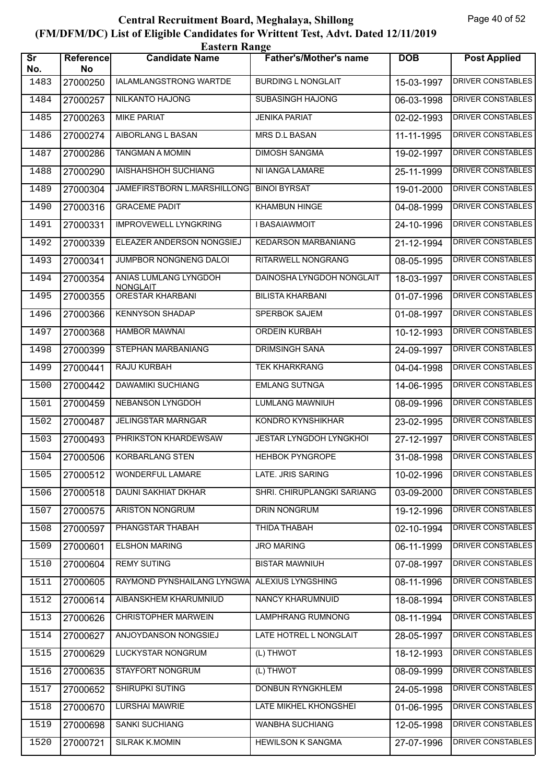| <b>Eastern Range</b>          |                        |                                          |                               |                             |                          |  |  |
|-------------------------------|------------------------|------------------------------------------|-------------------------------|-----------------------------|--------------------------|--|--|
| $\overline{\text{Sr}}$<br>No. | <b>Reference</b><br>No | <b>Candidate Name</b>                    | <b>Father's/Mother's name</b> | <b>DOB</b>                  | <b>Post Applied</b>      |  |  |
| 1483                          | 27000250               | IALAMLANGSTRONG WARTDE                   | <b>BURDING L NONGLAIT</b>     | 15-03-1997                  | <b>DRIVER CONSTABLES</b> |  |  |
| 1484                          | 27000257               | NILKANTO HAJONG                          | <b>SUBASINGH HAJONG</b>       | 06-03-1998                  | <b>DRIVER CONSTABLES</b> |  |  |
| 1485                          | 27000263               | <b>MIKE PARIAT</b>                       | <b>JENIKA PARIAT</b>          | 02-02-1993                  | DRIVER CONSTABLES        |  |  |
| 1486                          | 27000274               | AIBORLANG L BASAN                        | MRS D.L BASAN                 | 11-11-1995                  | <b>DRIVER CONSTABLES</b> |  |  |
| 1487                          | 27000286               | <b>TANGMAN A MOMIN</b>                   | <b>DIMOSH SANGMA</b>          | 19-02-1997                  | <b>DRIVER CONSTABLES</b> |  |  |
| 1488                          | 27000290               | <b>IAISHAHSHOH SUCHIANG</b>              | NI IANGA LAMARE               | $25 - 11 - 1999$            | <b>DRIVER CONSTABLES</b> |  |  |
| 1489                          | 27000304               | JAMEFIRSTBORN L.MARSHILLONG              | <b>BINOI BYRSAT</b>           | 19-01-2000                  | <b>DRIVER CONSTABLES</b> |  |  |
| 1490                          | 27000316               | <b>GRACEME PADIT</b>                     | KHAMBUN HINGE                 | 04-08-1999                  | DRIVER CONSTABLES        |  |  |
| 1491                          | 27000331               | <b>IMPROVEWELL LYNGKRING</b>             | <b>I BASAIAWMOIT</b>          | 24-10-1996                  | <b>DRIVER CONSTABLES</b> |  |  |
| 1492                          | 27000339               | ELEAZER ANDERSON NONGSIEJ                | <b>KEDARSON MARBANIANG</b>    | 21-12-1994                  | <b>DRIVER CONSTABLES</b> |  |  |
| 1493                          | 27000341               | JUMPBOR NONGNENG DALOI                   | RITARWELL NONGRANG            | 08-05-1995                  | <b>DRIVER CONSTABLES</b> |  |  |
| 1494                          | 27000354               | ANIAS LUMLANG LYNGDOH<br><b>NONGLAIT</b> | DAINOSHA LYNGDOH NONGLAIT     | 18-03-1997                  | <b>DRIVER CONSTABLES</b> |  |  |
| 1495                          | 27000355               | <b>ORESTAR KHARBANI</b>                  | <b>BILISTA KHARBANI</b>       | 01-07-1996                  | DRIVER CONSTABLES        |  |  |
| 1496                          | 27000366               | <b>KENNYSON SHADAP</b>                   | <b>SPERBOK SAJEM</b>          | 01-08-1997                  | <b>DRIVER CONSTABLES</b> |  |  |
| 1497                          | 27000368               | <b>HAMBOR MAWNAI</b>                     | ORDEIN KURBAH                 | 10-12-1993                  | <b>DRIVER CONSTABLES</b> |  |  |
| 1498                          | 27000399               | STEPHAN MARBANIANG                       | <b>DRIMSINGH SANA</b>         | 24-09-1997                  | DRIVER CONSTABLES        |  |  |
| 1499                          | 27000441               | RAJU KURBAH                              | <b>TEK KHARKRANG</b>          | 04-04-1998                  | <b>DRIVER CONSTABLES</b> |  |  |
| 1500                          | 27000442               | <b>DAWAMIKI SUCHIANG</b>                 | <b>EMLANG SUTNGA</b>          | $\overline{14} - 06 - 1995$ | DRIVER CONSTABLES        |  |  |
| 1501                          | 27000459               | NEBANSON LYNGDOH                         | <b>LUMLANG MAWNIUH</b>        | 08-09-1996                  | <b>DRIVER CONSTABLES</b> |  |  |
| 1502                          | 27000487               | <b>JELINGSTAR MARNGAR</b>                | KONDRO KYNSHIKHAR             | 23-02-1995                  | <b>DRIVER CONSTABLES</b> |  |  |
| 1503                          | 27000493               | PHRIKSTON KHARDEWSAW                     | JESTAR LYNGDOH LYNGKHOI       | 27-12-1997                  | <b>DRIVER CONSTABLES</b> |  |  |
| 1504                          | 27000506               | <b>KORBARLANG STEN</b>                   | <b>HEHBOK PYNGROPE</b>        | 31-08-1998                  | DRIVER CONSTABLES        |  |  |
| 1505                          | 27000512               | <b>WONDERFUL LAMARE</b>                  | LATE. JRIS SARING             | 10-02-1996                  | DRIVER CONSTABLES        |  |  |
| 1506                          | 27000518               | DAUNI SAKHIAT DKHAR                      | SHRI. CHIRUPLANGKI SARIANG    | 03-09-2000                  | <b>DRIVER CONSTABLES</b> |  |  |
| 1507                          | 27000575               | <b>ARISTON NONGRUM</b>                   | <b>DRIN NONGRUM</b>           | 19-12-1996                  | DRIVER CONSTABLES        |  |  |
| 1508                          | 27000597               | PHANGSTAR THABAH                         | THIDA THABAH                  | 02-10-1994                  | DRIVER CONSTABLES        |  |  |
| 1509                          | 27000601               | <b>ELSHON MARING</b>                     | <b>JRO MARING</b>             | 06-11-1999                  | DRIVER CONSTABLES        |  |  |
| 1510                          | 27000604               | <b>REMY SUTING</b>                       | <b>BISTAR MAWNIUH</b>         | 07-08-1997                  | DRIVER CONSTABLES        |  |  |
| 1511                          | 27000605               | RAYMOND PYNSHAILANG LYNGWA               | <b>ALEXIUS LYNGSHING</b>      | 08-11-1996                  | <b>DRIVER CONSTABLES</b> |  |  |
| 1512                          | 27000614               | AIBANSKHEM KHARUMNIUD                    | NANCY KHARUMNUID              | 18-08-1994                  | DRIVER CONSTABLES        |  |  |
| 1513                          | 27000626               | CHRISTOPHER MARWEIN                      | <b>LAMPHRANG RUMNONG</b>      | 08-11-1994                  | DRIVER CONSTABLES        |  |  |
| 1514                          | 27000627               | ANJOYDANSON NONGSIEJ                     | LATE HOTREL L NONGLAIT        | 28-05-1997                  | DRIVER CONSTABLES        |  |  |
| 1515                          | 27000629               | LUCKYSTAR NONGRUM                        | (L) THWOT                     | 18-12-1993                  | DRIVER CONSTABLES        |  |  |
| 1516                          | 27000635               | <b>STAYFORT NONGRUM</b>                  | (L) THWOT                     | 08-09-1999                  | <b>DRIVER CONSTABLES</b> |  |  |
| 1517                          | 27000652               | <b>SHIRUPKI SUTING</b>                   | <b>DONBUN RYNGKHLEM</b>       | 24-05-1998                  | DRIVER CONSTABLES        |  |  |
| 1518                          | 27000670               | LURSHAI MAWRIE                           | LATE MIKHEL KHONGSHEI         | 01-06-1995                  | DRIVER CONSTABLES        |  |  |
| 1519                          | 27000698               | SANKI SUCHIANG                           | WANBHA SUCHIANG               | 12-05-1998                  | DRIVER CONSTABLES        |  |  |
| 1520                          | 27000721               | <b>SILRAK K.MOMIN</b>                    | HEWILSON K SANGMA             | 27-07-1996                  | DRIVER CONSTABLES        |  |  |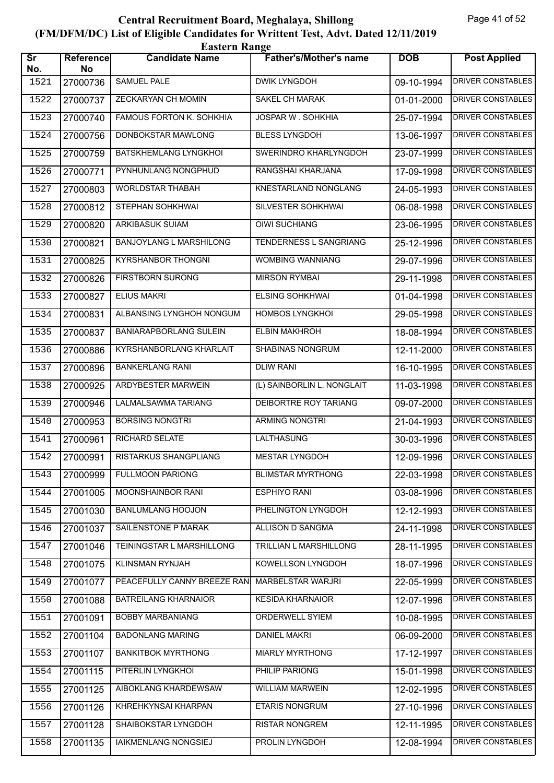| <b>Eastern Range</b>          |                 |                                |                               |            |                          |  |  |
|-------------------------------|-----------------|--------------------------------|-------------------------------|------------|--------------------------|--|--|
| $\overline{\text{Sr}}$<br>No. | Reference<br>No | <b>Candidate Name</b>          | <b>Father's/Mother's name</b> | <b>DOB</b> | <b>Post Applied</b>      |  |  |
| 1521                          | 27000736        | <b>SAMUEL PALE</b>             | <b>DWIK LYNGDOH</b>           | 09-10-1994 | <b>DRIVER CONSTABLES</b> |  |  |
| 1522                          | 27000737        | <b>ZECKARYAN CH MOMIN</b>      | <b>SAKEL CH MARAK</b>         | 01-01-2000 | <b>DRIVER CONSTABLES</b> |  |  |
| 1523                          | 27000740        | FAMOUS FORTON K. SOHKHIA       | JOSPAR W. SOHKHIA             | 25-07-1994 | DRIVER CONSTABLES        |  |  |
| 1524                          | 27000756        | DONBOKSTAR MAWLONG             | <b>BLESS LYNGDOH</b>          | 13-06-1997 | <b>DRIVER CONSTABLES</b> |  |  |
| 1525                          | 27000759        | <b>BATSKHEMLANG LYNGKHOI</b>   | SWERINDRO KHARLYNGDOH         | 23-07-1999 | <b>DRIVER CONSTABLES</b> |  |  |
| 1526                          | 27000771        | PYNHUNLANG NONGPHUD            | RANGSHAI KHARJANA             | 17-09-1998 | DRIVER CONSTABLES        |  |  |
| 1527                          | 27000803        | <b>WORLDSTAR THABAH</b>        | <b>KNESTARLAND NONGLANG</b>   | 24-05-1993 | <b>DRIVER CONSTABLES</b> |  |  |
| 1528                          | 27000812        | STEPHAN SOHKHWAI               | SILVESTER SOHKHWAI            | 06-08-1998 | <b>DRIVER CONSTABLES</b> |  |  |
| 1529                          | 27000820        | ARKIBASUK SUIAM                | <b>OIWI SUCHIANG</b>          | 23-06-1995 | <b>DRIVER CONSTABLES</b> |  |  |
| 1530                          | 27000821        | <b>BANJOYLANG L MARSHILONG</b> | TENDERNESS L SANGRIANG        | 25-12-1996 | DRIVER CONSTABLES        |  |  |
| 1531                          | 27000825        | <b>KYRSHANBOR THONGNI</b>      | WOMBING WANNIANG              | 29-07-1996 | <b>DRIVER CONSTABLES</b> |  |  |
| 1532                          | 27000826        | <b>FIRSTBORN SURONG</b>        | <b>MIRSON RYMBAI</b>          | 29-11-1998 | <b>DRIVER CONSTABLES</b> |  |  |
| 1533                          | 27000827        | <b>ELIUS MAKRI</b>             | <b>ELSING SOHKHWAI</b>        | 01-04-1998 | DRIVER CONSTABLES        |  |  |
| 1534                          | 27000831        | ALBANSING LYNGHOH NONGUM       | <b>HOMBOS LYNGKHOI</b>        | 29-05-1998 | <b>DRIVER CONSTABLES</b> |  |  |
| 1535                          | 27000837        | <b>BANIARAPBORLANG SULEIN</b>  | <b>ELBIN MAKHROH</b>          | 18-08-1994 | <b>DRIVER CONSTABLES</b> |  |  |
| 1536                          | 27000886        | <b>KYRSHANBORLANG KHARLAIT</b> | <b>SHABINAS NONGRUM</b>       | 12-11-2000 | DRIVER CONSTABLES        |  |  |
| 1537                          | 27000896        | <b>BANKERLANG RANI</b>         | <b>DLIW RANI</b>              | 16-10-1995 | <b>DRIVER CONSTABLES</b> |  |  |
| 1538                          | 27000925        | ARDYBESTER MARWEIN             | (L) SAINBORLIN L. NONGLAIT    | 11-03-1998 | DRIVER CONSTABLES        |  |  |
| 1539                          | 27000946        | LALMALSAWMA TARIANG            | DEIBORTRE ROY TARIANG         | 09-07-2000 | <b>DRIVER CONSTABLES</b> |  |  |
| 1540                          | 27000953        | <b>BORSING NONGTRI</b>         | <b>ARMING NONGTRI</b>         | 21-04-1993 | <b>DRIVER CONSTABLES</b> |  |  |
| 1541                          | 27000961        | <b>RICHARD SELATE</b>          | LALTHASUNG                    | 30-03-1996 | <b>DRIVER CONSTABLES</b> |  |  |
| 1542                          | 27000991        | RISTARKUS SHANGPLIANG          | <b>MESTAR LYNGDOH</b>         | 12-09-1996 | DRIVER CONSTABLES        |  |  |
| 1543                          | 27000999        | <b>FULLMOON PARIONG</b>        | <b>BLIMSTAR MYRTHONG</b>      | 22-03-1998 | DRIVER CONSTABLES        |  |  |
| 1544                          | 27001005        | MOONSHAINBOR RANI              | <b>ESPHIYO RANI</b>           | 03-08-1996 | DRIVER CONSTABLES        |  |  |
| 1545                          | 27001030        | <b>BANLUMLANG HOOJON</b>       | PHELINGTON LYNGDOH            | 12-12-1993 | DRIVER CONSTABLES        |  |  |
| 1546                          | 27001037        | SAILENSTONE P MARAK            | ALLISON D SANGMA              | 24-11-1998 | DRIVER CONSTABLES        |  |  |
| 1547                          | 27001046        | TEININGSTAR L MARSHILLONG      | TRILLIAN L MARSHILLONG        | 28-11-1995 | DRIVER CONSTABLES        |  |  |
| 1548                          | 27001075        | KLINSMAN RYNJAH                | KOWELLSON LYNGDOH             | 18-07-1996 | DRIVER CONSTABLES        |  |  |
| 1549                          | 27001077        | PEACEFULLY CANNY BREEZE RAN    | MARBELSTAR WARJRI             | 22-05-1999 | <b>DRIVER CONSTABLES</b> |  |  |
| 1550                          | 27001088        | <b>BATREILANG KHARNAIOR</b>    | <b>KESIDA KHARNAIOR</b>       | 12-07-1996 | DRIVER CONSTABLES        |  |  |
| 1551                          | 27001091        | <b>BOBBY MARBANIANG</b>        | ORDERWELL SYIEM               | 10-08-1995 | DRIVER CONSTABLES        |  |  |
| 1552                          | 27001104        | <b>BADONLANG MARING</b>        | <b>DANIEL MAKRI</b>           | 06-09-2000 | DRIVER CONSTABLES        |  |  |
| 1553                          | 27001107        | <b>BANKITBOK MYRTHONG</b>      | <b>MIARLY MYRTHONG</b>        | 17-12-1997 | DRIVER CONSTABLES        |  |  |
| 1554                          | 27001115        | PITERLIN LYNGKHOI              | PHILIP PARIONG                | 15-01-1998 | <b>DRIVER CONSTABLES</b> |  |  |
| 1555                          | 27001125        | AIBOKLANG KHARDEWSAW           | <b>WILLIAM MARWEIN</b>        | 12-02-1995 | DRIVER CONSTABLES        |  |  |
| 1556                          | 27001126        | KHREHKYNSAI KHARPAN            | ETARIS NONGRUM                | 27-10-1996 | DRIVER CONSTABLES        |  |  |
| 1557                          | 27001128        | SHAIBOKSTAR LYNGDOH            | <b>RISTAR NONGREM</b>         | 12-11-1995 | DRIVER CONSTABLES        |  |  |
| 1558                          | 27001135        | IAIKMENLANG NONGSIEJ           | PROLIN LYNGDOH                | 12-08-1994 | DRIVER CONSTABLES        |  |  |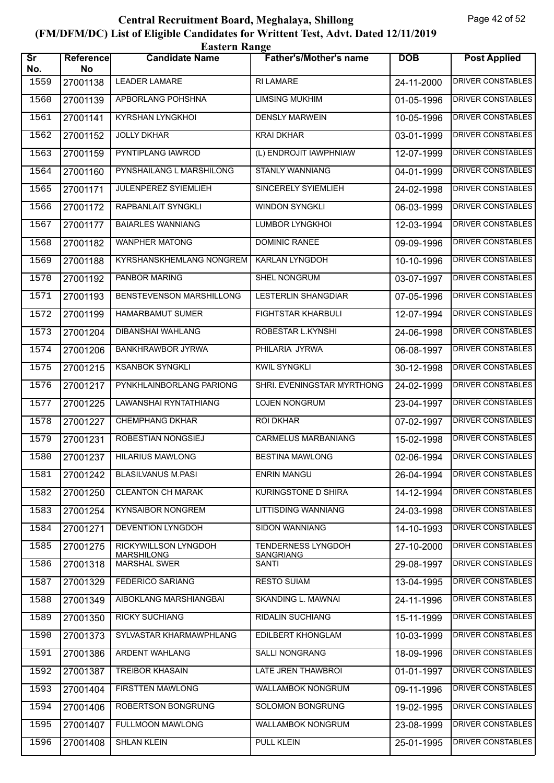|                               | <b>Eastern Range</b>   |                                           |                                        |            |                          |  |  |
|-------------------------------|------------------------|-------------------------------------------|----------------------------------------|------------|--------------------------|--|--|
| $\overline{\text{sr}}$<br>No. | <b>Reference</b><br>No | <b>Candidate Name</b>                     | <b>Father's/Mother's name</b>          | <b>DOB</b> | <b>Post Applied</b>      |  |  |
| 1559                          | 27001138               | <b>LEADER LAMARE</b>                      | <b>RI LAMARE</b>                       | 24-11-2000 | DRIVER CONSTABLES        |  |  |
| 1560                          | 27001139               | APBORLANG POHSHNA                         | <b>LIMSING MUKHIM</b>                  | 01-05-1996 | <b>DRIVER CONSTABLES</b> |  |  |
| 1561                          | 27001141               | <b>KYRSHAN LYNGKHOI</b>                   | <b>DENSLY MARWEIN</b>                  | 10-05-1996 | <b>DRIVER CONSTABLES</b> |  |  |
| 1562                          | 27001152               | <b>JOLLY DKHAR</b>                        | <b>KRAI DKHAR</b>                      | 03-01-1999 | DRIVER CONSTABLES        |  |  |
| 1563                          | 27001159               | PYNTIPLANG IAWROD                         | (L) ENDROJIT IAWPHNIAW                 | 12-07-1999 | DRIVER CONSTABLES        |  |  |
| 1564                          | 27001160               | PYNSHAILANG L MARSHILONG                  | <b>STANLY WANNIANG</b>                 | 04-01-1999 | DRIVER CONSTABLES        |  |  |
| 1565                          | 27001171               | <b>JULENPEREZ SYIEMLIEH</b>               | <b>SINCERELY SYIEMLIEH</b>             | 24-02-1998 | DRIVER CONSTABLES        |  |  |
| 1566                          | 27001172               | RAPBANLAIT SYNGKLI                        | <b>WINDON SYNGKLI</b>                  | 06-03-1999 | <b>DRIVER CONSTABLES</b> |  |  |
| 1567                          | 27001177               | <b>BAIARLES WANNIANG</b>                  | LUMBOR LYNGKHOI                        | 12-03-1994 | DRIVER CONSTABLES        |  |  |
| 1568                          | 27001182               | <b>WANPHER MATONG</b>                     | <b>DOMINIC RANEE</b>                   | 09-09-1996 | DRIVER CONSTABLES        |  |  |
| 1569                          | 27001188               | KYRSHANSKHEMLANG NONGREM                  | <b>KARLAN LYNGDOH</b>                  | 10-10-1996 | <b>DRIVER CONSTABLES</b> |  |  |
| 1570                          | 27001192               | PANBOR MARING                             | SHEL NONGRUM                           | 03-07-1997 | <b>DRIVER CONSTABLES</b> |  |  |
| 1571                          | 27001193               | <b>BENSTEVENSON MARSHILLONG</b>           | LESTERLIN SHANGDIAR                    | 07-05-1996 | DRIVER CONSTABLES        |  |  |
| 1572                          | 27001199               | HAMARBAMUT SUMER                          | FIGHTSTAR KHARBULI                     | 12-07-1994 | DRIVER CONSTABLES        |  |  |
| 1573                          | 27001204               | DIBANSHAI WAHLANG                         | ROBESTAR L.KYNSHI                      | 24-06-1998 | DRIVER CONSTABLES        |  |  |
| 1574                          | 27001206               | <b>BANKHRAWBOR JYRWA</b>                  | PHILARIA JYRWA                         | 06-08-1997 | <b>DRIVER CONSTABLES</b> |  |  |
| 1575                          | 27001215               | <b>KSANBOK SYNGKLI</b>                    | <b>KWIL SYNGKLI</b>                    | 30-12-1998 | <b>DRIVER CONSTABLES</b> |  |  |
| 1576                          | 27001217               | PYNKHLAINBORLANG PARIONG                  | SHRI. EVENINGSTAR MYRTHONG             | 24-02-1999 | DRIVER CONSTABLES        |  |  |
| 1577                          | 27001225               | LAWANSHAI RYNTATHIANG                     | LOJEN NONGRUM                          | 23-04-1997 | DRIVER CONSTABLES        |  |  |
| 1578                          | 27001227               | <b>CHEMPHANG DKHAR</b>                    | <b>ROI DKHAR</b>                       | 07-02-1997 | <b>DRIVER CONSTABLES</b> |  |  |
| 1579                          | 27001231               | <b>ROBESTIAN NONGSIEJ</b>                 | <b>CARMELUS MARBANIANG</b>             | 15-02-1998 | <b>DRIVER CONSTABLES</b> |  |  |
| 1580                          |                        | 27001237   HILARIUS MAWLONG               | <b>BESTINA MAWLONG</b>                 | 02-06-1994 | <b>DRIVER CONSTABLES</b> |  |  |
| 1581                          | 27001242               | <b>BLASILVANUS M.PASI</b>                 | <b>ENRIN MANGU</b>                     | 26-04-1994 | <b>DRIVER CONSTABLES</b> |  |  |
| 1582                          | 27001250               | <b>CLEANTON CH MARAK</b>                  | <b>KURINGSTONE D SHIRA</b>             | 14-12-1994 | DRIVER CONSTABLES        |  |  |
| 1583                          | 27001254               | <b>KYNSAIBOR NONGREM</b>                  | <b>LITTISDING WANNIANG</b>             | 24-03-1998 | <b>DRIVER CONSTABLES</b> |  |  |
| 1584                          | 27001271               | DEVENTION LYNGDOH                         | <b>SIDON WANNIANG</b>                  | 14-10-1993 | <b>DRIVER CONSTABLES</b> |  |  |
| 1585                          | 27001275               | RICKYWILLSON LYNGDOH<br><b>MARSHILONG</b> | TENDERNESS LYNGDOH<br><b>SANGRIANG</b> | 27-10-2000 | DRIVER CONSTABLES        |  |  |
| 1586                          | 27001318               | <b>MARSHAL SWER</b>                       | SANTI                                  | 29-08-1997 | <b>DRIVER CONSTABLES</b> |  |  |
| 1587                          | 27001329               | <b>FEDERICO SARIANG</b>                   | <b>RESTO SUIAM</b>                     | 13-04-1995 | <b>DRIVER CONSTABLES</b> |  |  |
| 1588                          | 27001349               | AIBOKLANG MARSHIANGBAI                    | SKANDING L. MAWNAI                     | 24-11-1996 | <b>DRIVER CONSTABLES</b> |  |  |
| 1589                          | 27001350               | <b>RICKY SUCHIANG</b>                     | <b>RIDALIN SUCHIANG</b>                | 15-11-1999 | DRIVER CONSTABLES        |  |  |
| 1590                          | 27001373               | SYLVASTAR KHARMAWPHLANG                   | EDILBERT KHONGLAM                      | 10-03-1999 | DRIVER CONSTABLES        |  |  |
| 1591                          | 27001386               | ARDENT WAHLANG                            | <b>SALLI NONGRANG</b>                  | 18-09-1996 | DRIVER CONSTABLES        |  |  |
| 1592                          | 27001387               | <b>TREIBOR KHASAIN</b>                    | LATE JREN THAWBROI                     | 01-01-1997 | <b>DRIVER CONSTABLES</b> |  |  |
| 1593                          | 27001404               | <b>FIRSTTEN MAWLONG</b>                   | <b>WALLAMBOK NONGRUM</b>               | 09-11-1996 | <b>DRIVER CONSTABLES</b> |  |  |
| 1594                          | 27001406               | ROBERTSON BONGRUNG                        | SOLOMON BONGRUNG                       | 19-02-1995 | DRIVER CONSTABLES        |  |  |
| 1595                          | 27001407               | FULLMOON MAWLONG                          | WALLAMBOK NONGRUM                      | 23-08-1999 | DRIVER CONSTABLES        |  |  |
| 1596                          | 27001408               | <b>SHLAN KLEIN</b>                        | <b>PULL KLEIN</b>                      | 25-01-1995 | DRIVER CONSTABLES        |  |  |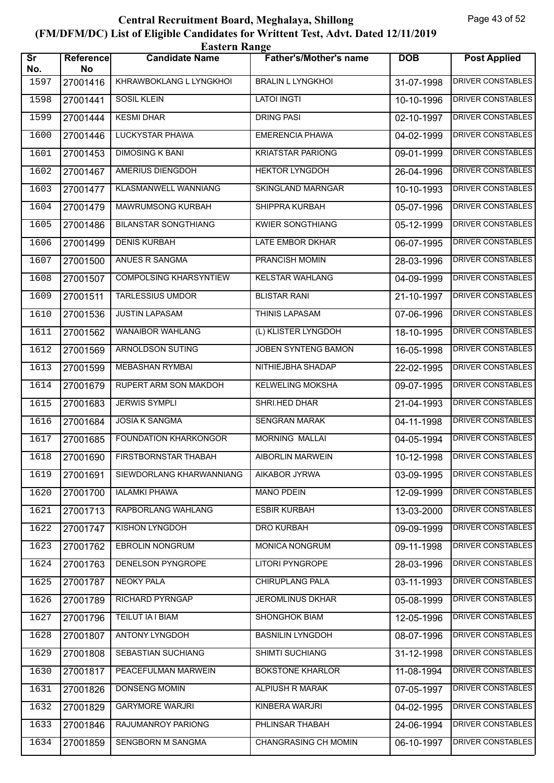|                               | <b>Eastern Range</b> |                               |                               |            |                          |  |  |  |
|-------------------------------|----------------------|-------------------------------|-------------------------------|------------|--------------------------|--|--|--|
| $\overline{\text{Sr}}$<br>No. | Reference<br>No      | <b>Candidate Name</b>         | <b>Father's/Mother's name</b> | <b>DOB</b> | <b>Post Applied</b>      |  |  |  |
| 1597                          | 27001416             | KHRAWBOKLANG L LYNGKHOI       | <b>BRALIN L LYNGKHOI</b>      | 31-07-1998 | <b>DRIVER CONSTABLES</b> |  |  |  |
| 1598                          | 27001441             | <b>SOSIL KLEIN</b>            | <b>LATOI INGTI</b>            | 10-10-1996 | <b>DRIVER CONSTABLES</b> |  |  |  |
| 1599                          | 27001444             | <b>KESMI DHAR</b>             | <b>DRING PASI</b>             | 02-10-1997 | DRIVER CONSTABLES        |  |  |  |
| 1600                          | 27001446             | LUCKYSTAR PHAWA               | <b>EMERENCIA PHAWA</b>        | 04-02-1999 | <b>DRIVER CONSTABLES</b> |  |  |  |
| 1601                          | 27001453             | <b>DIMOSING K BANI</b>        | <b>KRIATSTAR PARIONG</b>      | 09-01-1999 | DRIVER CONSTABLES        |  |  |  |
| 1602                          | 27001467             | <b>AMERIUS DIENGDOH</b>       | <b>HEKTOR LYNGDOH</b>         | 26-04-1996 | <b>DRIVER CONSTABLES</b> |  |  |  |
| 1603                          | 27001477             | <b>KLASMANWELL WANNIANG</b>   | <b>SKINGLAND MARNGAR</b>      | 10-10-1993 | <b>DRIVER CONSTABLES</b> |  |  |  |
| 1604                          | 27001479             | MAWRUMSONG KURBAH             | SHIPPRA KURBAH                | 05-07-1996 | <b>DRIVER CONSTABLES</b> |  |  |  |
| 1605                          | 27001486             | <b>BILANSTAR SONGTHIANG</b>   | <b>KWIER SONGTHIANG</b>       | 05-12-1999 | DRIVER CONSTABLES        |  |  |  |
| 1606                          | 27001499             | <b>DENIS KURBAH</b>           | LATE EMBOR DKHAR              | 06-07-1995 | DRIVER CONSTABLES        |  |  |  |
| 1607                          | 27001500             | ANUES R SANGMA                | PRANCISH MOMIN                | 28-03-1996 | <b>DRIVER CONSTABLES</b> |  |  |  |
| 1608                          | 27001507             | <b>COMPOLSING KHARSYNTIEW</b> | <b>KELSTAR WAHLANG</b>        | 04-09-1999 | <b>DRIVER CONSTABLES</b> |  |  |  |
| 1609                          | 27001511             | <b>TARLESSIUS UMDOR</b>       | <b>BLISTAR RANI</b>           | 21-10-1997 | DRIVER CONSTABLES        |  |  |  |
| 1610                          | 27001536             | <b>JUSTIN LAPASAM</b>         | THINIS LAPASAM                | 07-06-1996 | <b>DRIVER CONSTABLES</b> |  |  |  |
| 1611                          | 27001562             | <b>WANAIBOR WAHLANG</b>       | (L) KLISTER LYNGDOH           | 18-10-1995 | <b>DRIVER CONSTABLES</b> |  |  |  |
| 1612                          | 27001569             | <b>ARNOLDSON SUTING</b>       | JOBEN SYNTENG BAMON           | 16-05-1998 | <b>DRIVER CONSTABLES</b> |  |  |  |
| 1613                          | 27001599             | MEBASHAN RYMBAI               | NITHIEJBHA SHADAP             | 22-02-1995 | <b>DRIVER CONSTABLES</b> |  |  |  |
| 1614                          | 27001679             | RUPERT ARM SON MAKDOH         | <b>KELWELING MOKSHA</b>       | 09-07-1995 | DRIVER CONSTABLES        |  |  |  |
| 1615                          | 27001683             | <b>JERWIS SYMPLI</b>          | SHRI.HED DHAR                 | 21-04-1993 | <b>DRIVER CONSTABLES</b> |  |  |  |
| 1616                          | 27001684             | <b>JOSIA K SANGMA</b>         | <b>SENGRAN MARAK</b>          | 04-11-1998 | <b>DRIVER CONSTABLES</b> |  |  |  |
| 1617                          | 27001685             | <b>FOUNDATION KHARKONGOR</b>  | <b>MORNING MALLAI</b>         | 04-05-1994 | <b>DRIVER CONSTABLES</b> |  |  |  |
| 1618                          | 27001690             | FIRSTBORNSTAR THABAH          | <b>AIBORLIN MARWEIN</b>       | 10-12-1998 | DRIVER CONSTABLES        |  |  |  |
| 1619                          | 27001691             | SIEWDORLANG KHARWANNIANG      | AIKABOR JYRWA                 | 03-09-1995 | DRIVER CONSTABLES        |  |  |  |
| 1620                          | 27001700             | <b>IALAMKI PHAWA</b>          | <b>MANO PDEIN</b>             | 12-09-1999 | DRIVER CONSTABLES        |  |  |  |
| 1621                          | 27001713             | RAPBORLANG WAHLANG            | <b>ESBIR KURBAH</b>           | 13-03-2000 | DRIVER CONSTABLES        |  |  |  |
| 1622                          | 27001747             | KISHON LYNGDOH                | DRO KURBAH                    | 09-09-1999 | DRIVER CONSTABLES        |  |  |  |
| 1623                          | 27001762             | EBROLIN NONGRUM               | MONICA NONGRUM                | 09-11-1998 | DRIVER CONSTABLES        |  |  |  |
| 1624                          | 27001763             | <b>DENELSON PYNGROPE</b>      | LITORI PYNGROPE               | 28-03-1996 | <b>DRIVER CONSTABLES</b> |  |  |  |
| 1625                          | 27001787             | <b>NEOKY PALA</b>             | <b>CHIRUPLANG PALA</b>        | 03-11-1993 | <b>DRIVER CONSTABLES</b> |  |  |  |
| 1626                          | 27001789             | <b>RICHARD PYRNGAP</b>        | <b>JEROMLINUS DKHAR</b>       | 05-08-1999 | DRIVER CONSTABLES        |  |  |  |
| 1627                          | 27001796             | TEILUT IA I BIAM              | SHONGHOK BIAM                 | 12-05-1996 | DRIVER CONSTABLES        |  |  |  |
| 1628                          | 27001807             | ANTONY LYNGDOH                | <b>BASNILIN LYNGDOH</b>       | 08-07-1996 | DRIVER CONSTABLES        |  |  |  |
| 1629                          | 27001808             | SEBASTIAN SUCHIANG            | SHIMTI SUCHIANG               | 31-12-1998 | DRIVER CONSTABLES        |  |  |  |
| 1630                          | 27001817             | PEACEFULMAN MARWEIN           | <b>BOKSTONE KHARLOR</b>       | 11-08-1994 | <b>DRIVER CONSTABLES</b> |  |  |  |
| 1631                          | 27001826             | <b>DONSENG MOMIN</b>          | <b>ALPIUSH R MARAK</b>        | 07-05-1997 | DRIVER CONSTABLES        |  |  |  |
| 1632                          | 27001829             | <b>GARYMORE WARJRI</b>        | KINBERA WARJRI                | 04-02-1995 | DRIVER CONSTABLES        |  |  |  |
| 1633                          | 27001846             | RAJUMANROY PARIONG            | PHLINSAR THABAH               | 24-06-1994 | DRIVER CONSTABLES        |  |  |  |
| 1634                          | 27001859             | SENGBORN M SANGMA             | CHANGRASING CH MOMIN          | 06-10-1997 | DRIVER CONSTABLES        |  |  |  |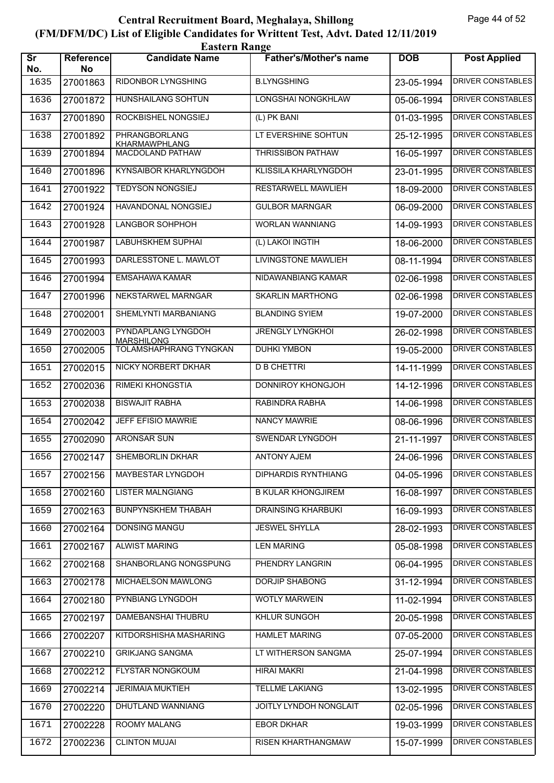|                               | <b>Eastern Range</b> |                                              |                               |            |                          |  |  |
|-------------------------------|----------------------|----------------------------------------------|-------------------------------|------------|--------------------------|--|--|
| $\overline{\text{sr}}$<br>No. | Reference<br>No      | <b>Candidate Name</b>                        | <b>Father's/Mother's name</b> | <b>DOB</b> | <b>Post Applied</b>      |  |  |
| 1635                          | 27001863             | RIDONBOR LYNGSHING                           | <b>B.LYNGSHING</b>            | 23-05-1994 | <b>DRIVER CONSTABLES</b> |  |  |
| 1636                          | 27001872             | <b>HUNSHAILANG SOHTUN</b>                    | <b>LONGSHAI NONGKHLAW</b>     | 05-06-1994 | <b>DRIVER CONSTABLES</b> |  |  |
| 1637                          | 27001890             | ROCKBISHEL NONGSIEJ                          | (L) PK BANI                   | 01-03-1995 | <b>DRIVER CONSTABLES</b> |  |  |
| 1638                          | 27001892             | <b>PHRANGBORLANG</b><br><b>KHARMAWPHLANG</b> | LT EVERSHINE SOHTUN           | 25-12-1995 | <b>DRIVER CONSTABLES</b> |  |  |
| 1639                          | 27001894             | MACDOLAND PATHAW                             | <b>THRISSIBON PATHAW</b>      | 16-05-1997 | <b>DRIVER CONSTABLES</b> |  |  |
| 1640                          | 27001896             | <b>KYNSAIBOR KHARLYNGDOH</b>                 | KLISSILA KHARLYNGDOH          | 23-01-1995 | <b>DRIVER CONSTABLES</b> |  |  |
| 1641                          | 27001922             | <b>TEDYSON NONGSIEJ</b>                      | <b>RESTARWELL MAWLIEH</b>     | 18-09-2000 | <b>DRIVER CONSTABLES</b> |  |  |
| 1642                          | 27001924             | HAVANDONAL NONGSIEJ                          | <b>GULBOR MARNGAR</b>         | 06-09-2000 | <b>DRIVER CONSTABLES</b> |  |  |
| 1643                          | 27001928             | <b>LANGBOR SOHPHOH</b>                       | <b>WORLAN WANNIANG</b>        | 14-09-1993 | <b>DRIVER CONSTABLES</b> |  |  |
| 1644                          | 27001987             | <b>LABUHSKHEM SUPHAI</b>                     | (L) LAKOI INGTIH              | 18-06-2000 | <b>DRIVER CONSTABLES</b> |  |  |
| 1645                          | 27001993             | DARLESSTONE L. MAWLOT                        | LIVINGSTONE MAWLIEH           | 08-11-1994 | <b>DRIVER CONSTABLES</b> |  |  |
| 1646                          | 27001994             | EMSAHAWA KAMAR                               | NIDAWANBIANG KAMAR            | 02-06-1998 | <b>DRIVER CONSTABLES</b> |  |  |
| 1647                          | 27001996             | NEKSTARWEL MARNGAR                           | <b>SKARLIN MARTHONG</b>       | 02-06-1998 | <b>DRIVER CONSTABLES</b> |  |  |
| 1648                          | 27002001             | SHEMLYNTI MARBANIANG                         | <b>BLANDING SYIEM</b>         | 19-07-2000 | <b>DRIVER CONSTABLES</b> |  |  |
| 1649                          | 27002003             | PYNDAPLANG LYNGDOH<br><b>MARSHILONG</b>      | <b>JRENGLY LYNGKHOI</b>       | 26-02-1998 | <b>DRIVER CONSTABLES</b> |  |  |
| 1650                          | 27002005             | <b>TOLAMSHAPHRANG TYNGKAN</b>                | <b>DUHKI YMBON</b>            | 19-05-2000 | <b>DRIVER CONSTABLES</b> |  |  |
| 1651                          | 27002015             | NICKY NORBERT DKHAR                          | <b>D B CHETTRI</b>            | 14-11-1999 | <b>DRIVER CONSTABLES</b> |  |  |
| 1652                          | 27002036             | <b>RIMEKI KHONGSTIA</b>                      | DONNIROY KHONGJOH             | 14-12-1996 | <b>DRIVER CONSTABLES</b> |  |  |
| 1653                          | 27002038             | <b>BISWAJIT RABHA</b>                        | RABINDRA RABHA                | 14-06-1998 | <b>DRIVER CONSTABLES</b> |  |  |
| 1654                          | 27002042             | <b>JEFF EFISIO MAWRIE</b>                    | <b>NANCY MAWRIE</b>           | 08-06-1996 | <b>DRIVER CONSTABLES</b> |  |  |
| 1655                          | 27002090             | <b>ARONSAR SUN</b>                           | SWENDAR LYNGDOH               | 21-11-1997 | <b>DRIVER CONSTABLES</b> |  |  |
| 1656                          | 27002147             | SHEMBORLIN DKHAR                             | <b>ANTONY AJEM</b>            | 24-06-1996 | <b>DRIVER CONSTABLES</b> |  |  |
| 1657                          | 27002156             | MAYBESTAR LYNGDOH                            | <b>DIPHARDIS RYNTHIANG</b>    | 04-05-1996 | DRIVER CONSTABLES        |  |  |
| 1658                          | 27002160             | <b>LISTER MALNGIANG</b>                      | <b>B KULAR KHONGJIREM</b>     | 16-08-1997 | DRIVER CONSTABLES        |  |  |
| 1659                          | 27002163             | <b>BUNPYNSKHEM THABAH</b>                    | <b>DRAINSING KHARBUKI</b>     | 16-09-1993 | <b>DRIVER CONSTABLES</b> |  |  |
| 1660                          | 27002164             | DONSING MANGU                                | <b>JESWEL SHYLLA</b>          | 28-02-1993 | <b>DRIVER CONSTABLES</b> |  |  |
| 1661                          | 27002167             | <b>ALWIST MARING</b>                         | <b>LEN MARING</b>             | 05-08-1998 | <b>DRIVER CONSTABLES</b> |  |  |
| 1662                          | 27002168             | SHANBORLANG NONGSPUNG                        | PHENDRY LANGRIN               | 06-04-1995 | DRIVER CONSTABLES        |  |  |
| 1663                          | 27002178             | MICHAELSON MAWLONG                           | <b>DORJIP SHABONG</b>         | 31-12-1994 | <b>DRIVER CONSTABLES</b> |  |  |
| 1664                          | 27002180             | PYNBIANG LYNGDOH                             | <b>WOTLY MARWEIN</b>          | 11-02-1994 | <b>DRIVER CONSTABLES</b> |  |  |
| 1665                          | 27002197             | DAMEBANSHAI THUBRU                           | KHLUR SUNGOH                  | 20-05-1998 | <b>DRIVER CONSTABLES</b> |  |  |
| 1666                          | 27002207             | KITDORSHISHA MASHARING                       | <b>HAMLET MARING</b>          | 07-05-2000 | DRIVER CONSTABLES        |  |  |
| 1667                          | 27002210             | <b>GRIKJANG SANGMA</b>                       | LT WITHERSON SANGMA           | 25-07-1994 | DRIVER CONSTABLES        |  |  |
| 1668                          | 27002212             | <b>FLYSTAR NONGKOUM</b>                      | <b>HIRAI MAKRI</b>            | 21-04-1998 | DRIVER CONSTABLES        |  |  |
| 1669                          | 27002214             | <b>JERIMAIA MUKTIEH</b>                      | <b>TELLME LAKIANG</b>         | 13-02-1995 | <b>DRIVER CONSTABLES</b> |  |  |
| 1670                          | 27002220             | DHUTLAND WANNIANG                            | JOITLY LYNDOH NONGLAIT        | 02-05-1996 | DRIVER CONSTABLES        |  |  |
| 1671                          | 27002228             | ROOMY MALANG                                 | <b>EBOR DKHAR</b>             | 19-03-1999 | DRIVER CONSTABLES        |  |  |
| 1672                          | 27002236             | <b>CLINTON MUJAI</b>                         | RISEN KHARTHANGMAW            | 15-07-1999 | DRIVER CONSTABLES        |  |  |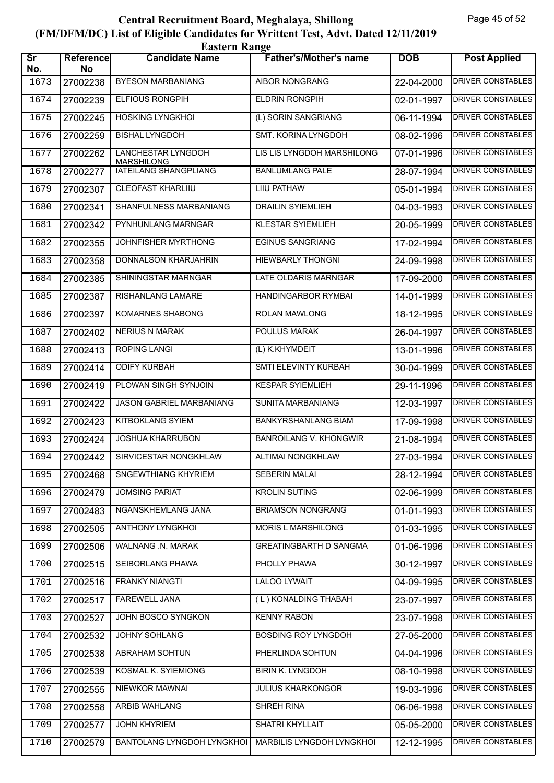|                               | <b>Eastern Range</b> |                                                |                               |            |                          |  |  |
|-------------------------------|----------------------|------------------------------------------------|-------------------------------|------------|--------------------------|--|--|
| $\overline{\text{sr}}$<br>No. | Reference<br>No      | <b>Candidate Name</b>                          | <b>Father's/Mother's name</b> | <b>DOB</b> | <b>Post Applied</b>      |  |  |
| 1673                          | 27002238             | <b>BYESON MARBANIANG</b>                       | <b>AIBOR NONGRANG</b>         | 22-04-2000 | <b>DRIVER CONSTABLES</b> |  |  |
| 1674                          | 27002239             | <b>ELFIOUS RONGPIH</b>                         | <b>ELDRIN RONGPIH</b>         | 02-01-1997 | <b>DRIVER CONSTABLES</b> |  |  |
| 1675                          | 27002245             | <b>HOSKING LYNGKHOI</b>                        | (L) SORIN SANGRIANG           | 06-11-1994 | <b>DRIVER CONSTABLES</b> |  |  |
| 1676                          | 27002259             | <b>BISHAL LYNGDOH</b>                          | <b>SMT. KORINA LYNGDOH</b>    | 08-02-1996 | <b>DRIVER CONSTABLES</b> |  |  |
| 1677                          | 27002262             | <b>LANCHESTAR LYNGDOH</b><br><b>MARSHILONG</b> | LIS LIS LYNGDOH MARSHILONG    | 07-01-1996 | <b>DRIVER CONSTABLES</b> |  |  |
| 1678                          | 27002277             | <b>IATEILANG SHANGPLIANG</b>                   | <b>BANLUMLANG PALE</b>        | 28-07-1994 | <b>DRIVER CONSTABLES</b> |  |  |
| 1679                          | 27002307             | <b>CLEOFAST KHARLIIU</b>                       | <b>LIIU PATHAW</b>            | 05-01-1994 | <b>DRIVER CONSTABLES</b> |  |  |
| 1680                          | 27002341             | SHANFULNESS MARBANIANG                         | <b>DRAILIN SYIEMLIEH</b>      | 04-03-1993 | <b>DRIVER CONSTABLES</b> |  |  |
| 1681                          | 27002342             | PYNHUNLANG MARNGAR                             | <b>KLESTAR SYIEMLIEH</b>      | 20-05-1999 | <b>DRIVER CONSTABLES</b> |  |  |
| 1682                          | 27002355             | JOHNFISHER MYRTHONG                            | <b>EGINUS SANGRIANG</b>       | 17-02-1994 | <b>DRIVER CONSTABLES</b> |  |  |
| 1683                          | 27002358             | DONNALSON KHARJAHRIN                           | <b>HIEWBARLY THONGNI</b>      | 24-09-1998 | <b>DRIVER CONSTABLES</b> |  |  |
| 1684                          | 27002385             | SHININGSTAR MARNGAR                            | LATE OLDARIS MARNGAR          | 17-09-2000 | <b>DRIVER CONSTABLES</b> |  |  |
| 1685                          | 27002387             | RISHANLANG LAMARE                              | <b>HANDINGARBOR RYMBAI</b>    | 14-01-1999 | <b>DRIVER CONSTABLES</b> |  |  |
| 1686                          | 27002397             | <b>KOMARNES SHABONG</b>                        | <b>ROLAN MAWLONG</b>          | 18-12-1995 | <b>DRIVER CONSTABLES</b> |  |  |
| 1687                          | 27002402             | <b>NERIUS N MARAK</b>                          | <b>POULUS MARAK</b>           | 26-04-1997 | <b>DRIVER CONSTABLES</b> |  |  |
| 1688                          | 27002413             | <b>ROPING LANGI</b>                            | (L) K.KHYMDEIT                | 13-01-1996 | <b>DRIVER CONSTABLES</b> |  |  |
| 1689                          | 27002414             | <b>ODIFY KURBAH</b>                            | SMTI ELEVINTY KURBAH          | 30-04-1999 | <b>DRIVER CONSTABLES</b> |  |  |
| 1690                          | 27002419             | PLOWAN SINGH SYNJOIN                           | <b>KESPAR SYIEMLIEH</b>       | 29-11-1996 | <b>DRIVER CONSTABLES</b> |  |  |
| 1691                          | 27002422             | JASON GABRIEL MARBANIANG                       | SUNITA MARBANIANG             | 12-03-1997 | <b>DRIVER CONSTABLES</b> |  |  |
| 1692                          | 27002423             | <b>KITBOKLANG SYIEM</b>                        | <b>BANKYRSHANLANG BIAM</b>    | 17-09-1998 | <b>DRIVER CONSTABLES</b> |  |  |
| 1693                          | 27002424             | <b>JOSHUA KHARRUBON</b>                        | <b>BANROILANG V. KHONGWIR</b> | 21-08-1994 | <b>DRIVER CONSTABLES</b> |  |  |
| 1694                          | 27002442             | SIRVICESTAR NONGKHLAW                          | <b>ALTIMAI NONGKHLAW</b>      | 27-03-1994 | DRIVER CONSTABLES        |  |  |
| 1695                          | 27002468             | <b>SNGEWTHIANG KHYRIEM</b>                     | SEBERIN MALAI                 | 28-12-1994 | DRIVER CONSTABLES        |  |  |
| 1696                          | 27002479             | <b>JOMSING PARIAT</b>                          | <b>KROLIN SUTING</b>          | 02-06-1999 | DRIVER CONSTABLES        |  |  |
| 1697                          | 27002483             | NGANSKHEMLANG JANA                             | <b>BRIAMSON NONGRANG</b>      | 01-01-1993 | DRIVER CONSTABLES        |  |  |
| 1698                          | 27002505             | ANTHONY LYNGKHOI                               | MORIS L MARSHILONG            | 01-03-1995 | DRIVER CONSTABLES        |  |  |
| 1699                          | 27002506             | WALNANG .N. MARAK                              | <b>GREATINGBARTH D SANGMA</b> | 01-06-1996 | <b>DRIVER CONSTABLES</b> |  |  |
| 1700                          | 27002515             | SEIBORLANG PHAWA                               | PHOLLY PHAWA                  | 30-12-1997 | DRIVER CONSTABLES        |  |  |
| 1701                          | 27002516             | <b>FRANKY NIANGTI</b>                          | <b>LALOO LYWAIT</b>           | 04-09-1995 | <b>DRIVER CONSTABLES</b> |  |  |
| 1702                          | 27002517             | <b>FAREWELL JANA</b>                           | (L) KONALDING THABAH          | 23-07-1997 | DRIVER CONSTABLES        |  |  |
| 1703                          | 27002527             | JOHN BOSCO SYNGKON                             | <b>KENNY RABON</b>            | 23-07-1998 | DRIVER CONSTABLES        |  |  |
| 1704                          | 27002532             | JOHNY SOHLANG                                  | BOSDING ROY LYNGDOH           | 27-05-2000 | DRIVER CONSTABLES        |  |  |
| 1705                          | 27002538             | ABRAHAM SOHTUN                                 | PHERLINDA SOHTUN              | 04-04-1996 | DRIVER CONSTABLES        |  |  |
| 1706                          | 27002539             | <b>KOSMAL K. SYIEMIONG</b>                     | <b>BIRIN K. LYNGDOH</b>       | 08-10-1998 | <b>DRIVER CONSTABLES</b> |  |  |
| 1707                          | 27002555             | NIEWKOR MAWNAI                                 | <b>JULIUS KHARKONGOR</b>      | 19-03-1996 | DRIVER CONSTABLES        |  |  |
| 1708                          | 27002558             | ARBIB WAHLANG                                  | SHREH RINA                    | 06-06-1998 | DRIVER CONSTABLES        |  |  |
| 1709                          | 27002577             | <b>JOHN KHYRIEM</b>                            | SHATRI KHYLLAIT               | 05-05-2000 | DRIVER CONSTABLES        |  |  |
| 1710                          | 27002579             | BANTOLANG LYNGDOH LYNGKHOI                     | MARBILIS LYNGDOH LYNGKHOI     | 12-12-1995 | DRIVER CONSTABLES        |  |  |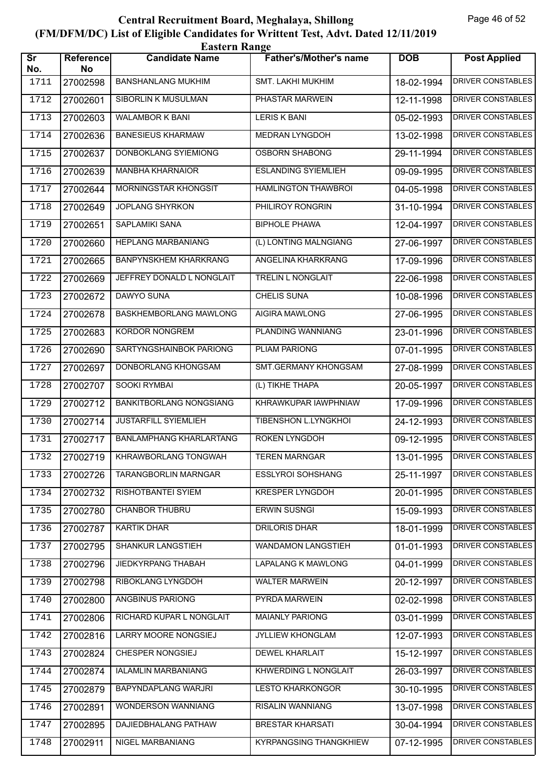|                               | <b>Eastern Range</b>   |                                |                               |            |                          |  |  |
|-------------------------------|------------------------|--------------------------------|-------------------------------|------------|--------------------------|--|--|
| $\overline{\text{sr}}$<br>No. | <b>Reference</b><br>No | <b>Candidate Name</b>          | <b>Father's/Mother's name</b> | <b>DOB</b> | <b>Post Applied</b>      |  |  |
| 1711                          | 27002598               | <b>BANSHANLANG MUKHIM</b>      | SMT. LAKHI MUKHIM             | 18-02-1994 | DRIVER CONSTABLES        |  |  |
| 1712                          | 27002601               | <b>SIBORLIN K MUSULMAN</b>     | PHASTAR MARWEIN               | 12-11-1998 | <b>DRIVER CONSTABLES</b> |  |  |
| 1713                          | 27002603               | <b>WALAMBOR K BANI</b>         | <b>LERIS K BANI</b>           | 05-02-1993 | <b>DRIVER CONSTABLES</b> |  |  |
| 1714                          | 27002636               | <b>BANESIEUS KHARMAW</b>       | <b>MEDRAN LYNGDOH</b>         | 13-02-1998 | DRIVER CONSTABLES        |  |  |
| 1715                          | 27002637               | DONBOKLANG SYIEMIONG           | <b>OSBORN SHABONG</b>         | 29-11-1994 | <b>DRIVER CONSTABLES</b> |  |  |
| 1716                          | 27002639               | <b>MANBHA KHARNAIOR</b>        | <b>ESLANDING SYIEMLIEH</b>    | 09-09-1995 | <b>DRIVER CONSTABLES</b> |  |  |
| 1717                          | 27002644               | <b>MORNINGSTAR KHONGSIT</b>    | <b>HAMLINGTON THAWBROI</b>    | 04-05-1998 | <b>DRIVER CONSTABLES</b> |  |  |
| 1718                          | 27002649               | <b>JOPLANG SHYRKON</b>         | PHILIROY RONGRIN              | 31-10-1994 | <b>DRIVER CONSTABLES</b> |  |  |
| 1719                          | 27002651               | <b>SAPLAMIKI SANA</b>          | <b>BIPHOLE PHAWA</b>          | 12-04-1997 | <b>DRIVER CONSTABLES</b> |  |  |
| 1720                          | 27002660               | <b>HEPLANG MARBANIANG</b>      | (L) LONTING MALNGIANG         | 27-06-1997 | <b>DRIVER CONSTABLES</b> |  |  |
| 1721                          | 27002665               | <b>BANPYNSKHEM KHARKRANG</b>   | ANGELINA KHARKRANG            | 17-09-1996 | <b>DRIVER CONSTABLES</b> |  |  |
| 1722                          | 27002669               | JEFFREY DONALD L NONGLAIT      | <b>TRELIN L NONGLAIT</b>      | 22-06-1998 | <b>DRIVER CONSTABLES</b> |  |  |
| 1723                          | 27002672               | DAWYO SUNA                     | <b>CHELIS SUNA</b>            | 10-08-1996 | <b>DRIVER CONSTABLES</b> |  |  |
| 1724                          | 27002678               | BASKHEMBORLANG MAWLONG         | <b>AIGIRA MAWLONG</b>         | 27-06-1995 | DRIVER CONSTABLES        |  |  |
| 1725                          | 27002683               | <b>KORDOR NONGREM</b>          | PLANDING WANNIANG             | 23-01-1996 | <b>DRIVER CONSTABLES</b> |  |  |
| 1726                          | 27002690               | SARTYNGSHAINBOK PARIONG        | PLIAM PARIONG                 | 07-01-1995 | <b>DRIVER CONSTABLES</b> |  |  |
| 1727                          | 27002697               | DONBORLANG KHONGSAM            | SMT.GERMANY KHONGSAM          | 27-08-1999 | <b>DRIVER CONSTABLES</b> |  |  |
| 1728                          | 27002707               | SOOKI RYMBAI                   | (L) TIKHE THAPA               | 20-05-1997 | DRIVER CONSTABLES        |  |  |
| 1729                          | 27002712               | <b>BANKITBORLANG NONGSIANG</b> | KHRAWKUPAR IAWPHNIAW          | 17-09-1996 | <b>DRIVER CONSTABLES</b> |  |  |
| 1730                          | 27002714               | <b>JUSTARFILL SYIEMLIEH</b>    | TIBENSHON L.LYNGKHOI          | 24-12-1993 | <b>DRIVER CONSTABLES</b> |  |  |
| 1731                          | 27002717               | <b>BANLAMPHANG KHARLARTANG</b> | ROKEN LYNGDOH                 | 09-12-1995 | <b>DRIVER CONSTABLES</b> |  |  |
| 1732                          | 27002719               | KHRAWBORLANG TONGWAH           | <b>TEREN MARNGAR</b>          | 13-01-1995 | DRIVER CONSTABLES        |  |  |
| 1733                          | 27002726               | <b>TARANGBORLIN MARNGAR</b>    | <b>ESSLYROI SOHSHANG</b>      | 25-11-1997 | DRIVER CONSTABLES        |  |  |
| 1734                          | 27002732               | RISHOTBANTEI SYIEM             | <b>KRESPER LYNGDOH</b>        | 20-01-1995 | DRIVER CONSTABLES        |  |  |
| 1735                          | 27002780               | CHANBOR THUBRU                 | <b>ERWIN SUSNGI</b>           | 15-09-1993 | <b>DRIVER CONSTABLES</b> |  |  |
| 1736                          | 27002787               | <b>KARTIK DHAR</b>             | <b>DRILORIS DHAR</b>          | 18-01-1999 | <b>DRIVER CONSTABLES</b> |  |  |
| 1737                          | 27002795               | <b>SHANKUR LANGSTIEH</b>       | WANDAMON LANGSTIEH            | 01-01-1993 | <b>DRIVER CONSTABLES</b> |  |  |
| 1738                          | 27002796               | JIEDKYRPANG THABAH             | LAPALANG K MAWLONG            | 04-01-1999 | DRIVER CONSTABLES        |  |  |
| 1739                          | 27002798               | RIBOKLANG LYNGDOH              | <b>WALTER MARWEIN</b>         | 20-12-1997 | DRIVER CONSTABLES        |  |  |
| 1740                          | 27002800               | <b>ANGBINUS PARIONG</b>        | PYRDA MARWEIN                 | 02-02-1998 | <b>DRIVER CONSTABLES</b> |  |  |
| 1741                          | 27002806               | RICHARD KUPAR L NONGLAIT       | <b>MAIANLY PARIONG</b>        | 03-01-1999 | DRIVER CONSTABLES        |  |  |
| 1742                          | 27002816               | LARRY MOORE NONGSIEJ           | JYLLIEW KHONGLAM              | 12-07-1993 | DRIVER CONSTABLES        |  |  |
| 1743                          | 27002824               | CHESPER NONGSIEJ               | DEWEL KHARLAIT                | 15-12-1997 | DRIVER CONSTABLES        |  |  |
| 1744                          | 27002874               | IALAMLIN MARBANIANG            | KHWERDING L NONGLAIT          | 26-03-1997 | DRIVER CONSTABLES        |  |  |
| 1745                          | 27002879               | BAPYNDAPLANG WARJRI            | <b>LESTO KHARKONGOR</b>       | 30-10-1995 | DRIVER CONSTABLES        |  |  |
| 1746                          | 27002891               | WONDERSON WANNIANG             | RISALIN WANNIANG              | 13-07-1998 | DRIVER CONSTABLES        |  |  |
| 1747                          | 27002895               | DAJIEDBHALANG PATHAW           | <b>BRESTAR KHARSATI</b>       | 30-04-1994 | DRIVER CONSTABLES        |  |  |
| 1748                          | 27002911               | NIGEL MARBANIANG               | <b>KYRPANGSING THANGKHIEW</b> | 07-12-1995 | DRIVER CONSTABLES        |  |  |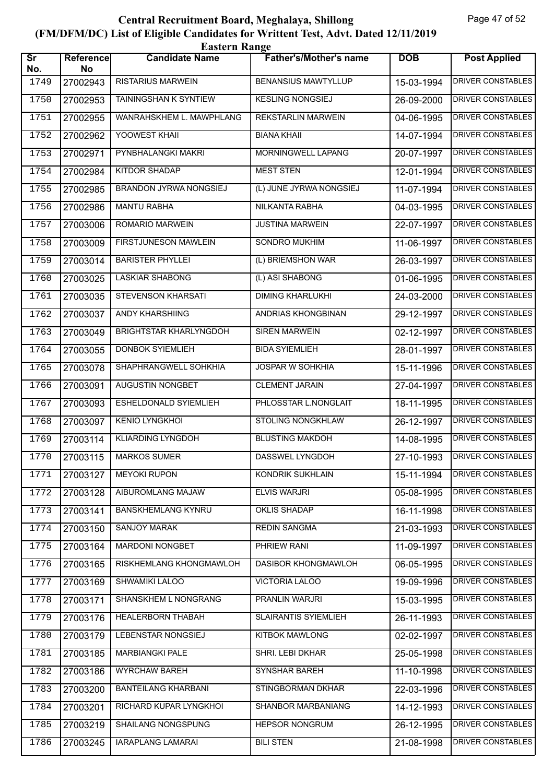|                               | <b>Eastern Range</b> |                               |                               |            |                          |  |  |
|-------------------------------|----------------------|-------------------------------|-------------------------------|------------|--------------------------|--|--|
| $\overline{\text{Sr}}$<br>No. | Reference<br>No      | <b>Candidate Name</b>         | <b>Father's/Mother's name</b> | <b>DOB</b> | <b>Post Applied</b>      |  |  |
| 1749                          | 27002943             | <b>RISTARIUS MARWEIN</b>      | <b>BENANSIUS MAWTYLLUP</b>    | 15-03-1994 | <b>DRIVER CONSTABLES</b> |  |  |
| 1750                          | 27002953             | <b>TAININGSHAN K SYNTIEW</b>  | <b>KESLING NONGSIEJ</b>       | 26-09-2000 | <b>DRIVER CONSTABLES</b> |  |  |
| 1751                          | 27002955             | WANRAHSKHEM L. MAWPHLANG      | <b>REKSTARLIN MARWEIN</b>     | 04-06-1995 | <b>DRIVER CONSTABLES</b> |  |  |
| 1752                          | 27002962             | YOOWEST KHAII                 | <b>BIANA KHAII</b>            | 14-07-1994 | <b>DRIVER CONSTABLES</b> |  |  |
| 1753                          | 27002971             | PYNBHALANGKI MAKRI            | MORNINGWELL LAPANG            | 20-07-1997 | <b>DRIVER CONSTABLES</b> |  |  |
| 1754                          | 27002984             | <b>KITDOR SHADAP</b>          | <b>MEST STEN</b>              | 12-01-1994 | <b>DRIVER CONSTABLES</b> |  |  |
| 1755                          | 27002985             | <b>BRANDON JYRWA NONGSIEJ</b> | (L) JUNE JYRWA NONGSIEJ       | 11-07-1994 | <b>DRIVER CONSTABLES</b> |  |  |
| 1756                          | 27002986             | <b>MANTU RABHA</b>            | NILKANTA RABHA                | 04-03-1995 | <b>DRIVER CONSTABLES</b> |  |  |
| 1757                          | 27003006             | <b>ROMARIO MARWEIN</b>        | <b>JUSTINA MARWEIN</b>        | 22-07-1997 | <b>DRIVER CONSTABLES</b> |  |  |
| 1758                          | 27003009             | FIRSTJUNESON MAWLEIN          | SONDRO MUKHIM                 | 11-06-1997 | <b>DRIVER CONSTABLES</b> |  |  |
| 1759                          | 27003014             | <b>BARISTER PHYLLEI</b>       | (L) BRIEMSHON WAR             | 26-03-1997 | <b>DRIVER CONSTABLES</b> |  |  |
| 1760                          | 27003025             | <b>LASKIAR SHABONG</b>        | (L) ASI SHABONG               | 01-06-1995 | <b>DRIVER CONSTABLES</b> |  |  |
| 1761                          | 27003035             | STEVENSON KHARSATI            | <b>DIMING KHARLUKHI</b>       | 24-03-2000 | <b>DRIVER CONSTABLES</b> |  |  |
| 1762                          | 27003037             | ANDY KHARSHIING               | ANDRIAS KHONGBINAN            | 29-12-1997 | <b>DRIVER CONSTABLES</b> |  |  |
| 1763                          | 27003049             | BRIGHTSTAR KHARLYNGDOH        | <b>SIREN MARWEIN</b>          | 02-12-1997 | <b>DRIVER CONSTABLES</b> |  |  |
| 1764                          | 27003055             | <b>DONBOK SYIEMLIEH</b>       | <b>BIDA SYIEMLIEH</b>         | 28-01-1997 | <b>DRIVER CONSTABLES</b> |  |  |
| 1765                          | 27003078             | SHAPHRANGWELL SOHKHIA         | <b>JOSPAR W SOHKHIA</b>       | 15-11-1996 | <b>DRIVER CONSTABLES</b> |  |  |
| 1766                          | 27003091             | AUGUSTIN NONGBET              | <b>CLEMENT JARAIN</b>         | 27-04-1997 | <b>DRIVER CONSTABLES</b> |  |  |
| 1767                          | 27003093             | ESHELDONALD SYIEMLIEH         | PHLOSSTAR L.NONGLAIT          | 18-11-1995 | DRIVER CONSTABLES        |  |  |
| 1768                          | 27003097             | <b>KENIO LYNGKHOI</b>         | <b>STOLING NONGKHLAW</b>      | 26-12-1997 | <b>DRIVER CONSTABLES</b> |  |  |
| 1769                          | 27003114             | <b>KLIARDING LYNGDOH</b>      | <b>BLUSTING MAKDOH</b>        | 14-08-1995 | <b>DRIVER CONSTABLES</b> |  |  |
| 1770                          | 27003115             | <b>MARKOS SUMER</b>           | DASSWEL LYNGDOH               | 27-10-1993 | <b>DRIVER CONSTABLES</b> |  |  |
| 1771                          | 27003127             | <b>MEYOKI RUPON</b>           | KONDRIK SUKHLAIN              | 15-11-1994 | DRIVER CONSTABLES        |  |  |
| 1772                          | 27003128             | AIBUROMLANG MAJAW             | <b>ELVIS WARJRI</b>           | 05-08-1995 | DRIVER CONSTABLES        |  |  |
| 1773                          | 27003141             | <b>BANSKHEMLANG KYNRU</b>     | <b>OKLIS SHADAP</b>           | 16-11-1998 | <b>DRIVER CONSTABLES</b> |  |  |
| 1774                          | 27003150             | SANJOY MARAK                  | <b>REDIN SANGMA</b>           | 21-03-1993 | <b>DRIVER CONSTABLES</b> |  |  |
| 1775                          | 27003164             | <b>MARDONI NONGBET</b>        | PHRIEW RANI                   | 11-09-1997 | <b>DRIVER CONSTABLES</b> |  |  |
| 1776                          | 27003165             | RISKHEMLANG KHONGMAWLOH       | DASIBOR KHONGMAWLOH           | 06-05-1995 | DRIVER CONSTABLES        |  |  |
| 1777                          | 27003169             | <b>SHWAMIKI LALOO</b>         | VICTORIA LALOO                | 19-09-1996 | <b>DRIVER CONSTABLES</b> |  |  |
| 1778                          | 27003171             | SHANSKHEM L NONGRANG          | <b>PRANLIN WARJRI</b>         | 15-03-1995 | <b>DRIVER CONSTABLES</b> |  |  |
| 1779                          | 27003176             | HEALERBORN THABAH             | <b>SLAIRANTIS SYIEMLIEH</b>   | 26-11-1993 | DRIVER CONSTABLES        |  |  |
| 1780                          | 27003179             | LEBENSTAR NONGSIEJ            | <b>KITBOK MAWLONG</b>         | 02-02-1997 | DRIVER CONSTABLES        |  |  |
| 1781                          | 27003185             | <b>MARBIANGKI PALE</b>        | SHRI. LEBI DKHAR              | 25-05-1998 | DRIVER CONSTABLES        |  |  |
| 1782                          | 27003186             | <b>WYRCHAW BAREH</b>          | SYNSHAR BAREH                 | 11-10-1998 | DRIVER CONSTABLES        |  |  |
| 1783                          | 27003200             | <b>BANTEILANG KHARBANI</b>    | STINGBORMAN DKHAR             | 22-03-1996 | <b>DRIVER CONSTABLES</b> |  |  |
| 1784                          | 27003201             | RICHARD KUPAR LYNGKHOI        | SHANBOR MARBANIANG            | 14-12-1993 | DRIVER CONSTABLES        |  |  |
| 1785                          | 27003219             | SHAILANG NONGSPUNG            | <b>HEPSOR NONGRUM</b>         | 26-12-1995 | DRIVER CONSTABLES        |  |  |
| 1786                          | 27003245             | <b>IARAPLANG LAMARAI</b>      | <b>BILI STEN</b>              | 21-08-1998 | DRIVER CONSTABLES        |  |  |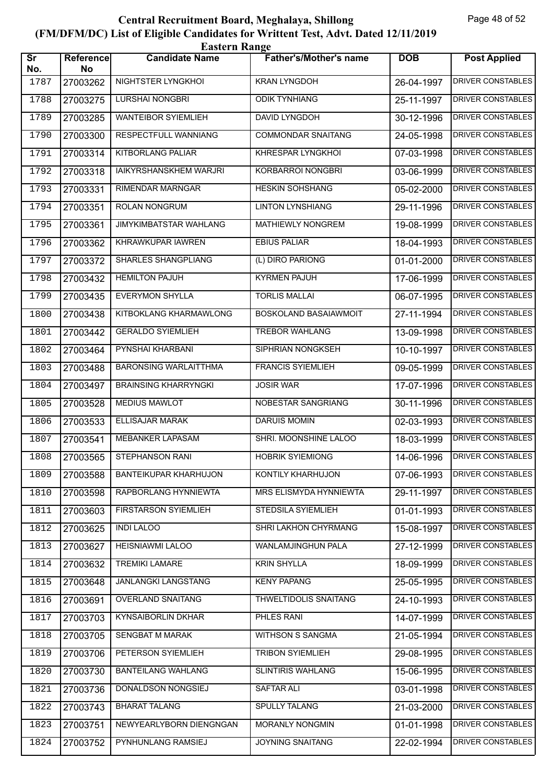|                               | <b>Eastern Range</b> |                               |                               |            |                          |  |  |
|-------------------------------|----------------------|-------------------------------|-------------------------------|------------|--------------------------|--|--|
| $\overline{\text{sr}}$<br>No. | Reference<br>No      | <b>Candidate Name</b>         | <b>Father's/Mother's name</b> | <b>DOB</b> | <b>Post Applied</b>      |  |  |
| 1787                          | 27003262             | NIGHTSTER LYNGKHOI            | <b>KRAN LYNGDOH</b>           | 26-04-1997 | <b>DRIVER CONSTABLES</b> |  |  |
| 1788                          | 27003275             | LURSHAI NONGBRI               | <b>ODIK TYNHIANG</b>          | 25-11-1997 | <b>DRIVER CONSTABLES</b> |  |  |
| 1789                          | 27003285             | <b>WANTEIBOR SYIEMLIEH</b>    | DAVID LYNGDOH                 | 30-12-1996 | <b>DRIVER CONSTABLES</b> |  |  |
| 1790                          | 27003300             | RESPECTFULL WANNIANG          | <b>COMMONDAR SNAITANG</b>     | 24-05-1998 | <b>DRIVER CONSTABLES</b> |  |  |
| 1791                          | 27003314             | KITBORLANG PALIAR             | KHRESPAR LYNGKHOI             | 07-03-1998 | <b>DRIVER CONSTABLES</b> |  |  |
| 1792                          | 27003318             | IAIKYRSHANSKHEM WARJRI        | <b>KORBARROI NONGBRI</b>      | 03-06-1999 | <b>DRIVER CONSTABLES</b> |  |  |
| 1793                          | 27003331             | <b>RIMENDAR MARNGAR</b>       | <b>HESKIN SOHSHANG</b>        | 05-02-2000 | <b>DRIVER CONSTABLES</b> |  |  |
| 1794                          | 27003351             | ROLAN NONGRUM                 | <b>LINTON LYNSHIANG</b>       | 29-11-1996 | DRIVER CONSTABLES        |  |  |
| 1795                          | 27003361             | <b>JIMYKIMBATSTAR WAHLANG</b> | <b>MATHIEWLY NONGREM</b>      | 19-08-1999 | DRIVER CONSTABLES        |  |  |
| 1796                          | 27003362             | KHRAWKUPAR IAWREN             | <b>EBIUS PALIAR</b>           | 18-04-1993 | <b>DRIVER CONSTABLES</b> |  |  |
| 1797                          | 27003372             | <b>SHARLES SHANGPLIANG</b>    | (L) DIRO PARIONG              | 01-01-2000 | <b>DRIVER CONSTABLES</b> |  |  |
| 1798                          | 27003432             | <b>HEMILTON PAJUH</b>         | <b>KYRMEN PAJUH</b>           | 17-06-1999 | <b>DRIVER CONSTABLES</b> |  |  |
| 1799                          | 27003435             | <b>EVERYMON SHYLLA</b>        | <b>TORLIS MALLAI</b>          | 06-07-1995 | <b>DRIVER CONSTABLES</b> |  |  |
| 1800                          | 27003438             | KITBOKLANG KHARMAWLONG        | BOSKOLAND BASAIAWMOIT         | 27-11-1994 | <b>DRIVER CONSTABLES</b> |  |  |
| 1801                          | 27003442             | <b>GERALDO SYIEMLIEH</b>      | <b>TREBOR WAHLANG</b>         | 13-09-1998 | <b>DRIVER CONSTABLES</b> |  |  |
| 1802                          | 27003464             | PYNSHAI KHARBANI              | SIPHRIAN NONGKSEH             | 10-10-1997 | <b>DRIVER CONSTABLES</b> |  |  |
| 1803                          | 27003488             | <b>BARONSING WARLAITTHMA</b>  | <b>FRANCIS SYIEMLIEH</b>      | 09-05-1999 | <b>DRIVER CONSTABLES</b> |  |  |
| 1804                          | 27003497             | <b>BRAINSING KHARRYNGKI</b>   | <b>JOSIR WAR</b>              | 17-07-1996 | <b>DRIVER CONSTABLES</b> |  |  |
| 1805                          | 27003528             | <b>MEDIUS MAWLOT</b>          | NOBESTAR SANGRIANG            | 30-11-1996 | DRIVER CONSTABLES        |  |  |
| 1806                          | 27003533             | <b>ELLISAJAR MARAK</b>        | <b>DARUIS MOMIN</b>           | 02-03-1993 | <b>DRIVER CONSTABLES</b> |  |  |
| 1807                          | 27003541             | <b>MEBANKER LAPASAM</b>       | SHRI. MOONSHINE LALOO         | 18-03-1999 | <b>DRIVER CONSTABLES</b> |  |  |
| 1808                          |                      | 27003565   STEPHANSON RANI    | <b>HOBRIK SYIEMIONG</b>       | 14-06-1996 | <b>DRIVER CONSTABLES</b> |  |  |
| 1809                          | 27003588             | BANTEIKUPAR KHARHUJON         | KONTILY KHARHUJON             | 07-06-1993 | DRIVER CONSTABLES        |  |  |
| 1810                          | 27003598             | RAPBORLANG HYNNIEWTA          | MRS ELISMYDA HYNNIEWTA        | 29-11-1997 | DRIVER CONSTABLES        |  |  |
| 1811                          | 27003603             | <b>FIRSTARSON SYIEMLIEH</b>   | STEDSILA SYIEMLIEH            | 01-01-1993 | <b>DRIVER CONSTABLES</b> |  |  |
| 1812                          | 27003625             | <b>INDI LALOO</b>             | SHRI LAKHON CHYRMANG          | 15-08-1997 | <b>DRIVER CONSTABLES</b> |  |  |
| 1813                          | 27003627             | HEISNIAWMI LALOO              | WANLAMJINGHUN PALA            | 27-12-1999 | <b>DRIVER CONSTABLES</b> |  |  |
| 1814                          | 27003632             | <b>TREMIKI LAMARE</b>         | <b>KRIN SHYLLA</b>            | 18-09-1999 | DRIVER CONSTABLES        |  |  |
| 1815                          | 27003648             | JANLANGKI LANGSTANG           | <b>KENY PAPANG</b>            | 25-05-1995 | DRIVER CONSTABLES        |  |  |
| 1816                          | 27003691             | <b>OVERLAND SNAITANG</b>      | THWELTIDOLIS SNAITANG         | 24-10-1993 | <b>DRIVER CONSTABLES</b> |  |  |
| 1817                          | 27003703             | KYNSAIBORLIN DKHAR            | PHLES RANI                    | 14-07-1999 | DRIVER CONSTABLES        |  |  |
| 1818                          | 27003705             | SENGBAT M MARAK               | WITHSON S SANGMA              | 21-05-1994 | DRIVER CONSTABLES        |  |  |
| 1819                          | 27003706             | PETERSON SYIEMLIEH            | <b>TRIBON SYIEMLIEH</b>       | 29-08-1995 | DRIVER CONSTABLES        |  |  |
| 1820                          | 27003730             | <b>BANTEILANG WAHLANG</b>     | <b>SLINTIRIS WAHLANG</b>      | 15-06-1995 | DRIVER CONSTABLES        |  |  |
| 1821                          | 27003736             | DONALDSON NONGSIEJ            | SAFTAR ALI                    | 03-01-1998 | <b>DRIVER CONSTABLES</b> |  |  |
| 1822                          | 27003743             | <b>BHARAT TALANG</b>          | <b>SPULLY TALANG</b>          | 21-03-2000 | DRIVER CONSTABLES        |  |  |
| 1823                          | 27003751             | NEWYEARLYBORN DIENGNGAN       | MORANLY NONGMIN               | 01-01-1998 | DRIVER CONSTABLES        |  |  |
| 1824                          | 27003752             | PYNHUNLANG RAMSIEJ            | <b>JOYNING SNAITANG</b>       | 22-02-1994 | DRIVER CONSTABLES        |  |  |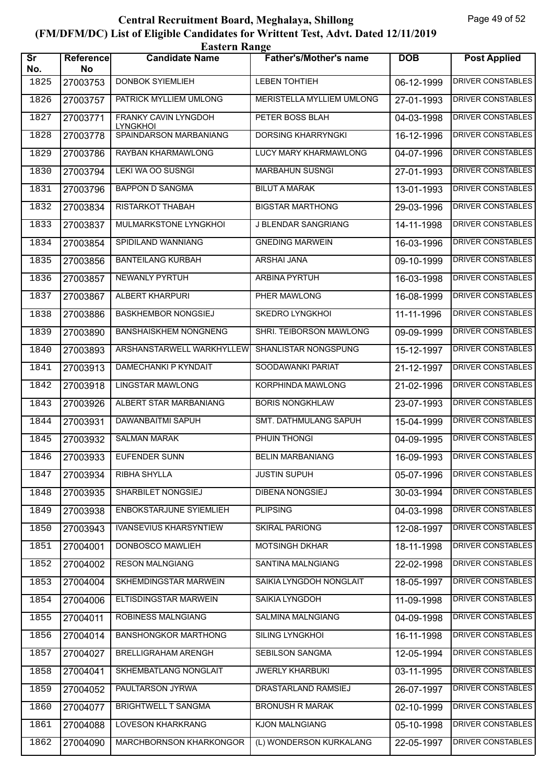| <b>Eastern Range</b>          |                 |                                         |                                  |            |                          |  |
|-------------------------------|-----------------|-----------------------------------------|----------------------------------|------------|--------------------------|--|
| $\overline{\text{Sr}}$<br>No. | Reference<br>No | <b>Candidate Name</b>                   | <b>Father's/Mother's name</b>    | <b>DOB</b> | <b>Post Applied</b>      |  |
| 1825                          | 27003753        | <b>DONBOK SYIEMLIEH</b>                 | <b>LEBEN TOHTIEH</b>             | 06-12-1999 | <b>DRIVER CONSTABLES</b> |  |
| 1826                          | 27003757        | PATRICK MYLLIEM UMLONG                  | <b>MERISTELLA MYLLIEM UMLONG</b> | 27-01-1993 | <b>DRIVER CONSTABLES</b> |  |
| 1827                          | 27003771        | FRANKY CAVIN LYNGDOH<br><b>LYNGKHOI</b> | PETER BOSS BLAH                  | 04-03-1998 | <b>DRIVER CONSTABLES</b> |  |
| 1828                          | 27003778        | SPAINDARSON MARBANIANG                  | <b>DORSING KHARRYNGKI</b>        | 16-12-1996 | <b>DRIVER CONSTABLES</b> |  |
| 1829                          | 27003786        | RAYBAN KHARMAWLONG                      | LUCY MARY KHARMAWLONG            | 04-07-1996 | <b>DRIVER CONSTABLES</b> |  |
| 1830                          | 27003794        | LEKI WA OO SUSNGI                       | <b>MARBAHUN SUSNGI</b>           | 27-01-1993 | <b>DRIVER CONSTABLES</b> |  |
| 1831                          | 27003796        | <b>BAPPON D SANGMA</b>                  | <b>BILUT A MARAK</b>             | 13-01-1993 | <b>DRIVER CONSTABLES</b> |  |
| 1832                          | 27003834        | RISTARKOT THABAH                        | <b>BIGSTAR MARTHONG</b>          | 29-03-1996 | <b>DRIVER CONSTABLES</b> |  |
| 1833                          | 27003837        | MULMARKSTONE LYNGKHOI                   | J BLENDAR SANGRIANG              | 14-11-1998 | <b>DRIVER CONSTABLES</b> |  |
| 1834                          | 27003854        | SPIDILAND WANNIANG                      | <b>GNEDING MARWEIN</b>           | 16-03-1996 | <b>DRIVER CONSTABLES</b> |  |
| 1835                          | 27003856        | <b>BANTEILANG KURBAH</b>                | <b>ARSHAI JANA</b>               | 09-10-1999 | <b>DRIVER CONSTABLES</b> |  |
| 1836                          | 27003857        | <b>NEWANLY PYRTUH</b>                   | <b>ARBINA PYRTUH</b>             | 16-03-1998 | <b>DRIVER CONSTABLES</b> |  |
| 1837                          | 27003867        | ALBERT KHARPURI                         | PHER MAWLONG                     | 16-08-1999 | <b>DRIVER CONSTABLES</b> |  |
| 1838                          | 27003886        | <b>BASKHEMBOR NONGSIEJ</b>              | <b>SKEDRO LYNGKHOI</b>           | 11-11-1996 | <b>DRIVER CONSTABLES</b> |  |
| 1839                          | 27003890        | <b>BANSHAISKHEM NONGNENG</b>            | SHRI. TEIBORSON MAWLONG          | 09-09-1999 | <b>DRIVER CONSTABLES</b> |  |
| 1840                          | 27003893        | ARSHANSTARWELL WARKHYLLEW               | SHANLISTAR NONGSPUNG             | 15-12-1997 | <b>DRIVER CONSTABLES</b> |  |
| 1841                          | 27003913        | DAMECHANKI P KYNDAIT                    | SOODAWANKI PARIAT                | 21-12-1997 | <b>DRIVER CONSTABLES</b> |  |
| 1842                          | 27003918        | <b>LINGSTAR MAWLONG</b>                 | KORPHINDA MAWLONG                | 21-02-1996 | <b>DRIVER CONSTABLES</b> |  |
| 1843                          | 27003926        | ALBERT STAR MARBANIANG                  | <b>BORIS NONGKHLAW</b>           | 23-07-1993 | <b>DRIVER CONSTABLES</b> |  |
| 1844                          | 27003931        | <b>DAWANBAITMI SAPUH</b>                | SMT. DATHMULANG SAPUH            | 15-04-1999 | <b>DRIVER CONSTABLES</b> |  |
| 1845                          | 27003932        | <b>SALMAN MARAK</b>                     | PHUIN THONGI                     | 04-09-1995 | <b>DRIVER CONSTABLES</b> |  |
| 1846                          | 27003933        | <b>EUFENDER SUNN</b>                    | <b>BELIN MARBANIANG</b>          | 16-09-1993 | DRIVER CONSTABLES        |  |
| 1847                          | 27003934        | RIBHA SHYLLA                            | <b>JUSTIN SUPUH</b>              | 05-07-1996 | DRIVER CONSTABLES        |  |
| 1848                          | 27003935        | <b>SHARBILET NONGSIEJ</b>               | DIBENA NONGSIEJ                  | 30-03-1994 | DRIVER CONSTABLES        |  |
| 1849                          | 27003938        | ENBOKSTARJUNE SYIEMLIEH                 | <b>PLIPSING</b>                  | 04-03-1998 | <b>DRIVER CONSTABLES</b> |  |
| 1850                          | 27003943        | <b>IVANSEVIUS KHARSYNTIEW</b>           | SKIRAL PARIONG                   | 12-08-1997 | DRIVER CONSTABLES        |  |
| 1851                          | 27004001        | DONBOSCO MAWLIEH                        | MOTSINGH DKHAR                   | 18-11-1998 | <b>DRIVER CONSTABLES</b> |  |
| 1852                          | 27004002        | <b>RESON MALNGIANG</b>                  | <b>SANTINA MALNGIANG</b>         | 22-02-1998 | DRIVER CONSTABLES        |  |
| 1853                          | 27004004        | SKHEMDINGSTAR MARWEIN                   | SAIKIA LYNGDOH NONGLAIT          | 18-05-1997 | DRIVER CONSTABLES        |  |
| 1854                          | 27004006        | ELTISDINGSTAR MARWEIN                   | SAIKIA LYNGDOH                   | 11-09-1998 | <b>DRIVER CONSTABLES</b> |  |
| 1855                          | 27004011        | ROBINESS MALNGIANG                      | SALMINA MALNGIANG                | 04-09-1998 | DRIVER CONSTABLES        |  |
| 1856                          | 27004014        | <b>BANSHONGKOR MARTHONG</b>             | SILING LYNGKHOI                  | 16-11-1998 | DRIVER CONSTABLES        |  |
| 1857                          | 27004027        | <b>BRELLIGRAHAM ARENGH</b>              | SEBILSON SANGMA                  | 12-05-1994 | DRIVER CONSTABLES        |  |
| 1858                          | 27004041        | SKHEMBATLANG NONGLAIT                   | <b>JWERLY KHARBUKI</b>           | 03-11-1995 | DRIVER CONSTABLES        |  |
| 1859                          | 27004052        | PAULTARSON JYRWA                        | DRASTARLAND RAMSIEJ              | 26-07-1997 | <b>DRIVER CONSTABLES</b> |  |
| 1860                          | 27004077        | <b>BRIGHTWELL T SANGMA</b>              | <b>BRONUSH R MARAK</b>           | 02-10-1999 | DRIVER CONSTABLES        |  |
| 1861                          | 27004088        | LOVESON KHARKRANG                       | <b>KJON MALNGIANG</b>            | 05-10-1998 | DRIVER CONSTABLES        |  |
| 1862                          | 27004090        | MARCHBORNSON KHARKONGOR                 | (L) WONDERSON KURKALANG          | 22-05-1997 | DRIVER CONSTABLES        |  |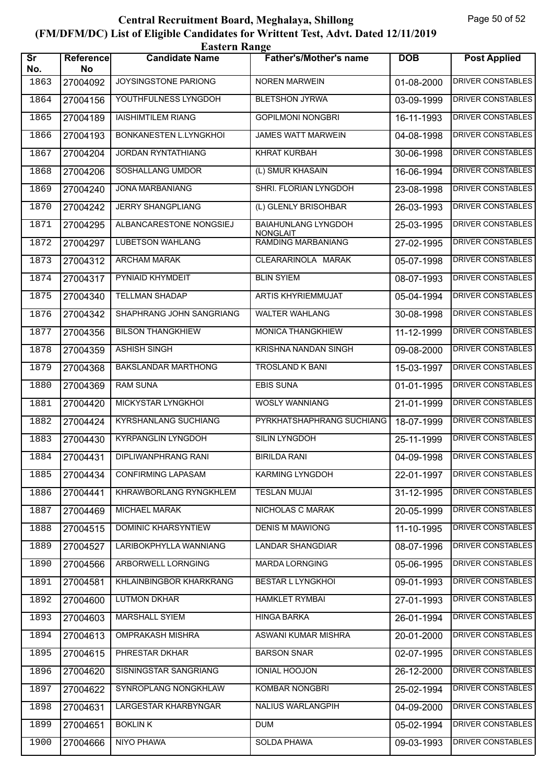| <b>Eastern Range</b>          |                 |                             |                                               |            |                          |  |
|-------------------------------|-----------------|-----------------------------|-----------------------------------------------|------------|--------------------------|--|
| $\overline{\text{sr}}$<br>No. | Reference<br>No | <b>Candidate Name</b>       | <b>Father's/Mother's name</b>                 | <b>DOB</b> | <b>Post Applied</b>      |  |
| 1863                          | 27004092        | JOYSINGSTONE PARIONG        | <b>NOREN MARWEIN</b>                          | 01-08-2000 | <b>DRIVER CONSTABLES</b> |  |
| 1864                          | 27004156        | YOUTHFULNESS LYNGDOH        | <b>BLETSHON JYRWA</b>                         | 03-09-1999 | <b>DRIVER CONSTABLES</b> |  |
| 1865                          | 27004189        | <b>IAISHIMTILEM RIANG</b>   | <b>GOPILMONI NONGBRI</b>                      | 16-11-1993 | <b>DRIVER CONSTABLES</b> |  |
| 1866                          | 27004193        | BONKANESTEN L.LYNGKHOI      | <b>JAMES WATT MARWEIN</b>                     | 04-08-1998 | <b>DRIVER CONSTABLES</b> |  |
| 1867                          | 27004204        | <b>JORDAN RYNTATHIANG</b>   | <b>KHRAT KURBAH</b>                           | 30-06-1998 | <b>DRIVER CONSTABLES</b> |  |
| 1868                          | 27004206        | SOSHALLANG UMDOR            | (L) SMUR KHASAIN                              | 16-06-1994 | <b>DRIVER CONSTABLES</b> |  |
| 1869                          | 27004240        | <b>JONA MARBANIANG</b>      | SHRI. FLORIAN LYNGDOH                         | 23-08-1998 | <b>DRIVER CONSTABLES</b> |  |
| 1870                          | 27004242        | <b>JERRY SHANGPLIANG</b>    | (L) GLENLY BRISOHBAR                          | 26-03-1993 | <b>DRIVER CONSTABLES</b> |  |
| 1871                          | 27004295        | ALBANCARESTONE NONGSIEJ     | <b>BAIAHUNLANG LYNGDOH</b><br><b>NONGLAIT</b> | 25-03-1995 | <b>DRIVER CONSTABLES</b> |  |
| 1872                          | 27004297        | <b>LUBETSON WAHLANG</b>     | RAMDING MARBANIANG                            | 27-02-1995 | <b>DRIVER CONSTABLES</b> |  |
| 1873                          | 27004312        | <b>ARCHAM MARAK</b>         | CLEARARINOLA MARAK                            | 05-07-1998 | <b>DRIVER CONSTABLES</b> |  |
| 1874                          | 27004317        | PYNIAID KHYMDEIT            | <b>BLIN SYIEM</b>                             | 08-07-1993 | <b>DRIVER CONSTABLES</b> |  |
| 1875                          | 27004340        | <b>TELLMAN SHADAP</b>       | ARTIS KHYRIEMMUJAT                            | 05-04-1994 | <b>DRIVER CONSTABLES</b> |  |
| 1876                          | 27004342        | SHAPHRANG JOHN SANGRIANG    | <b>WALTER WAHLANG</b>                         | 30-08-1998 | <b>DRIVER CONSTABLES</b> |  |
| 1877                          | 27004356        | <b>BILSON THANGKHIEW</b>    | <b>MONICA THANGKHIEW</b>                      | 11-12-1999 | <b>DRIVER CONSTABLES</b> |  |
| 1878                          | 27004359        | <b>ASHISH SINGH</b>         | KRISHNA NANDAN SINGH                          | 09-08-2000 | <b>DRIVER CONSTABLES</b> |  |
| 1879                          | 27004368        | <b>BAKSLANDAR MARTHONG</b>  | <b>TROSLAND K BANI</b>                        | 15-03-1997 | <b>DRIVER CONSTABLES</b> |  |
| 1880                          | 27004369        | <b>RAM SUNA</b>             | <b>EBIS SUNA</b>                              | 01-01-1995 | <b>DRIVER CONSTABLES</b> |  |
| 1881                          | 27004420        | MICKYSTAR LYNGKHOI          | <b>WOSLY WANNIANG</b>                         | 21-01-1999 | <b>DRIVER CONSTABLES</b> |  |
| 1882                          | 27004424        | <b>KYRSHANLANG SUCHIANG</b> | PYRKHATSHAPHRANG SUCHIANG                     | 18-07-1999 | <b>DRIVER CONSTABLES</b> |  |
| 1883                          | 27004430        | <b>KYRPANGLIN LYNGDOH</b>   | <b>SILIN LYNGDOH</b>                          | 25-11-1999 | <b>DRIVER CONSTABLES</b> |  |
| 1884                          | 27004431        | DIPLIWANPHRANG RANI         | <b>BIRILDA RANI</b>                           | 04-09-1998 | <b>DRIVER CONSTABLES</b> |  |
| 1885                          | 27004434        | <b>CONFIRMING LAPASAM</b>   | KARMING LYNGDOH                               | 22-01-1997 | DRIVER CONSTABLES        |  |
| 1886                          | 27004441        | KHRAWBORLANG RYNGKHLEM      | <b>TESLAN MUJAI</b>                           | 31-12-1995 | DRIVER CONSTABLES        |  |
| 1887                          | 27004469        | <b>MICHAEL MARAK</b>        | NICHOLAS C MARAK                              | 20-05-1999 | <b>DRIVER CONSTABLES</b> |  |
| 1888                          | 27004515        | <b>DOMINIC KHARSYNTIEW</b>  | <b>DENIS M MAWIONG</b>                        | 11-10-1995 | DRIVER CONSTABLES        |  |
| 1889                          | 27004527        | LARIBOKPHYLLA WANNIANG      | <b>LANDAR SHANGDIAR</b>                       | 08-07-1996 | <b>DRIVER CONSTABLES</b> |  |
| 1890                          | 27004566        | ARBORWELL LORNGING          | <b>MARDA LORNGING</b>                         | 05-06-1995 | DRIVER CONSTABLES        |  |
| 1891                          | 27004581        | KHLAINBINGBOR KHARKRANG     | <b>BESTAR L LYNGKHOI</b>                      | 09-01-1993 | DRIVER CONSTABLES        |  |
| 1892                          | 27004600        | <b>LUTMON DKHAR</b>         | <b>HAMKLET RYMBAI</b>                         | 27-01-1993 | <b>DRIVER CONSTABLES</b> |  |
| 1893                          | 27004603        | MARSHALL SYIEM              | <b>HINGA BARKA</b>                            | 26-01-1994 | DRIVER CONSTABLES        |  |
| 1894                          | 27004613        | <b>OMPRAKASH MISHRA</b>     | ASWANI KUMAR MISHRA                           | 20-01-2000 | DRIVER CONSTABLES        |  |
| 1895                          | 27004615        | PHRESTAR DKHAR              | <b>BARSON SNAR</b>                            | 02-07-1995 | DRIVER CONSTABLES        |  |
| 1896                          | 27004620        | SISNINGSTAR SANGRIANG       | IONIAL HOOJON                                 | 26-12-2000 | DRIVER CONSTABLES        |  |
| 1897                          | 27004622        | SYNROPLANG NONGKHLAW        | KOMBAR NONGBRI                                | 25-02-1994 | <b>DRIVER CONSTABLES</b> |  |
| 1898                          | 27004631        | LARGESTAR KHARBYNGAR        | NALIUS WARLANGPIH                             | 04-09-2000 | DRIVER CONSTABLES        |  |
| 1899                          | 27004651        | <b>BOKLIN K</b>             | <b>DUM</b>                                    | 05-02-1994 | DRIVER CONSTABLES        |  |
| 1900                          | 27004666        | <b>NIYO PHAWA</b>           | SOLDA PHAWA                                   | 09-03-1993 | DRIVER CONSTABLES        |  |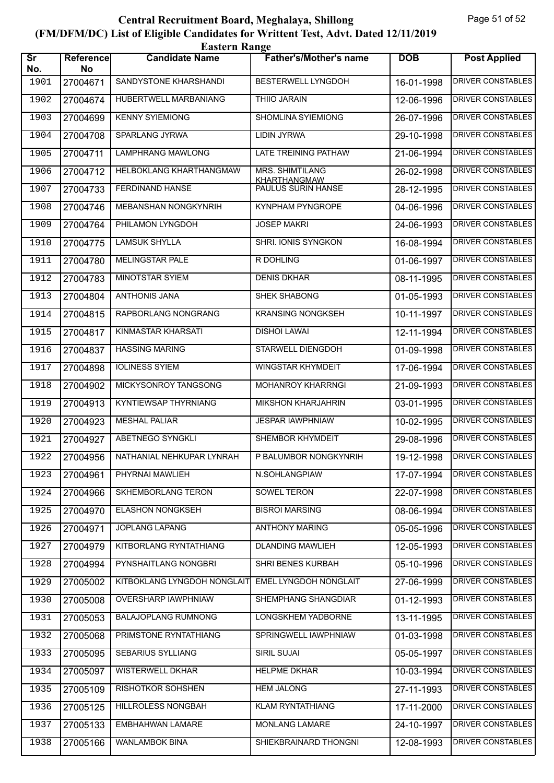| <b>Eastern Range</b>          |                        |                             |                                        |            |                          |  |
|-------------------------------|------------------------|-----------------------------|----------------------------------------|------------|--------------------------|--|
| $\overline{\text{Sr}}$<br>No. | <b>Reference</b><br>No | <b>Candidate Name</b>       | <b>Father's/Mother's name</b>          | <b>DOB</b> | <b>Post Applied</b>      |  |
| 1901                          | 27004671               | SANDYSTONE KHARSHANDI       | <b>BESTERWELL LYNGDOH</b>              | 16-01-1998 | <b>DRIVER CONSTABLES</b> |  |
| 1902                          | 27004674               | HUBERTWELL MARBANIANG       | <b>THIIO JARAIN</b>                    | 12-06-1996 | <b>DRIVER CONSTABLES</b> |  |
| 1903                          | 27004699               | <b>KENNY SYIEMIONG</b>      | SHOMLINA SYIEMIONG                     | 26-07-1996 | <b>DRIVER CONSTABLES</b> |  |
| 1904                          | 27004708               | <b>SPARLANG JYRWA</b>       | <b>LIDIN JYRWA</b>                     | 29-10-1998 | <b>DRIVER CONSTABLES</b> |  |
| 1905                          | 27004711               | <b>LAMPHRANG MAWLONG</b>    | LATE TREINING PATHAW                   | 21-06-1994 | <b>DRIVER CONSTABLES</b> |  |
| 1906                          | 27004712               | HELBOKLANG KHARTHANGMAW     | MRS. SHIMTILANG<br><b>KHARTHANGMAW</b> | 26-02-1998 | <b>DRIVER CONSTABLES</b> |  |
| 1907                          | 27004733               | FERDINAND HANSE             | PAULUS SURIN HANSE                     | 28-12-1995 | <b>DRIVER CONSTABLES</b> |  |
| 1908                          | 27004746               | <b>MEBANSHAN NONGKYNRIH</b> | KYNPHAM PYNGROPE                       | 04-06-1996 | <b>DRIVER CONSTABLES</b> |  |
| 1909                          | 27004764               | PHILAMON LYNGDOH            | <b>JOSEP MAKRI</b>                     | 24-06-1993 | <b>DRIVER CONSTABLES</b> |  |
| 1910                          | 27004775               | <b>LAMSUK SHYLLA</b>        | SHRI. IONIS SYNGKON                    | 16-08-1994 | <b>DRIVER CONSTABLES</b> |  |
| 1911                          | 27004780               | <b>MELINGSTAR PALE</b>      | R DOHLING                              | 01-06-1997 | <b>DRIVER CONSTABLES</b> |  |
| 1912                          | 27004783               | <b>MINOTSTAR SYIEM</b>      | <b>DENIS DKHAR</b>                     | 08-11-1995 | <b>DRIVER CONSTABLES</b> |  |
| 1913                          | 27004804               | <b>ANTHONIS JANA</b>        | SHEK SHABONG                           | 01-05-1993 | <b>DRIVER CONSTABLES</b> |  |
| 1914                          | 27004815               | RAPBORLANG NONGRANG         | <b>KRANSING NONGKSEH</b>               | 10-11-1997 | <b>DRIVER CONSTABLES</b> |  |
| 1915                          | 27004817               | KINMASTAR KHARSATI          | <b>DISHOI LAWAI</b>                    | 12-11-1994 | <b>DRIVER CONSTABLES</b> |  |
| 1916                          | 27004837               | <b>HASSING MARING</b>       | <b>STARWELL DIENGDOH</b>               | 01-09-1998 | <b>DRIVER CONSTABLES</b> |  |
| 1917                          | 27004898               | <b>IOLINESS SYIEM</b>       | <b>WINGSTAR KHYMDEIT</b>               | 17-06-1994 | <b>DRIVER CONSTABLES</b> |  |
| 1918                          | 27004902               | MICKYSONROY TANGSONG        | <b>MOHANROY KHARRNGI</b>               | 21-09-1993 | <b>DRIVER CONSTABLES</b> |  |
| 1919                          | 27004913               | <b>KYNTIEWSAP THYRNIANG</b> | MIKSHON KHARJAHRIN                     | 03-01-1995 | <b>DRIVER CONSTABLES</b> |  |
| 1920                          | 27004923               | <b>MESHAL PALIAR</b>        | <b>JESPAR IAWPHNIAW</b>                | 10-02-1995 | <b>DRIVER CONSTABLES</b> |  |
| 1921                          | 27004927               | ABETNEGO SYNGKLI            | SHEMBOR KHYMDEIT                       | 29-08-1996 | <b>DRIVER CONSTABLES</b> |  |
| 1922                          | 27004956               | NATHANIAL NEHKUPAR LYNRAH   | P BALUMBOR NONGKYNRIH                  | 19-12-1998 | DRIVER CONSTABLES        |  |
| 1923                          | 27004961               | PHYRNAI MAWLIEH             | N.SOHLANGPIAW                          | 17-07-1994 | DRIVER CONSTABLES        |  |
| 1924                          | 27004966               | SKHEMBORLANG TERON          | SOWEL TERON                            | 22-07-1998 | DRIVER CONSTABLES        |  |
| 1925                          | 27004970               | <b>ELASHON NONGKSEH</b>     | <b>BISROI MARSING</b>                  | 08-06-1994 | <b>DRIVER CONSTABLES</b> |  |
| 1926                          | 27004971               | JOPLANG LAPANG              | <b>ANTHONY MARING</b>                  | 05-05-1996 | DRIVER CONSTABLES        |  |
| 1927                          | 27004979               | KITBORLANG RYNTATHIANG      | <b>DLANDING MAWLIEH</b>                | 12-05-1993 | <b>DRIVER CONSTABLES</b> |  |
| 1928                          | 27004994               | PYNSHAITLANG NONGBRI        | SHRI BENES KURBAH                      | 05-10-1996 | DRIVER CONSTABLES        |  |
| 1929                          | 27005002               | KITBOKLANG LYNGDOH NONGLAIT | EMEL LYNGDOH NONGLAIT                  | 27-06-1999 | DRIVER CONSTABLES        |  |
| 1930                          | 27005008               | OVERSHARP IAWPHNIAW         | SHEMPHANG SHANGDIAR                    | 01-12-1993 | <b>DRIVER CONSTABLES</b> |  |
| 1931                          | 27005053               | <b>BALAJOPLANG RUMNONG</b>  | LONGSKHEM YADBORNE                     | 13-11-1995 | DRIVER CONSTABLES        |  |
| 1932                          | 27005068               | PRIMSTONE RYNTATHIANG       | SPRINGWELL IAWPHNIAW                   | 01-03-1998 | DRIVER CONSTABLES        |  |
| 1933                          | 27005095               | SEBARIUS SYLLIANG           | SIRIL SUJAI                            | 05-05-1997 | DRIVER CONSTABLES        |  |
| 1934                          | 27005097               | <b>WISTERWELL DKHAR</b>     | <b>HELPME DKHAR</b>                    | 10-03-1994 | DRIVER CONSTABLES        |  |
| 1935                          | 27005109               | RISHOTKOR SOHSHEN           | <b>HEM JALONG</b>                      | 27-11-1993 | <b>DRIVER CONSTABLES</b> |  |
| 1936                          | 27005125               | HILLROLESS NONGBAH          | KLAM RYNTATHIANG                       | 17-11-2000 | DRIVER CONSTABLES        |  |
| 1937                          | 27005133               | EMBHAHWAN LAMARE            | MONLANG LAMARE                         | 24-10-1997 | DRIVER CONSTABLES        |  |
| 1938                          | 27005166               | <b>WANLAMBOK BINA</b>       | SHIEKBRAINARD THONGNI                  | 12-08-1993 | DRIVER CONSTABLES        |  |